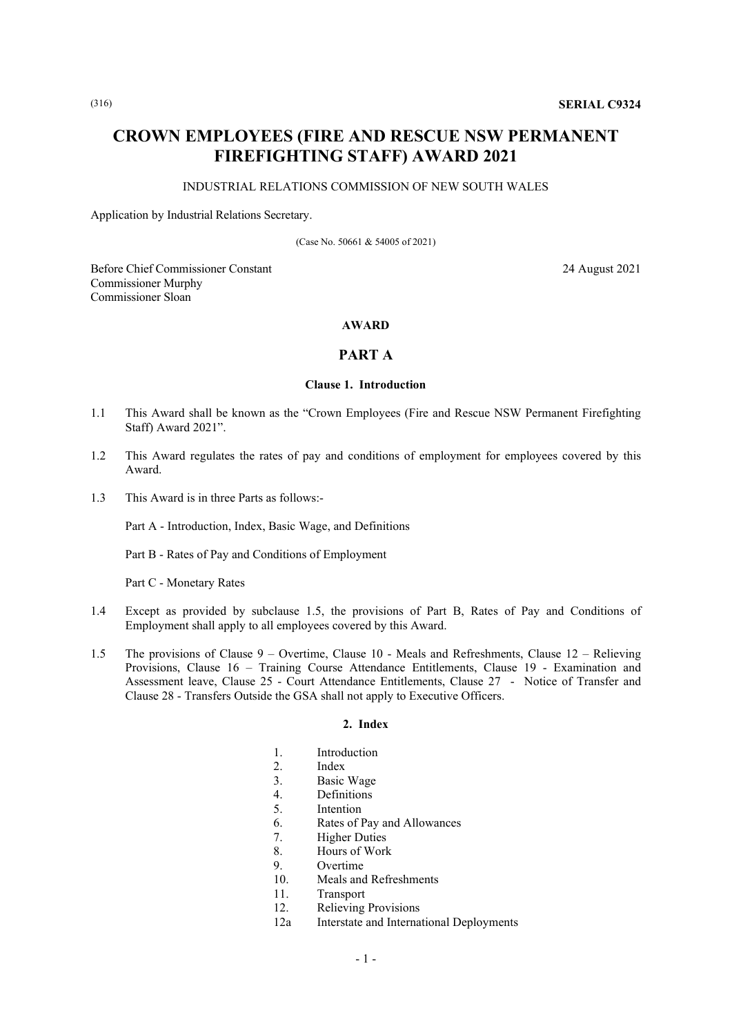# **CROWN EMPLOYEES (FIRE AND RESCUE NSW PERMANENT FIREFIGHTING STAFF) AWARD 2021**

#### INDUSTRIAL RELATIONS COMMISSION OF NEW SOUTH WALES

Application by Industrial Relations Secretary.

(Case No. 50661 & 54005 of 2021)

Before Chief Commissioner Constant 24 August 2021 Commissioner Murphy Commissioner Sloan

# **AWARD**

# **PART A**

# **Clause 1. Introduction**

- 1.1 This Award shall be known as the "Crown Employees (Fire and Rescue NSW Permanent Firefighting Staff) Award 2021".
- 1.2 This Award regulates the rates of pay and conditions of employment for employees covered by this Award.
- 1.3 This Award is in three Parts as follows:-

Part A - Introduction, Index, Basic Wage, and Definitions

Part B - Rates of Pay and Conditions of Employment

Part C - Monetary Rates

- 1.4 Except as provided by subclause 1.5, the provisions of Part B, Rates of Pay and Conditions of Employment shall apply to all employees covered by this Award.
- 1.5 The provisions of Clause 9 Overtime, Clause 10 Meals and Refreshments, Clause 12 Relieving Provisions, Clause 16 – Training Course Attendance Entitlements, Clause 19 - Examination and Assessment leave, Clause 25 - Court Attendance Entitlements, Clause 27 - Notice of Transfer and Clause 28 - Transfers Outside the GSA shall not apply to Executive Officers.

#### **2. Index**

- 1. Introduction
- 2. Index
- 3. Basic Wage
- 4. Definitions<br>5. Intention
- **Intention**
- 6. Rates of Pay and Allowances
- 7. Higher Duties
- 8. Hours of Work
- 9. Overtime
- 10. Meals and Refreshments
- 11. Transport
- 12. Relieving Provisions
- 12a Interstate and International Deployments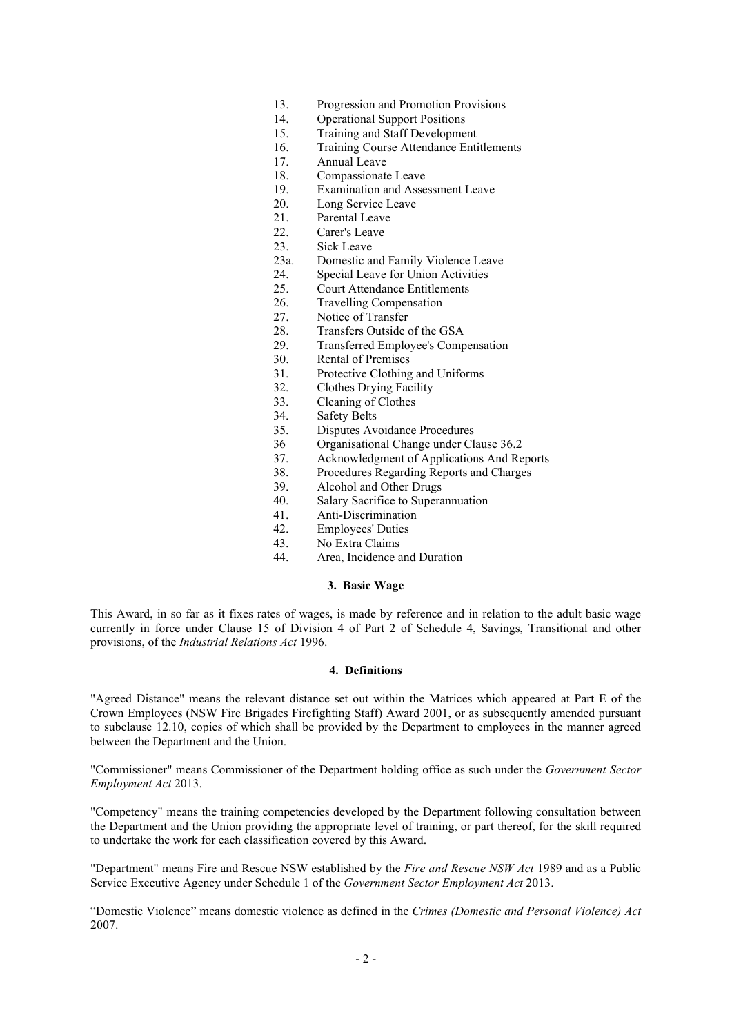- 13. Progression and Promotion Provisions<br>14. Operational Support Positions
- **Operational Support Positions**
- 15. Training and Staff Development
- 16. Training Course Attendance Entitlements
- 17. Annual Leave
- 18. Compassionate Leave<br>19. Examination and Asse
- Examination and Assessment Leave
- 20. Long Service Leave
- 21. Parental Leave<br>22. Carer's Leave
- Carer's Leave
- 23. Sick Leave
- 23a. Domestic and Family Violence Leave<br>24. Special Leave for Union Activities
- 24. Special Leave for Union Activities<br>25. Court Attendance Entitlements
- Court Attendance Entitlements
- 26. Travelling Compensation<br>27. Notice of Transfer
- 27. Notice of Transfer<br>28. Transfers Outside
- 28. Transfers Outside of the GSA<br>29. Transferred Employee's Comp
- 29. Transferred Employee's Compensation<br>30. Rental of Premises
- 30. Rental of Premises<br>31. Protective Clothing
- 31. Protective Clothing and Uniforms<br>32 Clothes Drving Facility
- Clothes Drying Facility
- 33. Cleaning of Clothes
- 34. Safety Belts
- 35. Disputes Avoidance Procedures
- 36 Organisational Change under Clause 36.2
- 37. Acknowledgment of Applications And Reports
- 38. Procedures Regarding Reports and Charges
- 39. Alcohol and Other Drugs
- 40. Salary Sacrifice to Superannuation
- 41. Anti-Discrimination
- 42. Employees' Duties<br>43 No Extra Claims
- 43. No Extra Claims<br>44 Area Incidence
- Area, Incidence and Duration

#### **3. Basic Wage**

This Award, in so far as it fixes rates of wages, is made by reference and in relation to the adult basic wage currently in force under Clause 15 of Division 4 of Part 2 of Schedule 4, Savings, Transitional and other provisions, of the *Industrial Relations Act* 1996.

# **4. Definitions**

"Agreed Distance" means the relevant distance set out within the Matrices which appeared at Part E of the Crown Employees (NSW Fire Brigades Firefighting Staff) Award 2001, or as subsequently amended pursuant to subclause 12.10, copies of which shall be provided by the Department to employees in the manner agreed between the Department and the Union.

"Commissioner" means Commissioner of the Department holding office as such under the *Government Sector Employment Act* 2013.

"Competency" means the training competencies developed by the Department following consultation between the Department and the Union providing the appropriate level of training, or part thereof, for the skill required to undertake the work for each classification covered by this Award.

"Department" means Fire and Rescue NSW established by the *Fire and Rescue NSW Act* 1989 and as a Public Service Executive Agency under Schedule 1 of the *Government Sector Employment Act* 2013.

"Domestic Violence" means domestic violence as defined in the *Crimes (Domestic and Personal Violence) Act* 2007.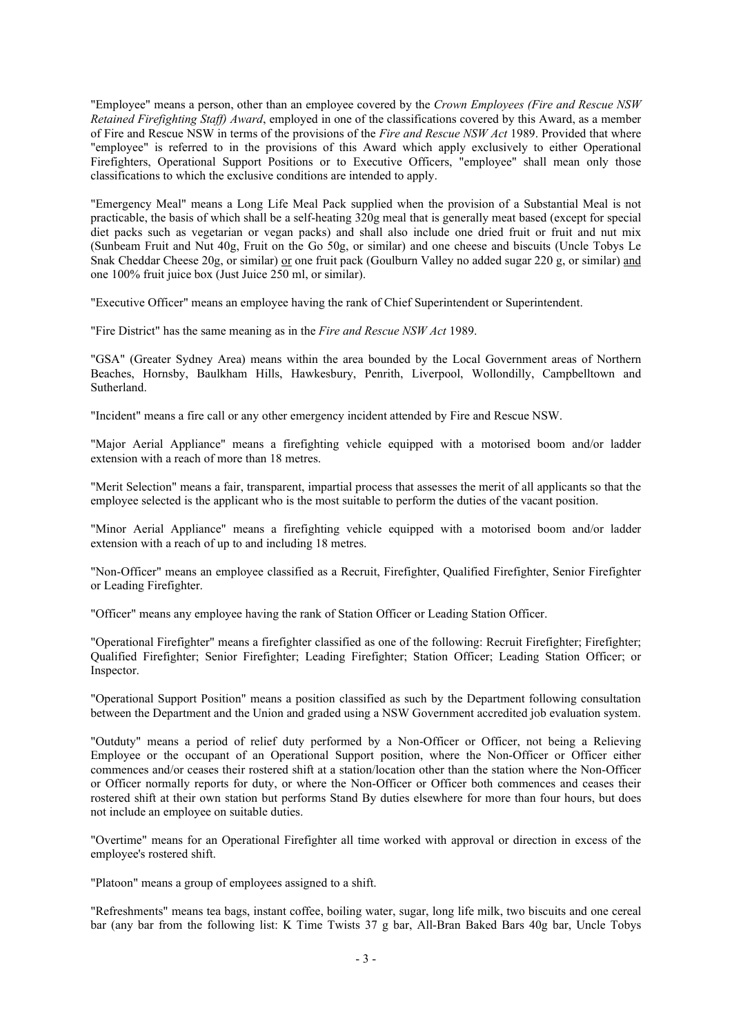"Employee" means a person, other than an employee covered by the *Crown Employees (Fire and Rescue NSW Retained Firefighting Staff) Award*, employed in one of the classifications covered by this Award, as a member of Fire and Rescue NSW in terms of the provisions of the *Fire and Rescue NSW Act* 1989. Provided that where "employee" is referred to in the provisions of this Award which apply exclusively to either Operational Firefighters, Operational Support Positions or to Executive Officers, "employee" shall mean only those classifications to which the exclusive conditions are intended to apply.

"Emergency Meal" means a Long Life Meal Pack supplied when the provision of a Substantial Meal is not practicable, the basis of which shall be a self-heating 320g meal that is generally meat based (except for special diet packs such as vegetarian or vegan packs) and shall also include one dried fruit or fruit and nut mix (Sunbeam Fruit and Nut 40g, Fruit on the Go 50g, or similar) and one cheese and biscuits (Uncle Tobys Le Snak Cheddar Cheese 20g, or similar) or one fruit pack (Goulburn Valley no added sugar 220 g, or similar) and one 100% fruit juice box (Just Juice 250 ml, or similar).

"Executive Officer" means an employee having the rank of Chief Superintendent or Superintendent.

"Fire District" has the same meaning as in the *Fire and Rescue NSW Act* 1989.

"GSA" (Greater Sydney Area) means within the area bounded by the Local Government areas of Northern Beaches, Hornsby, Baulkham Hills, Hawkesbury, Penrith, Liverpool, Wollondilly, Campbelltown and Sutherland.

"Incident" means a fire call or any other emergency incident attended by Fire and Rescue NSW.

"Major Aerial Appliance" means a firefighting vehicle equipped with a motorised boom and/or ladder extension with a reach of more than 18 metres.

"Merit Selection" means a fair, transparent, impartial process that assesses the merit of all applicants so that the employee selected is the applicant who is the most suitable to perform the duties of the vacant position.

"Minor Aerial Appliance" means a firefighting vehicle equipped with a motorised boom and/or ladder extension with a reach of up to and including 18 metres.

"Non-Officer" means an employee classified as a Recruit, Firefighter, Qualified Firefighter, Senior Firefighter or Leading Firefighter.

"Officer" means any employee having the rank of Station Officer or Leading Station Officer.

"Operational Firefighter" means a firefighter classified as one of the following: Recruit Firefighter; Firefighter; Qualified Firefighter; Senior Firefighter; Leading Firefighter; Station Officer; Leading Station Officer; or Inspector.

"Operational Support Position" means a position classified as such by the Department following consultation between the Department and the Union and graded using a NSW Government accredited job evaluation system.

"Outduty" means a period of relief duty performed by a Non-Officer or Officer, not being a Relieving Employee or the occupant of an Operational Support position, where the Non-Officer or Officer either commences and/or ceases their rostered shift at a station/location other than the station where the Non-Officer or Officer normally reports for duty, or where the Non-Officer or Officer both commences and ceases their rostered shift at their own station but performs Stand By duties elsewhere for more than four hours, but does not include an employee on suitable duties.

"Overtime" means for an Operational Firefighter all time worked with approval or direction in excess of the employee's rostered shift.

"Platoon" means a group of employees assigned to a shift.

"Refreshments" means tea bags, instant coffee, boiling water, sugar, long life milk, two biscuits and one cereal bar (any bar from the following list: K Time Twists 37 g bar, All-Bran Baked Bars 40g bar, Uncle Tobys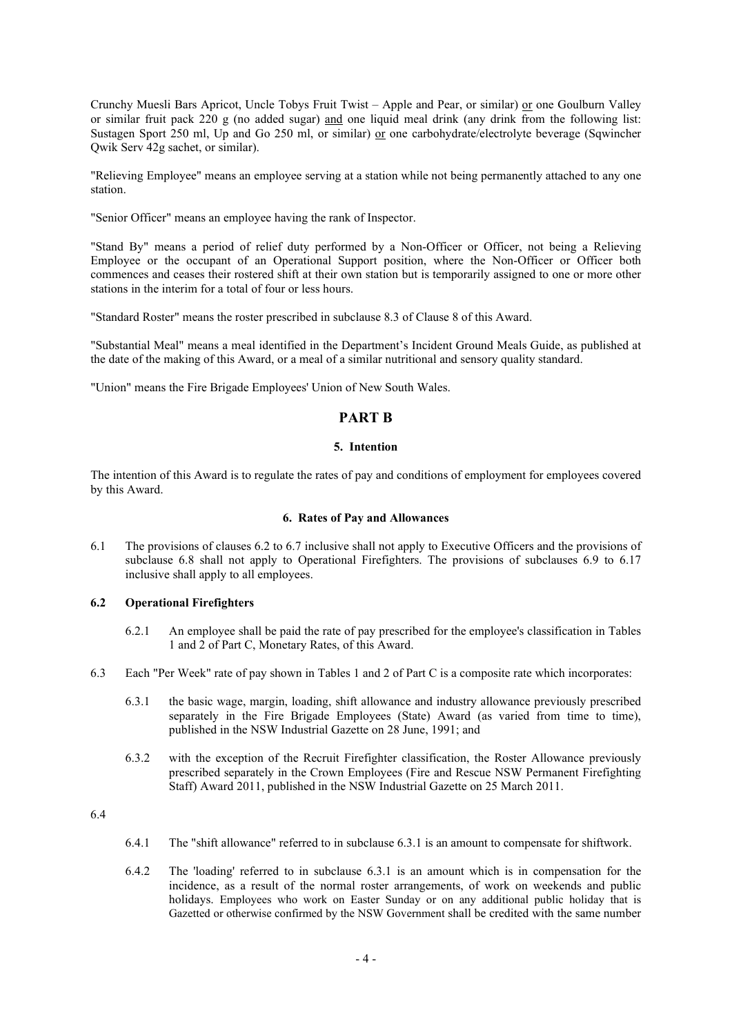Crunchy Muesli Bars Apricot, Uncle Tobys Fruit Twist – Apple and Pear, or similar) or one Goulburn Valley or similar fruit pack 220 g (no added sugar) and one liquid meal drink (any drink from the following list: Sustagen Sport 250 ml, Up and Go 250 ml, or similar) or one carbohydrate/electrolyte beverage (Sqwincher Qwik Serv 42g sachet, or similar).

"Relieving Employee" means an employee serving at a station while not being permanently attached to any one station.

"Senior Officer" means an employee having the rank of Inspector.

"Stand By" means a period of relief duty performed by a Non-Officer or Officer, not being a Relieving Employee or the occupant of an Operational Support position, where the Non-Officer or Officer both commences and ceases their rostered shift at their own station but is temporarily assigned to one or more other stations in the interim for a total of four or less hours.

"Standard Roster" means the roster prescribed in subclause 8.3 of Clause 8 of this Award.

"Substantial Meal" means a meal identified in the Department's Incident Ground Meals Guide, as published at the date of the making of this Award, or a meal of a similar nutritional and sensory quality standard.

"Union" means the Fire Brigade Employees' Union of New South Wales.

# **PART B**

#### **5. Intention**

The intention of this Award is to regulate the rates of pay and conditions of employment for employees covered by this Award.

#### **6. Rates of Pay and Allowances**

6.1 The provisions of clauses 6.2 to 6.7 inclusive shall not apply to Executive Officers and the provisions of subclause 6.8 shall not apply to Operational Firefighters. The provisions of subclauses 6.9 to 6.17 inclusive shall apply to all employees.

#### **6.2 Operational Firefighters**

- 6.2.1 An employee shall be paid the rate of pay prescribed for the employee's classification in Tables 1 and 2 of Part C, Monetary Rates, of this Award.
- 6.3 Each "Per Week" rate of pay shown in Tables 1 and 2 of Part C is a composite rate which incorporates:
	- 6.3.1 the basic wage, margin, loading, shift allowance and industry allowance previously prescribed separately in the Fire Brigade Employees (State) Award (as varied from time to time), published in the NSW Industrial Gazette on 28 June, 1991; and
	- 6.3.2 with the exception of the Recruit Firefighter classification, the Roster Allowance previously prescribed separately in the Crown Employees (Fire and Rescue NSW Permanent Firefighting Staff) Award 2011, published in the NSW Industrial Gazette on 25 March 2011.

6.4

- 6.4.1 The "shift allowance" referred to in subclause 6.3.1 is an amount to compensate for shiftwork.
- 6.4.2 The 'loading' referred to in subclause 6.3.1 is an amount which is in compensation for the incidence, as a result of the normal roster arrangements, of work on weekends and public holidays. Employees who work on Easter Sunday or on any additional public holiday that is Gazetted or otherwise confirmed by the NSW Government shall be credited with the same number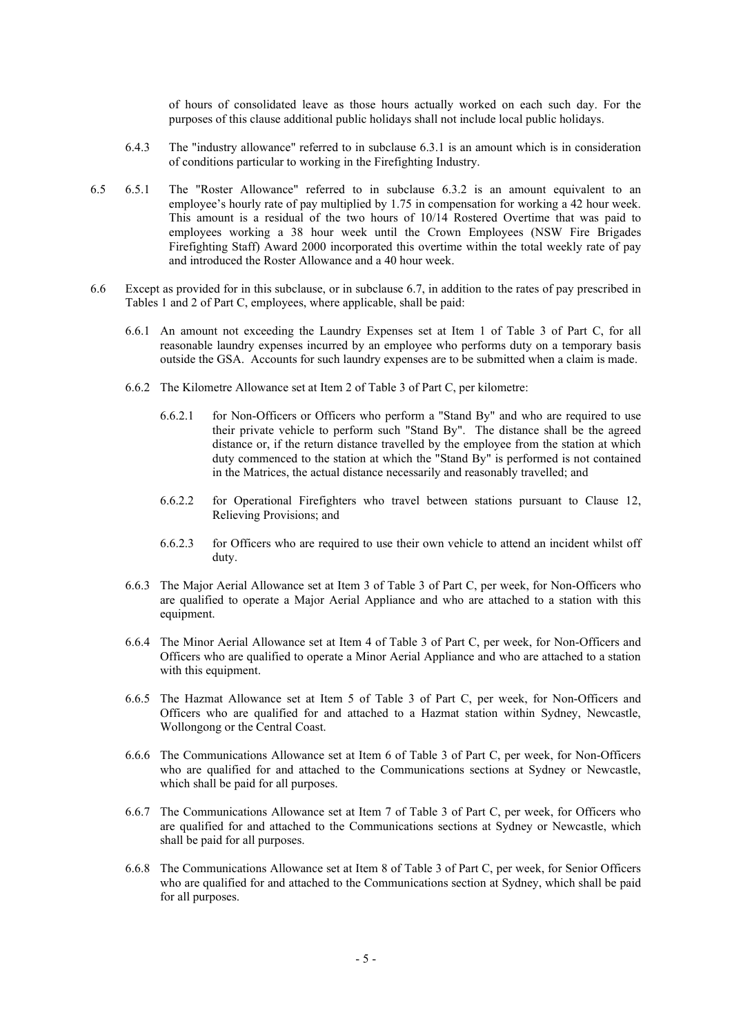of hours of consolidated leave as those hours actually worked on each such day. For the purposes of this clause additional public holidays shall not include local public holidays.

- 6.4.3 The "industry allowance" referred to in subclause 6.3.1 is an amount which is in consideration of conditions particular to working in the Firefighting Industry.
- 6.5 6.5.1 The "Roster Allowance" referred to in subclause 6.3.2 is an amount equivalent to an employee's hourly rate of pay multiplied by 1.75 in compensation for working a 42 hour week. This amount is a residual of the two hours of 10/14 Rostered Overtime that was paid to employees working a 38 hour week until the Crown Employees (NSW Fire Brigades Firefighting Staff) Award 2000 incorporated this overtime within the total weekly rate of pay and introduced the Roster Allowance and a 40 hour week.
- 6.6 Except as provided for in this subclause, or in subclause 6.7, in addition to the rates of pay prescribed in Tables 1 and 2 of Part C, employees, where applicable, shall be paid:
	- 6.6.1 An amount not exceeding the Laundry Expenses set at Item 1 of Table 3 of Part C, for all reasonable laundry expenses incurred by an employee who performs duty on a temporary basis outside the GSA. Accounts for such laundry expenses are to be submitted when a claim is made.
	- 6.6.2 The Kilometre Allowance set at Item 2 of Table 3 of Part C, per kilometre:
		- 6.6.2.1 for Non-Officers or Officers who perform a "Stand By" and who are required to use their private vehicle to perform such "Stand By". The distance shall be the agreed distance or, if the return distance travelled by the employee from the station at which duty commenced to the station at which the "Stand By" is performed is not contained in the Matrices, the actual distance necessarily and reasonably travelled; and
		- 6.6.2.2 for Operational Firefighters who travel between stations pursuant to Clause 12, Relieving Provisions; and
		- 6.6.2.3 for Officers who are required to use their own vehicle to attend an incident whilst off duty.
	- 6.6.3 The Major Aerial Allowance set at Item 3 of Table 3 of Part C, per week, for Non-Officers who are qualified to operate a Major Aerial Appliance and who are attached to a station with this equipment.
	- 6.6.4 The Minor Aerial Allowance set at Item 4 of Table 3 of Part C, per week, for Non-Officers and Officers who are qualified to operate a Minor Aerial Appliance and who are attached to a station with this equipment.
	- 6.6.5 The Hazmat Allowance set at Item 5 of Table 3 of Part C, per week, for Non-Officers and Officers who are qualified for and attached to a Hazmat station within Sydney, Newcastle, Wollongong or the Central Coast.
	- 6.6.6 The Communications Allowance set at Item 6 of Table 3 of Part C, per week, for Non-Officers who are qualified for and attached to the Communications sections at Sydney or Newcastle, which shall be paid for all purposes.
	- 6.6.7 The Communications Allowance set at Item 7 of Table 3 of Part C, per week, for Officers who are qualified for and attached to the Communications sections at Sydney or Newcastle, which shall be paid for all purposes.
	- 6.6.8 The Communications Allowance set at Item 8 of Table 3 of Part C, per week, for Senior Officers who are qualified for and attached to the Communications section at Sydney, which shall be paid for all purposes.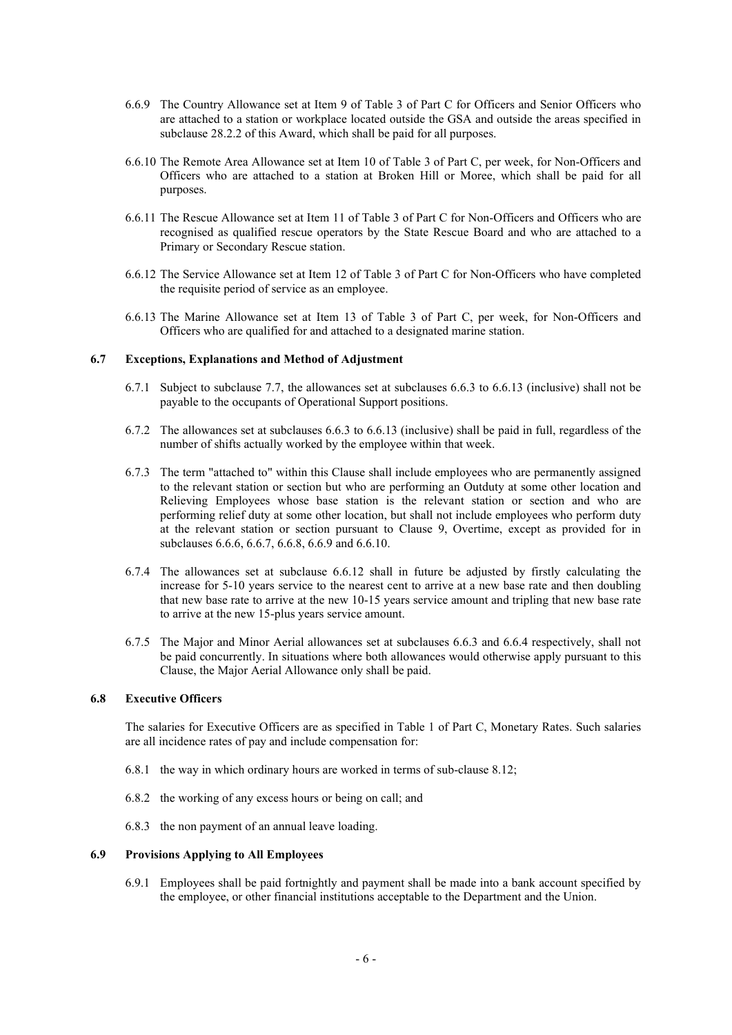- 6.6.9 The Country Allowance set at Item 9 of Table 3 of Part C for Officers and Senior Officers who are attached to a station or workplace located outside the GSA and outside the areas specified in subclause 28.2.2 of this Award, which shall be paid for all purposes.
- 6.6.10 The Remote Area Allowance set at Item 10 of Table 3 of Part C, per week, for Non-Officers and Officers who are attached to a station at Broken Hill or Moree, which shall be paid for all purposes.
- 6.6.11 The Rescue Allowance set at Item 11 of Table 3 of Part C for Non-Officers and Officers who are recognised as qualified rescue operators by the State Rescue Board and who are attached to a Primary or Secondary Rescue station.
- 6.6.12 The Service Allowance set at Item 12 of Table 3 of Part C for Non-Officers who have completed the requisite period of service as an employee.
- 6.6.13 The Marine Allowance set at Item 13 of Table 3 of Part C, per week, for Non-Officers and Officers who are qualified for and attached to a designated marine station.

# **6.7 Exceptions, Explanations and Method of Adjustment**

- 6.7.1 Subject to subclause 7.7, the allowances set at subclauses 6.6.3 to 6.6.13 (inclusive) shall not be payable to the occupants of Operational Support positions.
- 6.7.2 The allowances set at subclauses 6.6.3 to 6.6.13 (inclusive) shall be paid in full, regardless of the number of shifts actually worked by the employee within that week.
- 6.7.3 The term "attached to" within this Clause shall include employees who are permanently assigned to the relevant station or section but who are performing an Outduty at some other location and Relieving Employees whose base station is the relevant station or section and who are performing relief duty at some other location, but shall not include employees who perform duty at the relevant station or section pursuant to Clause 9, Overtime, except as provided for in subclauses 6.6.6, 6.6.7, 6.6.8, 6.6.9 and 6.6.10.
- 6.7.4 The allowances set at subclause 6.6.12 shall in future be adjusted by firstly calculating the increase for 5-10 years service to the nearest cent to arrive at a new base rate and then doubling that new base rate to arrive at the new 10-15 years service amount and tripling that new base rate to arrive at the new 15-plus years service amount.
- 6.7.5 The Major and Minor Aerial allowances set at subclauses 6.6.3 and 6.6.4 respectively, shall not be paid concurrently. In situations where both allowances would otherwise apply pursuant to this Clause, the Major Aerial Allowance only shall be paid.

#### **6.8 Executive Officers**

The salaries for Executive Officers are as specified in Table 1 of Part C, Monetary Rates. Such salaries are all incidence rates of pay and include compensation for:

- 6.8.1 the way in which ordinary hours are worked in terms of sub-clause 8.12;
- 6.8.2 the working of any excess hours or being on call; and
- 6.8.3 the non payment of an annual leave loading.

#### **6.9 Provisions Applying to All Employees**

6.9.1 Employees shall be paid fortnightly and payment shall be made into a bank account specified by the employee, or other financial institutions acceptable to the Department and the Union.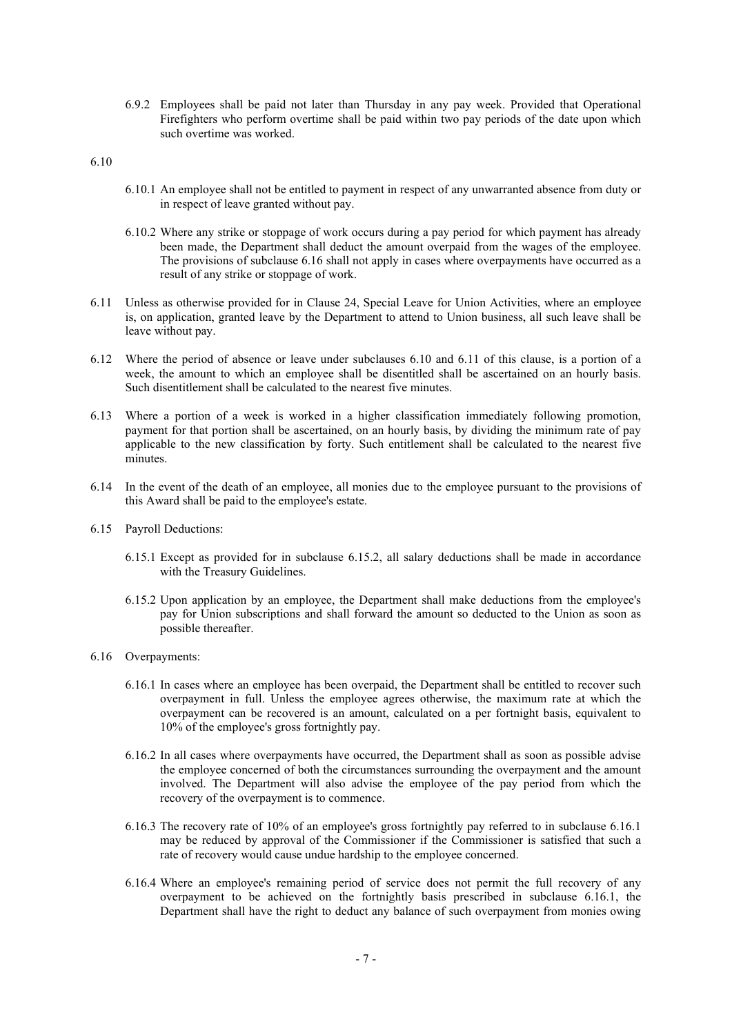6.9.2 Employees shall be paid not later than Thursday in any pay week. Provided that Operational Firefighters who perform overtime shall be paid within two pay periods of the date upon which such overtime was worked.

6.10

- 6.10.1 An employee shall not be entitled to payment in respect of any unwarranted absence from duty or in respect of leave granted without pay.
- 6.10.2 Where any strike or stoppage of work occurs during a pay period for which payment has already been made, the Department shall deduct the amount overpaid from the wages of the employee. The provisions of subclause 6.16 shall not apply in cases where overpayments have occurred as a result of any strike or stoppage of work.
- 6.11 Unless as otherwise provided for in Clause 24, Special Leave for Union Activities, where an employee is, on application, granted leave by the Department to attend to Union business, all such leave shall be leave without pay.
- 6.12 Where the period of absence or leave under subclauses 6.10 and 6.11 of this clause, is a portion of a week, the amount to which an employee shall be disentitled shall be ascertained on an hourly basis. Such disentitlement shall be calculated to the nearest five minutes.
- 6.13 Where a portion of a week is worked in a higher classification immediately following promotion, payment for that portion shall be ascertained, on an hourly basis, by dividing the minimum rate of pay applicable to the new classification by forty. Such entitlement shall be calculated to the nearest five minutes.
- 6.14 In the event of the death of an employee, all monies due to the employee pursuant to the provisions of this Award shall be paid to the employee's estate.
- 6.15 Payroll Deductions:
	- 6.15.1 Except as provided for in subclause 6.15.2, all salary deductions shall be made in accordance with the Treasury Guidelines.
	- 6.15.2 Upon application by an employee, the Department shall make deductions from the employee's pay for Union subscriptions and shall forward the amount so deducted to the Union as soon as possible thereafter.
- 6.16 Overpayments:
	- 6.16.1 In cases where an employee has been overpaid, the Department shall be entitled to recover such overpayment in full. Unless the employee agrees otherwise, the maximum rate at which the overpayment can be recovered is an amount, calculated on a per fortnight basis, equivalent to 10% of the employee's gross fortnightly pay.
	- 6.16.2 In all cases where overpayments have occurred, the Department shall as soon as possible advise the employee concerned of both the circumstances surrounding the overpayment and the amount involved. The Department will also advise the employee of the pay period from which the recovery of the overpayment is to commence.
	- 6.16.3 The recovery rate of 10% of an employee's gross fortnightly pay referred to in subclause 6.16.1 may be reduced by approval of the Commissioner if the Commissioner is satisfied that such a rate of recovery would cause undue hardship to the employee concerned.
	- 6.16.4 Where an employee's remaining period of service does not permit the full recovery of any overpayment to be achieved on the fortnightly basis prescribed in subclause 6.16.1, the Department shall have the right to deduct any balance of such overpayment from monies owing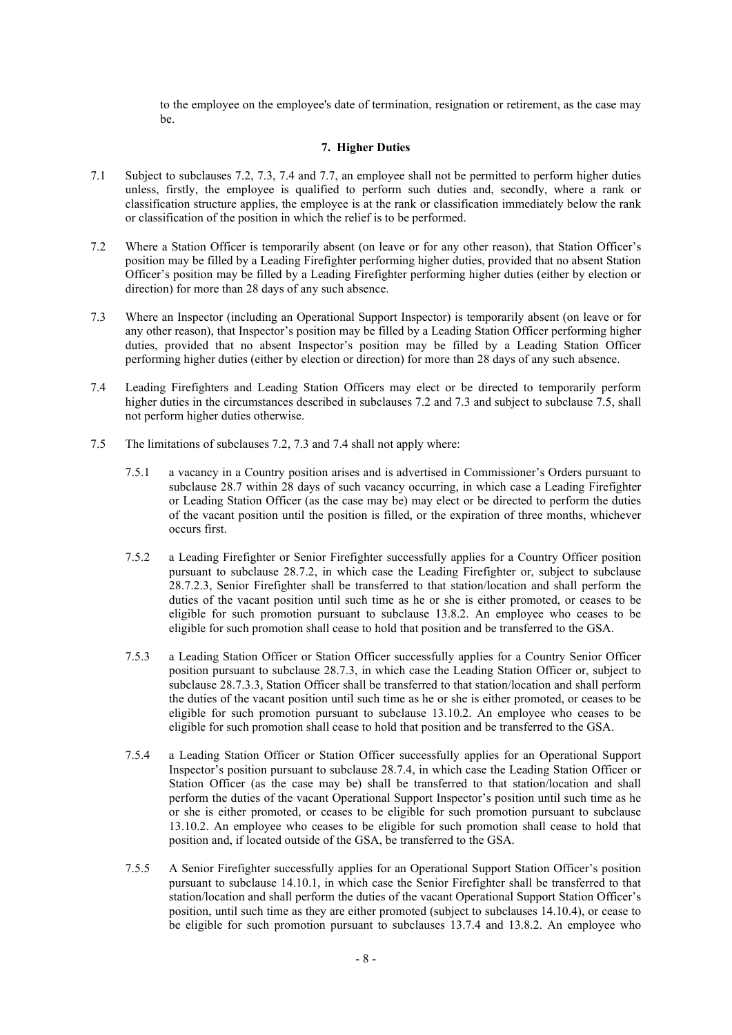to the employee on the employee's date of termination, resignation or retirement, as the case may be.

#### **7. Higher Duties**

- 7.1 Subject to subclauses 7.2, 7.3, 7.4 and 7.7, an employee shall not be permitted to perform higher duties unless, firstly, the employee is qualified to perform such duties and, secondly, where a rank or classification structure applies, the employee is at the rank or classification immediately below the rank or classification of the position in which the relief is to be performed.
- 7.2 Where a Station Officer is temporarily absent (on leave or for any other reason), that Station Officer's position may be filled by a Leading Firefighter performing higher duties, provided that no absent Station Officer's position may be filled by a Leading Firefighter performing higher duties (either by election or direction) for more than 28 days of any such absence.
- 7.3 Where an Inspector (including an Operational Support Inspector) is temporarily absent (on leave or for any other reason), that Inspector's position may be filled by a Leading Station Officer performing higher duties, provided that no absent Inspector's position may be filled by a Leading Station Officer performing higher duties (either by election or direction) for more than 28 days of any such absence.
- 7.4 Leading Firefighters and Leading Station Officers may elect or be directed to temporarily perform higher duties in the circumstances described in subclauses 7.2 and 7.3 and subject to subclause 7.5, shall not perform higher duties otherwise.
- 7.5 The limitations of subclauses 7.2, 7.3 and 7.4 shall not apply where:
	- 7.5.1 a vacancy in a Country position arises and is advertised in Commissioner's Orders pursuant to subclause 28.7 within 28 days of such vacancy occurring, in which case a Leading Firefighter or Leading Station Officer (as the case may be) may elect or be directed to perform the duties of the vacant position until the position is filled, or the expiration of three months, whichever occurs first.
	- 7.5.2 a Leading Firefighter or Senior Firefighter successfully applies for a Country Officer position pursuant to subclause 28.7.2, in which case the Leading Firefighter or, subject to subclause 28.7.2.3, Senior Firefighter shall be transferred to that station/location and shall perform the duties of the vacant position until such time as he or she is either promoted, or ceases to be eligible for such promotion pursuant to subclause 13.8.2. An employee who ceases to be eligible for such promotion shall cease to hold that position and be transferred to the GSA.
	- 7.5.3 a Leading Station Officer or Station Officer successfully applies for a Country Senior Officer position pursuant to subclause 28.7.3, in which case the Leading Station Officer or, subject to subclause 28.7.3.3, Station Officer shall be transferred to that station/location and shall perform the duties of the vacant position until such time as he or she is either promoted, or ceases to be eligible for such promotion pursuant to subclause 13.10.2. An employee who ceases to be eligible for such promotion shall cease to hold that position and be transferred to the GSA.
	- 7.5.4 a Leading Station Officer or Station Officer successfully applies for an Operational Support Inspector's position pursuant to subclause 28.7.4, in which case the Leading Station Officer or Station Officer (as the case may be) shall be transferred to that station/location and shall perform the duties of the vacant Operational Support Inspector's position until such time as he or she is either promoted, or ceases to be eligible for such promotion pursuant to subclause 13.10.2. An employee who ceases to be eligible for such promotion shall cease to hold that position and, if located outside of the GSA, be transferred to the GSA.
	- 7.5.5 A Senior Firefighter successfully applies for an Operational Support Station Officer's position pursuant to subclause 14.10.1, in which case the Senior Firefighter shall be transferred to that station/location and shall perform the duties of the vacant Operational Support Station Officer's position, until such time as they are either promoted (subject to subclauses 14.10.4), or cease to be eligible for such promotion pursuant to subclauses 13.7.4 and 13.8.2. An employee who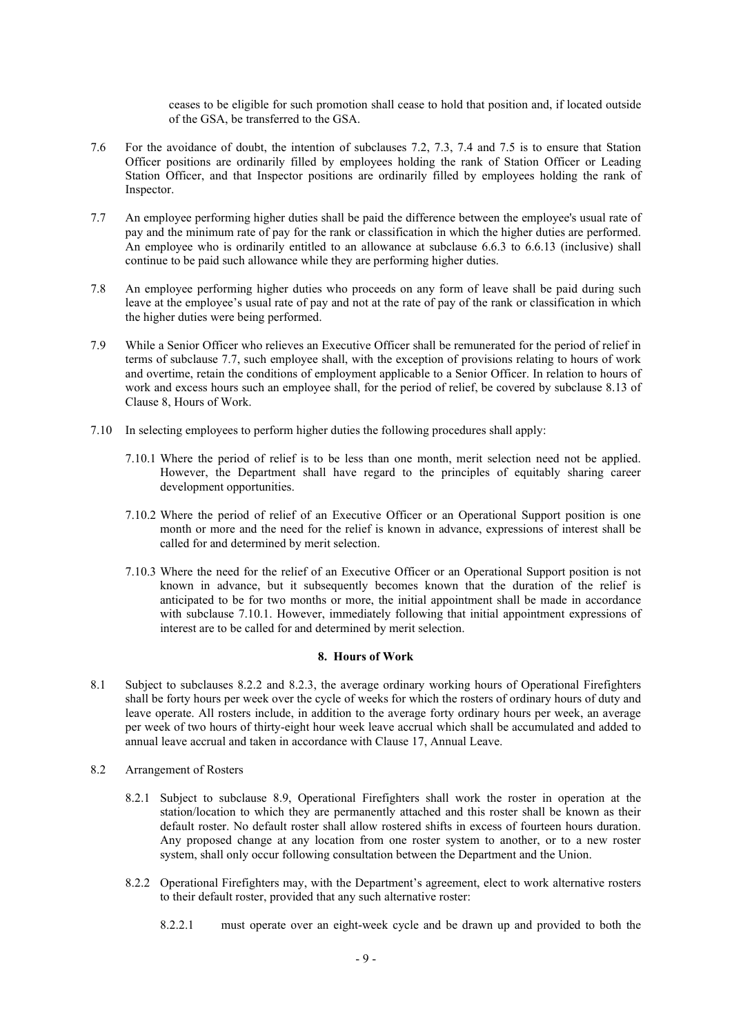ceases to be eligible for such promotion shall cease to hold that position and, if located outside of the GSA, be transferred to the GSA.

- 7.6 For the avoidance of doubt, the intention of subclauses 7.2, 7.3, 7.4 and 7.5 is to ensure that Station Officer positions are ordinarily filled by employees holding the rank of Station Officer or Leading Station Officer, and that Inspector positions are ordinarily filled by employees holding the rank of Inspector.
- 7.7 An employee performing higher duties shall be paid the difference between the employee's usual rate of pay and the minimum rate of pay for the rank or classification in which the higher duties are performed. An employee who is ordinarily entitled to an allowance at subclause 6.6.3 to 6.6.13 (inclusive) shall continue to be paid such allowance while they are performing higher duties.
- 7.8 An employee performing higher duties who proceeds on any form of leave shall be paid during such leave at the employee's usual rate of pay and not at the rate of pay of the rank or classification in which the higher duties were being performed.
- 7.9 While a Senior Officer who relieves an Executive Officer shall be remunerated for the period of relief in terms of subclause 7.7, such employee shall, with the exception of provisions relating to hours of work and overtime, retain the conditions of employment applicable to a Senior Officer. In relation to hours of work and excess hours such an employee shall, for the period of relief, be covered by subclause 8.13 of Clause 8, Hours of Work.
- 7.10 In selecting employees to perform higher duties the following procedures shall apply:
	- 7.10.1 Where the period of relief is to be less than one month, merit selection need not be applied. However, the Department shall have regard to the principles of equitably sharing career development opportunities.
	- 7.10.2 Where the period of relief of an Executive Officer or an Operational Support position is one month or more and the need for the relief is known in advance, expressions of interest shall be called for and determined by merit selection.
	- 7.10.3 Where the need for the relief of an Executive Officer or an Operational Support position is not known in advance, but it subsequently becomes known that the duration of the relief is anticipated to be for two months or more, the initial appointment shall be made in accordance with subclause 7.10.1. However, immediately following that initial appointment expressions of interest are to be called for and determined by merit selection.

#### **8. Hours of Work**

- 8.1 Subject to subclauses 8.2.2 and 8.2.3, the average ordinary working hours of Operational Firefighters shall be forty hours per week over the cycle of weeks for which the rosters of ordinary hours of duty and leave operate. All rosters include, in addition to the average forty ordinary hours per week, an average per week of two hours of thirty-eight hour week leave accrual which shall be accumulated and added to annual leave accrual and taken in accordance with Clause 17, Annual Leave.
- 8.2 Arrangement of Rosters
	- 8.2.1 Subject to subclause 8.9, Operational Firefighters shall work the roster in operation at the station/location to which they are permanently attached and this roster shall be known as their default roster. No default roster shall allow rostered shifts in excess of fourteen hours duration. Any proposed change at any location from one roster system to another, or to a new roster system, shall only occur following consultation between the Department and the Union.
	- 8.2.2 Operational Firefighters may, with the Department's agreement, elect to work alternative rosters to their default roster, provided that any such alternative roster:
		- 8.2.2.1 must operate over an eight-week cycle and be drawn up and provided to both the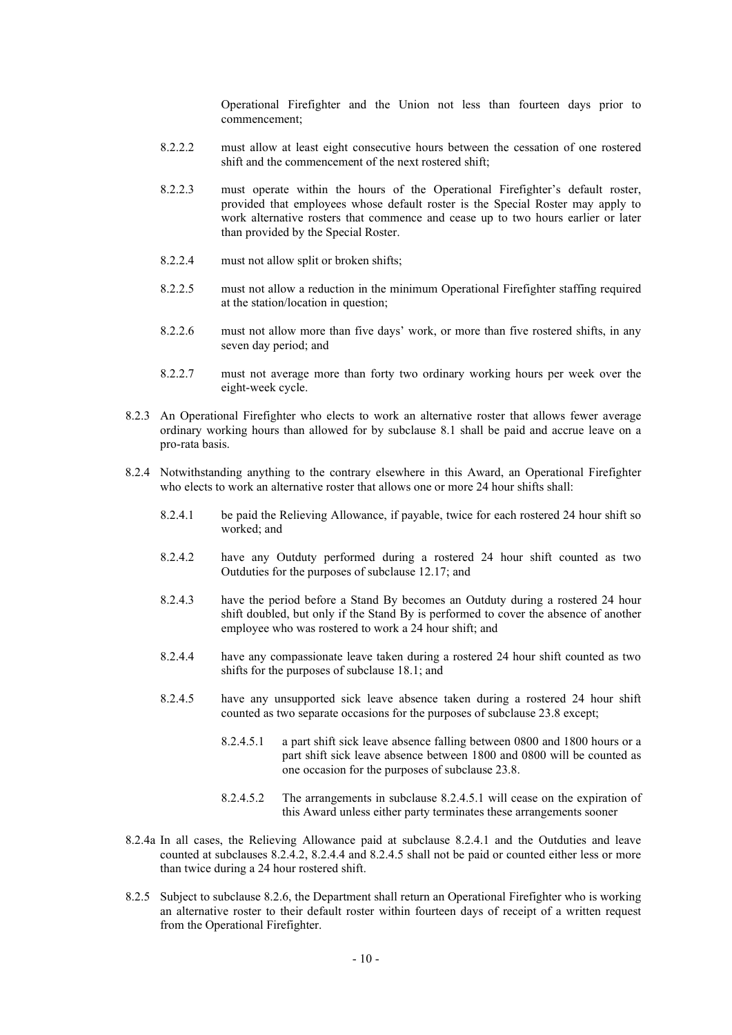Operational Firefighter and the Union not less than fourteen days prior to commencement;

- 8.2.2.2 must allow at least eight consecutive hours between the cessation of one rostered shift and the commencement of the next rostered shift;
- 8.2.2.3 must operate within the hours of the Operational Firefighter's default roster, provided that employees whose default roster is the Special Roster may apply to work alternative rosters that commence and cease up to two hours earlier or later than provided by the Special Roster.
- 8.2.2.4 must not allow split or broken shifts;
- 8.2.2.5 must not allow a reduction in the minimum Operational Firefighter staffing required at the station/location in question;
- 8.2.2.6 must not allow more than five days' work, or more than five rostered shifts, in any seven day period; and
- 8.2.2.7 must not average more than forty two ordinary working hours per week over the eight-week cycle.
- 8.2.3 An Operational Firefighter who elects to work an alternative roster that allows fewer average ordinary working hours than allowed for by subclause 8.1 shall be paid and accrue leave on a pro-rata basis.
- 8.2.4 Notwithstanding anything to the contrary elsewhere in this Award, an Operational Firefighter who elects to work an alternative roster that allows one or more 24 hour shifts shall:
	- 8.2.4.1 be paid the Relieving Allowance, if payable, twice for each rostered 24 hour shift so worked; and
	- 8.2.4.2 have any Outduty performed during a rostered 24 hour shift counted as two Outduties for the purposes of subclause 12.17; and
	- 8.2.4.3 have the period before a Stand By becomes an Outduty during a rostered 24 hour shift doubled, but only if the Stand By is performed to cover the absence of another employee who was rostered to work a 24 hour shift; and
	- 8.2.4.4 have any compassionate leave taken during a rostered 24 hour shift counted as two shifts for the purposes of subclause 18.1; and
	- 8.2.4.5 have any unsupported sick leave absence taken during a rostered 24 hour shift counted as two separate occasions for the purposes of subclause 23.8 except;
		- 8.2.4.5.1 a part shift sick leave absence falling between 0800 and 1800 hours or a part shift sick leave absence between 1800 and 0800 will be counted as one occasion for the purposes of subclause 23.8.
		- 8.2.4.5.2 The arrangements in subclause 8.2.4.5.1 will cease on the expiration of this Award unless either party terminates these arrangements sooner
- 8.2.4a In all cases, the Relieving Allowance paid at subclause 8.2.4.1 and the Outduties and leave counted at subclauses 8.2.4.2, 8.2.4.4 and 8.2.4.5 shall not be paid or counted either less or more than twice during a 24 hour rostered shift.
- 8.2.5 Subject to subclause 8.2.6, the Department shall return an Operational Firefighter who is working an alternative roster to their default roster within fourteen days of receipt of a written request from the Operational Firefighter.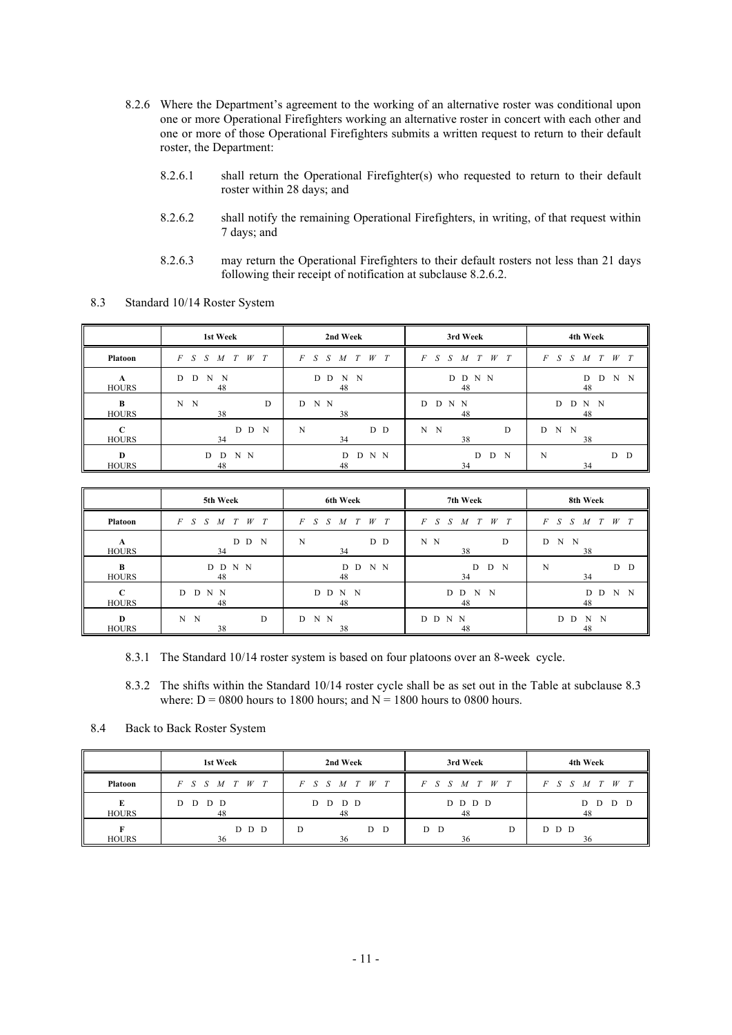- 8.2.6 Where the Department's agreement to the working of an alternative roster was conditional upon one or more Operational Firefighters working an alternative roster in concert with each other and one or more of those Operational Firefighters submits a written request to return to their default roster, the Department:
	- 8.2.6.1 shall return the Operational Firefighter(s) who requested to return to their default roster within 28 days; and
	- 8.2.6.2 shall notify the remaining Operational Firefighters, in writing, of that request within 7 days; and
	- 8.2.6.3 may return the Operational Firefighters to their default rosters not less than 21 days following their receipt of notification at subclause 8.2.6.2.

|                   | 1st Week                                  | 2nd Week              | 3rd Week             | 4th Week                      |
|-------------------|-------------------------------------------|-----------------------|----------------------|-------------------------------|
| <b>Platoon</b>    | $S \quad S \quad M \quad T$<br>$W$ T<br>F | $F$ S S M T<br>T<br>W | $F$ S S M T<br>$W$ T | F<br>$W$ T<br>$S^-$<br>S<br>M |
| А<br><b>HOURS</b> | N<br>D<br>- N<br>D<br>48                  | D D<br>N<br>N<br>48   | D D N N<br>48        | N<br>D<br>N<br>D<br>48        |
| B<br><b>HOURS</b> | D<br>N<br>$\mathbf N$<br>38               | D N N<br>38           | D N N<br>D<br>48     | D<br>N N<br>D<br>48           |
| C<br><b>HOURS</b> | D D N<br>34                               | D D<br>N<br>34        | N N<br>D<br>38       | D<br>N N<br>38                |
| D<br><b>HOURS</b> | N N<br>D<br>D<br>48                       | D N N<br>D<br>48      | D N<br>D<br>34       | D D<br>N<br>34                |

8.3 Standard 10/14 Roster System

|                          | 5th Week                     | 6th Week         | 7th Week                                    | 8th Week                                    |
|--------------------------|------------------------------|------------------|---------------------------------------------|---------------------------------------------|
| Platoon                  | $S$ $S$ $M$ $T$ $W$ $T$<br>F | $F$ S S M T W T  | $M$ $T$ $W$ $T$<br>$\overline{F}$<br>S<br>S | $W$ T<br>$\overline{F}$<br>T<br>S<br>S<br>M |
| A<br><b>HOURS</b>        | D D<br>$\mathbf N$<br>34     | D D<br>N<br>34   | N N<br>D<br>38                              | D<br>N<br>$\mathbf N$<br>38                 |
| $\bf{B}$<br><b>HOURS</b> | D D N N<br>48                | D N N<br>D<br>48 | D N<br>D<br>34                              | D D<br>N<br>34                              |
| C<br><b>HOURS</b>        | N N<br>D<br>D.<br>48         | D D<br>N N<br>48 | N N<br>D<br>D<br>48                         | N<br>N<br>D<br>D<br>48                      |
| D<br><b>HOURS</b>        | N<br>$\mathbf N$<br>D<br>38  | D N N<br>38      | D D N N<br>48                               | D<br>D<br>N<br>N<br>48                      |

- 8.3.1 The Standard 10/14 roster system is based on four platoons over an 8-week cycle.
- 8.3.2 The shifts within the Standard 10/14 roster cycle shall be as set out in the Table at subclause 8.3 where:  $D = 0800$  hours to 1800 hours; and  $N = 1800$  hours to 0800 hours.
- 8.4 Back to Back Roster System

|                | 1st Week                               | 2nd Week                     | 3rd Week                      | 4th Week             |
|----------------|----------------------------------------|------------------------------|-------------------------------|----------------------|
| <b>Platoon</b> | $W$ T<br>T<br>M<br>$F \quad S \quad S$ | $W$ T<br>S S<br>$F_{-}$<br>M | T<br>W<br>$F_{-}$<br>S S<br>M | W<br>T<br>F<br>M     |
| <b>HOURS</b>   | D D<br>D D<br>48                       | D D<br>D.<br>D<br>48         | D D D D<br>48                 | D D<br>D<br>D.<br>48 |
| <b>HOURS</b>   | D D D<br>36                            | D<br>D D<br>36               | D D<br>D<br>36                | D D D<br>36          |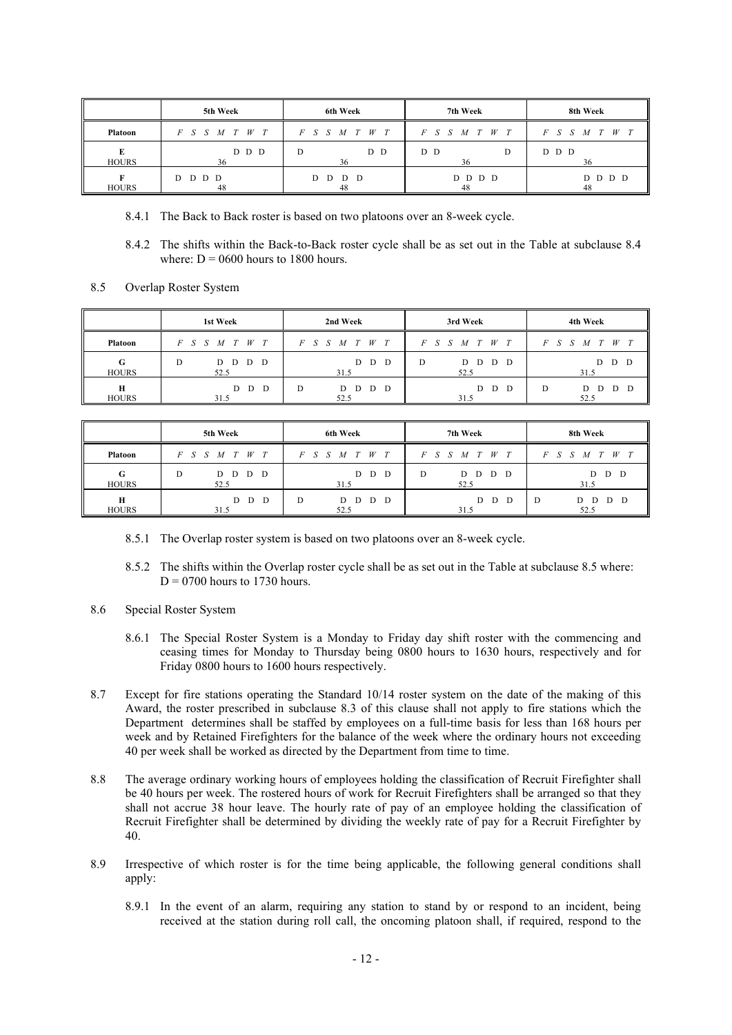|                | 5th Week        | 6th Week        | 7th Week        | 8th Week                                |
|----------------|-----------------|-----------------|-----------------|-----------------------------------------|
| <b>Platoon</b> | $F$ S S M T W T | $F$ S S M T W T | $F$ S S M T W T | $\overline{F}$<br>W<br>$S \cdot S$<br>M |
| <b>HOURS</b>   | D D D<br>36     | D D<br>D<br>36  | D D<br>D<br>36  | D D D<br>36                             |
| <b>HOURS</b>   | D D D D<br>48   | D D D D<br>48   | D D D D<br>48   | D D D<br>D.<br>48                       |

- 8.4.1 The Back to Back roster is based on two platoons over an 8-week cycle.
- 8.4.2 The shifts within the Back-to-Back roster cycle shall be as set out in the Table at subclause 8.4 where:  $D = 0600$  hours to 1800 hours.
- 8.5 Overlap Roster System

|                   | 1st Week                        | 2nd Week                                    | 3rd Week                      | 4th Week                      |
|-------------------|---------------------------------|---------------------------------------------|-------------------------------|-------------------------------|
| <b>Platoon</b>    | W<br>T<br>T<br>S<br>F<br>S<br>M | W<br>T<br>T<br>$F_{-}$<br>S<br>$S_{-}$<br>M | W<br>T<br>F<br>S<br>S<br>M    | W<br>F<br>M                   |
| G<br><b>HOURS</b> | D D D<br>D<br>D.<br>52.5        | D<br>D<br>D<br>31.5                         | D<br>D<br>D<br>D<br>D<br>52.5 | D<br>D<br>D<br>31.5           |
| н<br><b>HOURS</b> | D<br>D<br>D<br>31.5             | D<br>D<br>D<br>D<br>D<br>52.5               | D<br>D<br>D<br>31.5           | D<br>D<br>D<br>D<br>D<br>52.5 |

|                   | 5th Week                    | 6th Week                   | 7th Week                         | 8th Week                    |
|-------------------|-----------------------------|----------------------------|----------------------------------|-----------------------------|
| <b>Platoon</b>    | W<br>F<br>S<br>M            | W<br>T<br>F<br>S<br>M      | W<br>T<br>F<br>M                 | F<br>W                      |
| G<br><b>HOURS</b> | D D<br>D<br>D<br>D.<br>52.5 | D<br>D<br>D<br>31.5        | D<br>D<br>D<br>D.<br>- D<br>52.5 | D D<br>D<br>31.5            |
| H<br><b>HOURS</b> | D<br>D<br>D<br>31.5         | D<br>D D<br>D<br>D<br>52.5 | D<br>D<br>D<br>31.5              | D D<br>D<br>D<br>D.<br>52.5 |

- 8.5.1 The Overlap roster system is based on two platoons over an 8-week cycle.
- 8.5.2 The shifts within the Overlap roster cycle shall be as set out in the Table at subclause 8.5 where:  $D = 0700$  hours to 1730 hours.
- 8.6 Special Roster System
	- 8.6.1 The Special Roster System is a Monday to Friday day shift roster with the commencing and ceasing times for Monday to Thursday being 0800 hours to 1630 hours, respectively and for Friday 0800 hours to 1600 hours respectively.
- 8.7 Except for fire stations operating the Standard 10/14 roster system on the date of the making of this Award, the roster prescribed in subclause 8.3 of this clause shall not apply to fire stations which the Department determines shall be staffed by employees on a full-time basis for less than 168 hours per week and by Retained Firefighters for the balance of the week where the ordinary hours not exceeding 40 per week shall be worked as directed by the Department from time to time.
- 8.8 The average ordinary working hours of employees holding the classification of Recruit Firefighter shall be 40 hours per week. The rostered hours of work for Recruit Firefighters shall be arranged so that they shall not accrue 38 hour leave. The hourly rate of pay of an employee holding the classification of Recruit Firefighter shall be determined by dividing the weekly rate of pay for a Recruit Firefighter by 40.
- 8.9 Irrespective of which roster is for the time being applicable, the following general conditions shall apply:
	- 8.9.1 In the event of an alarm, requiring any station to stand by or respond to an incident, being received at the station during roll call, the oncoming platoon shall, if required, respond to the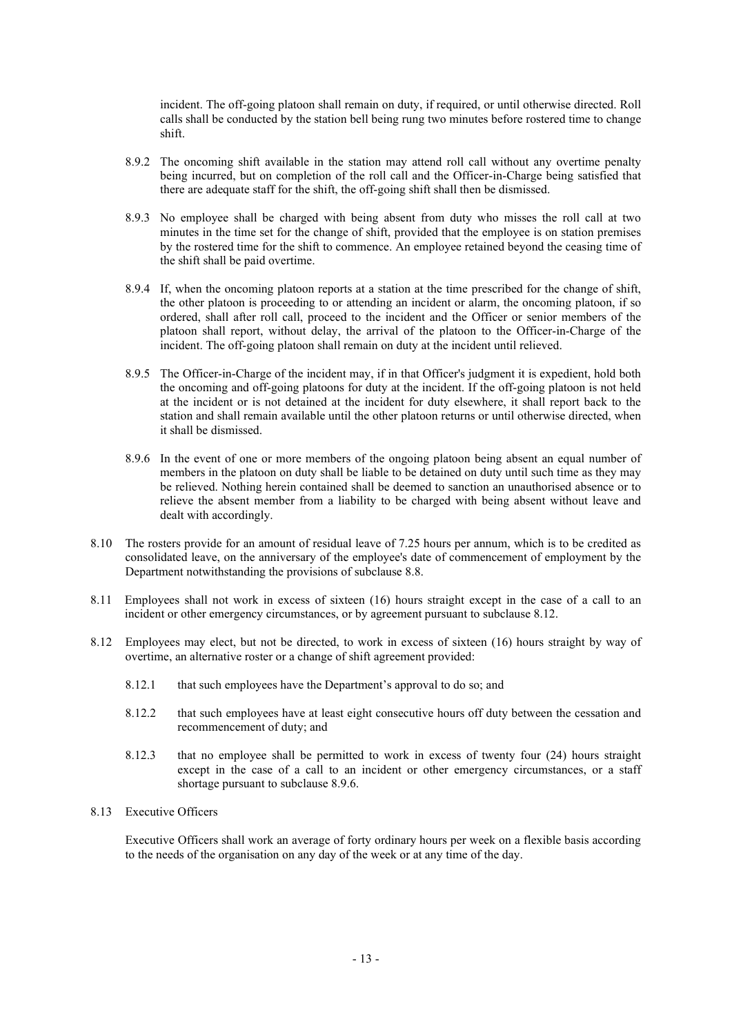incident. The off-going platoon shall remain on duty, if required, or until otherwise directed. Roll calls shall be conducted by the station bell being rung two minutes before rostered time to change shift.

- 8.9.2 The oncoming shift available in the station may attend roll call without any overtime penalty being incurred, but on completion of the roll call and the Officer-in-Charge being satisfied that there are adequate staff for the shift, the off-going shift shall then be dismissed.
- 8.9.3 No employee shall be charged with being absent from duty who misses the roll call at two minutes in the time set for the change of shift, provided that the employee is on station premises by the rostered time for the shift to commence. An employee retained beyond the ceasing time of the shift shall be paid overtime.
- 8.9.4 If, when the oncoming platoon reports at a station at the time prescribed for the change of shift, the other platoon is proceeding to or attending an incident or alarm, the oncoming platoon, if so ordered, shall after roll call, proceed to the incident and the Officer or senior members of the platoon shall report, without delay, the arrival of the platoon to the Officer-in-Charge of the incident. The off-going platoon shall remain on duty at the incident until relieved.
- 8.9.5 The Officer-in-Charge of the incident may, if in that Officer's judgment it is expedient, hold both the oncoming and off-going platoons for duty at the incident. If the off-going platoon is not held at the incident or is not detained at the incident for duty elsewhere, it shall report back to the station and shall remain available until the other platoon returns or until otherwise directed, when it shall be dismissed.
- 8.9.6 In the event of one or more members of the ongoing platoon being absent an equal number of members in the platoon on duty shall be liable to be detained on duty until such time as they may be relieved. Nothing herein contained shall be deemed to sanction an unauthorised absence or to relieve the absent member from a liability to be charged with being absent without leave and dealt with accordingly.
- 8.10 The rosters provide for an amount of residual leave of 7.25 hours per annum, which is to be credited as consolidated leave, on the anniversary of the employee's date of commencement of employment by the Department notwithstanding the provisions of subclause 8.8.
- 8.11 Employees shall not work in excess of sixteen (16) hours straight except in the case of a call to an incident or other emergency circumstances, or by agreement pursuant to subclause 8.12.
- 8.12 Employees may elect, but not be directed, to work in excess of sixteen (16) hours straight by way of overtime, an alternative roster or a change of shift agreement provided:
	- 8.12.1 that such employees have the Department's approval to do so; and
	- 8.12.2 that such employees have at least eight consecutive hours off duty between the cessation and recommencement of duty; and
	- 8.12.3 that no employee shall be permitted to work in excess of twenty four (24) hours straight except in the case of a call to an incident or other emergency circumstances, or a staff shortage pursuant to subclause 8.9.6.

# 8.13 Executive Officers

Executive Officers shall work an average of forty ordinary hours per week on a flexible basis according to the needs of the organisation on any day of the week or at any time of the day.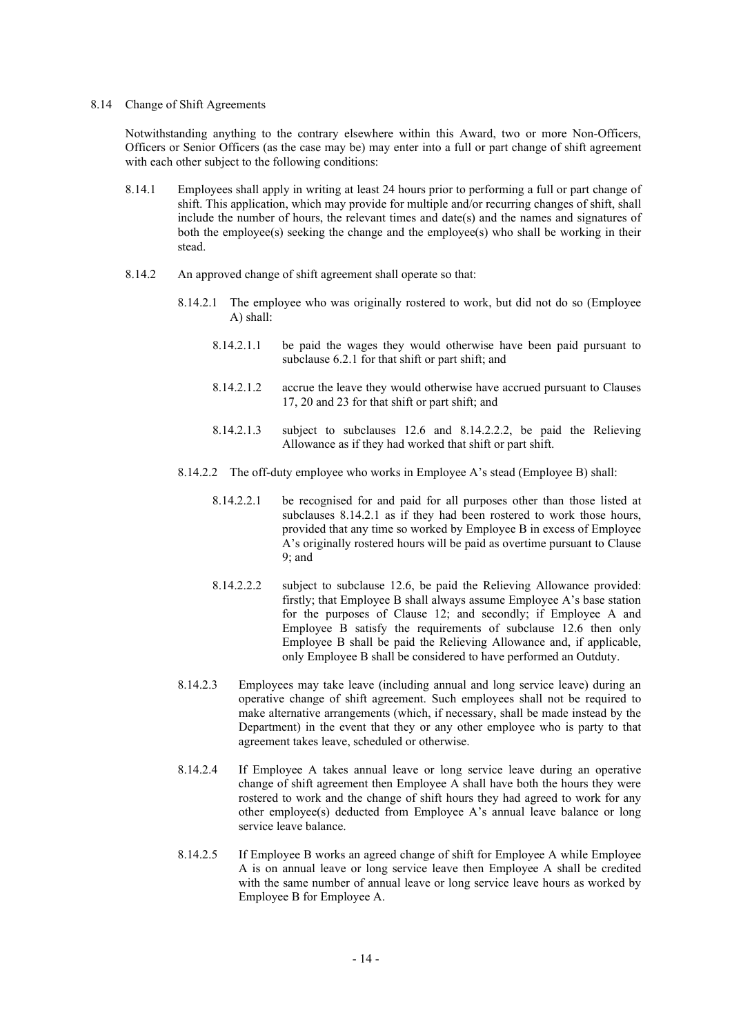#### 8.14 Change of Shift Agreements

Notwithstanding anything to the contrary elsewhere within this Award, two or more Non-Officers, Officers or Senior Officers (as the case may be) may enter into a full or part change of shift agreement with each other subject to the following conditions:

- 8.14.1 Employees shall apply in writing at least 24 hours prior to performing a full or part change of shift. This application, which may provide for multiple and/or recurring changes of shift, shall include the number of hours, the relevant times and date(s) and the names and signatures of both the employee(s) seeking the change and the employee(s) who shall be working in their stead.
- 8.14.2 An approved change of shift agreement shall operate so that:
	- 8.14.2.1 The employee who was originally rostered to work, but did not do so (Employee A) shall:
		- 8.14.2.1.1 be paid the wages they would otherwise have been paid pursuant to subclause 6.2.1 for that shift or part shift; and
		- 8.14.2.1.2 accrue the leave they would otherwise have accrued pursuant to Clauses 17, 20 and 23 for that shift or part shift; and
		- 8.14.2.1.3 subject to subclauses 12.6 and 8.14.2.2.2, be paid the Relieving Allowance as if they had worked that shift or part shift.
	- 8.14.2.2 The off-duty employee who works in Employee A's stead (Employee B) shall:
		- 8.14.2.2.1 be recognised for and paid for all purposes other than those listed at subclauses 8.14.2.1 as if they had been rostered to work those hours, provided that any time so worked by Employee B in excess of Employee A's originally rostered hours will be paid as overtime pursuant to Clause 9; and
		- 8.14.2.2.2 subject to subclause 12.6, be paid the Relieving Allowance provided: firstly; that Employee B shall always assume Employee A's base station for the purposes of Clause 12; and secondly; if Employee A and Employee B satisfy the requirements of subclause 12.6 then only Employee B shall be paid the Relieving Allowance and, if applicable, only Employee B shall be considered to have performed an Outduty.
	- 8.14.2.3 Employees may take leave (including annual and long service leave) during an operative change of shift agreement. Such employees shall not be required to make alternative arrangements (which, if necessary, shall be made instead by the Department) in the event that they or any other employee who is party to that agreement takes leave, scheduled or otherwise.
	- 8.14.2.4 If Employee A takes annual leave or long service leave during an operative change of shift agreement then Employee A shall have both the hours they were rostered to work and the change of shift hours they had agreed to work for any other employee(s) deducted from Employee A's annual leave balance or long service leave balance.
	- 8.14.2.5 If Employee B works an agreed change of shift for Employee A while Employee A is on annual leave or long service leave then Employee A shall be credited with the same number of annual leave or long service leave hours as worked by Employee B for Employee A.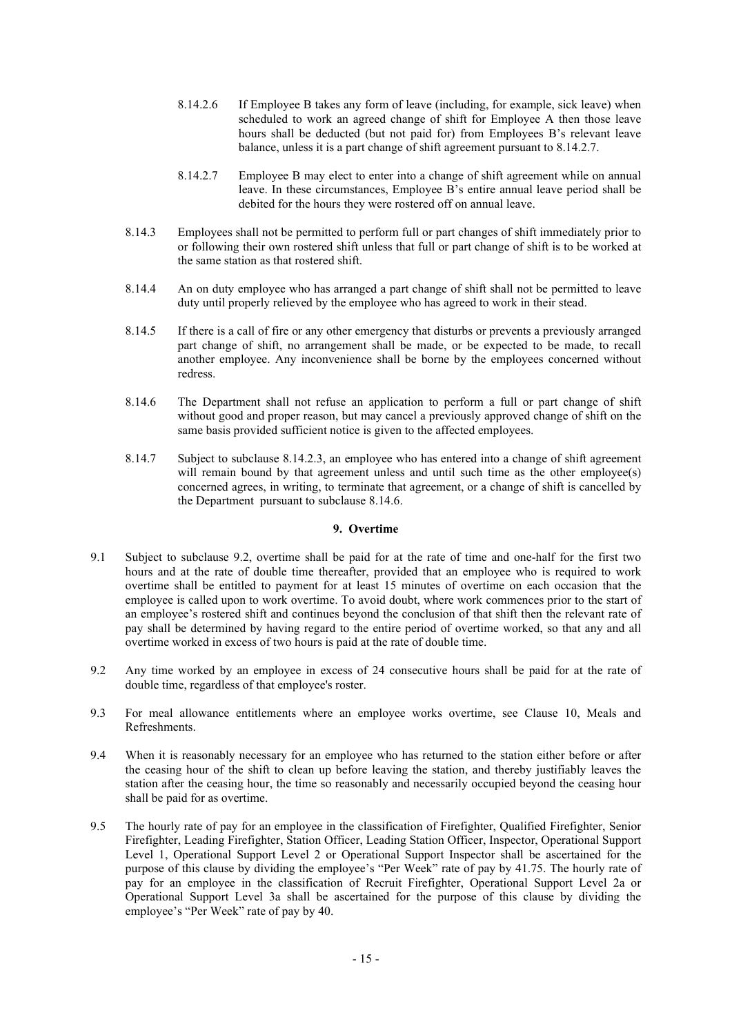- 8.14.2.6 If Employee B takes any form of leave (including, for example, sick leave) when scheduled to work an agreed change of shift for Employee A then those leave hours shall be deducted (but not paid for) from Employees B's relevant leave balance, unless it is a part change of shift agreement pursuant to 8.14.2.7.
- 8.14.2.7 Employee B may elect to enter into a change of shift agreement while on annual leave. In these circumstances, Employee B's entire annual leave period shall be debited for the hours they were rostered off on annual leave.
- 8.14.3 Employees shall not be permitted to perform full or part changes of shift immediately prior to or following their own rostered shift unless that full or part change of shift is to be worked at the same station as that rostered shift.
- 8.14.4 An on duty employee who has arranged a part change of shift shall not be permitted to leave duty until properly relieved by the employee who has agreed to work in their stead.
- 8.14.5 If there is a call of fire or any other emergency that disturbs or prevents a previously arranged part change of shift, no arrangement shall be made, or be expected to be made, to recall another employee. Any inconvenience shall be borne by the employees concerned without redress.
- 8.14.6 The Department shall not refuse an application to perform a full or part change of shift without good and proper reason, but may cancel a previously approved change of shift on the same basis provided sufficient notice is given to the affected employees.
- 8.14.7 Subject to subclause 8.14.2.3, an employee who has entered into a change of shift agreement will remain bound by that agreement unless and until such time as the other employee(s) concerned agrees, in writing, to terminate that agreement, or a change of shift is cancelled by the Department pursuant to subclause 8.14.6.

#### **9. Overtime**

- 9.1 Subject to subclause 9.2, overtime shall be paid for at the rate of time and one-half for the first two hours and at the rate of double time thereafter, provided that an employee who is required to work overtime shall be entitled to payment for at least 15 minutes of overtime on each occasion that the employee is called upon to work overtime. To avoid doubt, where work commences prior to the start of an employee's rostered shift and continues beyond the conclusion of that shift then the relevant rate of pay shall be determined by having regard to the entire period of overtime worked, so that any and all overtime worked in excess of two hours is paid at the rate of double time.
- 9.2 Any time worked by an employee in excess of 24 consecutive hours shall be paid for at the rate of double time, regardless of that employee's roster.
- 9.3 For meal allowance entitlements where an employee works overtime, see Clause 10, Meals and Refreshments.
- 9.4 When it is reasonably necessary for an employee who has returned to the station either before or after the ceasing hour of the shift to clean up before leaving the station, and thereby justifiably leaves the station after the ceasing hour, the time so reasonably and necessarily occupied beyond the ceasing hour shall be paid for as overtime.
- 9.5 The hourly rate of pay for an employee in the classification of Firefighter, Qualified Firefighter, Senior Firefighter, Leading Firefighter, Station Officer, Leading Station Officer, Inspector, Operational Support Level 1, Operational Support Level 2 or Operational Support Inspector shall be ascertained for the purpose of this clause by dividing the employee's "Per Week" rate of pay by 41.75. The hourly rate of pay for an employee in the classification of Recruit Firefighter, Operational Support Level 2a or Operational Support Level 3a shall be ascertained for the purpose of this clause by dividing the employee's "Per Week" rate of pay by 40.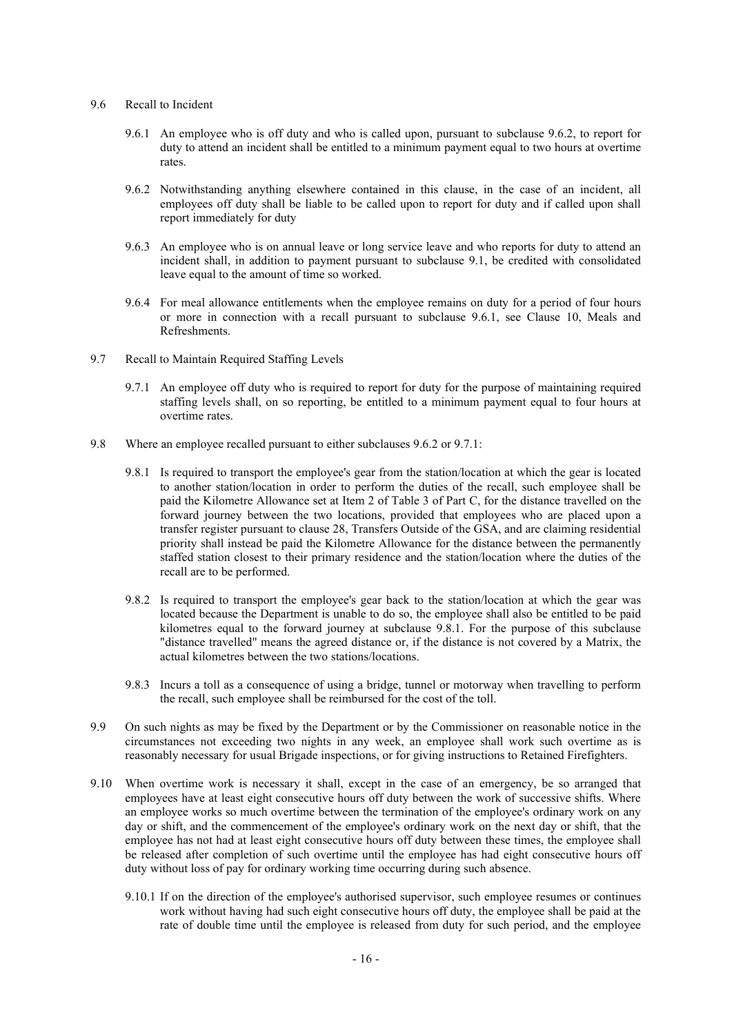- 9.6 Recall to Incident
	- 9.6.1 An employee who is off duty and who is called upon, pursuant to subclause 9.6.2, to report for duty to attend an incident shall be entitled to a minimum payment equal to two hours at overtime rates.
	- 9.6.2 Notwithstanding anything elsewhere contained in this clause, in the case of an incident, all employees off duty shall be liable to be called upon to report for duty and if called upon shall report immediately for duty
	- 9.6.3 An employee who is on annual leave or long service leave and who reports for duty to attend an incident shall, in addition to payment pursuant to subclause 9.1, be credited with consolidated leave equal to the amount of time so worked.
	- 9.6.4 For meal allowance entitlements when the employee remains on duty for a period of four hours or more in connection with a recall pursuant to subclause 9.6.1, see Clause 10, Meals and Refreshments.
- 9.7 Recall to Maintain Required Staffing Levels
	- 9.7.1 An employee off duty who is required to report for duty for the purpose of maintaining required staffing levels shall, on so reporting, be entitled to a minimum payment equal to four hours at overtime rates.
- 9.8 Where an employee recalled pursuant to either subclauses 9.6.2 or 9.7.1:
	- 9.8.1 Is required to transport the employee's gear from the station/location at which the gear is located to another station/location in order to perform the duties of the recall, such employee shall be paid the Kilometre Allowance set at Item 2 of Table 3 of Part C, for the distance travelled on the forward journey between the two locations, provided that employees who are placed upon a transfer register pursuant to clause 28, Transfers Outside of the GSA, and are claiming residential priority shall instead be paid the Kilometre Allowance for the distance between the permanently staffed station closest to their primary residence and the station/location where the duties of the recall are to be performed.
	- 9.8.2 Is required to transport the employee's gear back to the station/location at which the gear was located because the Department is unable to do so, the employee shall also be entitled to be paid kilometres equal to the forward journey at subclause 9.8.1. For the purpose of this subclause "distance travelled" means the agreed distance or, if the distance is not covered by a Matrix, the actual kilometres between the two stations/locations.
	- 9.8.3 Incurs a toll as a consequence of using a bridge, tunnel or motorway when travelling to perform the recall, such employee shall be reimbursed for the cost of the toll.
- 9.9 On such nights as may be fixed by the Department or by the Commissioner on reasonable notice in the circumstances not exceeding two nights in any week, an employee shall work such overtime as is reasonably necessary for usual Brigade inspections, or for giving instructions to Retained Firefighters.
- 9.10 When overtime work is necessary it shall, except in the case of an emergency, be so arranged that employees have at least eight consecutive hours off duty between the work of successive shifts. Where an employee works so much overtime between the termination of the employee's ordinary work on any day or shift, and the commencement of the employee's ordinary work on the next day or shift, that the employee has not had at least eight consecutive hours off duty between these times, the employee shall be released after completion of such overtime until the employee has had eight consecutive hours off duty without loss of pay for ordinary working time occurring during such absence.
	- 9.10.1 If on the direction of the employee's authorised supervisor, such employee resumes or continues work without having had such eight consecutive hours off duty, the employee shall be paid at the rate of double time until the employee is released from duty for such period, and the employee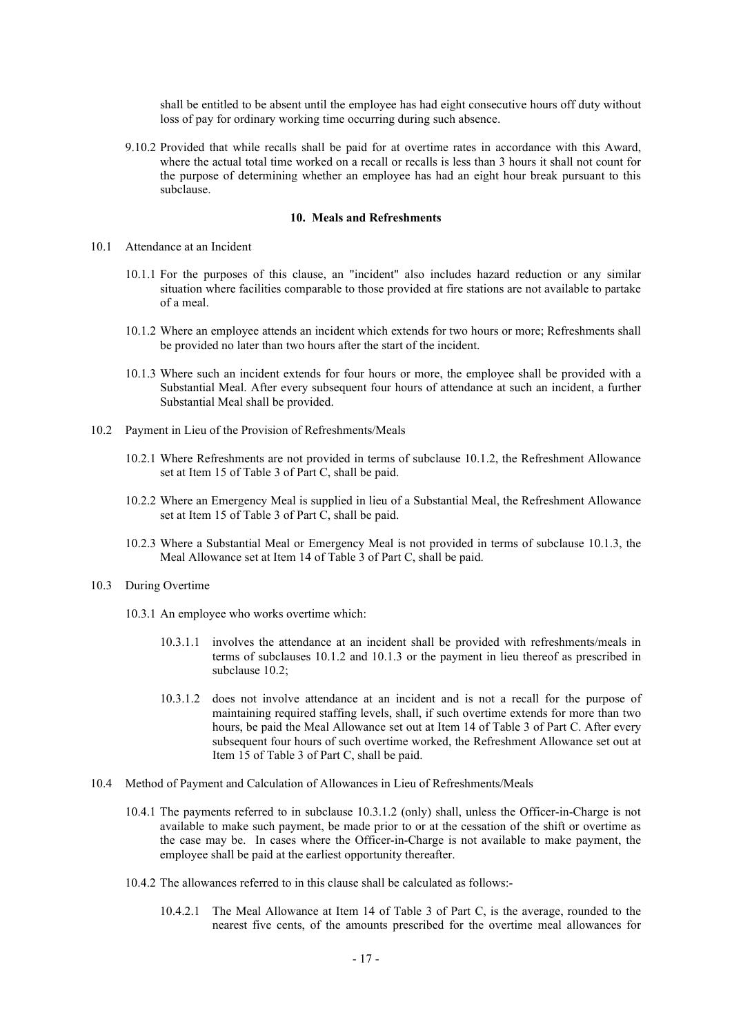shall be entitled to be absent until the employee has had eight consecutive hours off duty without loss of pay for ordinary working time occurring during such absence.

9.10.2 Provided that while recalls shall be paid for at overtime rates in accordance with this Award, where the actual total time worked on a recall or recalls is less than 3 hours it shall not count for the purpose of determining whether an employee has had an eight hour break pursuant to this subclause.

#### **10. Meals and Refreshments**

#### 10.1 Attendance at an Incident

- 10.1.1 For the purposes of this clause, an "incident" also includes hazard reduction or any similar situation where facilities comparable to those provided at fire stations are not available to partake of a meal.
- 10.1.2 Where an employee attends an incident which extends for two hours or more; Refreshments shall be provided no later than two hours after the start of the incident.
- 10.1.3 Where such an incident extends for four hours or more, the employee shall be provided with a Substantial Meal. After every subsequent four hours of attendance at such an incident, a further Substantial Meal shall be provided.
- 10.2 Payment in Lieu of the Provision of Refreshments/Meals
	- 10.2.1 Where Refreshments are not provided in terms of subclause 10.1.2, the Refreshment Allowance set at Item 15 of Table 3 of Part C, shall be paid.
	- 10.2.2 Where an Emergency Meal is supplied in lieu of a Substantial Meal, the Refreshment Allowance set at Item 15 of Table 3 of Part C, shall be paid.
	- 10.2.3 Where a Substantial Meal or Emergency Meal is not provided in terms of subclause 10.1.3, the Meal Allowance set at Item 14 of Table 3 of Part C, shall be paid.

# 10.3 During Overtime

- 10.3.1 An employee who works overtime which:
	- 10.3.1.1 involves the attendance at an incident shall be provided with refreshments/meals in terms of subclauses 10.1.2 and 10.1.3 or the payment in lieu thereof as prescribed in subclause 10.2;
	- 10.3.1.2 does not involve attendance at an incident and is not a recall for the purpose of maintaining required staffing levels, shall, if such overtime extends for more than two hours, be paid the Meal Allowance set out at Item 14 of Table 3 of Part C. After every subsequent four hours of such overtime worked, the Refreshment Allowance set out at Item 15 of Table 3 of Part C, shall be paid.
- 10.4 Method of Payment and Calculation of Allowances in Lieu of Refreshments/Meals
	- 10.4.1 The payments referred to in subclause 10.3.1.2 (only) shall, unless the Officer-in-Charge is not available to make such payment, be made prior to or at the cessation of the shift or overtime as the case may be. In cases where the Officer-in-Charge is not available to make payment, the employee shall be paid at the earliest opportunity thereafter.
	- 10.4.2 The allowances referred to in this clause shall be calculated as follows:-
		- 10.4.2.1 The Meal Allowance at Item 14 of Table 3 of Part C, is the average, rounded to the nearest five cents, of the amounts prescribed for the overtime meal allowances for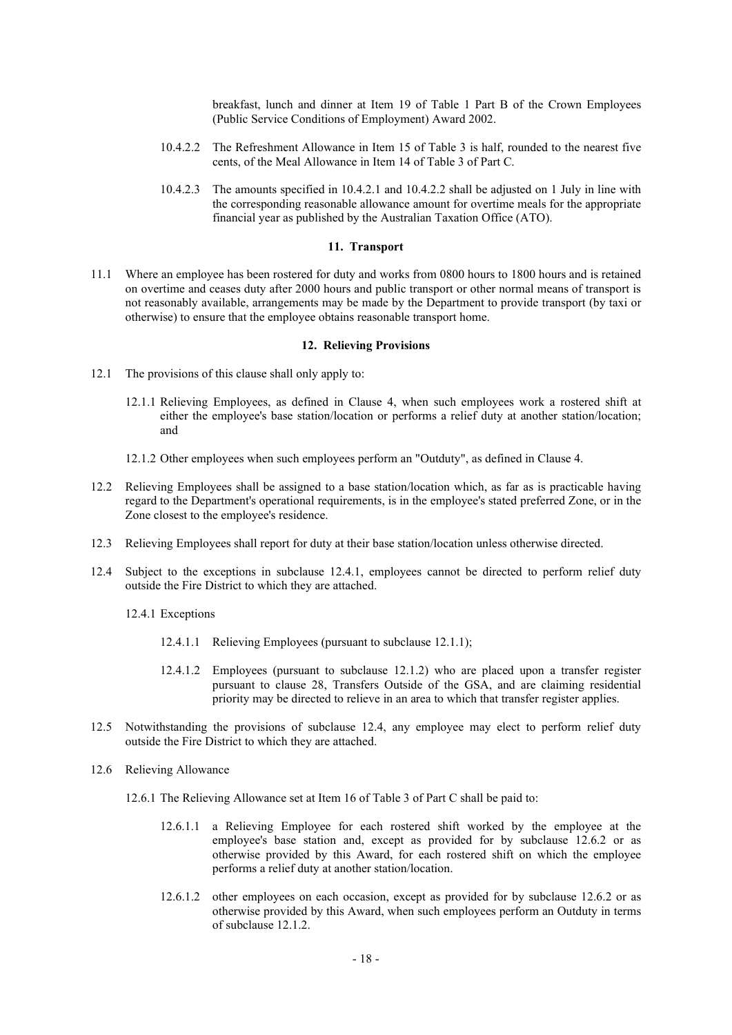breakfast, lunch and dinner at Item 19 of Table 1 Part B of the Crown Employees (Public Service Conditions of Employment) Award 2002.

- 10.4.2.2 The Refreshment Allowance in Item 15 of Table 3 is half, rounded to the nearest five cents, of the Meal Allowance in Item 14 of Table 3 of Part C.
- 10.4.2.3 The amounts specified in 10.4.2.1 and 10.4.2.2 shall be adjusted on 1 July in line with the corresponding reasonable allowance amount for overtime meals for the appropriate financial year as published by the Australian Taxation Office (ATO).

#### **11. Transport**

11.1 Where an employee has been rostered for duty and works from 0800 hours to 1800 hours and is retained on overtime and ceases duty after 2000 hours and public transport or other normal means of transport is not reasonably available, arrangements may be made by the Department to provide transport (by taxi or otherwise) to ensure that the employee obtains reasonable transport home.

#### **12. Relieving Provisions**

- 12.1 The provisions of this clause shall only apply to:
	- 12.1.1 Relieving Employees, as defined in Clause 4, when such employees work a rostered shift at either the employee's base station/location or performs a relief duty at another station/location; and
	- 12.1.2 Other employees when such employees perform an "Outduty", as defined in Clause 4.
- 12.2 Relieving Employees shall be assigned to a base station/location which, as far as is practicable having regard to the Department's operational requirements, is in the employee's stated preferred Zone, or in the Zone closest to the employee's residence.
- 12.3 Relieving Employees shall report for duty at their base station/location unless otherwise directed.
- 12.4 Subject to the exceptions in subclause 12.4.1, employees cannot be directed to perform relief duty outside the Fire District to which they are attached.
	- 12.4.1 Exceptions
		- 12.4.1.1 Relieving Employees (pursuant to subclause 12.1.1);
		- 12.4.1.2 Employees (pursuant to subclause 12.1.2) who are placed upon a transfer register pursuant to clause 28, Transfers Outside of the GSA, and are claiming residential priority may be directed to relieve in an area to which that transfer register applies.
- 12.5 Notwithstanding the provisions of subclause 12.4, any employee may elect to perform relief duty outside the Fire District to which they are attached.
- 12.6 Relieving Allowance
	- 12.6.1 The Relieving Allowance set at Item 16 of Table 3 of Part C shall be paid to:
		- 12.6.1.1 a Relieving Employee for each rostered shift worked by the employee at the employee's base station and, except as provided for by subclause 12.6.2 or as otherwise provided by this Award, for each rostered shift on which the employee performs a relief duty at another station/location.
		- 12.6.1.2 other employees on each occasion, except as provided for by subclause 12.6.2 or as otherwise provided by this Award, when such employees perform an Outduty in terms of subclause 12.1.2.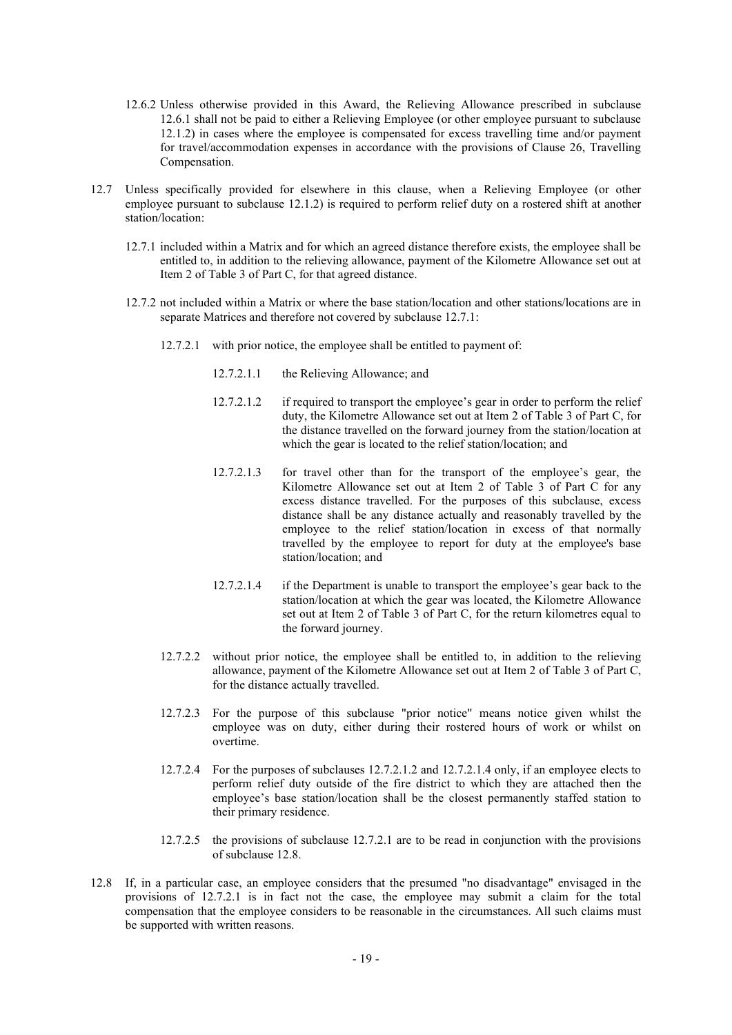- 12.6.2 Unless otherwise provided in this Award, the Relieving Allowance prescribed in subclause 12.6.1 shall not be paid to either a Relieving Employee (or other employee pursuant to subclause 12.1.2) in cases where the employee is compensated for excess travelling time and/or payment for travel/accommodation expenses in accordance with the provisions of Clause 26, Travelling Compensation.
- 12.7 Unless specifically provided for elsewhere in this clause, when a Relieving Employee (or other employee pursuant to subclause 12.1.2) is required to perform relief duty on a rostered shift at another station/location:
	- 12.7.1 included within a Matrix and for which an agreed distance therefore exists, the employee shall be entitled to, in addition to the relieving allowance, payment of the Kilometre Allowance set out at Item 2 of Table 3 of Part C, for that agreed distance.
	- 12.7.2 not included within a Matrix or where the base station/location and other stations/locations are in separate Matrices and therefore not covered by subclause 12.7.1:
		- 12.7.2.1 with prior notice, the employee shall be entitled to payment of:
			- 12.7.2.1.1 the Relieving Allowance; and
			- 12.7.2.1.2 if required to transport the employee's gear in order to perform the relief duty, the Kilometre Allowance set out at Item 2 of Table 3 of Part C, for the distance travelled on the forward journey from the station/location at which the gear is located to the relief station/location; and
			- 12.7.2.1.3 for travel other than for the transport of the employee's gear, the Kilometre Allowance set out at Item 2 of Table 3 of Part C for any excess distance travelled. For the purposes of this subclause, excess distance shall be any distance actually and reasonably travelled by the employee to the relief station/location in excess of that normally travelled by the employee to report for duty at the employee's base station/location; and
			- 12.7.2.1.4 if the Department is unable to transport the employee's gear back to the station/location at which the gear was located, the Kilometre Allowance set out at Item 2 of Table 3 of Part C, for the return kilometres equal to the forward journey.
		- 12.7.2.2 without prior notice, the employee shall be entitled to, in addition to the relieving allowance, payment of the Kilometre Allowance set out at Item 2 of Table 3 of Part C, for the distance actually travelled.
		- 12.7.2.3 For the purpose of this subclause "prior notice" means notice given whilst the employee was on duty, either during their rostered hours of work or whilst on overtime.
		- 12.7.2.4 For the purposes of subclauses 12.7.2.1.2 and 12.7.2.1.4 only, if an employee elects to perform relief duty outside of the fire district to which they are attached then the employee's base station/location shall be the closest permanently staffed station to their primary residence.
		- 12.7.2.5 the provisions of subclause 12.7.2.1 are to be read in conjunction with the provisions of subclause 12.8.
- 12.8 If, in a particular case, an employee considers that the presumed "no disadvantage" envisaged in the provisions of 12.7.2.1 is in fact not the case, the employee may submit a claim for the total compensation that the employee considers to be reasonable in the circumstances. All such claims must be supported with written reasons.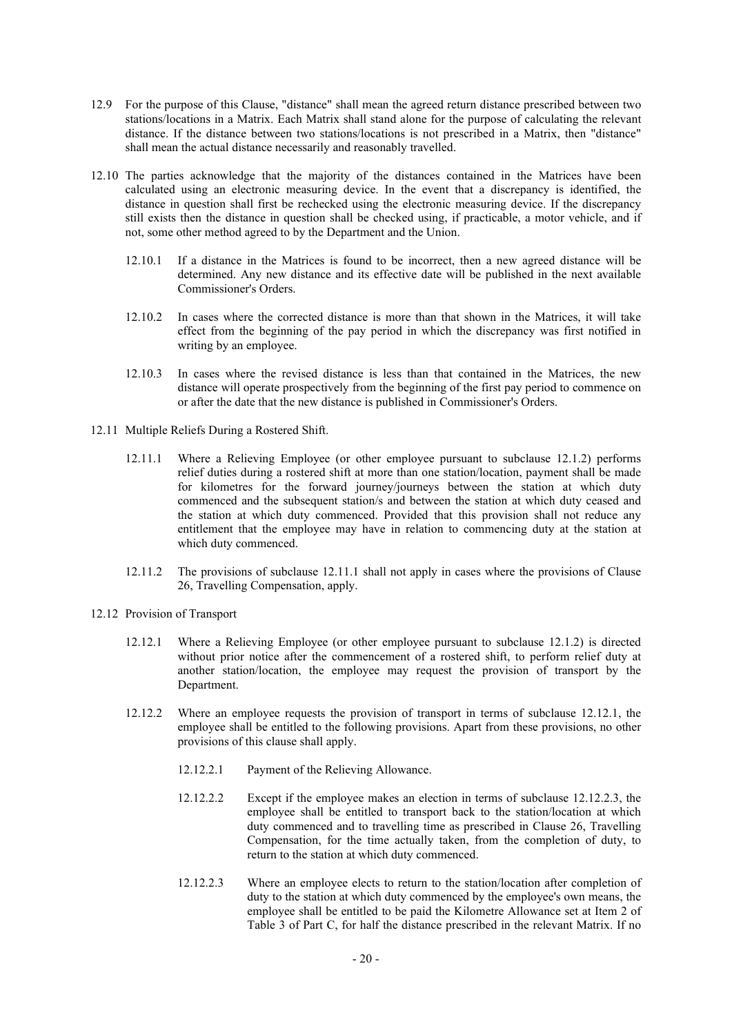- 12.9 For the purpose of this Clause, "distance" shall mean the agreed return distance prescribed between two stations/locations in a Matrix. Each Matrix shall stand alone for the purpose of calculating the relevant distance. If the distance between two stations/locations is not prescribed in a Matrix, then "distance" shall mean the actual distance necessarily and reasonably travelled.
- 12.10 The parties acknowledge that the majority of the distances contained in the Matrices have been calculated using an electronic measuring device. In the event that a discrepancy is identified, the distance in question shall first be rechecked using the electronic measuring device. If the discrepancy still exists then the distance in question shall be checked using, if practicable, a motor vehicle, and if not, some other method agreed to by the Department and the Union.
	- 12.10.1 If a distance in the Matrices is found to be incorrect, then a new agreed distance will be determined. Any new distance and its effective date will be published in the next available Commissioner's Orders.
	- 12.10.2 In cases where the corrected distance is more than that shown in the Matrices, it will take effect from the beginning of the pay period in which the discrepancy was first notified in writing by an employee.
	- 12.10.3 In cases where the revised distance is less than that contained in the Matrices, the new distance will operate prospectively from the beginning of the first pay period to commence on or after the date that the new distance is published in Commissioner's Orders.
- 12.11 Multiple Reliefs During a Rostered Shift.
	- 12.11.1 Where a Relieving Employee (or other employee pursuant to subclause 12.1.2) performs relief duties during a rostered shift at more than one station/location, payment shall be made for kilometres for the forward journey/journeys between the station at which duty commenced and the subsequent station/s and between the station at which duty ceased and the station at which duty commenced. Provided that this provision shall not reduce any entitlement that the employee may have in relation to commencing duty at the station at which duty commenced.
	- 12.11.2 The provisions of subclause 12.11.1 shall not apply in cases where the provisions of Clause 26, Travelling Compensation, apply.
- 12.12 Provision of Transport
	- 12.12.1 Where a Relieving Employee (or other employee pursuant to subclause 12.1.2) is directed without prior notice after the commencement of a rostered shift, to perform relief duty at another station/location, the employee may request the provision of transport by the Department.
	- 12.12.2 Where an employee requests the provision of transport in terms of subclause 12.12.1, the employee shall be entitled to the following provisions. Apart from these provisions, no other provisions of this clause shall apply.
		- 12.12.2.1 Payment of the Relieving Allowance.
		- 12.12.2.2 Except if the employee makes an election in terms of subclause 12.12.2.3, the employee shall be entitled to transport back to the station/location at which duty commenced and to travelling time as prescribed in Clause 26, Travelling Compensation, for the time actually taken, from the completion of duty, to return to the station at which duty commenced.
		- 12.12.2.3 Where an employee elects to return to the station/location after completion of duty to the station at which duty commenced by the employee's own means, the employee shall be entitled to be paid the Kilometre Allowance set at Item 2 of Table 3 of Part C, for half the distance prescribed in the relevant Matrix. If no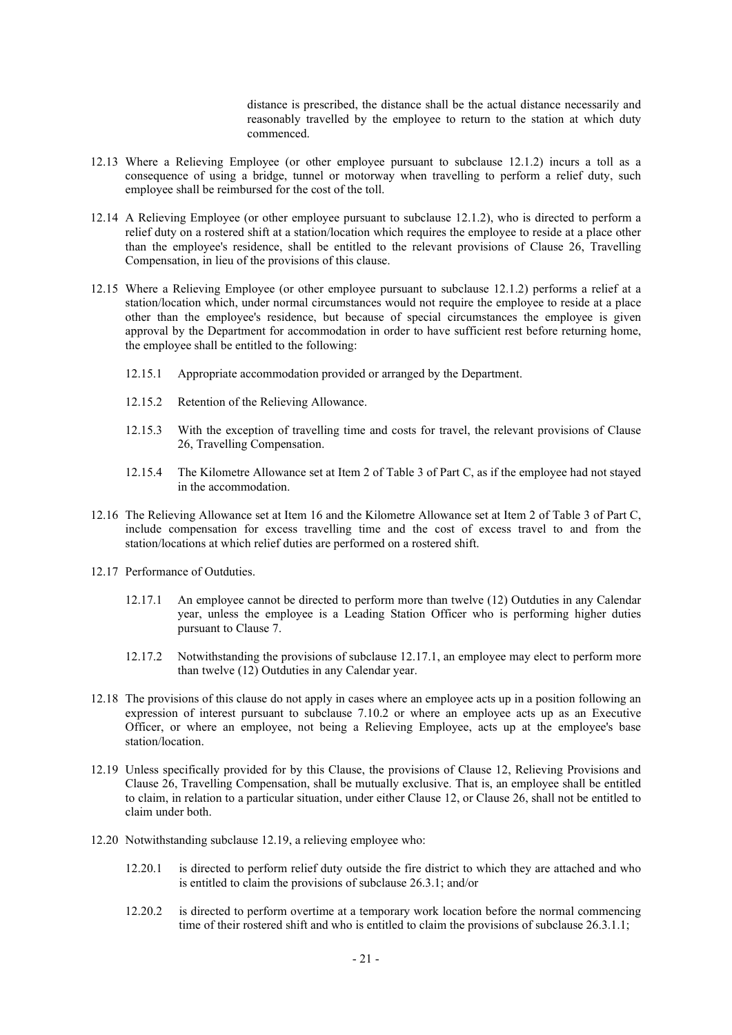distance is prescribed, the distance shall be the actual distance necessarily and reasonably travelled by the employee to return to the station at which duty commenced.

- 12.13 Where a Relieving Employee (or other employee pursuant to subclause 12.1.2) incurs a toll as a consequence of using a bridge, tunnel or motorway when travelling to perform a relief duty, such employee shall be reimbursed for the cost of the toll.
- 12.14 A Relieving Employee (or other employee pursuant to subclause 12.1.2), who is directed to perform a relief duty on a rostered shift at a station/location which requires the employee to reside at a place other than the employee's residence, shall be entitled to the relevant provisions of Clause 26, Travelling Compensation, in lieu of the provisions of this clause.
- 12.15 Where a Relieving Employee (or other employee pursuant to subclause 12.1.2) performs a relief at a station/location which, under normal circumstances would not require the employee to reside at a place other than the employee's residence, but because of special circumstances the employee is given approval by the Department for accommodation in order to have sufficient rest before returning home, the employee shall be entitled to the following:
	- 12.15.1 Appropriate accommodation provided or arranged by the Department.
	- 12.15.2 Retention of the Relieving Allowance.
	- 12.15.3 With the exception of travelling time and costs for travel, the relevant provisions of Clause 26, Travelling Compensation.
	- 12.15.4 The Kilometre Allowance set at Item 2 of Table 3 of Part C, as if the employee had not stayed in the accommodation.
- 12.16 The Relieving Allowance set at Item 16 and the Kilometre Allowance set at Item 2 of Table 3 of Part C, include compensation for excess travelling time and the cost of excess travel to and from the station/locations at which relief duties are performed on a rostered shift.
- 12.17 Performance of Outduties.
	- 12.17.1 An employee cannot be directed to perform more than twelve (12) Outduties in any Calendar year, unless the employee is a Leading Station Officer who is performing higher duties pursuant to Clause 7.
	- 12.17.2 Notwithstanding the provisions of subclause 12.17.1, an employee may elect to perform more than twelve (12) Outduties in any Calendar year.
- 12.18 The provisions of this clause do not apply in cases where an employee acts up in a position following an expression of interest pursuant to subclause 7.10.2 or where an employee acts up as an Executive Officer, or where an employee, not being a Relieving Employee, acts up at the employee's base station/location.
- 12.19 Unless specifically provided for by this Clause, the provisions of Clause 12, Relieving Provisions and Clause 26, Travelling Compensation, shall be mutually exclusive. That is, an employee shall be entitled to claim, in relation to a particular situation, under either Clause 12, or Clause 26, shall not be entitled to claim under both.
- 12.20 Notwithstanding subclause 12.19, a relieving employee who:
	- 12.20.1 is directed to perform relief duty outside the fire district to which they are attached and who is entitled to claim the provisions of subclause 26.3.1; and/or
	- 12.20.2 is directed to perform overtime at a temporary work location before the normal commencing time of their rostered shift and who is entitled to claim the provisions of subclause 26.3.1.1;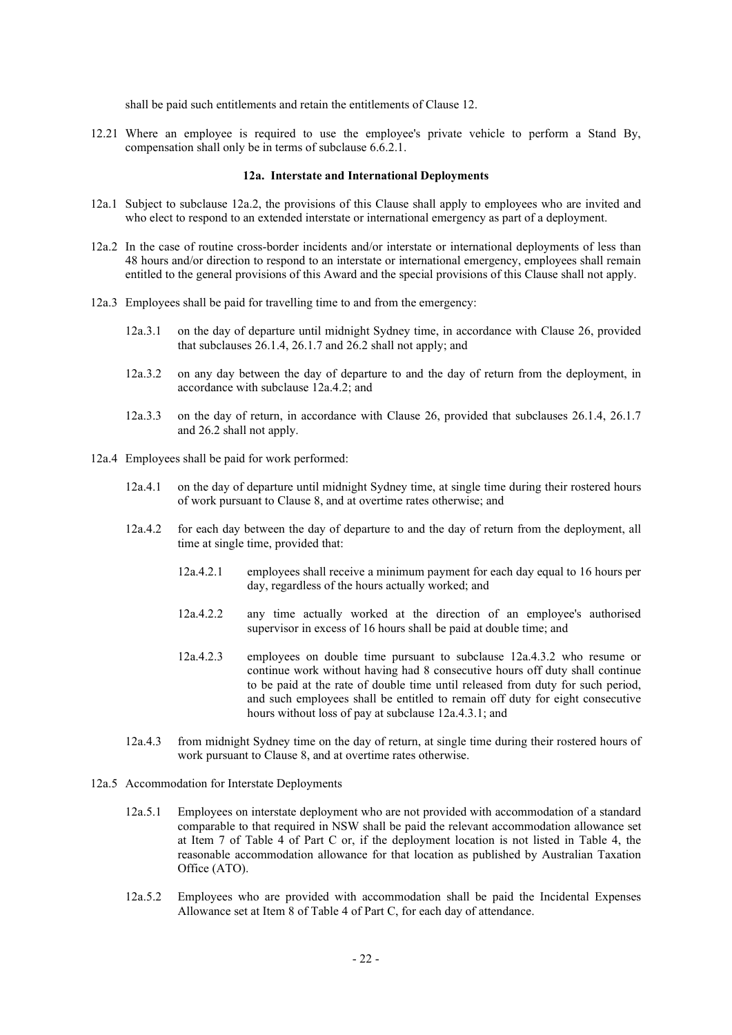shall be paid such entitlements and retain the entitlements of Clause 12.

12.21 Where an employee is required to use the employee's private vehicle to perform a Stand By, compensation shall only be in terms of subclause 6.6.2.1.

#### **12a. Interstate and International Deployments**

- 12a.1 Subject to subclause 12a.2, the provisions of this Clause shall apply to employees who are invited and who elect to respond to an extended interstate or international emergency as part of a deployment.
- 12a.2 In the case of routine cross-border incidents and/or interstate or international deployments of less than 48 hours and/or direction to respond to an interstate or international emergency, employees shall remain entitled to the general provisions of this Award and the special provisions of this Clause shall not apply.
- 12a.3 Employees shall be paid for travelling time to and from the emergency:
	- 12a.3.1 on the day of departure until midnight Sydney time, in accordance with Clause 26, provided that subclauses 26.1.4, 26.1.7 and 26.2 shall not apply; and
	- 12a.3.2 on any day between the day of departure to and the day of return from the deployment, in accordance with subclause 12a.4.2; and
	- 12a.3.3 on the day of return, in accordance with Clause 26, provided that subclauses 26.1.4, 26.1.7 and 26.2 shall not apply.
- 12a.4 Employees shall be paid for work performed:
	- 12a.4.1 on the day of departure until midnight Sydney time, at single time during their rostered hours of work pursuant to Clause 8, and at overtime rates otherwise; and
	- 12a.4.2 for each day between the day of departure to and the day of return from the deployment, all time at single time, provided that:
		- 12a.4.2.1 employees shall receive a minimum payment for each day equal to 16 hours per day, regardless of the hours actually worked; and
		- 12a.4.2.2 any time actually worked at the direction of an employee's authorised supervisor in excess of 16 hours shall be paid at double time; and
		- 12a.4.2.3 employees on double time pursuant to subclause 12a.4.3.2 who resume or continue work without having had 8 consecutive hours off duty shall continue to be paid at the rate of double time until released from duty for such period, and such employees shall be entitled to remain off duty for eight consecutive hours without loss of pay at subclause 12a.4.3.1; and
	- 12a.4.3 from midnight Sydney time on the day of return, at single time during their rostered hours of work pursuant to Clause 8, and at overtime rates otherwise.
- 12a.5 Accommodation for Interstate Deployments
	- 12a.5.1 Employees on interstate deployment who are not provided with accommodation of a standard comparable to that required in NSW shall be paid the relevant accommodation allowance set at Item 7 of Table 4 of Part C or, if the deployment location is not listed in Table 4, the reasonable accommodation allowance for that location as published by Australian Taxation Office (ATO).
	- 12a.5.2 Employees who are provided with accommodation shall be paid the Incidental Expenses Allowance set at Item 8 of Table 4 of Part C, for each day of attendance.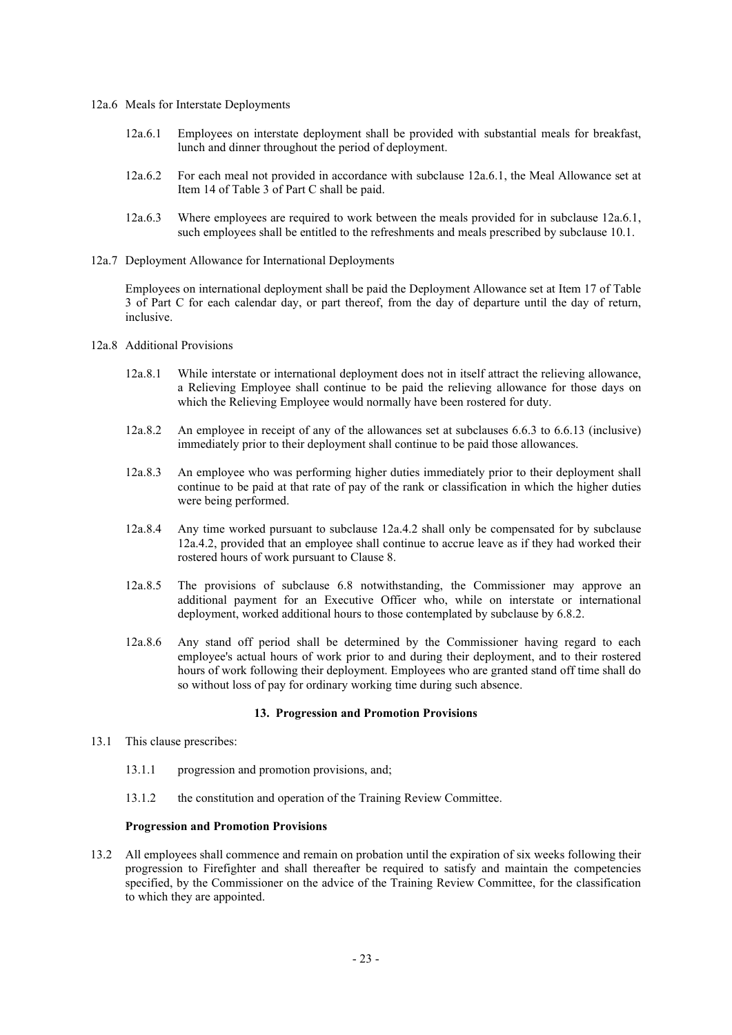- 12a.6 Meals for Interstate Deployments
	- 12a.6.1 Employees on interstate deployment shall be provided with substantial meals for breakfast, lunch and dinner throughout the period of deployment.
	- 12a.6.2 For each meal not provided in accordance with subclause 12a.6.1, the Meal Allowance set at Item 14 of Table 3 of Part C shall be paid.
	- 12a.6.3 Where employees are required to work between the meals provided for in subclause 12a.6.1, such employees shall be entitled to the refreshments and meals prescribed by subclause 10.1.
- 12a.7 Deployment Allowance for International Deployments

Employees on international deployment shall be paid the Deployment Allowance set at Item 17 of Table 3 of Part C for each calendar day, or part thereof, from the day of departure until the day of return, inclusive.

- 12a.8 Additional Provisions
	- 12a.8.1 While interstate or international deployment does not in itself attract the relieving allowance, a Relieving Employee shall continue to be paid the relieving allowance for those days on which the Relieving Employee would normally have been rostered for duty.
	- 12a.8.2 An employee in receipt of any of the allowances set at subclauses 6.6.3 to 6.6.13 (inclusive) immediately prior to their deployment shall continue to be paid those allowances.
	- 12a.8.3 An employee who was performing higher duties immediately prior to their deployment shall continue to be paid at that rate of pay of the rank or classification in which the higher duties were being performed.
	- 12a.8.4 Any time worked pursuant to subclause 12a.4.2 shall only be compensated for by subclause 12a.4.2, provided that an employee shall continue to accrue leave as if they had worked their rostered hours of work pursuant to Clause 8.
	- 12a.8.5 The provisions of subclause 6.8 notwithstanding, the Commissioner may approve an additional payment for an Executive Officer who, while on interstate or international deployment, worked additional hours to those contemplated by subclause by 6.8.2.
	- 12a.8.6 Any stand off period shall be determined by the Commissioner having regard to each employee's actual hours of work prior to and during their deployment, and to their rostered hours of work following their deployment. Employees who are granted stand off time shall do so without loss of pay for ordinary working time during such absence.

#### **13. Progression and Promotion Provisions**

- 13.1 This clause prescribes:
	- 13.1.1 progression and promotion provisions, and;
	- 13.1.2 the constitution and operation of the Training Review Committee.

#### **Progression and Promotion Provisions**

13.2 All employees shall commence and remain on probation until the expiration of six weeks following their progression to Firefighter and shall thereafter be required to satisfy and maintain the competencies specified, by the Commissioner on the advice of the Training Review Committee, for the classification to which they are appointed.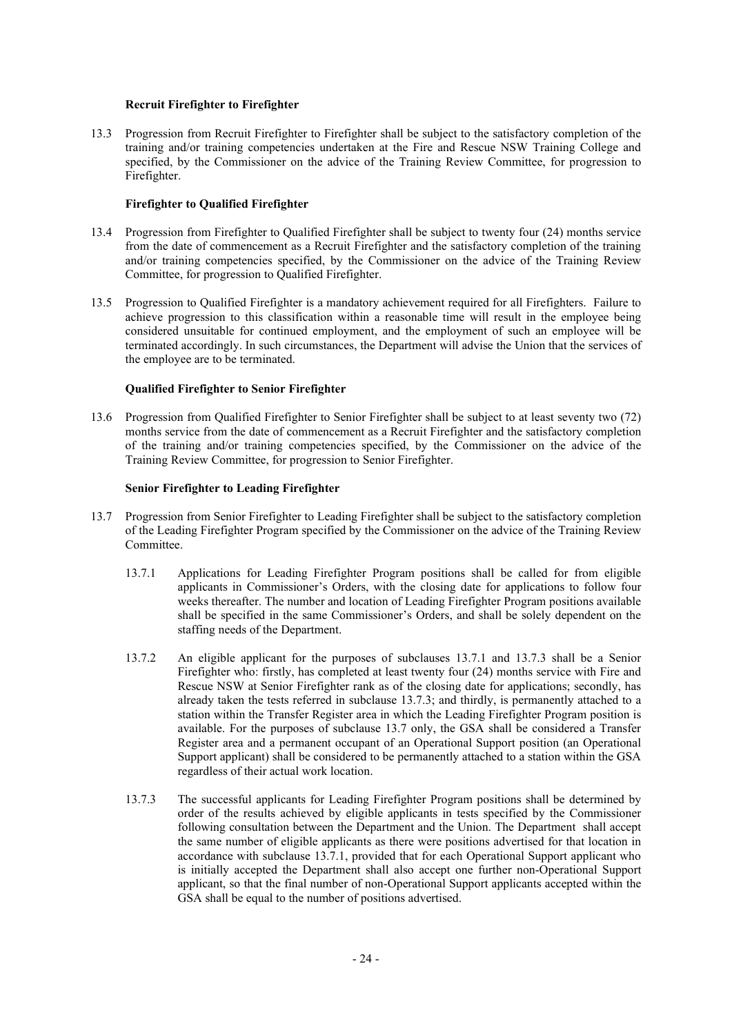# **Recruit Firefighter to Firefighter**

13.3 Progression from Recruit Firefighter to Firefighter shall be subject to the satisfactory completion of the training and/or training competencies undertaken at the Fire and Rescue NSW Training College and specified, by the Commissioner on the advice of the Training Review Committee, for progression to Firefighter.

# **Firefighter to Qualified Firefighter**

- 13.4 Progression from Firefighter to Qualified Firefighter shall be subject to twenty four (24) months service from the date of commencement as a Recruit Firefighter and the satisfactory completion of the training and/or training competencies specified, by the Commissioner on the advice of the Training Review Committee, for progression to Qualified Firefighter.
- 13.5 Progression to Qualified Firefighter is a mandatory achievement required for all Firefighters. Failure to achieve progression to this classification within a reasonable time will result in the employee being considered unsuitable for continued employment, and the employment of such an employee will be terminated accordingly. In such circumstances, the Department will advise the Union that the services of the employee are to be terminated.

#### **Qualified Firefighter to Senior Firefighter**

13.6 Progression from Qualified Firefighter to Senior Firefighter shall be subject to at least seventy two (72) months service from the date of commencement as a Recruit Firefighter and the satisfactory completion of the training and/or training competencies specified, by the Commissioner on the advice of the Training Review Committee, for progression to Senior Firefighter.

#### **Senior Firefighter to Leading Firefighter**

- 13.7 Progression from Senior Firefighter to Leading Firefighter shall be subject to the satisfactory completion of the Leading Firefighter Program specified by the Commissioner on the advice of the Training Review Committee.
	- 13.7.1 Applications for Leading Firefighter Program positions shall be called for from eligible applicants in Commissioner's Orders, with the closing date for applications to follow four weeks thereafter. The number and location of Leading Firefighter Program positions available shall be specified in the same Commissioner's Orders, and shall be solely dependent on the staffing needs of the Department.
	- 13.7.2 An eligible applicant for the purposes of subclauses 13.7.1 and 13.7.3 shall be a Senior Firefighter who: firstly, has completed at least twenty four (24) months service with Fire and Rescue NSW at Senior Firefighter rank as of the closing date for applications; secondly, has already taken the tests referred in subclause 13.7.3; and thirdly, is permanently attached to a station within the Transfer Register area in which the Leading Firefighter Program position is available. For the purposes of subclause 13.7 only, the GSA shall be considered a Transfer Register area and a permanent occupant of an Operational Support position (an Operational Support applicant) shall be considered to be permanently attached to a station within the GSA regardless of their actual work location.
	- 13.7.3 The successful applicants for Leading Firefighter Program positions shall be determined by order of the results achieved by eligible applicants in tests specified by the Commissioner following consultation between the Department and the Union. The Department shall accept the same number of eligible applicants as there were positions advertised for that location in accordance with subclause 13.7.1, provided that for each Operational Support applicant who is initially accepted the Department shall also accept one further non-Operational Support applicant, so that the final number of non-Operational Support applicants accepted within the GSA shall be equal to the number of positions advertised.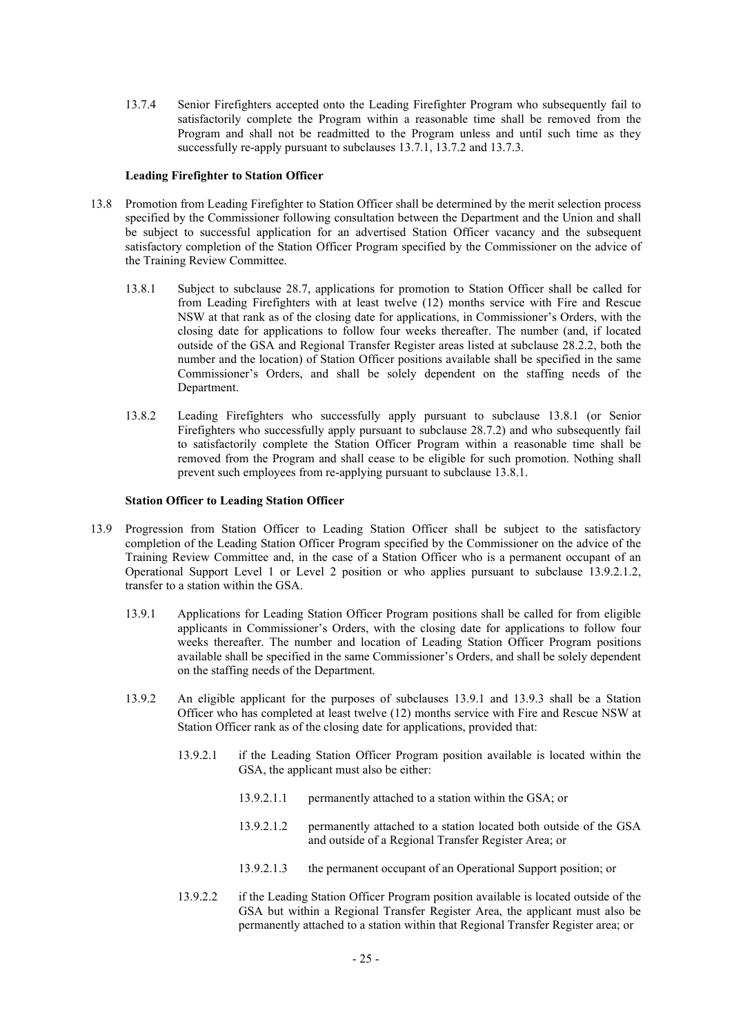13.7.4 Senior Firefighters accepted onto the Leading Firefighter Program who subsequently fail to satisfactorily complete the Program within a reasonable time shall be removed from the Program and shall not be readmitted to the Program unless and until such time as they successfully re-apply pursuant to subclauses 13.7.1, 13.7.2 and 13.7.3.

#### **Leading Firefighter to Station Officer**

- 13.8 Promotion from Leading Firefighter to Station Officer shall be determined by the merit selection process specified by the Commissioner following consultation between the Department and the Union and shall be subject to successful application for an advertised Station Officer vacancy and the subsequent satisfactory completion of the Station Officer Program specified by the Commissioner on the advice of the Training Review Committee.
	- 13.8.1 Subject to subclause 28.7, applications for promotion to Station Officer shall be called for from Leading Firefighters with at least twelve (12) months service with Fire and Rescue NSW at that rank as of the closing date for applications, in Commissioner's Orders, with the closing date for applications to follow four weeks thereafter. The number (and, if located outside of the GSA and Regional Transfer Register areas listed at subclause 28.2.2, both the number and the location) of Station Officer positions available shall be specified in the same Commissioner's Orders, and shall be solely dependent on the staffing needs of the Department.
	- 13.8.2 Leading Firefighters who successfully apply pursuant to subclause 13.8.1 (or Senior Firefighters who successfully apply pursuant to subclause 28.7.2) and who subsequently fail to satisfactorily complete the Station Officer Program within a reasonable time shall be removed from the Program and shall cease to be eligible for such promotion. Nothing shall prevent such employees from re-applying pursuant to subclause 13.8.1.

#### **Station Officer to Leading Station Officer**

- 13.9 Progression from Station Officer to Leading Station Officer shall be subject to the satisfactory completion of the Leading Station Officer Program specified by the Commissioner on the advice of the Training Review Committee and, in the case of a Station Officer who is a permanent occupant of an Operational Support Level 1 or Level 2 position or who applies pursuant to subclause 13.9.2.1.2, transfer to a station within the GSA.
	- 13.9.1 Applications for Leading Station Officer Program positions shall be called for from eligible applicants in Commissioner's Orders, with the closing date for applications to follow four weeks thereafter. The number and location of Leading Station Officer Program positions available shall be specified in the same Commissioner's Orders, and shall be solely dependent on the staffing needs of the Department.
	- 13.9.2 An eligible applicant for the purposes of subclauses 13.9.1 and 13.9.3 shall be a Station Officer who has completed at least twelve (12) months service with Fire and Rescue NSW at Station Officer rank as of the closing date for applications, provided that:
		- 13.9.2.1 if the Leading Station Officer Program position available is located within the GSA, the applicant must also be either:
			- 13.9.2.1.1 permanently attached to a station within the GSA; or
			- 13.9.2.1.2 permanently attached to a station located both outside of the GSA and outside of a Regional Transfer Register Area; or
			- 13.9.2.1.3 the permanent occupant of an Operational Support position; or
		- 13.9.2.2 if the Leading Station Officer Program position available is located outside of the GSA but within a Regional Transfer Register Area, the applicant must also be permanently attached to a station within that Regional Transfer Register area; or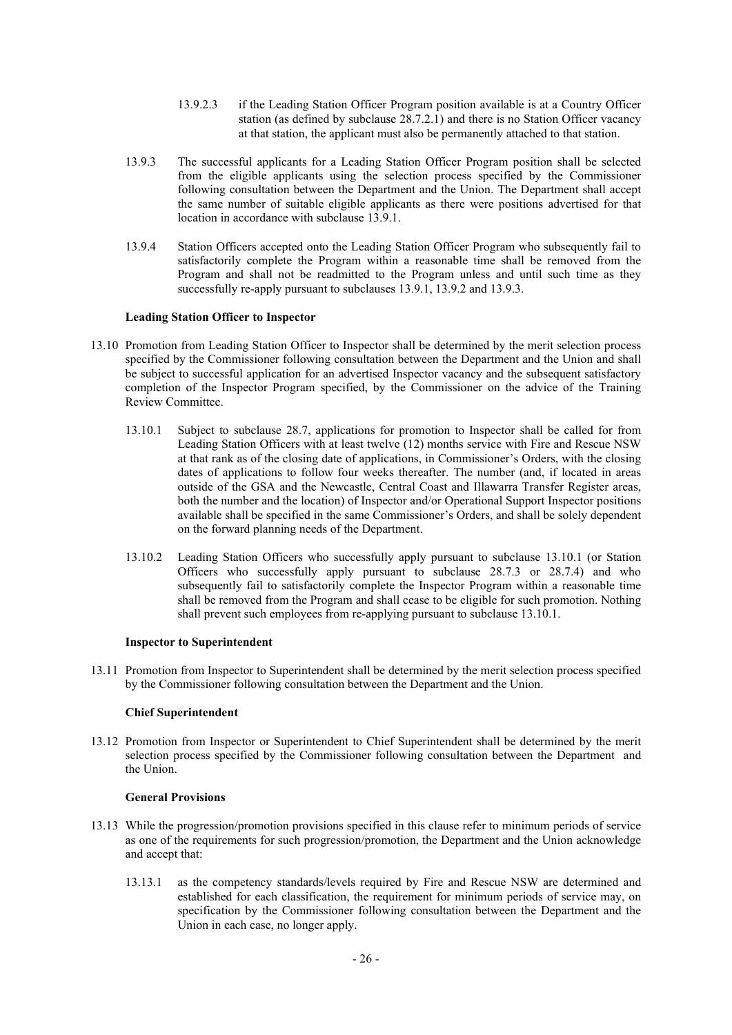- 13.9.2.3 if the Leading Station Officer Program position available is at a Country Officer station (as defined by subclause 28.7.2.1) and there is no Station Officer vacancy at that station, the applicant must also be permanently attached to that station.
- 13.9.3 The successful applicants for a Leading Station Officer Program position shall be selected from the eligible applicants using the selection process specified by the Commissioner following consultation between the Department and the Union. The Department shall accept the same number of suitable eligible applicants as there were positions advertised for that location in accordance with subclause 13.9.1.
- 13.9.4 Station Officers accepted onto the Leading Station Officer Program who subsequently fail to satisfactorily complete the Program within a reasonable time shall be removed from the Program and shall not be readmitted to the Program unless and until such time as they successfully re-apply pursuant to subclauses 13.9.1, 13.9.2 and 13.9.3.

#### **Leading Station Officer to Inspector**

- 13.10 Promotion from Leading Station Officer to Inspector shall be determined by the merit selection process specified by the Commissioner following consultation between the Department and the Union and shall be subject to successful application for an advertised Inspector vacancy and the subsequent satisfactory completion of the Inspector Program specified, by the Commissioner on the advice of the Training Review Committee.
	- 13.10.1 Subject to subclause 28.7, applications for promotion to Inspector shall be called for from Leading Station Officers with at least twelve (12) months service with Fire and Rescue NSW at that rank as of the closing date of applications, in Commissioner's Orders, with the closing dates of applications to follow four weeks thereafter. The number (and, if located in areas outside of the GSA and the Newcastle, Central Coast and Illawarra Transfer Register areas, both the number and the location) of Inspector and/or Operational Support Inspector positions available shall be specified in the same Commissioner's Orders, and shall be solely dependent on the forward planning needs of the Department.
	- 13.10.2 Leading Station Officers who successfully apply pursuant to subclause 13.10.1 (or Station Officers who successfully apply pursuant to subclause 28.7.3 or 28.7.4) and who subsequently fail to satisfactorily complete the Inspector Program within a reasonable time shall be removed from the Program and shall cease to be eligible for such promotion. Nothing shall prevent such employees from re-applying pursuant to subclause 13.10.1.

#### **Inspector to Superintendent**

13.11 Promotion from Inspector to Superintendent shall be determined by the merit selection process specified by the Commissioner following consultation between the Department and the Union.

#### **Chief Superintendent**

13.12 Promotion from Inspector or Superintendent to Chief Superintendent shall be determined by the merit selection process specified by the Commissioner following consultation between the Department and the Union.

#### **General Provisions**

- 13.13 While the progression/promotion provisions specified in this clause refer to minimum periods of service as one of the requirements for such progression/promotion, the Department and the Union acknowledge and accept that:
	- 13.13.1 as the competency standards/levels required by Fire and Rescue NSW are determined and established for each classification, the requirement for minimum periods of service may, on specification by the Commissioner following consultation between the Department and the Union in each case, no longer apply.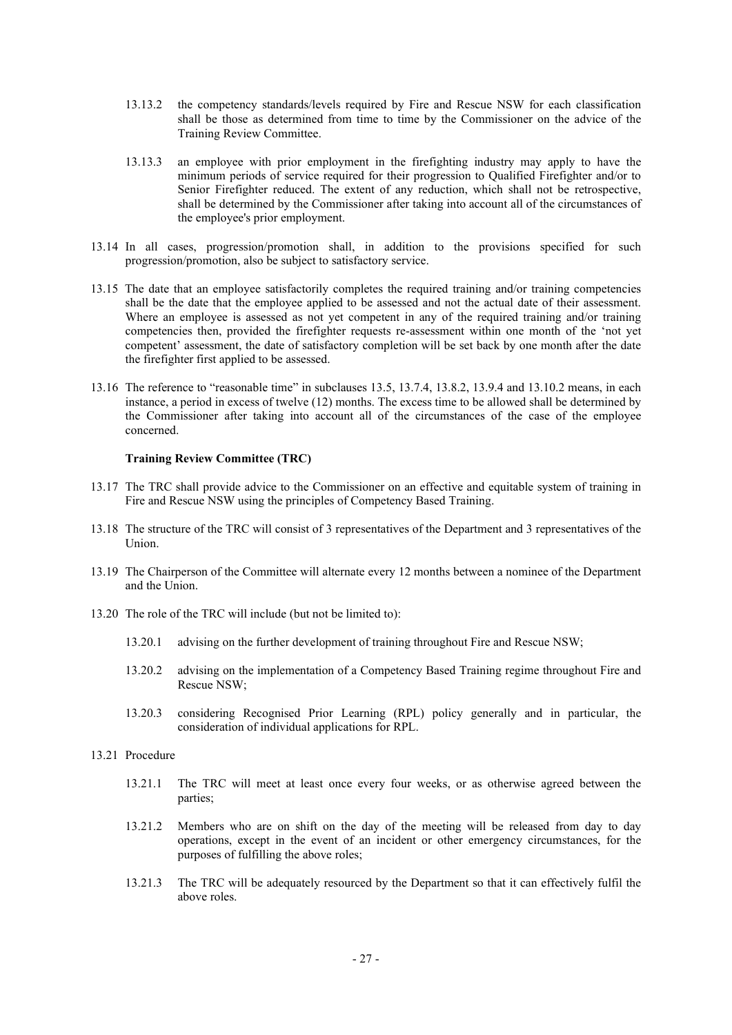- 13.13.2 the competency standards/levels required by Fire and Rescue NSW for each classification shall be those as determined from time to time by the Commissioner on the advice of the Training Review Committee.
- 13.13.3 an employee with prior employment in the firefighting industry may apply to have the minimum periods of service required for their progression to Qualified Firefighter and/or to Senior Firefighter reduced. The extent of any reduction, which shall not be retrospective, shall be determined by the Commissioner after taking into account all of the circumstances of the employee's prior employment.
- 13.14 In all cases, progression/promotion shall, in addition to the provisions specified for such progression/promotion, also be subject to satisfactory service.
- 13.15 The date that an employee satisfactorily completes the required training and/or training competencies shall be the date that the employee applied to be assessed and not the actual date of their assessment. Where an employee is assessed as not yet competent in any of the required training and/or training competencies then, provided the firefighter requests re-assessment within one month of the 'not yet competent' assessment, the date of satisfactory completion will be set back by one month after the date the firefighter first applied to be assessed.
- 13.16 The reference to "reasonable time" in subclauses 13.5, 13.7.4, 13.8.2, 13.9.4 and 13.10.2 means, in each instance, a period in excess of twelve (12) months. The excess time to be allowed shall be determined by the Commissioner after taking into account all of the circumstances of the case of the employee concerned.

#### **Training Review Committee (TRC)**

- 13.17 The TRC shall provide advice to the Commissioner on an effective and equitable system of training in Fire and Rescue NSW using the principles of Competency Based Training.
- 13.18 The structure of the TRC will consist of 3 representatives of the Department and 3 representatives of the Union.
- 13.19 The Chairperson of the Committee will alternate every 12 months between a nominee of the Department and the Union.
- 13.20 The role of the TRC will include (but not be limited to):
	- 13.20.1 advising on the further development of training throughout Fire and Rescue NSW;
	- 13.20.2 advising on the implementation of a Competency Based Training regime throughout Fire and Rescue NSW;
	- 13.20.3 considering Recognised Prior Learning (RPL) policy generally and in particular, the consideration of individual applications for RPL.
- 13.21 Procedure
	- 13.21.1 The TRC will meet at least once every four weeks, or as otherwise agreed between the parties;
	- 13.21.2 Members who are on shift on the day of the meeting will be released from day to day operations, except in the event of an incident or other emergency circumstances, for the purposes of fulfilling the above roles;
	- 13.21.3 The TRC will be adequately resourced by the Department so that it can effectively fulfil the above roles.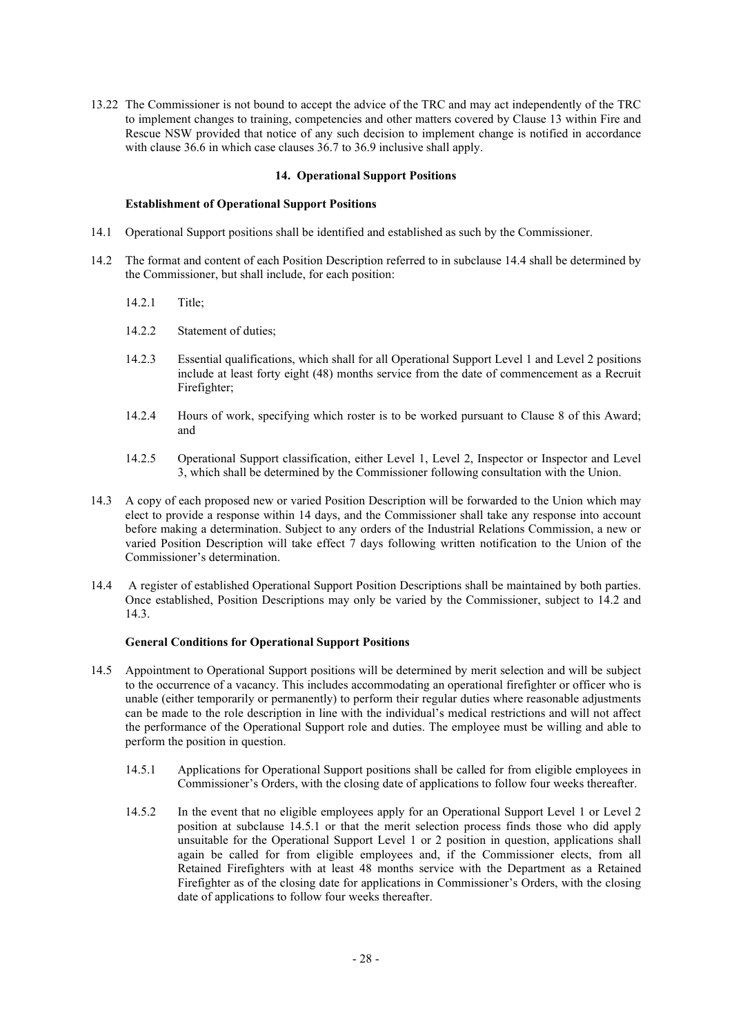13.22 The Commissioner is not bound to accept the advice of the TRC and may act independently of the TRC to implement changes to training, competencies and other matters covered by Clause 13 within Fire and Rescue NSW provided that notice of any such decision to implement change is notified in accordance with clause 36.6 in which case clauses 36.7 to 36.9 inclusive shall apply.

### **14. Operational Support Positions**

#### **Establishment of Operational Support Positions**

- 14.1 Operational Support positions shall be identified and established as such by the Commissioner.
- 14.2 The format and content of each Position Description referred to in subclause 14.4 shall be determined by the Commissioner, but shall include, for each position:
	- 14.2.1 Title;
	- 14.2.2 Statement of duties;
	- 14.2.3 Essential qualifications, which shall for all Operational Support Level 1 and Level 2 positions include at least forty eight (48) months service from the date of commencement as a Recruit Firefighter;
	- 14.2.4 Hours of work, specifying which roster is to be worked pursuant to Clause 8 of this Award; and
	- 14.2.5 Operational Support classification, either Level 1, Level 2, Inspector or Inspector and Level 3, which shall be determined by the Commissioner following consultation with the Union.
- 14.3 A copy of each proposed new or varied Position Description will be forwarded to the Union which may elect to provide a response within 14 days, and the Commissioner shall take any response into account before making a determination. Subject to any orders of the Industrial Relations Commission, a new or varied Position Description will take effect 7 days following written notification to the Union of the Commissioner's determination.
- 14.4 A register of established Operational Support Position Descriptions shall be maintained by both parties. Once established, Position Descriptions may only be varied by the Commissioner, subject to 14.2 and 14.3.

# **General Conditions for Operational Support Positions**

- 14.5 Appointment to Operational Support positions will be determined by merit selection and will be subject to the occurrence of a vacancy. This includes accommodating an operational firefighter or officer who is unable (either temporarily or permanently) to perform their regular duties where reasonable adjustments can be made to the role description in line with the individual's medical restrictions and will not affect the performance of the Operational Support role and duties. The employee must be willing and able to perform the position in question.
	- 14.5.1 Applications for Operational Support positions shall be called for from eligible employees in Commissioner's Orders, with the closing date of applications to follow four weeks thereafter.
	- 14.5.2 In the event that no eligible employees apply for an Operational Support Level 1 or Level 2 position at subclause 14.5.1 or that the merit selection process finds those who did apply unsuitable for the Operational Support Level 1 or 2 position in question, applications shall again be called for from eligible employees and, if the Commissioner elects, from all Retained Firefighters with at least 48 months service with the Department as a Retained Firefighter as of the closing date for applications in Commissioner's Orders, with the closing date of applications to follow four weeks thereafter.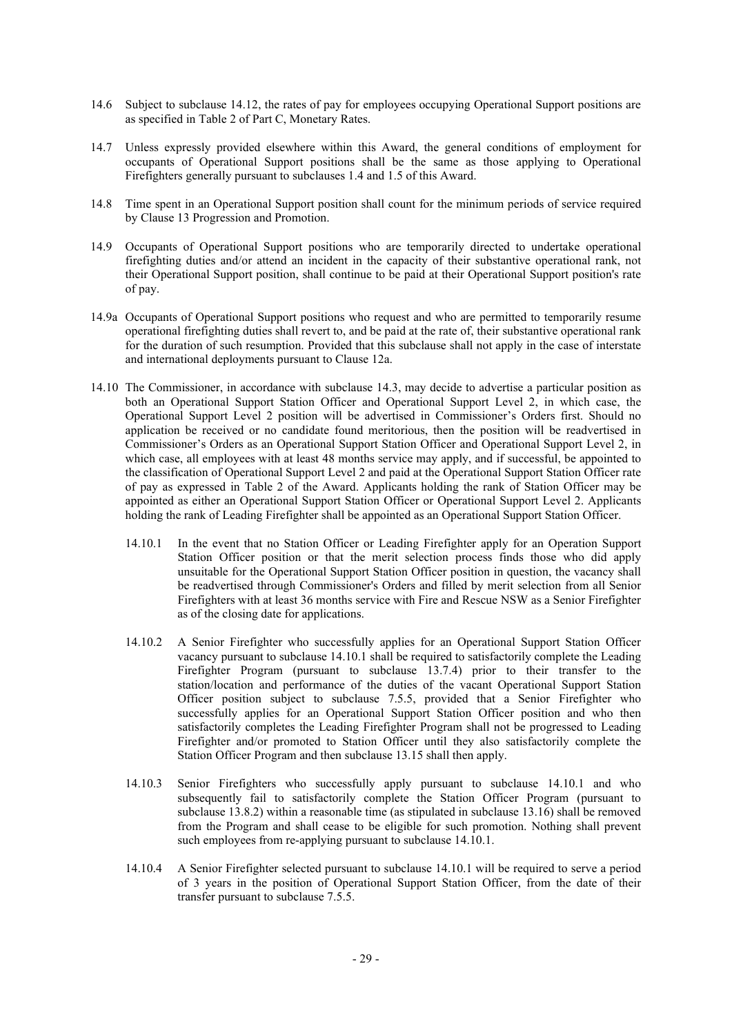- 14.6 Subject to subclause 14.12, the rates of pay for employees occupying Operational Support positions are as specified in Table 2 of Part C, Monetary Rates.
- 14.7 Unless expressly provided elsewhere within this Award, the general conditions of employment for occupants of Operational Support positions shall be the same as those applying to Operational Firefighters generally pursuant to subclauses 1.4 and 1.5 of this Award.
- 14.8 Time spent in an Operational Support position shall count for the minimum periods of service required by Clause 13 Progression and Promotion.
- 14.9 Occupants of Operational Support positions who are temporarily directed to undertake operational firefighting duties and/or attend an incident in the capacity of their substantive operational rank, not their Operational Support position, shall continue to be paid at their Operational Support position's rate of pay.
- 14.9a Occupants of Operational Support positions who request and who are permitted to temporarily resume operational firefighting duties shall revert to, and be paid at the rate of, their substantive operational rank for the duration of such resumption. Provided that this subclause shall not apply in the case of interstate and international deployments pursuant to Clause 12a.
- 14.10 The Commissioner, in accordance with subclause 14.3, may decide to advertise a particular position as both an Operational Support Station Officer and Operational Support Level 2, in which case, the Operational Support Level 2 position will be advertised in Commissioner's Orders first. Should no application be received or no candidate found meritorious, then the position will be readvertised in Commissioner's Orders as an Operational Support Station Officer and Operational Support Level 2, in which case, all employees with at least 48 months service may apply, and if successful, be appointed to the classification of Operational Support Level 2 and paid at the Operational Support Station Officer rate of pay as expressed in Table 2 of the Award. Applicants holding the rank of Station Officer may be appointed as either an Operational Support Station Officer or Operational Support Level 2. Applicants holding the rank of Leading Firefighter shall be appointed as an Operational Support Station Officer.
	- 14.10.1 In the event that no Station Officer or Leading Firefighter apply for an Operation Support Station Officer position or that the merit selection process finds those who did apply unsuitable for the Operational Support Station Officer position in question, the vacancy shall be readvertised through Commissioner's Orders and filled by merit selection from all Senior Firefighters with at least 36 months service with Fire and Rescue NSW as a Senior Firefighter as of the closing date for applications.
	- 14.10.2 A Senior Firefighter who successfully applies for an Operational Support Station Officer vacancy pursuant to subclause 14.10.1 shall be required to satisfactorily complete the Leading Firefighter Program (pursuant to subclause 13.7.4) prior to their transfer to the station/location and performance of the duties of the vacant Operational Support Station Officer position subject to subclause 7.5.5, provided that a Senior Firefighter who successfully applies for an Operational Support Station Officer position and who then satisfactorily completes the Leading Firefighter Program shall not be progressed to Leading Firefighter and/or promoted to Station Officer until they also satisfactorily complete the Station Officer Program and then subclause 13.15 shall then apply.
	- 14.10.3 Senior Firefighters who successfully apply pursuant to subclause 14.10.1 and who subsequently fail to satisfactorily complete the Station Officer Program (pursuant to subclause 13.8.2) within a reasonable time (as stipulated in subclause 13.16) shall be removed from the Program and shall cease to be eligible for such promotion. Nothing shall prevent such employees from re-applying pursuant to subclause 14.10.1.
	- 14.10.4 A Senior Firefighter selected pursuant to subclause 14.10.1 will be required to serve a period of 3 years in the position of Operational Support Station Officer, from the date of their transfer pursuant to subclause 7.5.5.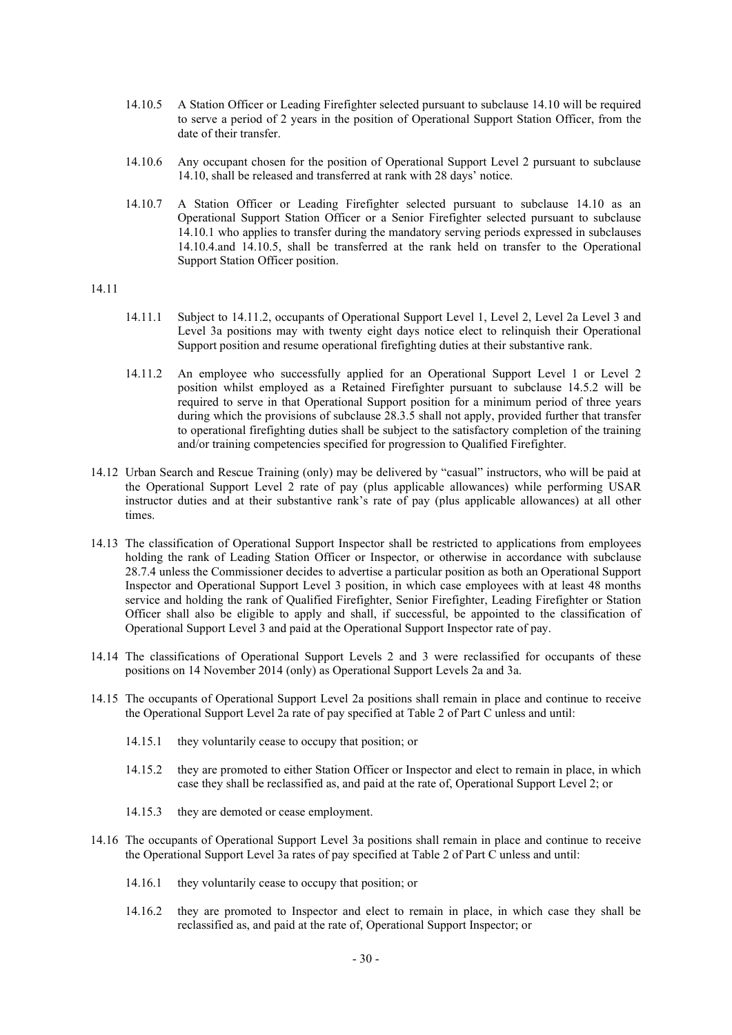- 14.10.5 A Station Officer or Leading Firefighter selected pursuant to subclause 14.10 will be required to serve a period of 2 years in the position of Operational Support Station Officer, from the date of their transfer.
- 14.10.6 Any occupant chosen for the position of Operational Support Level 2 pursuant to subclause 14.10, shall be released and transferred at rank with 28 days' notice.
- 14.10.7 A Station Officer or Leading Firefighter selected pursuant to subclause 14.10 as an Operational Support Station Officer or a Senior Firefighter selected pursuant to subclause 14.10.1 who applies to transfer during the mandatory serving periods expressed in subclauses 14.10.4.and 14.10.5, shall be transferred at the rank held on transfer to the Operational Support Station Officer position.

# 14.11

- 14.11.1 Subject to 14.11.2, occupants of Operational Support Level 1, Level 2, Level 2a Level 3 and Level 3a positions may with twenty eight days notice elect to relinquish their Operational Support position and resume operational firefighting duties at their substantive rank.
- 14.11.2 An employee who successfully applied for an Operational Support Level 1 or Level 2 position whilst employed as a Retained Firefighter pursuant to subclause 14.5.2 will be required to serve in that Operational Support position for a minimum period of three years during which the provisions of subclause 28.3.5 shall not apply, provided further that transfer to operational firefighting duties shall be subject to the satisfactory completion of the training and/or training competencies specified for progression to Qualified Firefighter.
- 14.12 Urban Search and Rescue Training (only) may be delivered by "casual" instructors, who will be paid at the Operational Support Level 2 rate of pay (plus applicable allowances) while performing USAR instructor duties and at their substantive rank's rate of pay (plus applicable allowances) at all other times.
- 14.13 The classification of Operational Support Inspector shall be restricted to applications from employees holding the rank of Leading Station Officer or Inspector, or otherwise in accordance with subclause 28.7.4 unless the Commissioner decides to advertise a particular position as both an Operational Support Inspector and Operational Support Level 3 position, in which case employees with at least 48 months service and holding the rank of Qualified Firefighter, Senior Firefighter, Leading Firefighter or Station Officer shall also be eligible to apply and shall, if successful, be appointed to the classification of Operational Support Level 3 and paid at the Operational Support Inspector rate of pay.
- 14.14 The classifications of Operational Support Levels 2 and 3 were reclassified for occupants of these positions on 14 November 2014 (only) as Operational Support Levels 2a and 3a.
- 14.15 The occupants of Operational Support Level 2a positions shall remain in place and continue to receive the Operational Support Level 2a rate of pay specified at Table 2 of Part C unless and until:
	- 14.15.1 they voluntarily cease to occupy that position; or
	- 14.15.2 they are promoted to either Station Officer or Inspector and elect to remain in place, in which case they shall be reclassified as, and paid at the rate of, Operational Support Level 2; or
	- 14.15.3 they are demoted or cease employment.
- 14.16 The occupants of Operational Support Level 3a positions shall remain in place and continue to receive the Operational Support Level 3a rates of pay specified at Table 2 of Part C unless and until:
	- 14.16.1 they voluntarily cease to occupy that position; or
	- 14.16.2 they are promoted to Inspector and elect to remain in place, in which case they shall be reclassified as, and paid at the rate of, Operational Support Inspector; or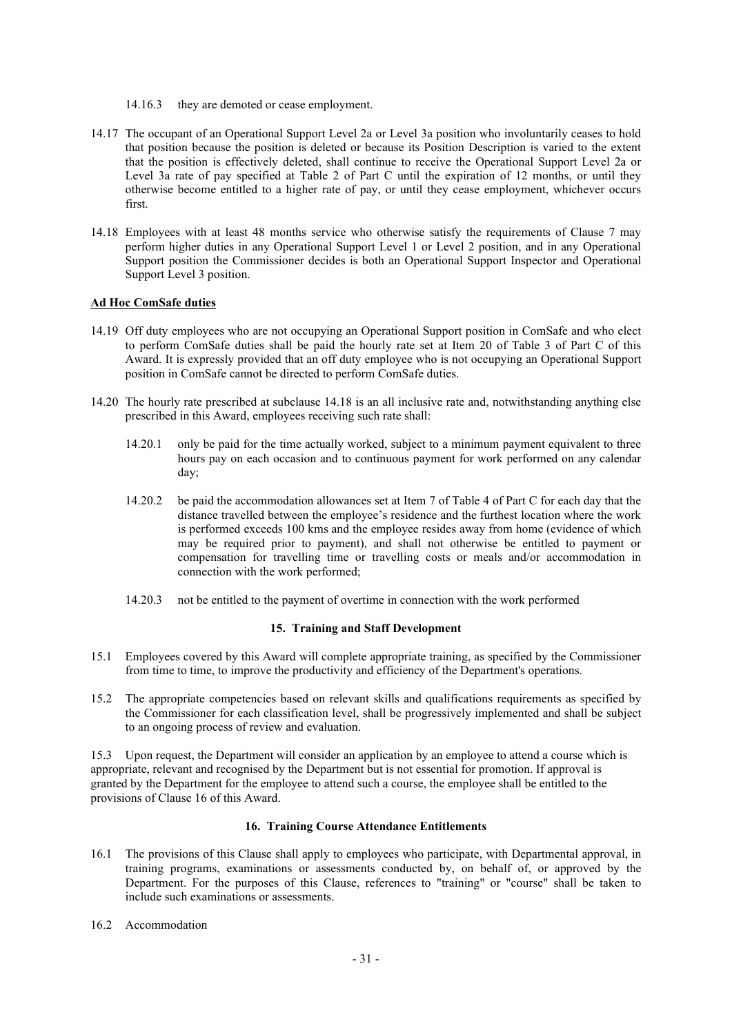- 14.16.3 they are demoted or cease employment.
- 14.17 The occupant of an Operational Support Level 2a or Level 3a position who involuntarily ceases to hold that position because the position is deleted or because its Position Description is varied to the extent that the position is effectively deleted, shall continue to receive the Operational Support Level 2a or Level 3a rate of pay specified at Table 2 of Part C until the expiration of 12 months, or until they otherwise become entitled to a higher rate of pay, or until they cease employment, whichever occurs first.
- 14.18 Employees with at least 48 months service who otherwise satisfy the requirements of Clause 7 may perform higher duties in any Operational Support Level 1 or Level 2 position, and in any Operational Support position the Commissioner decides is both an Operational Support Inspector and Operational Support Level 3 position.

# **Ad Hoc ComSafe duties**

- 14.19 Off duty employees who are not occupying an Operational Support position in ComSafe and who elect to perform ComSafe duties shall be paid the hourly rate set at Item 20 of Table 3 of Part C of this Award. It is expressly provided that an off duty employee who is not occupying an Operational Support position in ComSafe cannot be directed to perform ComSafe duties.
- 14.20 The hourly rate prescribed at subclause 14.18 is an all inclusive rate and, notwithstanding anything else prescribed in this Award, employees receiving such rate shall:
	- 14.20.1 only be paid for the time actually worked, subject to a minimum payment equivalent to three hours pay on each occasion and to continuous payment for work performed on any calendar day;
	- 14.20.2 be paid the accommodation allowances set at Item 7 of Table 4 of Part C for each day that the distance travelled between the employee's residence and the furthest location where the work is performed exceeds 100 kms and the employee resides away from home (evidence of which may be required prior to payment), and shall not otherwise be entitled to payment or compensation for travelling time or travelling costs or meals and/or accommodation in connection with the work performed;
	- 14.20.3 not be entitled to the payment of overtime in connection with the work performed

# **15. Training and Staff Development**

- 15.1 Employees covered by this Award will complete appropriate training, as specified by the Commissioner from time to time, to improve the productivity and efficiency of the Department's operations.
- 15.2 The appropriate competencies based on relevant skills and qualifications requirements as specified by the Commissioner for each classification level, shall be progressively implemented and shall be subject to an ongoing process of review and evaluation.

15.3 Upon request, the Department will consider an application by an employee to attend a course which is appropriate, relevant and recognised by the Department but is not essential for promotion. If approval is granted by the Department for the employee to attend such a course, the employee shall be entitled to the provisions of Clause 16 of this Award.

# **16. Training Course Attendance Entitlements**

- 16.1 The provisions of this Clause shall apply to employees who participate, with Departmental approval, in training programs, examinations or assessments conducted by, on behalf of, or approved by the Department. For the purposes of this Clause, references to "training" or "course" shall be taken to include such examinations or assessments.
- 16.2 Accommodation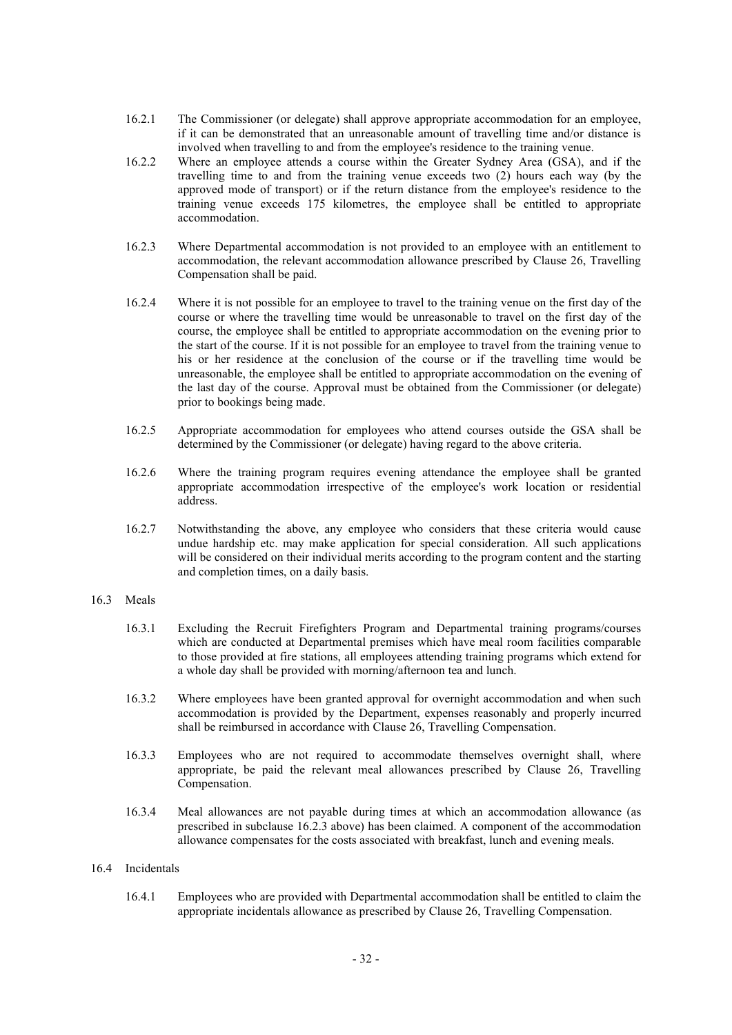- 16.2.1 The Commissioner (or delegate) shall approve appropriate accommodation for an employee, if it can be demonstrated that an unreasonable amount of travelling time and/or distance is involved when travelling to and from the employee's residence to the training venue.
- 16.2.2 Where an employee attends a course within the Greater Sydney Area (GSA), and if the travelling time to and from the training venue exceeds two (2) hours each way (by the approved mode of transport) or if the return distance from the employee's residence to the training venue exceeds 175 kilometres, the employee shall be entitled to appropriate accommodation.
- 16.2.3 Where Departmental accommodation is not provided to an employee with an entitlement to accommodation, the relevant accommodation allowance prescribed by Clause 26, Travelling Compensation shall be paid.
- 16.2.4 Where it is not possible for an employee to travel to the training venue on the first day of the course or where the travelling time would be unreasonable to travel on the first day of the course, the employee shall be entitled to appropriate accommodation on the evening prior to the start of the course. If it is not possible for an employee to travel from the training venue to his or her residence at the conclusion of the course or if the travelling time would be unreasonable, the employee shall be entitled to appropriate accommodation on the evening of the last day of the course. Approval must be obtained from the Commissioner (or delegate) prior to bookings being made.
- 16.2.5 Appropriate accommodation for employees who attend courses outside the GSA shall be determined by the Commissioner (or delegate) having regard to the above criteria.
- 16.2.6 Where the training program requires evening attendance the employee shall be granted appropriate accommodation irrespective of the employee's work location or residential address.
- 16.2.7 Notwithstanding the above, any employee who considers that these criteria would cause undue hardship etc. may make application for special consideration. All such applications will be considered on their individual merits according to the program content and the starting and completion times, on a daily basis.

#### 16.3 Meals

- 16.3.1 Excluding the Recruit Firefighters Program and Departmental training programs/courses which are conducted at Departmental premises which have meal room facilities comparable to those provided at fire stations, all employees attending training programs which extend for a whole day shall be provided with morning/afternoon tea and lunch.
- 16.3.2 Where employees have been granted approval for overnight accommodation and when such accommodation is provided by the Department, expenses reasonably and properly incurred shall be reimbursed in accordance with Clause 26, Travelling Compensation.
- 16.3.3 Employees who are not required to accommodate themselves overnight shall, where appropriate, be paid the relevant meal allowances prescribed by Clause 26, Travelling Compensation.
- 16.3.4 Meal allowances are not payable during times at which an accommodation allowance (as prescribed in subclause 16.2.3 above) has been claimed. A component of the accommodation allowance compensates for the costs associated with breakfast, lunch and evening meals.

#### 16.4 Incidentals

16.4.1 Employees who are provided with Departmental accommodation shall be entitled to claim the appropriate incidentals allowance as prescribed by Clause 26, Travelling Compensation.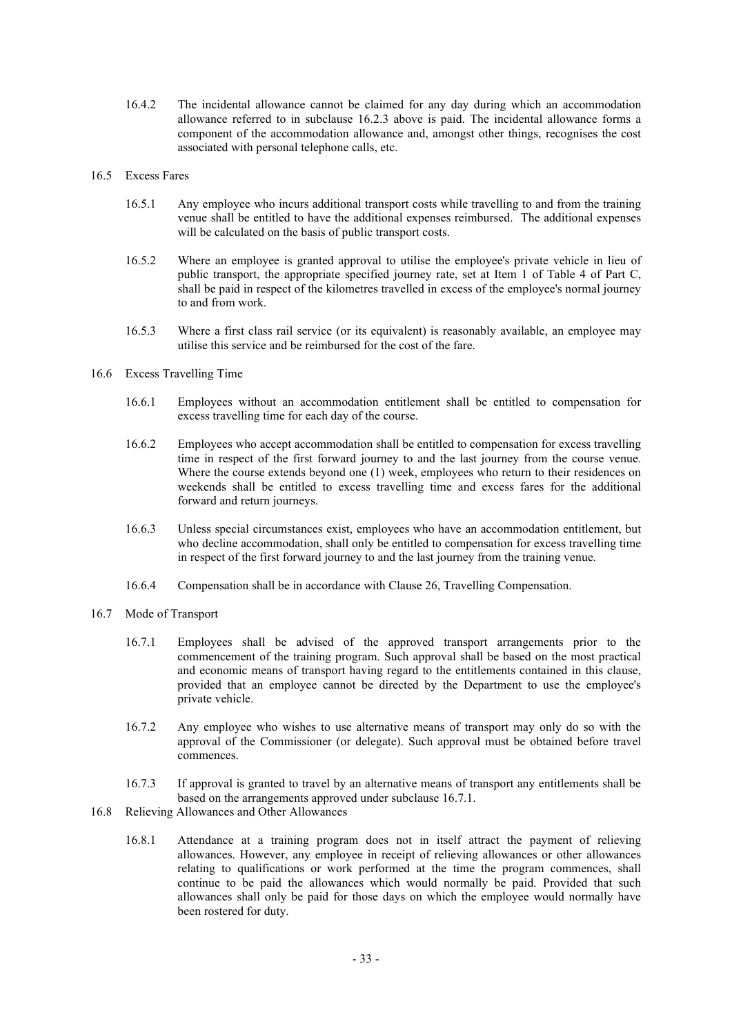- 16.4.2 The incidental allowance cannot be claimed for any day during which an accommodation allowance referred to in subclause 16.2.3 above is paid. The incidental allowance forms a component of the accommodation allowance and, amongst other things, recognises the cost associated with personal telephone calls, etc.
- 16.5 Excess Fares
	- 16.5.1 Any employee who incurs additional transport costs while travelling to and from the training venue shall be entitled to have the additional expenses reimbursed. The additional expenses will be calculated on the basis of public transport costs.
	- 16.5.2 Where an employee is granted approval to utilise the employee's private vehicle in lieu of public transport, the appropriate specified journey rate, set at Item 1 of Table 4 of Part C, shall be paid in respect of the kilometres travelled in excess of the employee's normal journey to and from work.
	- 16.5.3 Where a first class rail service (or its equivalent) is reasonably available, an employee may utilise this service and be reimbursed for the cost of the fare.
- 16.6 Excess Travelling Time
	- 16.6.1 Employees without an accommodation entitlement shall be entitled to compensation for excess travelling time for each day of the course.
	- 16.6.2 Employees who accept accommodation shall be entitled to compensation for excess travelling time in respect of the first forward journey to and the last journey from the course venue. Where the course extends beyond one (1) week, employees who return to their residences on weekends shall be entitled to excess travelling time and excess fares for the additional forward and return journeys.
	- 16.6.3 Unless special circumstances exist, employees who have an accommodation entitlement, but who decline accommodation, shall only be entitled to compensation for excess travelling time in respect of the first forward journey to and the last journey from the training venue.
	- 16.6.4 Compensation shall be in accordance with Clause 26, Travelling Compensation.
- 16.7 Mode of Transport
	- 16.7.1 Employees shall be advised of the approved transport arrangements prior to the commencement of the training program. Such approval shall be based on the most practical and economic means of transport having regard to the entitlements contained in this clause, provided that an employee cannot be directed by the Department to use the employee's private vehicle.
	- 16.7.2 Any employee who wishes to use alternative means of transport may only do so with the approval of the Commissioner (or delegate). Such approval must be obtained before travel commences.
	- 16.7.3 If approval is granted to travel by an alternative means of transport any entitlements shall be based on the arrangements approved under subclause 16.7.1.
- 16.8 Relieving Allowances and Other Allowances
	- 16.8.1 Attendance at a training program does not in itself attract the payment of relieving allowances. However, any employee in receipt of relieving allowances or other allowances relating to qualifications or work performed at the time the program commences, shall continue to be paid the allowances which would normally be paid. Provided that such allowances shall only be paid for those days on which the employee would normally have been rostered for duty.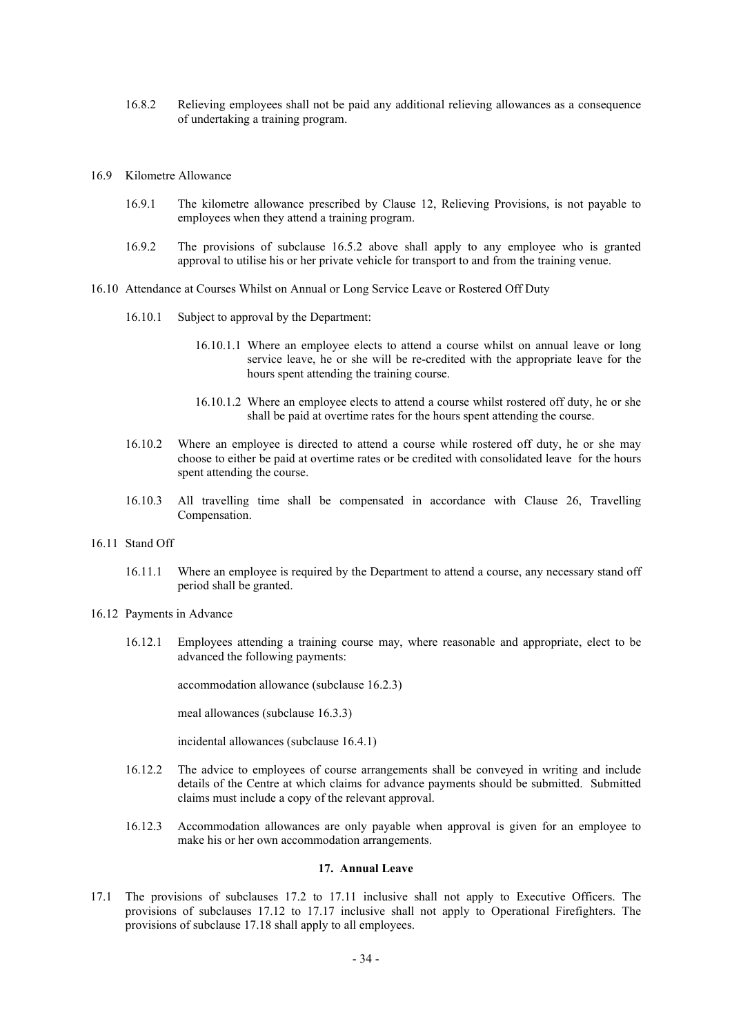- 16.8.2 Relieving employees shall not be paid any additional relieving allowances as a consequence of undertaking a training program.
- 16.9 Kilometre Allowance
	- 16.9.1 The kilometre allowance prescribed by Clause 12, Relieving Provisions, is not payable to employees when they attend a training program.
	- 16.9.2 The provisions of subclause 16.5.2 above shall apply to any employee who is granted approval to utilise his or her private vehicle for transport to and from the training venue.
- 16.10 Attendance at Courses Whilst on Annual or Long Service Leave or Rostered Off Duty
	- 16.10.1 Subject to approval by the Department:
		- 16.10.1.1 Where an employee elects to attend a course whilst on annual leave or long service leave, he or she will be re-credited with the appropriate leave for the hours spent attending the training course.
		- 16.10.1.2 Where an employee elects to attend a course whilst rostered off duty, he or she shall be paid at overtime rates for the hours spent attending the course.
	- 16.10.2 Where an employee is directed to attend a course while rostered off duty, he or she may choose to either be paid at overtime rates or be credited with consolidated leave for the hours spent attending the course.
	- 16.10.3 All travelling time shall be compensated in accordance with Clause 26, Travelling Compensation.
- 16.11 Stand Off
	- 16.11.1 Where an employee is required by the Department to attend a course, any necessary stand off period shall be granted.
- 16.12 Payments in Advance
	- 16.12.1 Employees attending a training course may, where reasonable and appropriate, elect to be advanced the following payments:

accommodation allowance (subclause 16.2.3)

meal allowances (subclause 16.3.3)

incidental allowances (subclause 16.4.1)

- 16.12.2 The advice to employees of course arrangements shall be conveyed in writing and include details of the Centre at which claims for advance payments should be submitted. Submitted claims must include a copy of the relevant approval.
- 16.12.3 Accommodation allowances are only payable when approval is given for an employee to make his or her own accommodation arrangements.

# **17. Annual Leave**

17.1 The provisions of subclauses 17.2 to 17.11 inclusive shall not apply to Executive Officers. The provisions of subclauses 17.12 to 17.17 inclusive shall not apply to Operational Firefighters. The provisions of subclause 17.18 shall apply to all employees.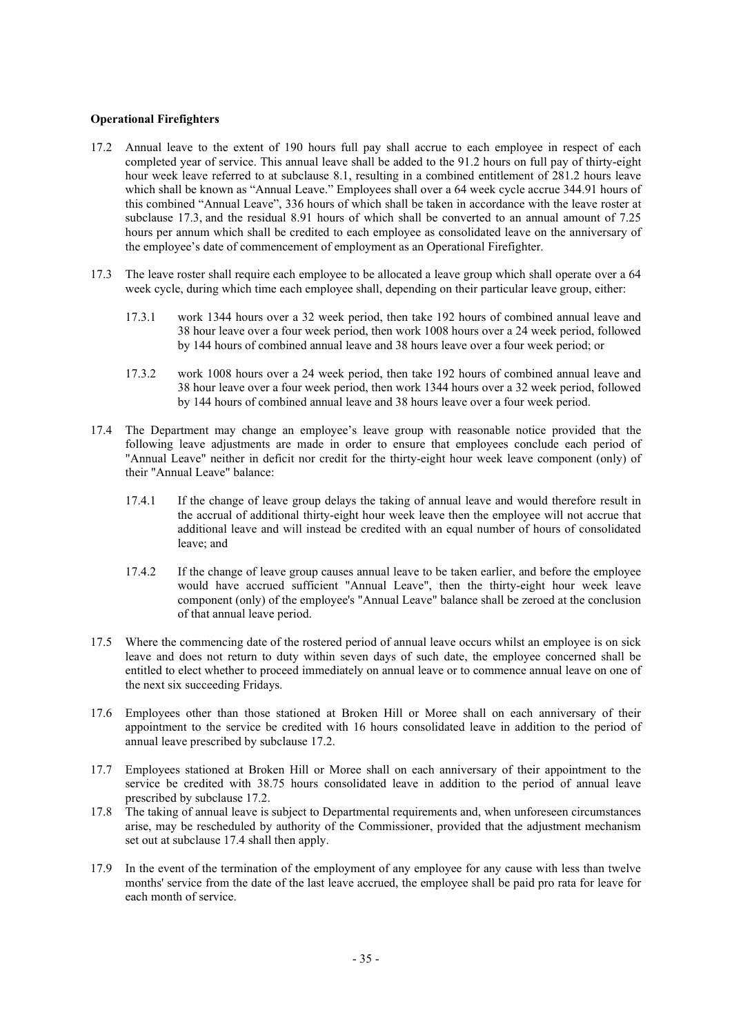# **Operational Firefighters**

- 17.2 Annual leave to the extent of 190 hours full pay shall accrue to each employee in respect of each completed year of service. This annual leave shall be added to the 91.2 hours on full pay of thirty-eight hour week leave referred to at subclause 8.1, resulting in a combined entitlement of 281.2 hours leave which shall be known as "Annual Leave." Employees shall over a 64 week cycle accrue 344.91 hours of this combined "Annual Leave", 336 hours of which shall be taken in accordance with the leave roster at subclause 17.3, and the residual 8.91 hours of which shall be converted to an annual amount of 7.25 hours per annum which shall be credited to each employee as consolidated leave on the anniversary of the employee's date of commencement of employment as an Operational Firefighter.
- 17.3 The leave roster shall require each employee to be allocated a leave group which shall operate over a 64 week cycle, during which time each employee shall, depending on their particular leave group, either:
	- 17.3.1 work 1344 hours over a 32 week period, then take 192 hours of combined annual leave and 38 hour leave over a four week period, then work 1008 hours over a 24 week period, followed by 144 hours of combined annual leave and 38 hours leave over a four week period; or
	- 17.3.2 work 1008 hours over a 24 week period, then take 192 hours of combined annual leave and 38 hour leave over a four week period, then work 1344 hours over a 32 week period, followed by 144 hours of combined annual leave and 38 hours leave over a four week period.
- 17.4 The Department may change an employee's leave group with reasonable notice provided that the following leave adjustments are made in order to ensure that employees conclude each period of "Annual Leave" neither in deficit nor credit for the thirty-eight hour week leave component (only) of their "Annual Leave" balance:
	- 17.4.1 If the change of leave group delays the taking of annual leave and would therefore result in the accrual of additional thirty-eight hour week leave then the employee will not accrue that additional leave and will instead be credited with an equal number of hours of consolidated leave; and
	- 17.4.2 If the change of leave group causes annual leave to be taken earlier, and before the employee would have accrued sufficient "Annual Leave", then the thirty-eight hour week leave component (only) of the employee's "Annual Leave" balance shall be zeroed at the conclusion of that annual leave period.
- 17.5 Where the commencing date of the rostered period of annual leave occurs whilst an employee is on sick leave and does not return to duty within seven days of such date, the employee concerned shall be entitled to elect whether to proceed immediately on annual leave or to commence annual leave on one of the next six succeeding Fridays.
- 17.6 Employees other than those stationed at Broken Hill or Moree shall on each anniversary of their appointment to the service be credited with 16 hours consolidated leave in addition to the period of annual leave prescribed by subclause 17.2.
- 17.7 Employees stationed at Broken Hill or Moree shall on each anniversary of their appointment to the service be credited with 38.75 hours consolidated leave in addition to the period of annual leave prescribed by subclause 17.2.
- 17.8 The taking of annual leave is subject to Departmental requirements and, when unforeseen circumstances arise, may be rescheduled by authority of the Commissioner, provided that the adjustment mechanism set out at subclause 17.4 shall then apply.
- 17.9 In the event of the termination of the employment of any employee for any cause with less than twelve months' service from the date of the last leave accrued, the employee shall be paid pro rata for leave for each month of service.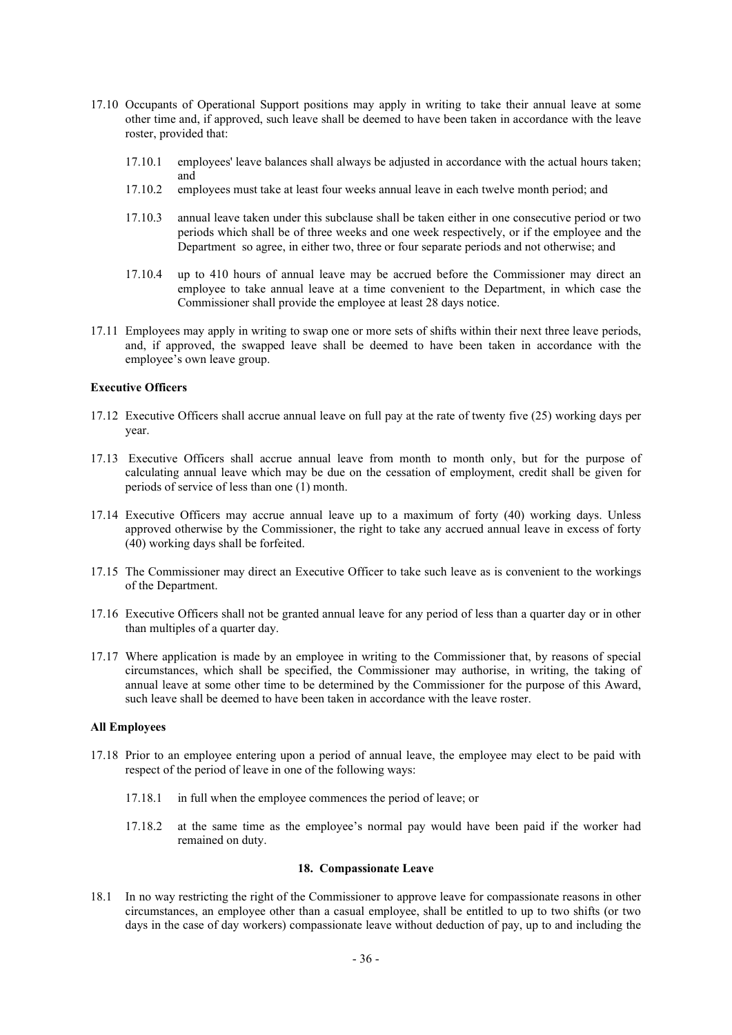- 17.10 Occupants of Operational Support positions may apply in writing to take their annual leave at some other time and, if approved, such leave shall be deemed to have been taken in accordance with the leave roster, provided that:
	- 17.10.1 employees' leave balances shall always be adjusted in accordance with the actual hours taken; and
	- 17.10.2 employees must take at least four weeks annual leave in each twelve month period; and
	- 17.10.3 annual leave taken under this subclause shall be taken either in one consecutive period or two periods which shall be of three weeks and one week respectively, or if the employee and the Department so agree, in either two, three or four separate periods and not otherwise; and
	- 17.10.4 up to 410 hours of annual leave may be accrued before the Commissioner may direct an employee to take annual leave at a time convenient to the Department, in which case the Commissioner shall provide the employee at least 28 days notice.
- 17.11 Employees may apply in writing to swap one or more sets of shifts within their next three leave periods, and, if approved, the swapped leave shall be deemed to have been taken in accordance with the employee's own leave group.

# **Executive Officers**

- 17.12 Executive Officers shall accrue annual leave on full pay at the rate of twenty five (25) working days per year.
- 17.13 Executive Officers shall accrue annual leave from month to month only, but for the purpose of calculating annual leave which may be due on the cessation of employment, credit shall be given for periods of service of less than one (1) month.
- 17.14 Executive Officers may accrue annual leave up to a maximum of forty (40) working days. Unless approved otherwise by the Commissioner, the right to take any accrued annual leave in excess of forty (40) working days shall be forfeited.
- 17.15 The Commissioner may direct an Executive Officer to take such leave as is convenient to the workings of the Department.
- 17.16 Executive Officers shall not be granted annual leave for any period of less than a quarter day or in other than multiples of a quarter day.
- 17.17 Where application is made by an employee in writing to the Commissioner that, by reasons of special circumstances, which shall be specified, the Commissioner may authorise, in writing, the taking of annual leave at some other time to be determined by the Commissioner for the purpose of this Award, such leave shall be deemed to have been taken in accordance with the leave roster.

# **All Employees**

- 17.18 Prior to an employee entering upon a period of annual leave, the employee may elect to be paid with respect of the period of leave in one of the following ways:
	- 17.18.1 in full when the employee commences the period of leave; or
	- 17.18.2 at the same time as the employee's normal pay would have been paid if the worker had remained on duty.

#### **18. Compassionate Leave**

18.1 In no way restricting the right of the Commissioner to approve leave for compassionate reasons in other circumstances, an employee other than a casual employee, shall be entitled to up to two shifts (or two days in the case of day workers) compassionate leave without deduction of pay, up to and including the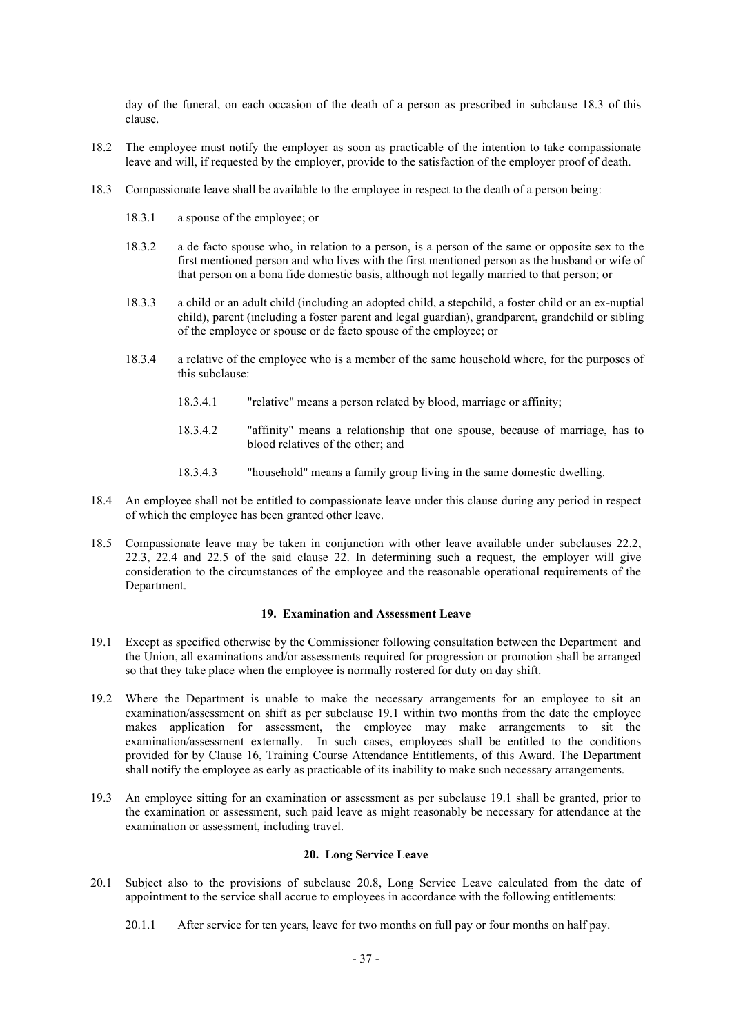day of the funeral, on each occasion of the death of a person as prescribed in subclause 18.3 of this clause.

- 18.2 The employee must notify the employer as soon as practicable of the intention to take compassionate leave and will, if requested by the employer, provide to the satisfaction of the employer proof of death.
- 18.3 Compassionate leave shall be available to the employee in respect to the death of a person being:
	- 18.3.1 a spouse of the employee; or
	- 18.3.2 a de facto spouse who, in relation to a person, is a person of the same or opposite sex to the first mentioned person and who lives with the first mentioned person as the husband or wife of that person on a bona fide domestic basis, although not legally married to that person; or
	- 18.3.3 a child or an adult child (including an adopted child, a stepchild, a foster child or an ex-nuptial child), parent (including a foster parent and legal guardian), grandparent, grandchild or sibling of the employee or spouse or de facto spouse of the employee; or
	- 18.3.4 a relative of the employee who is a member of the same household where, for the purposes of this subclause:
		- 18.3.4.1 "relative" means a person related by blood, marriage or affinity;
		- 18.3.4.2 "affinity" means a relationship that one spouse, because of marriage, has to blood relatives of the other; and
		- 18.3.4.3 "household" means a family group living in the same domestic dwelling.
- 18.4 An employee shall not be entitled to compassionate leave under this clause during any period in respect of which the employee has been granted other leave.
- 18.5 Compassionate leave may be taken in conjunction with other leave available under subclauses 22.2, 22.3, 22.4 and 22.5 of the said clause 22. In determining such a request, the employer will give consideration to the circumstances of the employee and the reasonable operational requirements of the Department.

## **19. Examination and Assessment Leave**

- 19.1 Except as specified otherwise by the Commissioner following consultation between the Department and the Union, all examinations and/or assessments required for progression or promotion shall be arranged so that they take place when the employee is normally rostered for duty on day shift.
- 19.2 Where the Department is unable to make the necessary arrangements for an employee to sit an examination/assessment on shift as per subclause 19.1 within two months from the date the employee makes application for assessment, the employee may make arrangements to sit the examination/assessment externally. In such cases, employees shall be entitled to the conditions provided for by Clause 16, Training Course Attendance Entitlements, of this Award. The Department shall notify the employee as early as practicable of its inability to make such necessary arrangements.
- 19.3 An employee sitting for an examination or assessment as per subclause 19.1 shall be granted, prior to the examination or assessment, such paid leave as might reasonably be necessary for attendance at the examination or assessment, including travel.

## **20. Long Service Leave**

- 20.1 Subject also to the provisions of subclause 20.8, Long Service Leave calculated from the date of appointment to the service shall accrue to employees in accordance with the following entitlements:
	- 20.1.1 After service for ten years, leave for two months on full pay or four months on half pay.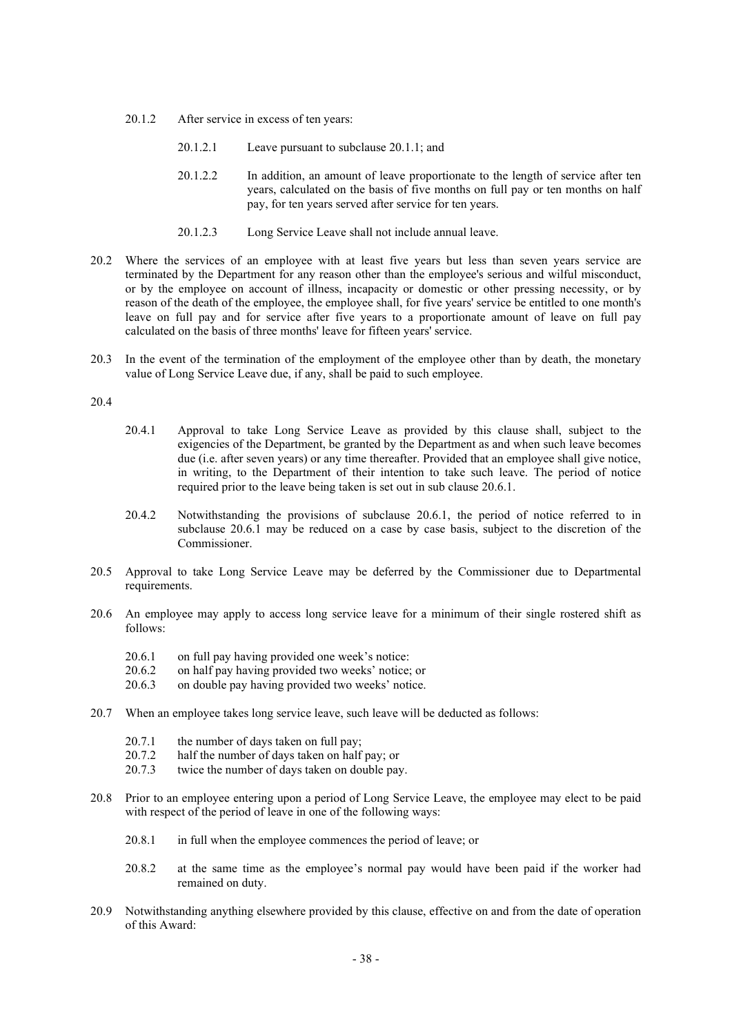- 20.1.2 After service in excess of ten years:
	- 20.1.2.1 Leave pursuant to subclause 20.1.1; and
	- 20.1.2.2 In addition, an amount of leave proportionate to the length of service after ten years, calculated on the basis of five months on full pay or ten months on half pay, for ten years served after service for ten years.
	- 20.1.2.3 Long Service Leave shall not include annual leave.
- 20.2 Where the services of an employee with at least five years but less than seven years service are terminated by the Department for any reason other than the employee's serious and wilful misconduct, or by the employee on account of illness, incapacity or domestic or other pressing necessity, or by reason of the death of the employee, the employee shall, for five years' service be entitled to one month's leave on full pay and for service after five years to a proportionate amount of leave on full pay calculated on the basis of three months' leave for fifteen years' service.
- 20.3 In the event of the termination of the employment of the employee other than by death, the monetary value of Long Service Leave due, if any, shall be paid to such employee.

## 20.4

- 20.4.1 Approval to take Long Service Leave as provided by this clause shall, subject to the exigencies of the Department, be granted by the Department as and when such leave becomes due (i.e. after seven years) or any time thereafter. Provided that an employee shall give notice, in writing, to the Department of their intention to take such leave. The period of notice required prior to the leave being taken is set out in sub clause 20.6.1.
- 20.4.2 Notwithstanding the provisions of subclause 20.6.1, the period of notice referred to in subclause 20.6.1 may be reduced on a case by case basis, subject to the discretion of the Commissioner.
- 20.5 Approval to take Long Service Leave may be deferred by the Commissioner due to Departmental requirements.
- 20.6 An employee may apply to access long service leave for a minimum of their single rostered shift as follows:
	- 20.6.1 on full pay having provided one week's notice:<br>20.6.2 on half nay having provided two weeks' notice:
	- 20.6.2 on half pay having provided two weeks' notice; or<br>20.6.3 on double pay having provided two weeks' notice
	- on double pay having provided two weeks' notice.
- 20.7 When an employee takes long service leave, such leave will be deducted as follows:
	- 20.7.1 the number of days taken on full pay;
	- 20.7.2 half the number of days taken on half pay; or
	- 20.7.3 twice the number of days taken on double pay.
- 20.8 Prior to an employee entering upon a period of Long Service Leave, the employee may elect to be paid with respect of the period of leave in one of the following ways:
	- 20.8.1 in full when the employee commences the period of leave; or
	- 20.8.2 at the same time as the employee's normal pay would have been paid if the worker had remained on duty.
- 20.9 Notwithstanding anything elsewhere provided by this clause, effective on and from the date of operation of this Award: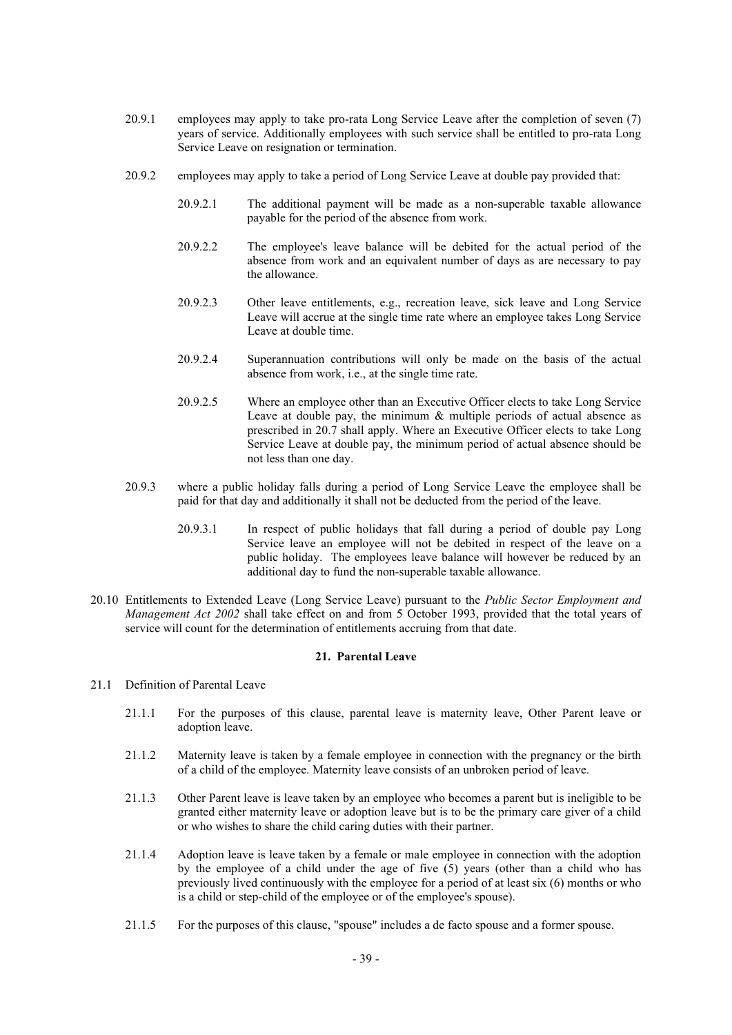- 20.9.1 employees may apply to take pro-rata Long Service Leave after the completion of seven (7) years of service. Additionally employees with such service shall be entitled to pro-rata Long Service Leave on resignation or termination.
- 20.9.2 employees may apply to take a period of Long Service Leave at double pay provided that:
	- 20.9.2.1 The additional payment will be made as a non-superable taxable allowance payable for the period of the absence from work.
	- 20.9.2.2 The employee's leave balance will be debited for the actual period of the absence from work and an equivalent number of days as are necessary to pay the allowance.
	- 20.9.2.3 Other leave entitlements, e.g., recreation leave, sick leave and Long Service Leave will accrue at the single time rate where an employee takes Long Service Leave at double time.
	- 20.9.2.4 Superannuation contributions will only be made on the basis of the actual absence from work, i.e., at the single time rate.
	- 20.9.2.5 Where an employee other than an Executive Officer elects to take Long Service Leave at double pay, the minimum & multiple periods of actual absence as prescribed in 20.7 shall apply. Where an Executive Officer elects to take Long Service Leave at double pay, the minimum period of actual absence should be not less than one day.
- 20.9.3 where a public holiday falls during a period of Long Service Leave the employee shall be paid for that day and additionally it shall not be deducted from the period of the leave.
	- 20.9.3.1 In respect of public holidays that fall during a period of double pay Long Service leave an employee will not be debited in respect of the leave on a public holiday. The employees leave balance will however be reduced by an additional day to fund the non-superable taxable allowance.
- 20.10 Entitlements to Extended Leave (Long Service Leave) pursuant to the *Public Sector Employment and Management Act 2002* shall take effect on and from 5 October 1993, provided that the total years of service will count for the determination of entitlements accruing from that date.

## **21. Parental Leave**

## 21.1 Definition of Parental Leave

- 21.1.1 For the purposes of this clause, parental leave is maternity leave, Other Parent leave or adoption leave.
- 21.1.2 Maternity leave is taken by a female employee in connection with the pregnancy or the birth of a child of the employee. Maternity leave consists of an unbroken period of leave.
- 21.1.3 Other Parent leave is leave taken by an employee who becomes a parent but is ineligible to be granted either maternity leave or adoption leave but is to be the primary care giver of a child or who wishes to share the child caring duties with their partner.
- 21.1.4 Adoption leave is leave taken by a female or male employee in connection with the adoption by the employee of a child under the age of five (5) years (other than a child who has previously lived continuously with the employee for a period of at least six (6) months or who is a child or step-child of the employee or of the employee's spouse).
- 21.1.5 For the purposes of this clause, "spouse" includes a de facto spouse and a former spouse.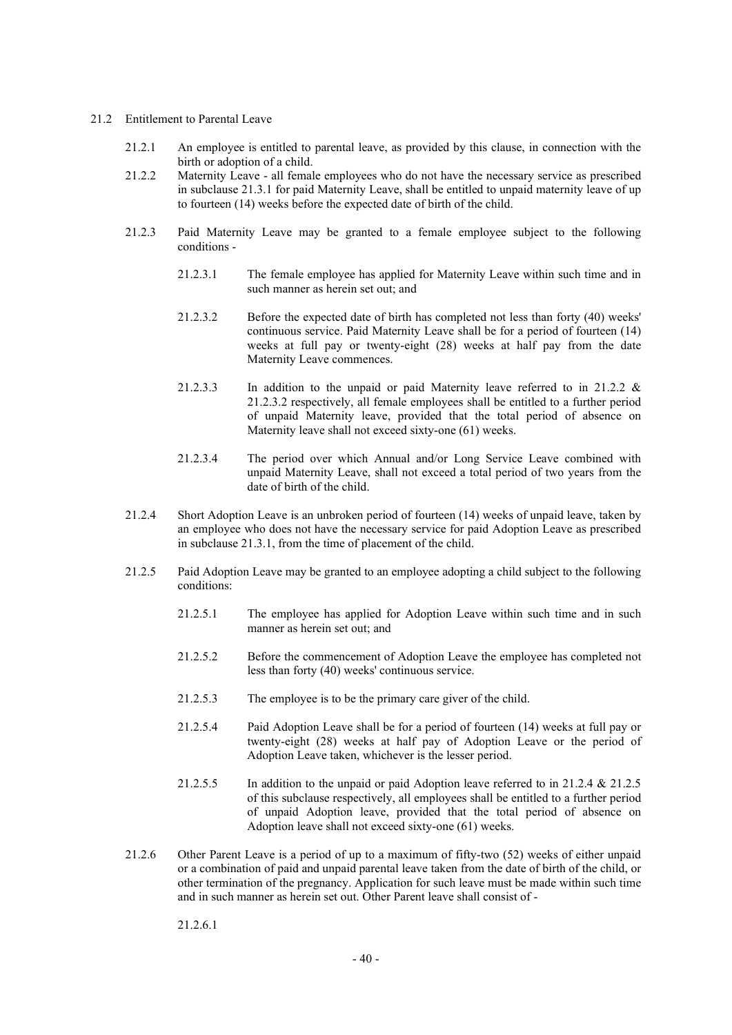### 21.2 Entitlement to Parental Leave

- 21.2.1 An employee is entitled to parental leave, as provided by this clause, in connection with the birth or adoption of a child.
- 21.2.2 Maternity Leave all female employees who do not have the necessary service as prescribed in subclause 21.3.1 for paid Maternity Leave, shall be entitled to unpaid maternity leave of up to fourteen (14) weeks before the expected date of birth of the child.
- 21.2.3 Paid Maternity Leave may be granted to a female employee subject to the following conditions -
	- 21.2.3.1 The female employee has applied for Maternity Leave within such time and in such manner as herein set out; and
	- 21.2.3.2 Before the expected date of birth has completed not less than forty (40) weeks' continuous service. Paid Maternity Leave shall be for a period of fourteen (14) weeks at full pay or twenty-eight (28) weeks at half pay from the date Maternity Leave commences.
	- 21.2.3.3 In addition to the unpaid or paid Maternity leave referred to in 21.2.2 & 21.2.3.2 respectively, all female employees shall be entitled to a further period of unpaid Maternity leave, provided that the total period of absence on Maternity leave shall not exceed sixty-one (61) weeks.
	- 21.2.3.4 The period over which Annual and/or Long Service Leave combined with unpaid Maternity Leave, shall not exceed a total period of two years from the date of birth of the child.
- 21.2.4 Short Adoption Leave is an unbroken period of fourteen (14) weeks of unpaid leave, taken by an employee who does not have the necessary service for paid Adoption Leave as prescribed in subclause 21.3.1, from the time of placement of the child.
- 21.2.5 Paid Adoption Leave may be granted to an employee adopting a child subject to the following conditions:
	- 21.2.5.1 The employee has applied for Adoption Leave within such time and in such manner as herein set out; and
	- 21.2.5.2 Before the commencement of Adoption Leave the employee has completed not less than forty (40) weeks' continuous service.
	- 21.2.5.3 The employee is to be the primary care giver of the child.
	- 21.2.5.4 Paid Adoption Leave shall be for a period of fourteen (14) weeks at full pay or twenty-eight (28) weeks at half pay of Adoption Leave or the period of Adoption Leave taken, whichever is the lesser period.
	- 21.2.5.5 In addition to the unpaid or paid Adoption leave referred to in 21.2.4 & 21.2.5 of this subclause respectively, all employees shall be entitled to a further period of unpaid Adoption leave, provided that the total period of absence on Adoption leave shall not exceed sixty-one (61) weeks.
- 21.2.6 Other Parent Leave is a period of up to a maximum of fifty-two (52) weeks of either unpaid or a combination of paid and unpaid parental leave taken from the date of birth of the child, or other termination of the pregnancy. Application for such leave must be made within such time and in such manner as herein set out. Other Parent leave shall consist of -

21.2.6.1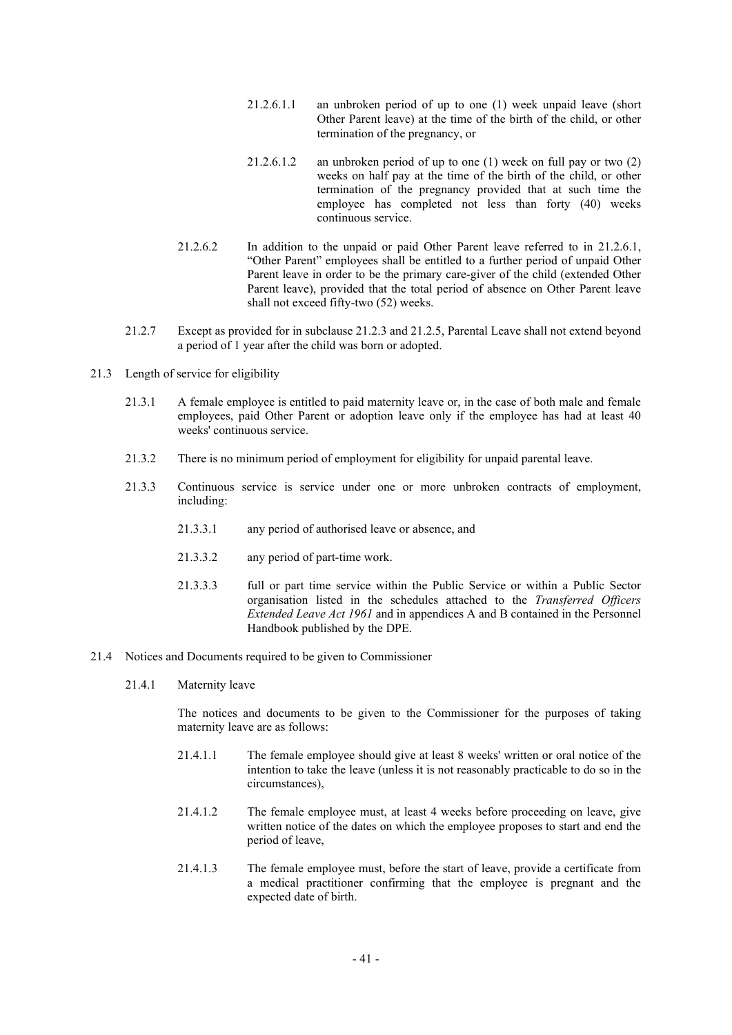- 21.2.6.1.1 an unbroken period of up to one (1) week unpaid leave (short Other Parent leave) at the time of the birth of the child, or other termination of the pregnancy, or
- 21.2.6.1.2 an unbroken period of up to one (1) week on full pay or two (2) weeks on half pay at the time of the birth of the child, or other termination of the pregnancy provided that at such time the employee has completed not less than forty (40) weeks continuous service.
- 21.2.6.2 In addition to the unpaid or paid Other Parent leave referred to in 21.2.6.1, "Other Parent" employees shall be entitled to a further period of unpaid Other Parent leave in order to be the primary care-giver of the child (extended Other Parent leave), provided that the total period of absence on Other Parent leave shall not exceed fifty-two (52) weeks.
- 21.2.7 Except as provided for in subclause 21.2.3 and 21.2.5, Parental Leave shall not extend beyond a period of 1 year after the child was born or adopted.
- 21.3 Length of service for eligibility
	- 21.3.1 A female employee is entitled to paid maternity leave or, in the case of both male and female employees, paid Other Parent or adoption leave only if the employee has had at least 40 weeks' continuous service.
	- 21.3.2 There is no minimum period of employment for eligibility for unpaid parental leave.
	- 21.3.3 Continuous service is service under one or more unbroken contracts of employment, including:
		- 21.3.3.1 any period of authorised leave or absence, and
		- 21.3.3.2 any period of part-time work.
		- 21.3.3.3 full or part time service within the Public Service or within a Public Sector organisation listed in the schedules attached to the *Transferred Officers Extended Leave Act 1961* and in appendices A and B contained in the Personnel Handbook published by the DPE.
- 21.4 Notices and Documents required to be given to Commissioner
	- 21.4.1 Maternity leave

The notices and documents to be given to the Commissioner for the purposes of taking maternity leave are as follows:

- 21.4.1.1 The female employee should give at least 8 weeks' written or oral notice of the intention to take the leave (unless it is not reasonably practicable to do so in the circumstances),
- 21.4.1.2 The female employee must, at least 4 weeks before proceeding on leave, give written notice of the dates on which the employee proposes to start and end the period of leave,
- 21.4.1.3 The female employee must, before the start of leave, provide a certificate from a medical practitioner confirming that the employee is pregnant and the expected date of birth.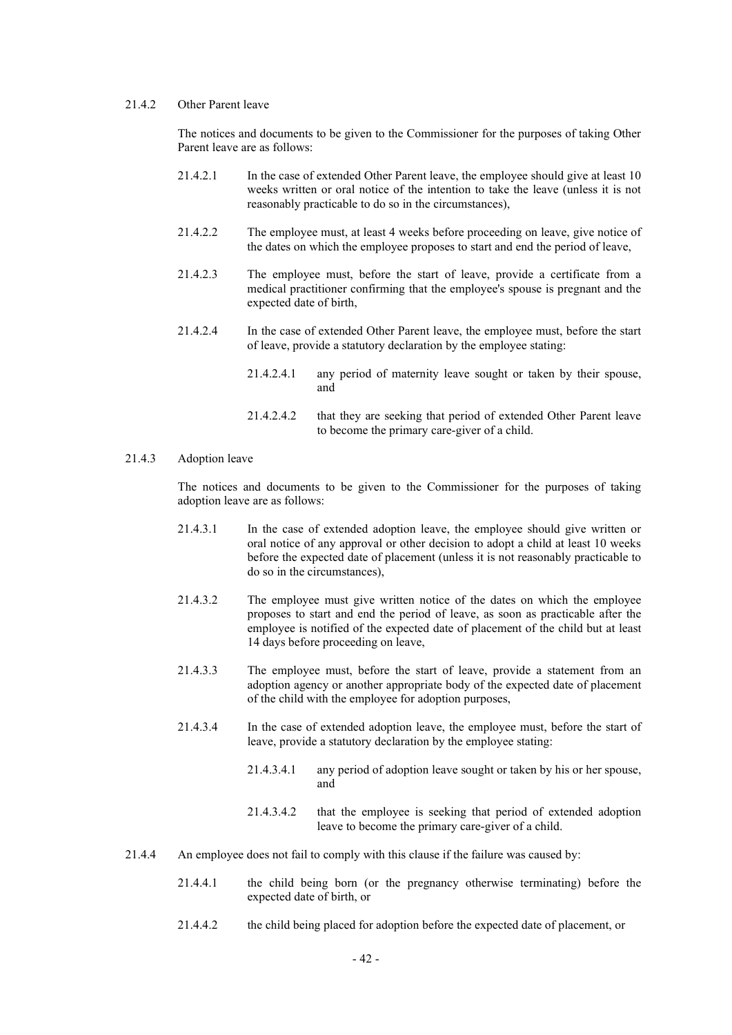# 21.4.2 Other Parent leave

The notices and documents to be given to the Commissioner for the purposes of taking Other Parent leave are as follows:

- 21.4.2.1 In the case of extended Other Parent leave, the employee should give at least 10 weeks written or oral notice of the intention to take the leave (unless it is not reasonably practicable to do so in the circumstances),
- 21.4.2.2 The employee must, at least 4 weeks before proceeding on leave, give notice of the dates on which the employee proposes to start and end the period of leave,
- 21.4.2.3 The employee must, before the start of leave, provide a certificate from a medical practitioner confirming that the employee's spouse is pregnant and the expected date of birth,
- 21.4.2.4 In the case of extended Other Parent leave, the employee must, before the start of leave, provide a statutory declaration by the employee stating:
	- 21.4.2.4.1 any period of maternity leave sought or taken by their spouse, and
	- 21.4.2.4.2 that they are seeking that period of extended Other Parent leave to become the primary care-giver of a child.

#### 21.4.3 Adoption leave

The notices and documents to be given to the Commissioner for the purposes of taking adoption leave are as follows:

- 21.4.3.1 In the case of extended adoption leave, the employee should give written or oral notice of any approval or other decision to adopt a child at least 10 weeks before the expected date of placement (unless it is not reasonably practicable to do so in the circumstances),
- 21.4.3.2 The employee must give written notice of the dates on which the employee proposes to start and end the period of leave, as soon as practicable after the employee is notified of the expected date of placement of the child but at least 14 days before proceeding on leave,
- 21.4.3.3 The employee must, before the start of leave, provide a statement from an adoption agency or another appropriate body of the expected date of placement of the child with the employee for adoption purposes,
- 21.4.3.4 In the case of extended adoption leave, the employee must, before the start of leave, provide a statutory declaration by the employee stating:
	- 21.4.3.4.1 any period of adoption leave sought or taken by his or her spouse, and
	- 21.4.3.4.2 that the employee is seeking that period of extended adoption leave to become the primary care-giver of a child.
- 21.4.4 An employee does not fail to comply with this clause if the failure was caused by:
	- 21.4.4.1 the child being born (or the pregnancy otherwise terminating) before the expected date of birth, or
	- 21.4.4.2 the child being placed for adoption before the expected date of placement, or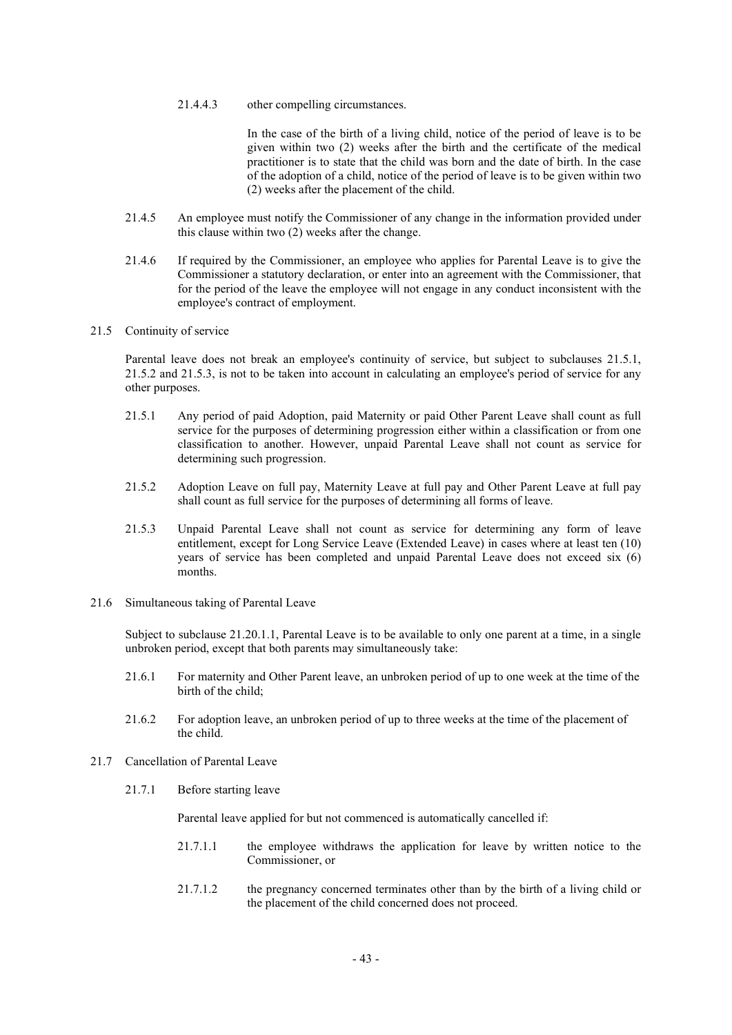21.4.4.3 other compelling circumstances.

In the case of the birth of a living child, notice of the period of leave is to be given within two (2) weeks after the birth and the certificate of the medical practitioner is to state that the child was born and the date of birth. In the case of the adoption of a child, notice of the period of leave is to be given within two (2) weeks after the placement of the child.

- 21.4.5 An employee must notify the Commissioner of any change in the information provided under this clause within two (2) weeks after the change.
- 21.4.6 If required by the Commissioner, an employee who applies for Parental Leave is to give the Commissioner a statutory declaration, or enter into an agreement with the Commissioner, that for the period of the leave the employee will not engage in any conduct inconsistent with the employee's contract of employment.

## 21.5 Continuity of service

Parental leave does not break an employee's continuity of service, but subject to subclauses 21.5.1, 21.5.2 and 21.5.3, is not to be taken into account in calculating an employee's period of service for any other purposes.

- 21.5.1 Any period of paid Adoption, paid Maternity or paid Other Parent Leave shall count as full service for the purposes of determining progression either within a classification or from one classification to another. However, unpaid Parental Leave shall not count as service for determining such progression.
- 21.5.2 Adoption Leave on full pay, Maternity Leave at full pay and Other Parent Leave at full pay shall count as full service for the purposes of determining all forms of leave.
- 21.5.3 Unpaid Parental Leave shall not count as service for determining any form of leave entitlement, except for Long Service Leave (Extended Leave) in cases where at least ten (10) years of service has been completed and unpaid Parental Leave does not exceed six (6) months.
- 21.6 Simultaneous taking of Parental Leave

Subject to subclause 21.20.1.1, Parental Leave is to be available to only one parent at a time, in a single unbroken period, except that both parents may simultaneously take:

- 21.6.1 For maternity and Other Parent leave, an unbroken period of up to one week at the time of the birth of the child;
- 21.6.2 For adoption leave, an unbroken period of up to three weeks at the time of the placement of the child.
- 21.7 Cancellation of Parental Leave
	- 21.7.1 Before starting leave

Parental leave applied for but not commenced is automatically cancelled if:

- 21.7.1.1 the employee withdraws the application for leave by written notice to the Commissioner, or
- 21.7.1.2 the pregnancy concerned terminates other than by the birth of a living child or the placement of the child concerned does not proceed.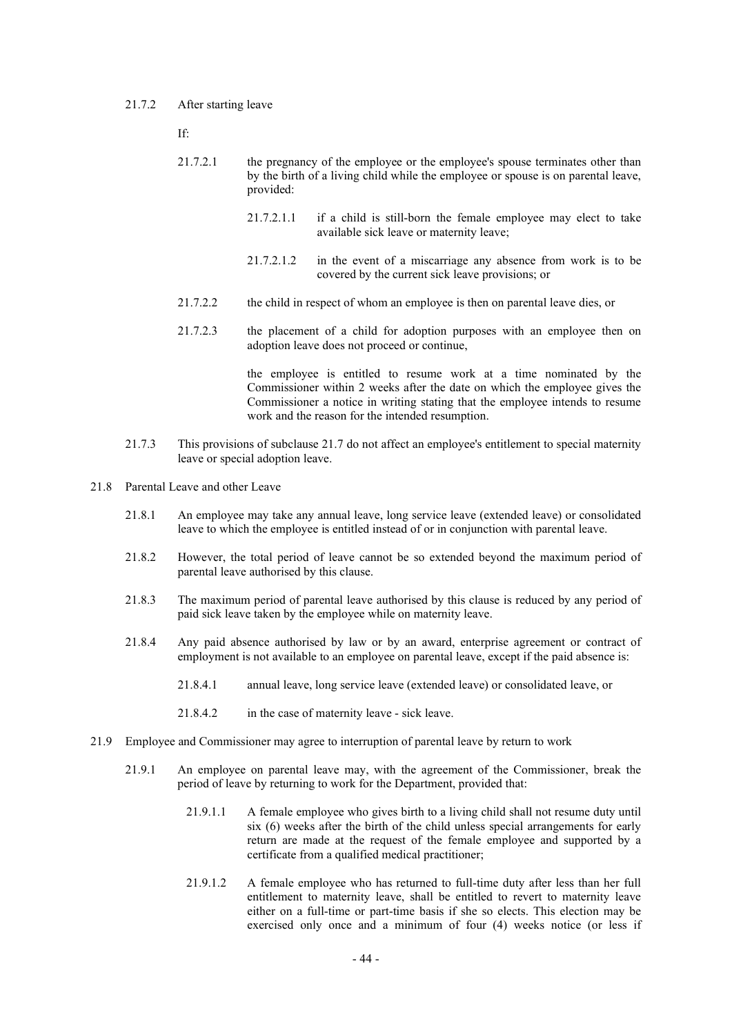#### 21.7.2 After starting leave

If:

- 21.7.2.1 the pregnancy of the employee or the employee's spouse terminates other than by the birth of a living child while the employee or spouse is on parental leave, provided:
	- 21.7.2.1.1 if a child is still-born the female employee may elect to take available sick leave or maternity leave;
	- 21.7.2.1.2 in the event of a miscarriage any absence from work is to be covered by the current sick leave provisions; or
- 21.7.2.2 the child in respect of whom an employee is then on parental leave dies, or
- 21.7.2.3 the placement of a child for adoption purposes with an employee then on adoption leave does not proceed or continue,

the employee is entitled to resume work at a time nominated by the Commissioner within 2 weeks after the date on which the employee gives the Commissioner a notice in writing stating that the employee intends to resume work and the reason for the intended resumption.

- 21.7.3 This provisions of subclause 21.7 do not affect an employee's entitlement to special maternity leave or special adoption leave.
- 21.8 Parental Leave and other Leave
	- 21.8.1 An employee may take any annual leave, long service leave (extended leave) or consolidated leave to which the employee is entitled instead of or in conjunction with parental leave.
	- 21.8.2 However, the total period of leave cannot be so extended beyond the maximum period of parental leave authorised by this clause.
	- 21.8.3 The maximum period of parental leave authorised by this clause is reduced by any period of paid sick leave taken by the employee while on maternity leave.
	- 21.8.4 Any paid absence authorised by law or by an award, enterprise agreement or contract of employment is not available to an employee on parental leave, except if the paid absence is:
		- 21.8.4.1 annual leave, long service leave (extended leave) or consolidated leave, or
		- 21.8.4.2 in the case of maternity leave sick leave.
- 21.9 Employee and Commissioner may agree to interruption of parental leave by return to work
	- 21.9.1 An employee on parental leave may, with the agreement of the Commissioner, break the period of leave by returning to work for the Department, provided that:
		- 21.9.1.1 A female employee who gives birth to a living child shall not resume duty until six (6) weeks after the birth of the child unless special arrangements for early return are made at the request of the female employee and supported by a certificate from a qualified medical practitioner;
		- 21.9.1.2 A female employee who has returned to full-time duty after less than her full entitlement to maternity leave, shall be entitled to revert to maternity leave either on a full-time or part-time basis if she so elects. This election may be exercised only once and a minimum of four (4) weeks notice (or less if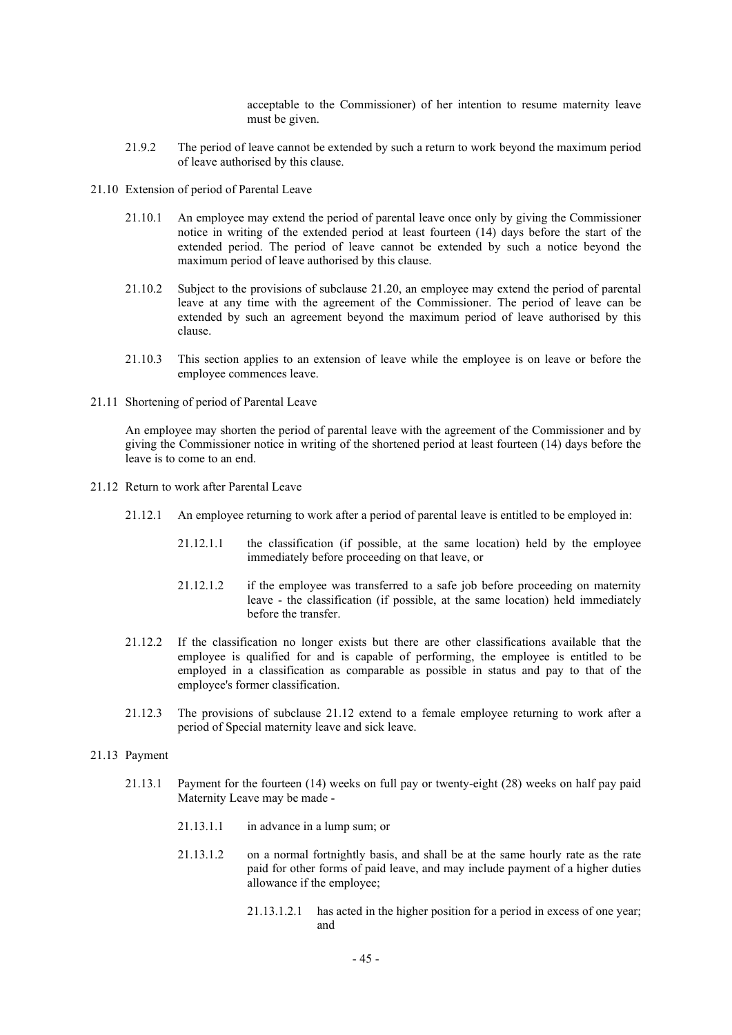acceptable to the Commissioner) of her intention to resume maternity leave must be given.

- 21.9.2 The period of leave cannot be extended by such a return to work beyond the maximum period of leave authorised by this clause.
- 21.10 Extension of period of Parental Leave
	- 21.10.1 An employee may extend the period of parental leave once only by giving the Commissioner notice in writing of the extended period at least fourteen (14) days before the start of the extended period. The period of leave cannot be extended by such a notice beyond the maximum period of leave authorised by this clause.
	- 21.10.2 Subject to the provisions of subclause 21.20, an employee may extend the period of parental leave at any time with the agreement of the Commissioner. The period of leave can be extended by such an agreement beyond the maximum period of leave authorised by this clause.
	- 21.10.3 This section applies to an extension of leave while the employee is on leave or before the employee commences leave.
- 21.11 Shortening of period of Parental Leave

An employee may shorten the period of parental leave with the agreement of the Commissioner and by giving the Commissioner notice in writing of the shortened period at least fourteen (14) days before the leave is to come to an end.

- 21.12 Return to work after Parental Leave
	- 21.12.1 An employee returning to work after a period of parental leave is entitled to be employed in:
		- 21.12.1.1 the classification (if possible, at the same location) held by the employee immediately before proceeding on that leave, or
		- 21.12.1.2 if the employee was transferred to a safe job before proceeding on maternity leave - the classification (if possible, at the same location) held immediately before the transfer.
	- 21.12.2 If the classification no longer exists but there are other classifications available that the employee is qualified for and is capable of performing, the employee is entitled to be employed in a classification as comparable as possible in status and pay to that of the employee's former classification.
	- 21.12.3 The provisions of subclause 21.12 extend to a female employee returning to work after a period of Special maternity leave and sick leave.

#### 21.13 Payment

- 21.13.1 Payment for the fourteen (14) weeks on full pay or twenty-eight (28) weeks on half pay paid Maternity Leave may be made -
	- 21.13.1.1 in advance in a lump sum; or
	- 21.13.1.2 on a normal fortnightly basis, and shall be at the same hourly rate as the rate paid for other forms of paid leave, and may include payment of a higher duties allowance if the employee;
		- 21.13.1.2.1 has acted in the higher position for a period in excess of one year; and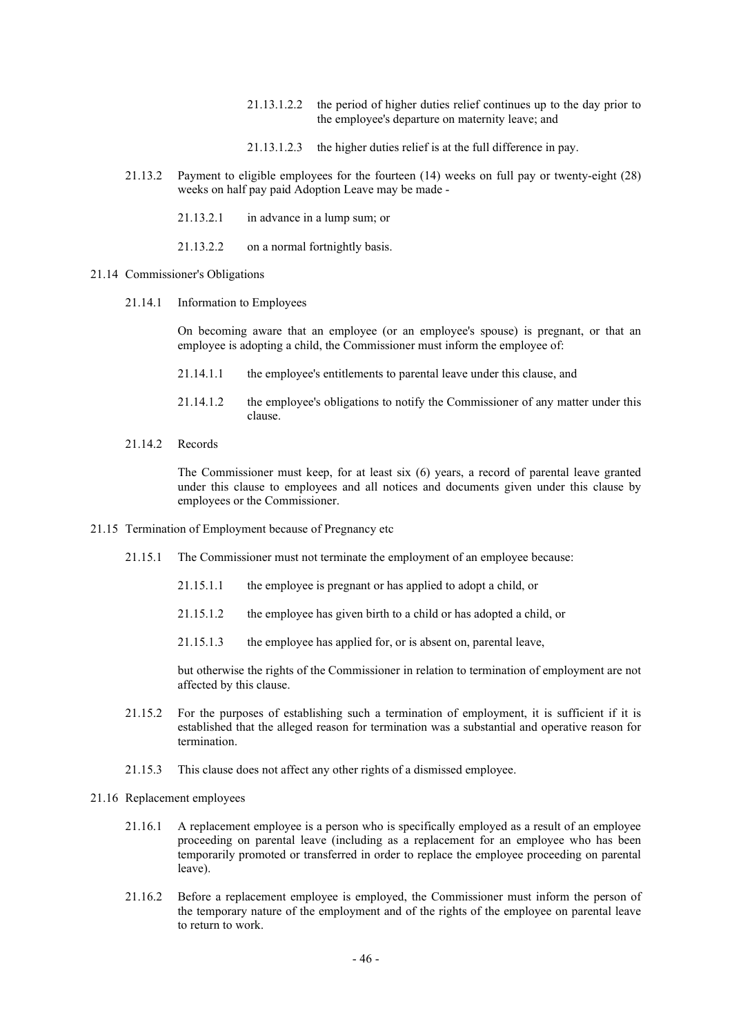- 21.13.1.2.2 the period of higher duties relief continues up to the day prior to the employee's departure on maternity leave; and
- 21.13.1.2.3 the higher duties relief is at the full difference in pay.
- 21.13.2 Payment to eligible employees for the fourteen (14) weeks on full pay or twenty-eight (28) weeks on half pay paid Adoption Leave may be made -
	- 21.13.2.1 in advance in a lump sum; or
	- 21.13.2.2 on a normal fortnightly basis.
- 21.14 Commissioner's Obligations
	- 21.14.1 Information to Employees

On becoming aware that an employee (or an employee's spouse) is pregnant, or that an employee is adopting a child, the Commissioner must inform the employee of:

- 21.14.1.1 the employee's entitlements to parental leave under this clause, and
- 21.14.1.2 the employee's obligations to notify the Commissioner of any matter under this clause.
- 21.14.2 Records

The Commissioner must keep, for at least six (6) years, a record of parental leave granted under this clause to employees and all notices and documents given under this clause by employees or the Commissioner.

- 21.15 Termination of Employment because of Pregnancy etc
	- 21.15.1 The Commissioner must not terminate the employment of an employee because:
		- 21.15.1.1 the employee is pregnant or has applied to adopt a child, or
		- 21.15.1.2 the employee has given birth to a child or has adopted a child, or
		- 21.15.1.3 the employee has applied for, or is absent on, parental leave,

but otherwise the rights of the Commissioner in relation to termination of employment are not affected by this clause.

- 21.15.2 For the purposes of establishing such a termination of employment, it is sufficient if it is established that the alleged reason for termination was a substantial and operative reason for termination.
- 21.15.3 This clause does not affect any other rights of a dismissed employee.
- 21.16 Replacement employees
	- 21.16.1 A replacement employee is a person who is specifically employed as a result of an employee proceeding on parental leave (including as a replacement for an employee who has been temporarily promoted or transferred in order to replace the employee proceeding on parental leave).
	- 21.16.2 Before a replacement employee is employed, the Commissioner must inform the person of the temporary nature of the employment and of the rights of the employee on parental leave to return to work.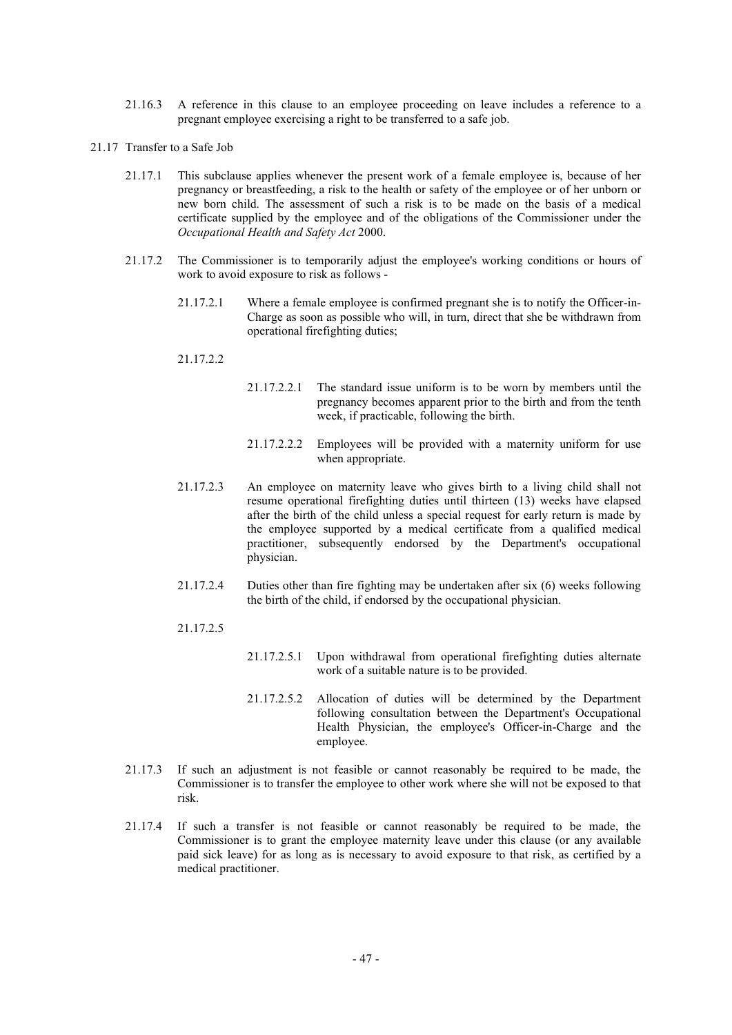- 21.16.3 A reference in this clause to an employee proceeding on leave includes a reference to a pregnant employee exercising a right to be transferred to a safe job.
- 21.17 Transfer to a Safe Job
	- 21.17.1 This subclause applies whenever the present work of a female employee is, because of her pregnancy or breastfeeding, a risk to the health or safety of the employee or of her unborn or new born child. The assessment of such a risk is to be made on the basis of a medical certificate supplied by the employee and of the obligations of the Commissioner under the *Occupational Health and Safety Act* 2000.
	- 21.17.2 The Commissioner is to temporarily adjust the employee's working conditions or hours of work to avoid exposure to risk as follows -
		- 21.17.2.1 Where a female employee is confirmed pregnant she is to notify the Officer-in-Charge as soon as possible who will, in turn, direct that she be withdrawn from operational firefighting duties;
		- 21.17.2.2
- 21.17.2.2.1 The standard issue uniform is to be worn by members until the pregnancy becomes apparent prior to the birth and from the tenth week, if practicable, following the birth.
- 21.17.2.2.2 Employees will be provided with a maternity uniform for use when appropriate.
- 21.17.2.3 An employee on maternity leave who gives birth to a living child shall not resume operational firefighting duties until thirteen (13) weeks have elapsed after the birth of the child unless a special request for early return is made by the employee supported by a medical certificate from a qualified medical practitioner, subsequently endorsed by the Department's occupational physician.
- 21.17.2.4 Duties other than fire fighting may be undertaken after six (6) weeks following the birth of the child, if endorsed by the occupational physician.
- 21.17.2.5
- 21.17.2.5.1 Upon withdrawal from operational firefighting duties alternate work of a suitable nature is to be provided.
- 21.17.2.5.2 Allocation of duties will be determined by the Department following consultation between the Department's Occupational Health Physician, the employee's Officer-in-Charge and the employee.
- 21.17.3 If such an adjustment is not feasible or cannot reasonably be required to be made, the Commissioner is to transfer the employee to other work where she will not be exposed to that risk.
- 21.17.4 If such a transfer is not feasible or cannot reasonably be required to be made, the Commissioner is to grant the employee maternity leave under this clause (or any available paid sick leave) for as long as is necessary to avoid exposure to that risk, as certified by a medical practitioner.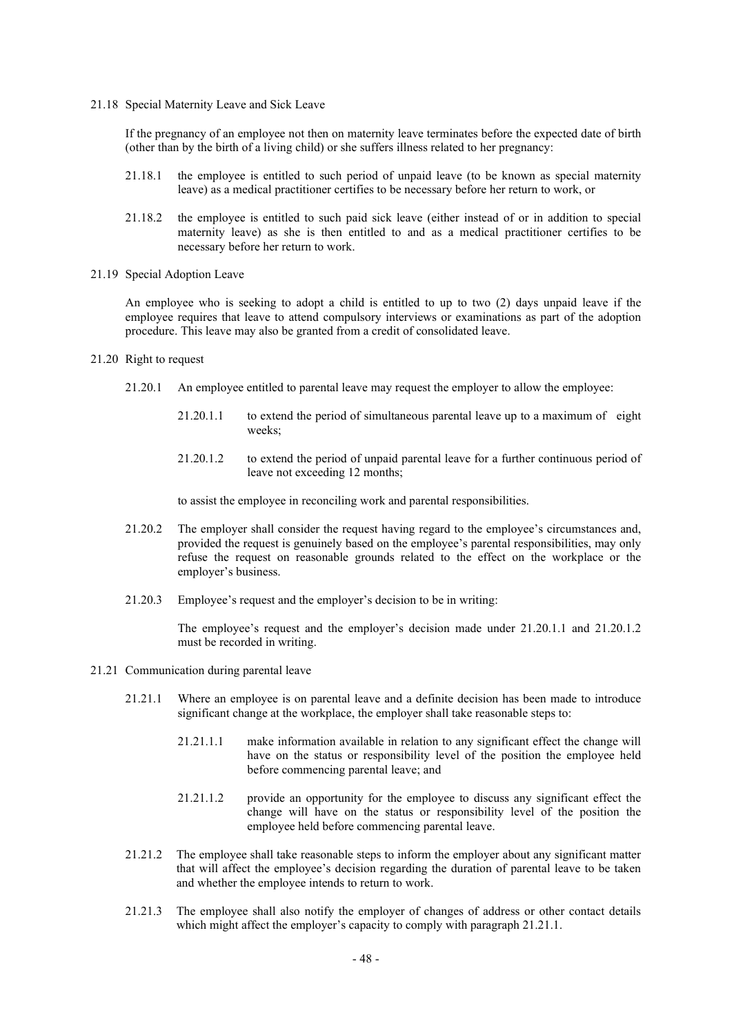21.18 Special Maternity Leave and Sick Leave

If the pregnancy of an employee not then on maternity leave terminates before the expected date of birth (other than by the birth of a living child) or she suffers illness related to her pregnancy:

- 21.18.1 the employee is entitled to such period of unpaid leave (to be known as special maternity leave) as a medical practitioner certifies to be necessary before her return to work, or
- 21.18.2 the employee is entitled to such paid sick leave (either instead of or in addition to special maternity leave) as she is then entitled to and as a medical practitioner certifies to be necessary before her return to work.
- 21.19 Special Adoption Leave

An employee who is seeking to adopt a child is entitled to up to two (2) days unpaid leave if the employee requires that leave to attend compulsory interviews or examinations as part of the adoption procedure. This leave may also be granted from a credit of consolidated leave.

- 21.20 Right to request
	- 21.20.1 An employee entitled to parental leave may request the employer to allow the employee:
		- 21.20.1.1 to extend the period of simultaneous parental leave up to a maximum of eight weeks;
		- 21.20.1.2 to extend the period of unpaid parental leave for a further continuous period of leave not exceeding 12 months;

to assist the employee in reconciling work and parental responsibilities.

- 21.20.2 The employer shall consider the request having regard to the employee's circumstances and, provided the request is genuinely based on the employee's parental responsibilities, may only refuse the request on reasonable grounds related to the effect on the workplace or the employer's business.
- 21.20.3 Employee's request and the employer's decision to be in writing:

The employee's request and the employer's decision made under 21.20.1.1 and 21.20.1.2 must be recorded in writing.

- 21.21 Communication during parental leave
	- 21.21.1 Where an employee is on parental leave and a definite decision has been made to introduce significant change at the workplace, the employer shall take reasonable steps to:
		- 21.21.1.1 make information available in relation to any significant effect the change will have on the status or responsibility level of the position the employee held before commencing parental leave; and
		- 21.21.1.2 provide an opportunity for the employee to discuss any significant effect the change will have on the status or responsibility level of the position the employee held before commencing parental leave.
	- 21.21.2 The employee shall take reasonable steps to inform the employer about any significant matter that will affect the employee's decision regarding the duration of parental leave to be taken and whether the employee intends to return to work.
	- 21.21.3 The employee shall also notify the employer of changes of address or other contact details which might affect the employer's capacity to comply with paragraph 21.21.1.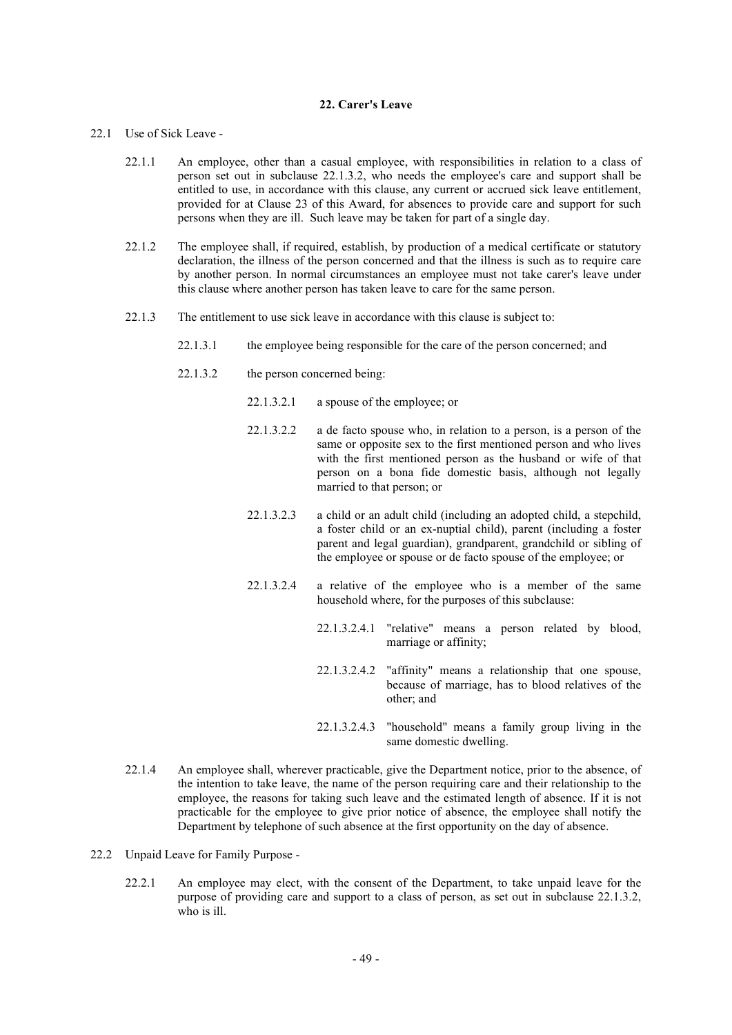## **22. Carer's Leave**

### 22.1 Use of Sick Leave -

- 22.1.1 An employee, other than a casual employee, with responsibilities in relation to a class of person set out in subclause 22.1.3.2, who needs the employee's care and support shall be entitled to use, in accordance with this clause, any current or accrued sick leave entitlement, provided for at Clause 23 of this Award, for absences to provide care and support for such persons when they are ill. Such leave may be taken for part of a single day.
- 22.1.2 The employee shall, if required, establish, by production of a medical certificate or statutory declaration, the illness of the person concerned and that the illness is such as to require care by another person. In normal circumstances an employee must not take carer's leave under this clause where another person has taken leave to care for the same person.
- 22.1.3 The entitlement to use sick leave in accordance with this clause is subject to:
	- 22.1.3.1 the employee being responsible for the care of the person concerned; and
	- 22.1.3.2 the person concerned being:
		- 22.1.3.2.1 a spouse of the employee; or
		- 22.1.3.2.2 a de facto spouse who, in relation to a person, is a person of the same or opposite sex to the first mentioned person and who lives with the first mentioned person as the husband or wife of that person on a bona fide domestic basis, although not legally married to that person; or
		- 22.1.3.2.3 a child or an adult child (including an adopted child, a stepchild, a foster child or an ex-nuptial child), parent (including a foster parent and legal guardian), grandparent, grandchild or sibling of the employee or spouse or de facto spouse of the employee; or
		- 22.1.3.2.4 a relative of the employee who is a member of the same household where, for the purposes of this subclause:
			- 22.1.3.2.4.1 "relative" means a person related by blood, marriage or affinity;
			- 22.1.3.2.4.2 "affinity" means a relationship that one spouse, because of marriage, has to blood relatives of the other; and
			- 22.1.3.2.4.3 "household" means a family group living in the same domestic dwelling.
- 22.1.4 An employee shall, wherever practicable, give the Department notice, prior to the absence, of the intention to take leave, the name of the person requiring care and their relationship to the employee, the reasons for taking such leave and the estimated length of absence. If it is not practicable for the employee to give prior notice of absence, the employee shall notify the Department by telephone of such absence at the first opportunity on the day of absence.
- 22.2 Unpaid Leave for Family Purpose
	- 22.2.1 An employee may elect, with the consent of the Department, to take unpaid leave for the purpose of providing care and support to a class of person, as set out in subclause 22.1.3.2, who is ill.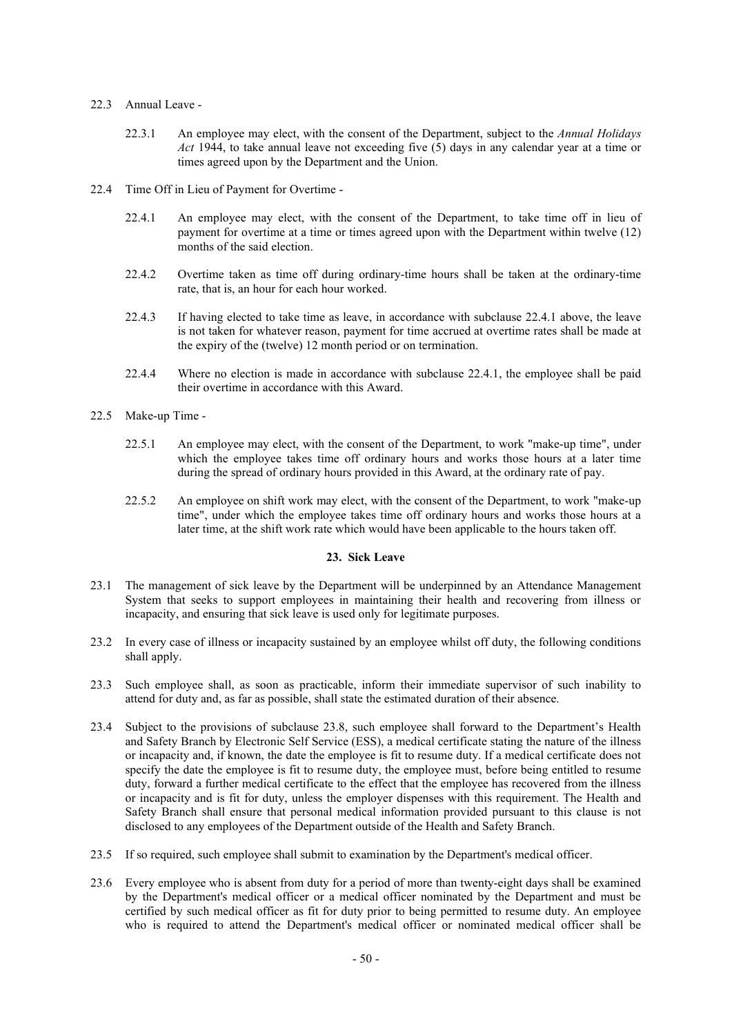## 22.3 Annual Leave -

- 22.3.1 An employee may elect, with the consent of the Department, subject to the *Annual Holidays Act* 1944, to take annual leave not exceeding five (5) days in any calendar year at a time or times agreed upon by the Department and the Union.
- 22.4 Time Off in Lieu of Payment for Overtime
	- 22.4.1 An employee may elect, with the consent of the Department, to take time off in lieu of payment for overtime at a time or times agreed upon with the Department within twelve (12) months of the said election.
	- 22.4.2 Overtime taken as time off during ordinary-time hours shall be taken at the ordinary-time rate, that is, an hour for each hour worked.
	- 22.4.3 If having elected to take time as leave, in accordance with subclause 22.4.1 above, the leave is not taken for whatever reason, payment for time accrued at overtime rates shall be made at the expiry of the (twelve) 12 month period or on termination.
	- 22.4.4 Where no election is made in accordance with subclause 22.4.1, the employee shall be paid their overtime in accordance with this Award.
- 22.5 Make-up Time
	- 22.5.1 An employee may elect, with the consent of the Department, to work "make-up time", under which the employee takes time off ordinary hours and works those hours at a later time during the spread of ordinary hours provided in this Award, at the ordinary rate of pay.
	- 22.5.2 An employee on shift work may elect, with the consent of the Department, to work "make-up time", under which the employee takes time off ordinary hours and works those hours at a later time, at the shift work rate which would have been applicable to the hours taken off.

# **23. Sick Leave**

- 23.1 The management of sick leave by the Department will be underpinned by an Attendance Management System that seeks to support employees in maintaining their health and recovering from illness or incapacity, and ensuring that sick leave is used only for legitimate purposes.
- 23.2 In every case of illness or incapacity sustained by an employee whilst off duty, the following conditions shall apply.
- 23.3 Such employee shall, as soon as practicable, inform their immediate supervisor of such inability to attend for duty and, as far as possible, shall state the estimated duration of their absence.
- 23.4 Subject to the provisions of subclause 23.8, such employee shall forward to the Department's Health and Safety Branch by Electronic Self Service (ESS), a medical certificate stating the nature of the illness or incapacity and, if known, the date the employee is fit to resume duty. If a medical certificate does not specify the date the employee is fit to resume duty, the employee must, before being entitled to resume duty, forward a further medical certificate to the effect that the employee has recovered from the illness or incapacity and is fit for duty, unless the employer dispenses with this requirement. The Health and Safety Branch shall ensure that personal medical information provided pursuant to this clause is not disclosed to any employees of the Department outside of the Health and Safety Branch.
- 23.5 If so required, such employee shall submit to examination by the Department's medical officer.
- 23.6 Every employee who is absent from duty for a period of more than twenty-eight days shall be examined by the Department's medical officer or a medical officer nominated by the Department and must be certified by such medical officer as fit for duty prior to being permitted to resume duty. An employee who is required to attend the Department's medical officer or nominated medical officer shall be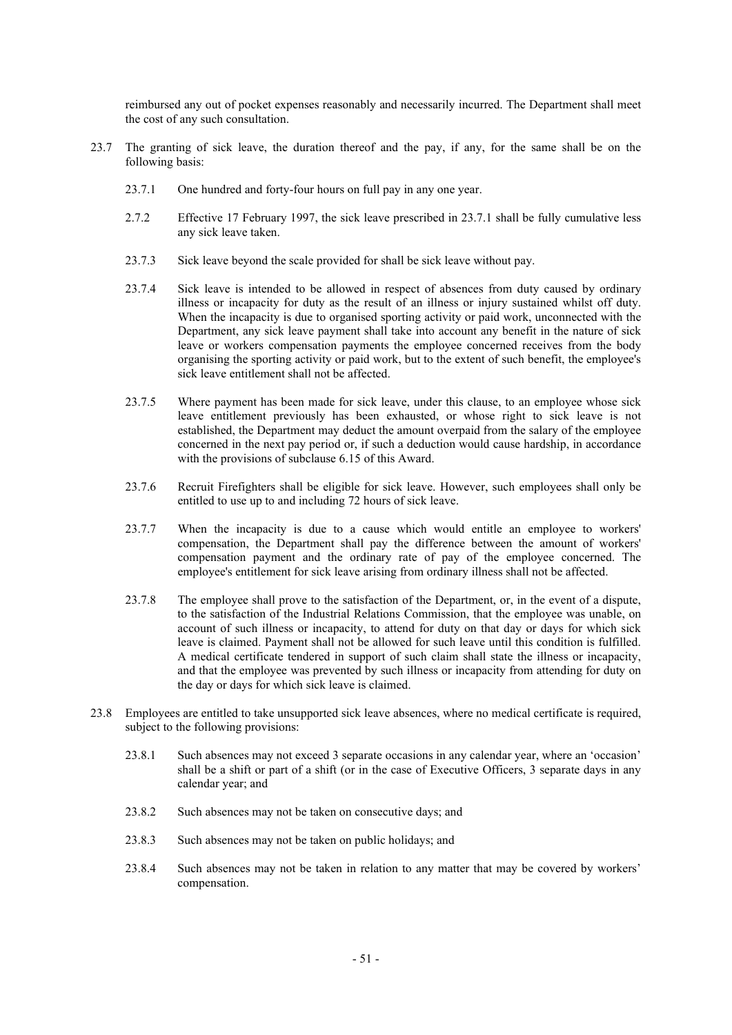reimbursed any out of pocket expenses reasonably and necessarily incurred. The Department shall meet the cost of any such consultation.

- 23.7 The granting of sick leave, the duration thereof and the pay, if any, for the same shall be on the following basis:
	- 23.7.1 One hundred and forty-four hours on full pay in any one year.
	- 2.7.2 Effective 17 February 1997, the sick leave prescribed in 23.7.1 shall be fully cumulative less any sick leave taken.
	- 23.7.3 Sick leave beyond the scale provided for shall be sick leave without pay.
	- 23.7.4 Sick leave is intended to be allowed in respect of absences from duty caused by ordinary illness or incapacity for duty as the result of an illness or injury sustained whilst off duty. When the incapacity is due to organised sporting activity or paid work, unconnected with the Department, any sick leave payment shall take into account any benefit in the nature of sick leave or workers compensation payments the employee concerned receives from the body organising the sporting activity or paid work, but to the extent of such benefit, the employee's sick leave entitlement shall not be affected.
	- 23.7.5 Where payment has been made for sick leave, under this clause, to an employee whose sick leave entitlement previously has been exhausted, or whose right to sick leave is not established, the Department may deduct the amount overpaid from the salary of the employee concerned in the next pay period or, if such a deduction would cause hardship, in accordance with the provisions of subclause 6.15 of this Award.
	- 23.7.6 Recruit Firefighters shall be eligible for sick leave. However, such employees shall only be entitled to use up to and including 72 hours of sick leave.
	- 23.7.7 When the incapacity is due to a cause which would entitle an employee to workers' compensation, the Department shall pay the difference between the amount of workers' compensation payment and the ordinary rate of pay of the employee concerned. The employee's entitlement for sick leave arising from ordinary illness shall not be affected.
	- 23.7.8 The employee shall prove to the satisfaction of the Department, or, in the event of a dispute, to the satisfaction of the Industrial Relations Commission, that the employee was unable, on account of such illness or incapacity, to attend for duty on that day or days for which sick leave is claimed. Payment shall not be allowed for such leave until this condition is fulfilled. A medical certificate tendered in support of such claim shall state the illness or incapacity, and that the employee was prevented by such illness or incapacity from attending for duty on the day or days for which sick leave is claimed.
- 23.8 Employees are entitled to take unsupported sick leave absences, where no medical certificate is required, subject to the following provisions:
	- 23.8.1 Such absences may not exceed 3 separate occasions in any calendar year, where an 'occasion' shall be a shift or part of a shift (or in the case of Executive Officers, 3 separate days in any calendar year; and
	- 23.8.2 Such absences may not be taken on consecutive days; and
	- 23.8.3 Such absences may not be taken on public holidays; and
	- 23.8.4 Such absences may not be taken in relation to any matter that may be covered by workers' compensation.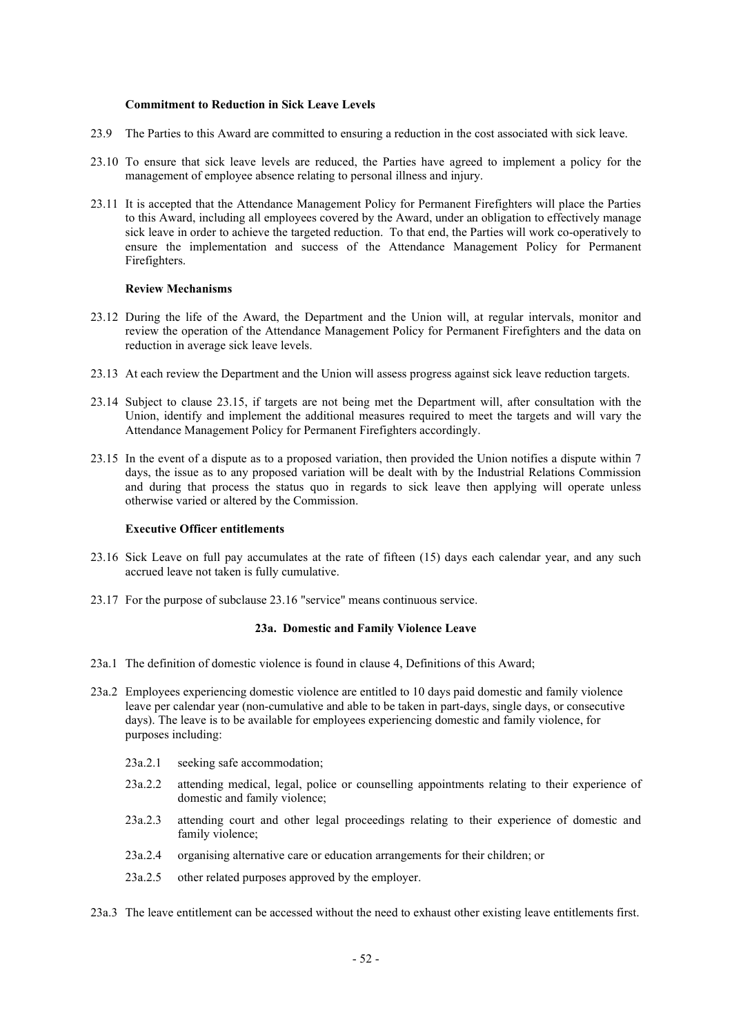## **Commitment to Reduction in Sick Leave Levels**

- 23.9 The Parties to this Award are committed to ensuring a reduction in the cost associated with sick leave.
- 23.10 To ensure that sick leave levels are reduced, the Parties have agreed to implement a policy for the management of employee absence relating to personal illness and injury.
- 23.11 It is accepted that the Attendance Management Policy for Permanent Firefighters will place the Parties to this Award, including all employees covered by the Award, under an obligation to effectively manage sick leave in order to achieve the targeted reduction. To that end, the Parties will work co-operatively to ensure the implementation and success of the Attendance Management Policy for Permanent Firefighters.

#### **Review Mechanisms**

- 23.12 During the life of the Award, the Department and the Union will, at regular intervals, monitor and review the operation of the Attendance Management Policy for Permanent Firefighters and the data on reduction in average sick leave levels.
- 23.13 At each review the Department and the Union will assess progress against sick leave reduction targets.
- 23.14 Subject to clause 23.15, if targets are not being met the Department will, after consultation with the Union, identify and implement the additional measures required to meet the targets and will vary the Attendance Management Policy for Permanent Firefighters accordingly.
- 23.15 In the event of a dispute as to a proposed variation, then provided the Union notifies a dispute within 7 days, the issue as to any proposed variation will be dealt with by the Industrial Relations Commission and during that process the status quo in regards to sick leave then applying will operate unless otherwise varied or altered by the Commission.

### **Executive Officer entitlements**

- 23.16 Sick Leave on full pay accumulates at the rate of fifteen (15) days each calendar year, and any such accrued leave not taken is fully cumulative.
- 23.17 For the purpose of subclause 23.16 "service" means continuous service.

## **23a. Domestic and Family Violence Leave**

- 23a.1 The definition of domestic violence is found in clause 4, Definitions of this Award;
- 23a.2 Employees experiencing domestic violence are entitled to 10 days paid domestic and family violence leave per calendar year (non-cumulative and able to be taken in part-days, single days, or consecutive days). The leave is to be available for employees experiencing domestic and family violence, for purposes including:
	- 23a.2.1 seeking safe accommodation;
	- 23a.2.2 attending medical, legal, police or counselling appointments relating to their experience of domestic and family violence;
	- 23a.2.3 attending court and other legal proceedings relating to their experience of domestic and family violence;
	- 23a.2.4 organising alternative care or education arrangements for their children; or
	- 23a.2.5 other related purposes approved by the employer.

23a.3 The leave entitlement can be accessed without the need to exhaust other existing leave entitlements first.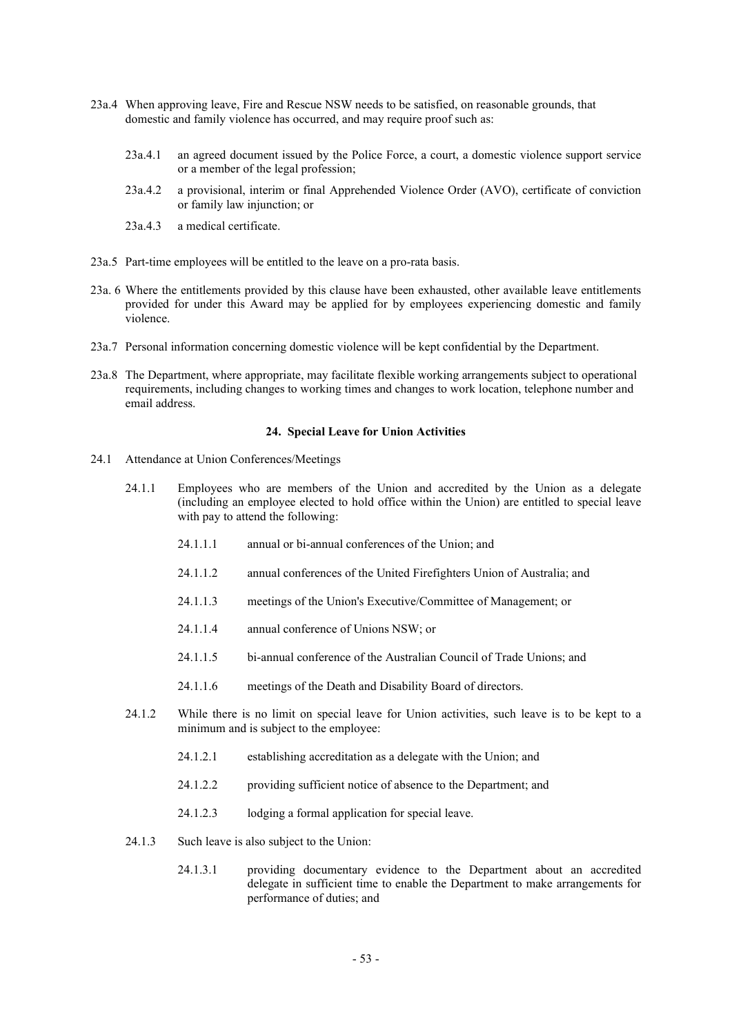- 23a.4 When approving leave, Fire and Rescue NSW needs to be satisfied, on reasonable grounds, that domestic and family violence has occurred, and may require proof such as:
	- 23a.4.1 an agreed document issued by the Police Force, a court, a domestic violence support service or a member of the legal profession;
	- 23a.4.2 a provisional, interim or final Apprehended Violence Order (AVO), certificate of conviction or family law injunction; or
	- 23a.4.3 a medical certificate.
- 23a.5 Part-time employees will be entitled to the leave on a pro-rata basis.
- 23a. 6 Where the entitlements provided by this clause have been exhausted, other available leave entitlements provided for under this Award may be applied for by employees experiencing domestic and family violence.
- 23a.7 Personal information concerning domestic violence will be kept confidential by the Department.
- 23a.8 The Department, where appropriate, may facilitate flexible working arrangements subject to operational requirements, including changes to working times and changes to work location, telephone number and email address.

#### **24. Special Leave for Union Activities**

- 24.1 Attendance at Union Conferences/Meetings
	- 24.1.1 Employees who are members of the Union and accredited by the Union as a delegate (including an employee elected to hold office within the Union) are entitled to special leave with pay to attend the following:
		- 24.1.1.1 annual or bi-annual conferences of the Union; and
		- 24.1.1.2 annual conferences of the United Firefighters Union of Australia; and
		- 24.1.1.3 meetings of the Union's Executive/Committee of Management; or
		- 24.1.1.4 annual conference of Unions NSW; or
		- 24.1.1.5 bi-annual conference of the Australian Council of Trade Unions; and
		- 24.1.1.6 meetings of the Death and Disability Board of directors.
	- 24.1.2 While there is no limit on special leave for Union activities, such leave is to be kept to a minimum and is subject to the employee:
		- 24.1.2.1 establishing accreditation as a delegate with the Union; and
		- 24.1.2.2 providing sufficient notice of absence to the Department; and
		- 24.1.2.3 lodging a formal application for special leave.
	- 24.1.3 Such leave is also subject to the Union:
		- 24.1.3.1 providing documentary evidence to the Department about an accredited delegate in sufficient time to enable the Department to make arrangements for performance of duties; and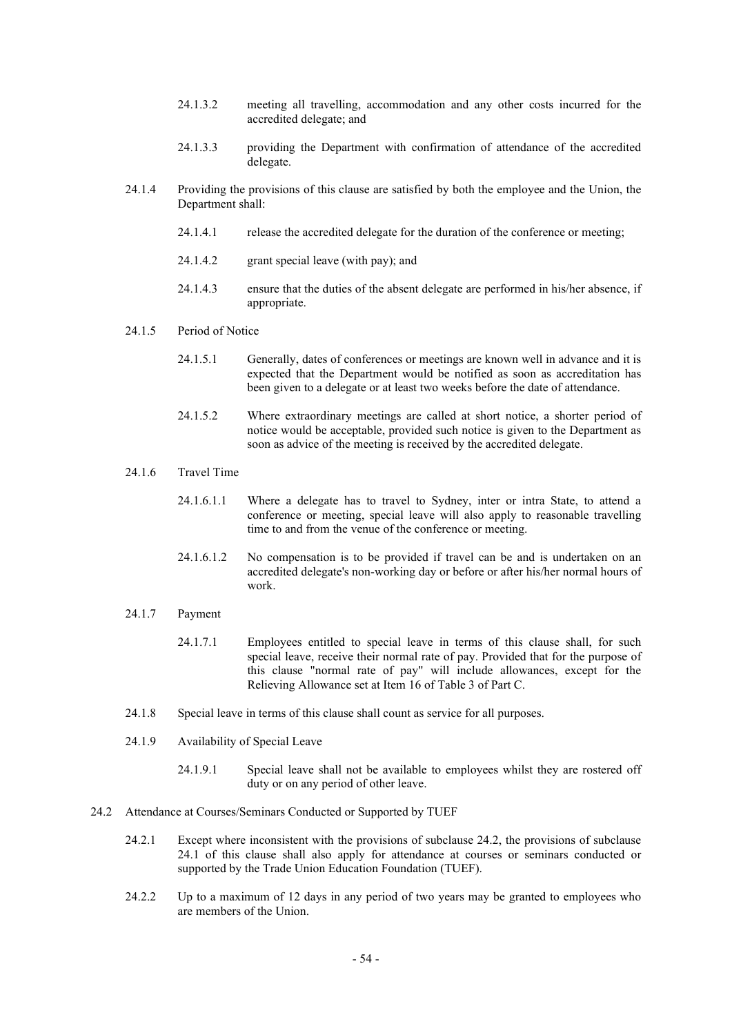- 24.1.3.2 meeting all travelling, accommodation and any other costs incurred for the accredited delegate; and
- 24.1.3.3 providing the Department with confirmation of attendance of the accredited delegate.
- 24.1.4 Providing the provisions of this clause are satisfied by both the employee and the Union, the Department shall:
	- 24.1.4.1 release the accredited delegate for the duration of the conference or meeting;
	- 24.1.4.2 grant special leave (with pay); and
	- 24.1.4.3 ensure that the duties of the absent delegate are performed in his/her absence, if appropriate.
- 24.1.5 Period of Notice
	- 24.1.5.1 Generally, dates of conferences or meetings are known well in advance and it is expected that the Department would be notified as soon as accreditation has been given to a delegate or at least two weeks before the date of attendance.
	- 24.1.5.2 Where extraordinary meetings are called at short notice, a shorter period of notice would be acceptable, provided such notice is given to the Department as soon as advice of the meeting is received by the accredited delegate.
- 24.1.6 Travel Time
	- 24.1.6.1.1 Where a delegate has to travel to Sydney, inter or intra State, to attend a conference or meeting, special leave will also apply to reasonable travelling time to and from the venue of the conference or meeting.
	- 24.1.6.1.2 No compensation is to be provided if travel can be and is undertaken on an accredited delegate's non-working day or before or after his/her normal hours of work.
- 24.1.7 Payment
	- 24.1.7.1 Employees entitled to special leave in terms of this clause shall, for such special leave, receive their normal rate of pay. Provided that for the purpose of this clause "normal rate of pay" will include allowances, except for the Relieving Allowance set at Item 16 of Table 3 of Part C.
- 24.1.8 Special leave in terms of this clause shall count as service for all purposes.
- 24.1.9 Availability of Special Leave
	- 24.1.9.1 Special leave shall not be available to employees whilst they are rostered off duty or on any period of other leave.
- 24.2 Attendance at Courses/Seminars Conducted or Supported by TUEF
	- 24.2.1 Except where inconsistent with the provisions of subclause 24.2, the provisions of subclause 24.1 of this clause shall also apply for attendance at courses or seminars conducted or supported by the Trade Union Education Foundation (TUEF).
	- 24.2.2 Up to a maximum of 12 days in any period of two years may be granted to employees who are members of the Union.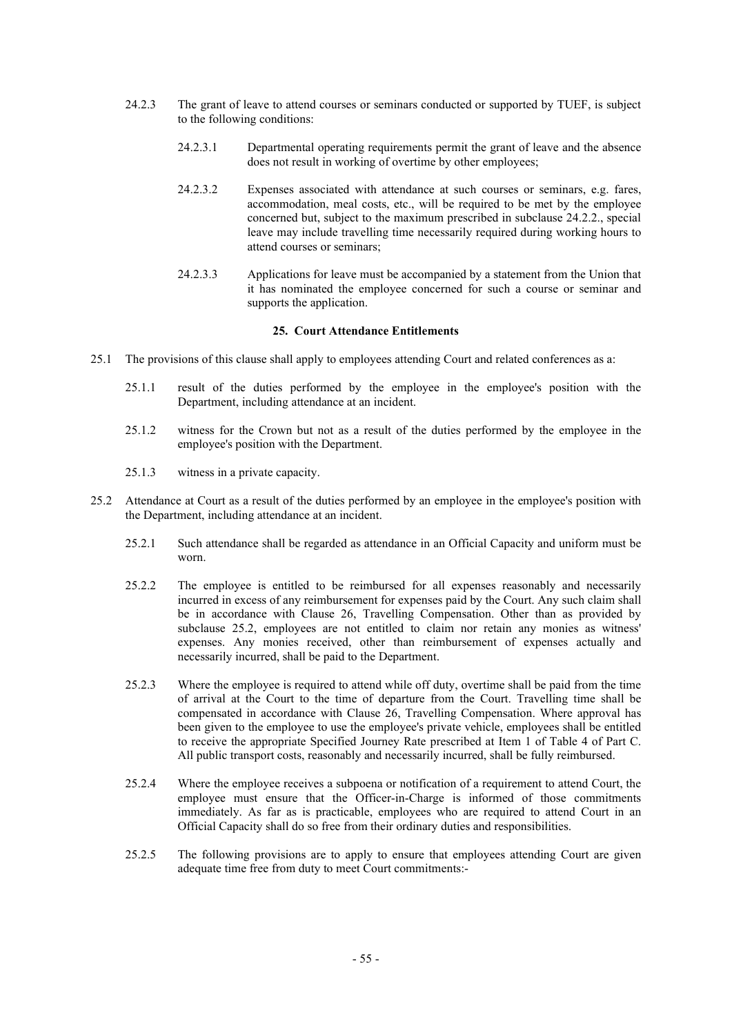- 24.2.3 The grant of leave to attend courses or seminars conducted or supported by TUEF, is subject to the following conditions:
	- 24.2.3.1 Departmental operating requirements permit the grant of leave and the absence does not result in working of overtime by other employees;
	- 24.2.3.2 Expenses associated with attendance at such courses or seminars, e.g. fares, accommodation, meal costs, etc., will be required to be met by the employee concerned but, subject to the maximum prescribed in subclause 24.2.2., special leave may include travelling time necessarily required during working hours to attend courses or seminars;
	- 24.2.3.3 Applications for leave must be accompanied by a statement from the Union that it has nominated the employee concerned for such a course or seminar and supports the application.

## **25. Court Attendance Entitlements**

- 25.1 The provisions of this clause shall apply to employees attending Court and related conferences as a:
	- 25.1.1 result of the duties performed by the employee in the employee's position with the Department, including attendance at an incident.
	- 25.1.2 witness for the Crown but not as a result of the duties performed by the employee in the employee's position with the Department.
	- 25.1.3 witness in a private capacity.
- 25.2 Attendance at Court as a result of the duties performed by an employee in the employee's position with the Department, including attendance at an incident.
	- 25.2.1 Such attendance shall be regarded as attendance in an Official Capacity and uniform must be worn.
	- 25.2.2 The employee is entitled to be reimbursed for all expenses reasonably and necessarily incurred in excess of any reimbursement for expenses paid by the Court. Any such claim shall be in accordance with Clause 26, Travelling Compensation. Other than as provided by subclause 25.2, employees are not entitled to claim nor retain any monies as witness' expenses. Any monies received, other than reimbursement of expenses actually and necessarily incurred, shall be paid to the Department.
	- 25.2.3 Where the employee is required to attend while off duty, overtime shall be paid from the time of arrival at the Court to the time of departure from the Court. Travelling time shall be compensated in accordance with Clause 26, Travelling Compensation. Where approval has been given to the employee to use the employee's private vehicle, employees shall be entitled to receive the appropriate Specified Journey Rate prescribed at Item 1 of Table 4 of Part C. All public transport costs, reasonably and necessarily incurred, shall be fully reimbursed.
	- 25.2.4 Where the employee receives a subpoena or notification of a requirement to attend Court, the employee must ensure that the Officer-in-Charge is informed of those commitments immediately. As far as is practicable, employees who are required to attend Court in an Official Capacity shall do so free from their ordinary duties and responsibilities.
	- 25.2.5 The following provisions are to apply to ensure that employees attending Court are given adequate time free from duty to meet Court commitments:-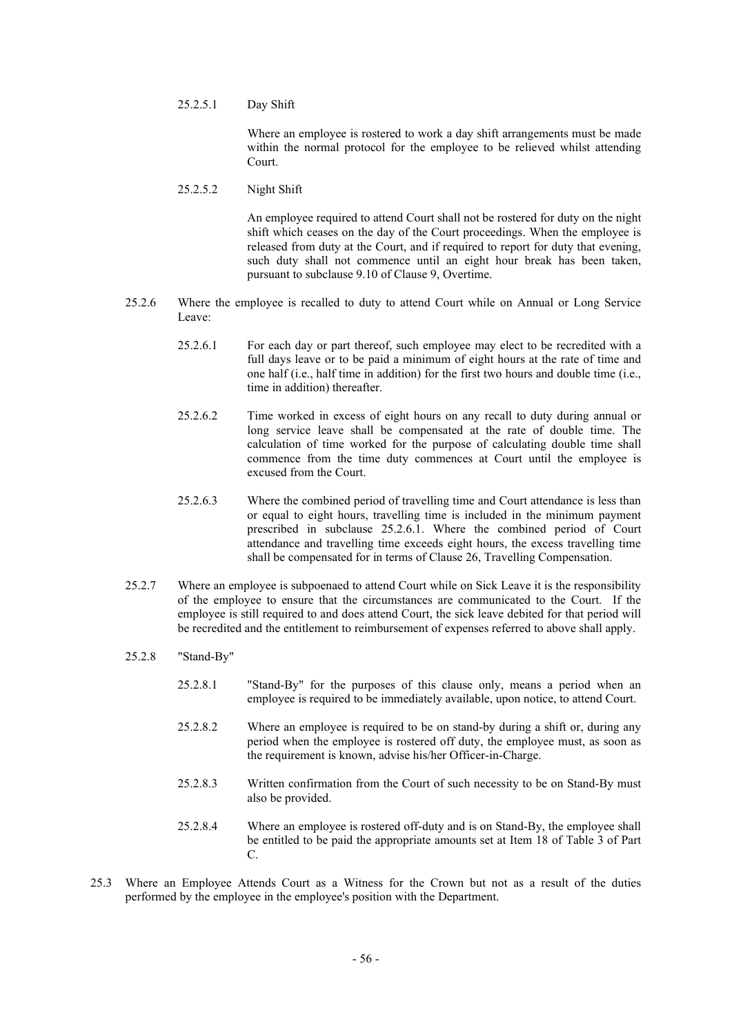25.2.5.1 Day Shift

Where an employee is rostered to work a day shift arrangements must be made within the normal protocol for the employee to be relieved whilst attending Court.

25.2.5.2 Night Shift

An employee required to attend Court shall not be rostered for duty on the night shift which ceases on the day of the Court proceedings. When the employee is released from duty at the Court, and if required to report for duty that evening, such duty shall not commence until an eight hour break has been taken, pursuant to subclause 9.10 of Clause 9, Overtime.

- 25.2.6 Where the employee is recalled to duty to attend Court while on Annual or Long Service Leave:
	- 25.2.6.1 For each day or part thereof, such employee may elect to be recredited with a full days leave or to be paid a minimum of eight hours at the rate of time and one half (i.e., half time in addition) for the first two hours and double time (i.e., time in addition) thereafter.
	- 25.2.6.2 Time worked in excess of eight hours on any recall to duty during annual or long service leave shall be compensated at the rate of double time. The calculation of time worked for the purpose of calculating double time shall commence from the time duty commences at Court until the employee is excused from the Court.
	- 25.2.6.3 Where the combined period of travelling time and Court attendance is less than or equal to eight hours, travelling time is included in the minimum payment prescribed in subclause 25.2.6.1. Where the combined period of Court attendance and travelling time exceeds eight hours, the excess travelling time shall be compensated for in terms of Clause 26, Travelling Compensation.
- 25.2.7 Where an employee is subpoenaed to attend Court while on Sick Leave it is the responsibility of the employee to ensure that the circumstances are communicated to the Court. If the employee is still required to and does attend Court, the sick leave debited for that period will be recredited and the entitlement to reimbursement of expenses referred to above shall apply.
- 25.2.8 "Stand-By"
	- 25.2.8.1 "Stand-By" for the purposes of this clause only, means a period when an employee is required to be immediately available, upon notice, to attend Court.
	- 25.2.8.2 Where an employee is required to be on stand-by during a shift or, during any period when the employee is rostered off duty, the employee must, as soon as the requirement is known, advise his/her Officer-in-Charge.
	- 25.2.8.3 Written confirmation from the Court of such necessity to be on Stand-By must also be provided.
	- 25.2.8.4 Where an employee is rostered off-duty and is on Stand-By, the employee shall be entitled to be paid the appropriate amounts set at Item 18 of Table 3 of Part C.
- 25.3 Where an Employee Attends Court as a Witness for the Crown but not as a result of the duties performed by the employee in the employee's position with the Department.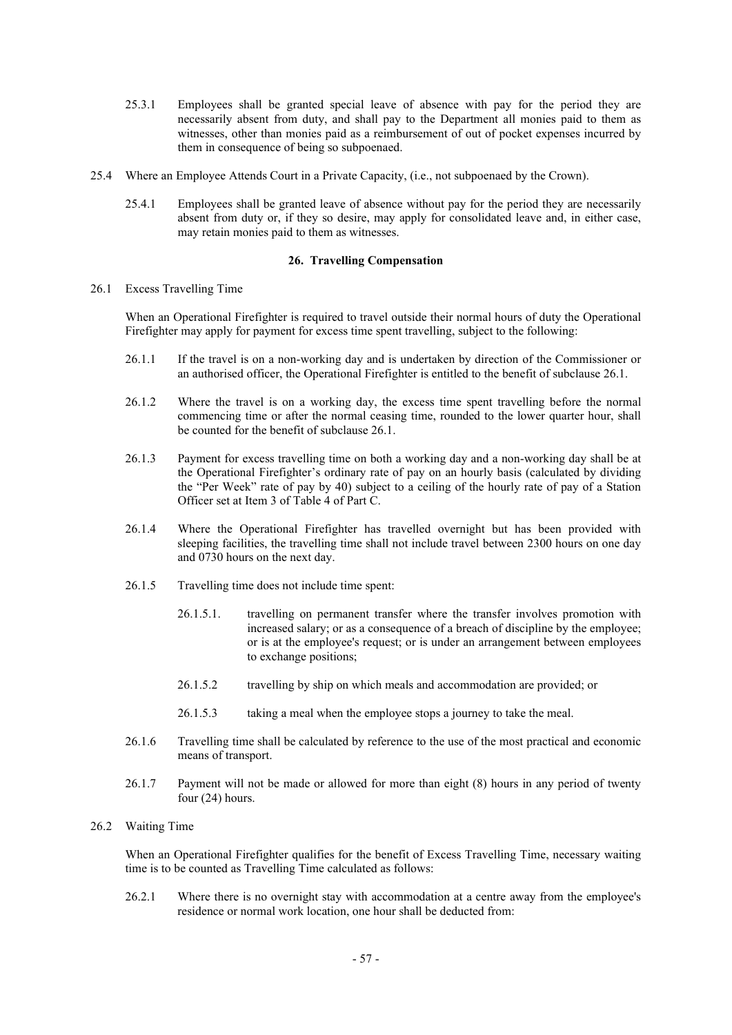- 25.3.1 Employees shall be granted special leave of absence with pay for the period they are necessarily absent from duty, and shall pay to the Department all monies paid to them as witnesses, other than monies paid as a reimbursement of out of pocket expenses incurred by them in consequence of being so subpoenaed.
- 25.4 Where an Employee Attends Court in a Private Capacity, (i.e., not subpoenaed by the Crown).
	- 25.4.1 Employees shall be granted leave of absence without pay for the period they are necessarily absent from duty or, if they so desire, may apply for consolidated leave and, in either case, may retain monies paid to them as witnesses.

#### **26. Travelling Compensation**

26.1 Excess Travelling Time

When an Operational Firefighter is required to travel outside their normal hours of duty the Operational Firefighter may apply for payment for excess time spent travelling, subject to the following:

- 26.1.1 If the travel is on a non-working day and is undertaken by direction of the Commissioner or an authorised officer, the Operational Firefighter is entitled to the benefit of subclause 26.1.
- 26.1.2 Where the travel is on a working day, the excess time spent travelling before the normal commencing time or after the normal ceasing time, rounded to the lower quarter hour, shall be counted for the benefit of subclause 26.1.
- 26.1.3 Payment for excess travelling time on both a working day and a non-working day shall be at the Operational Firefighter's ordinary rate of pay on an hourly basis (calculated by dividing the "Per Week" rate of pay by 40) subject to a ceiling of the hourly rate of pay of a Station Officer set at Item 3 of Table 4 of Part C.
- 26.1.4 Where the Operational Firefighter has travelled overnight but has been provided with sleeping facilities, the travelling time shall not include travel between 2300 hours on one day and 0730 hours on the next day.
- 26.1.5 Travelling time does not include time spent:
	- 26.1.5.1. travelling on permanent transfer where the transfer involves promotion with increased salary; or as a consequence of a breach of discipline by the employee; or is at the employee's request; or is under an arrangement between employees to exchange positions;
	- 26.1.5.2 travelling by ship on which meals and accommodation are provided; or
	- 26.1.5.3 taking a meal when the employee stops a journey to take the meal.
- 26.1.6 Travelling time shall be calculated by reference to the use of the most practical and economic means of transport.
- 26.1.7 Payment will not be made or allowed for more than eight (8) hours in any period of twenty four (24) hours.

## 26.2 Waiting Time

When an Operational Firefighter qualifies for the benefit of Excess Travelling Time, necessary waiting time is to be counted as Travelling Time calculated as follows:

26.2.1 Where there is no overnight stay with accommodation at a centre away from the employee's residence or normal work location, one hour shall be deducted from: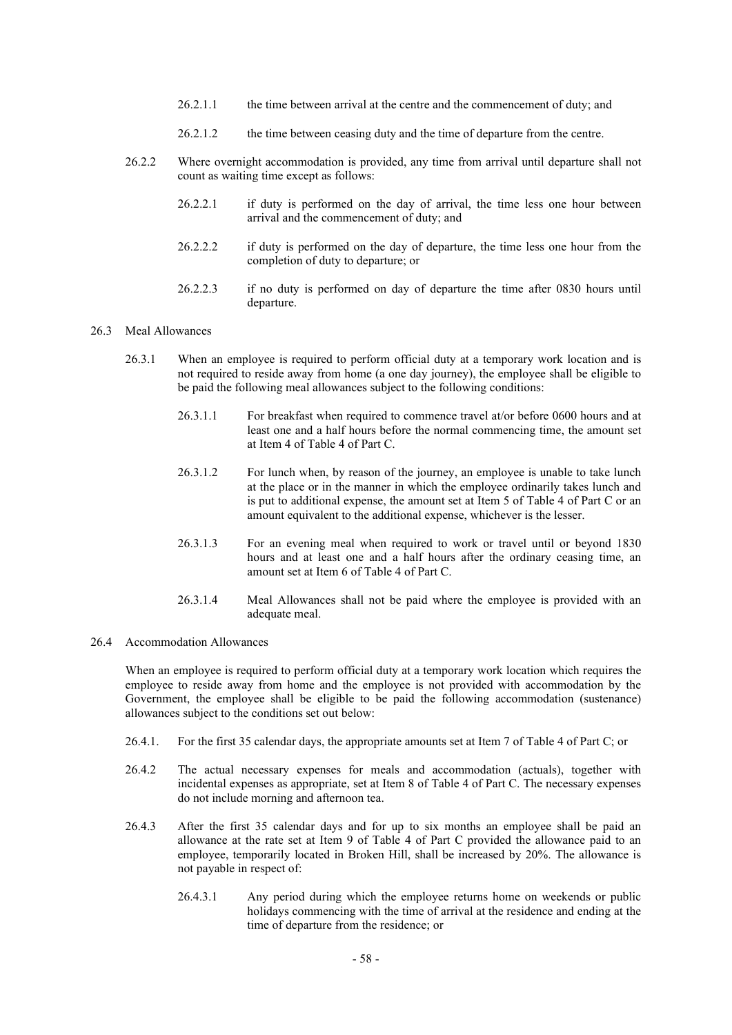- 26.2.1.1 the time between arrival at the centre and the commencement of duty; and
- 26.2.1.2 the time between ceasing duty and the time of departure from the centre.
- 26.2.2 Where overnight accommodation is provided, any time from arrival until departure shall not count as waiting time except as follows:
	- 26.2.2.1 if duty is performed on the day of arrival, the time less one hour between arrival and the commencement of duty; and
	- 26.2.2.2 if duty is performed on the day of departure, the time less one hour from the completion of duty to departure; or
	- 26.2.2.3 if no duty is performed on day of departure the time after 0830 hours until departure.

## 26.3 Meal Allowances

- 26.3.1 When an employee is required to perform official duty at a temporary work location and is not required to reside away from home (a one day journey), the employee shall be eligible to be paid the following meal allowances subject to the following conditions:
	- 26.3.1.1 For breakfast when required to commence travel at/or before 0600 hours and at least one and a half hours before the normal commencing time, the amount set at Item 4 of Table 4 of Part C.
	- 26.3.1.2 For lunch when, by reason of the journey, an employee is unable to take lunch at the place or in the manner in which the employee ordinarily takes lunch and is put to additional expense, the amount set at Item 5 of Table 4 of Part C or an amount equivalent to the additional expense, whichever is the lesser.
	- 26.3.1.3 For an evening meal when required to work or travel until or beyond 1830 hours and at least one and a half hours after the ordinary ceasing time, an amount set at Item 6 of Table 4 of Part C.
	- 26.3.1.4 Meal Allowances shall not be paid where the employee is provided with an adequate meal.

#### 26.4 Accommodation Allowances

When an employee is required to perform official duty at a temporary work location which requires the employee to reside away from home and the employee is not provided with accommodation by the Government, the employee shall be eligible to be paid the following accommodation (sustenance) allowances subject to the conditions set out below:

- 26.4.1. For the first 35 calendar days, the appropriate amounts set at Item 7 of Table 4 of Part C; or
- 26.4.2 The actual necessary expenses for meals and accommodation (actuals), together with incidental expenses as appropriate, set at Item 8 of Table 4 of Part C. The necessary expenses do not include morning and afternoon tea.
- 26.4.3 After the first 35 calendar days and for up to six months an employee shall be paid an allowance at the rate set at Item 9 of Table 4 of Part C provided the allowance paid to an employee, temporarily located in Broken Hill, shall be increased by 20%. The allowance is not payable in respect of:
	- 26.4.3.1 Any period during which the employee returns home on weekends or public holidays commencing with the time of arrival at the residence and ending at the time of departure from the residence; or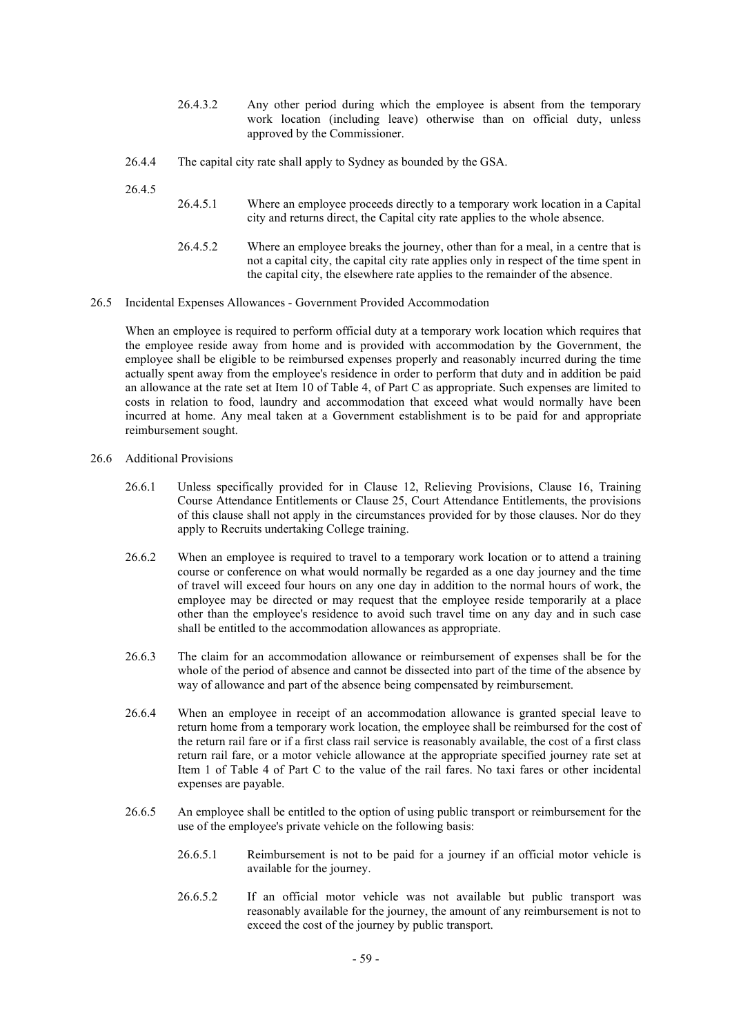- 26.4.3.2 Any other period during which the employee is absent from the temporary work location (including leave) otherwise than on official duty, unless approved by the Commissioner.
- 26.4.4 The capital city rate shall apply to Sydney as bounded by the GSA.

26.4.5

- 26.4.5.1 Where an employee proceeds directly to a temporary work location in a Capital city and returns direct, the Capital city rate applies to the whole absence.
- 26.4.5.2 Where an employee breaks the journey, other than for a meal, in a centre that is not a capital city, the capital city rate applies only in respect of the time spent in the capital city, the elsewhere rate applies to the remainder of the absence.
- 26.5 Incidental Expenses Allowances Government Provided Accommodation

When an employee is required to perform official duty at a temporary work location which requires that the employee reside away from home and is provided with accommodation by the Government, the employee shall be eligible to be reimbursed expenses properly and reasonably incurred during the time actually spent away from the employee's residence in order to perform that duty and in addition be paid an allowance at the rate set at Item 10 of Table 4, of Part C as appropriate. Such expenses are limited to costs in relation to food, laundry and accommodation that exceed what would normally have been incurred at home. Any meal taken at a Government establishment is to be paid for and appropriate reimbursement sought.

- 26.6 Additional Provisions
	- 26.6.1 Unless specifically provided for in Clause 12, Relieving Provisions, Clause 16, Training Course Attendance Entitlements or Clause 25, Court Attendance Entitlements, the provisions of this clause shall not apply in the circumstances provided for by those clauses. Nor do they apply to Recruits undertaking College training.
	- 26.6.2 When an employee is required to travel to a temporary work location or to attend a training course or conference on what would normally be regarded as a one day journey and the time of travel will exceed four hours on any one day in addition to the normal hours of work, the employee may be directed or may request that the employee reside temporarily at a place other than the employee's residence to avoid such travel time on any day and in such case shall be entitled to the accommodation allowances as appropriate.
	- 26.6.3 The claim for an accommodation allowance or reimbursement of expenses shall be for the whole of the period of absence and cannot be dissected into part of the time of the absence by way of allowance and part of the absence being compensated by reimbursement.
	- 26.6.4 When an employee in receipt of an accommodation allowance is granted special leave to return home from a temporary work location, the employee shall be reimbursed for the cost of the return rail fare or if a first class rail service is reasonably available, the cost of a first class return rail fare, or a motor vehicle allowance at the appropriate specified journey rate set at Item 1 of Table 4 of Part C to the value of the rail fares. No taxi fares or other incidental expenses are payable.
	- 26.6.5 An employee shall be entitled to the option of using public transport or reimbursement for the use of the employee's private vehicle on the following basis:
		- 26.6.5.1 Reimbursement is not to be paid for a journey if an official motor vehicle is available for the journey.
		- 26.6.5.2 If an official motor vehicle was not available but public transport was reasonably available for the journey, the amount of any reimbursement is not to exceed the cost of the journey by public transport.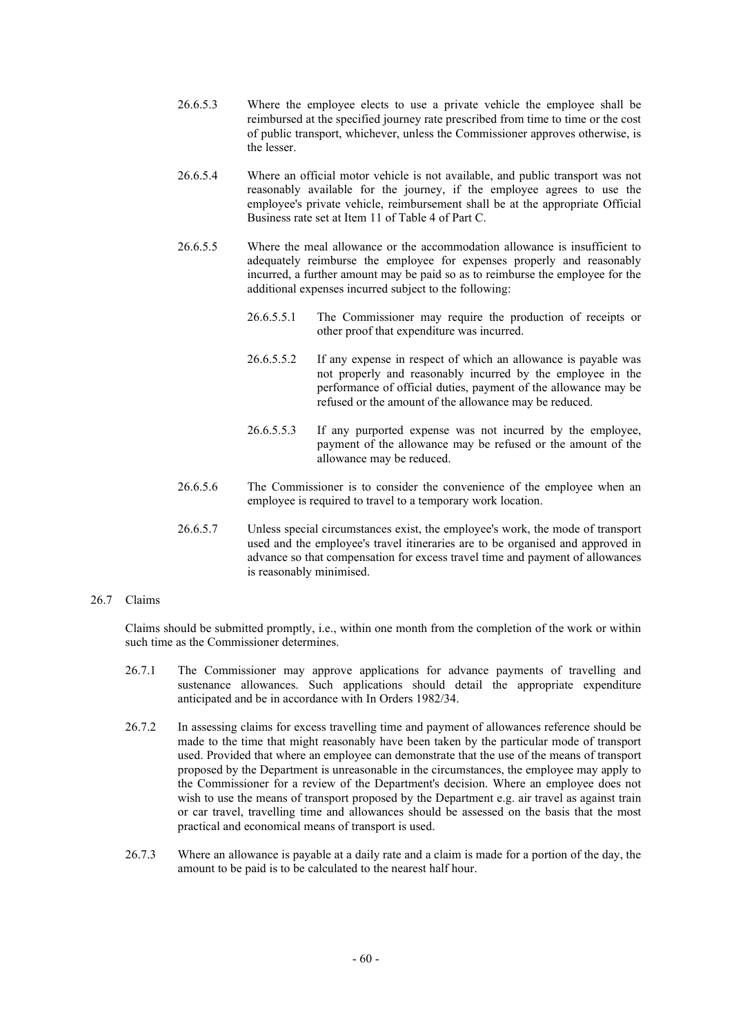- 26.6.5.3 Where the employee elects to use a private vehicle the employee shall be reimbursed at the specified journey rate prescribed from time to time or the cost of public transport, whichever, unless the Commissioner approves otherwise, is the lesser.
- 26.6.5.4 Where an official motor vehicle is not available, and public transport was not reasonably available for the journey, if the employee agrees to use the employee's private vehicle, reimbursement shall be at the appropriate Official Business rate set at Item 11 of Table 4 of Part C.
- 26.6.5.5 Where the meal allowance or the accommodation allowance is insufficient to adequately reimburse the employee for expenses properly and reasonably incurred, a further amount may be paid so as to reimburse the employee for the additional expenses incurred subject to the following:
	- 26.6.5.5.1 The Commissioner may require the production of receipts or other proof that expenditure was incurred.
	- 26.6.5.5.2 If any expense in respect of which an allowance is payable was not properly and reasonably incurred by the employee in the performance of official duties, payment of the allowance may be refused or the amount of the allowance may be reduced.
	- 26.6.5.5.3 If any purported expense was not incurred by the employee, payment of the allowance may be refused or the amount of the allowance may be reduced.
- 26.6.5.6 The Commissioner is to consider the convenience of the employee when an employee is required to travel to a temporary work location.
- 26.6.5.7 Unless special circumstances exist, the employee's work, the mode of transport used and the employee's travel itineraries are to be organised and approved in advance so that compensation for excess travel time and payment of allowances is reasonably minimised.

## 26.7 Claims

Claims should be submitted promptly, i.e., within one month from the completion of the work or within such time as the Commissioner determines.

- 26.7.1 The Commissioner may approve applications for advance payments of travelling and sustenance allowances. Such applications should detail the appropriate expenditure anticipated and be in accordance with In Orders 1982/34.
- 26.7.2 In assessing claims for excess travelling time and payment of allowances reference should be made to the time that might reasonably have been taken by the particular mode of transport used. Provided that where an employee can demonstrate that the use of the means of transport proposed by the Department is unreasonable in the circumstances, the employee may apply to the Commissioner for a review of the Department's decision. Where an employee does not wish to use the means of transport proposed by the Department e.g. air travel as against train or car travel, travelling time and allowances should be assessed on the basis that the most practical and economical means of transport is used.
- 26.7.3 Where an allowance is payable at a daily rate and a claim is made for a portion of the day, the amount to be paid is to be calculated to the nearest half hour.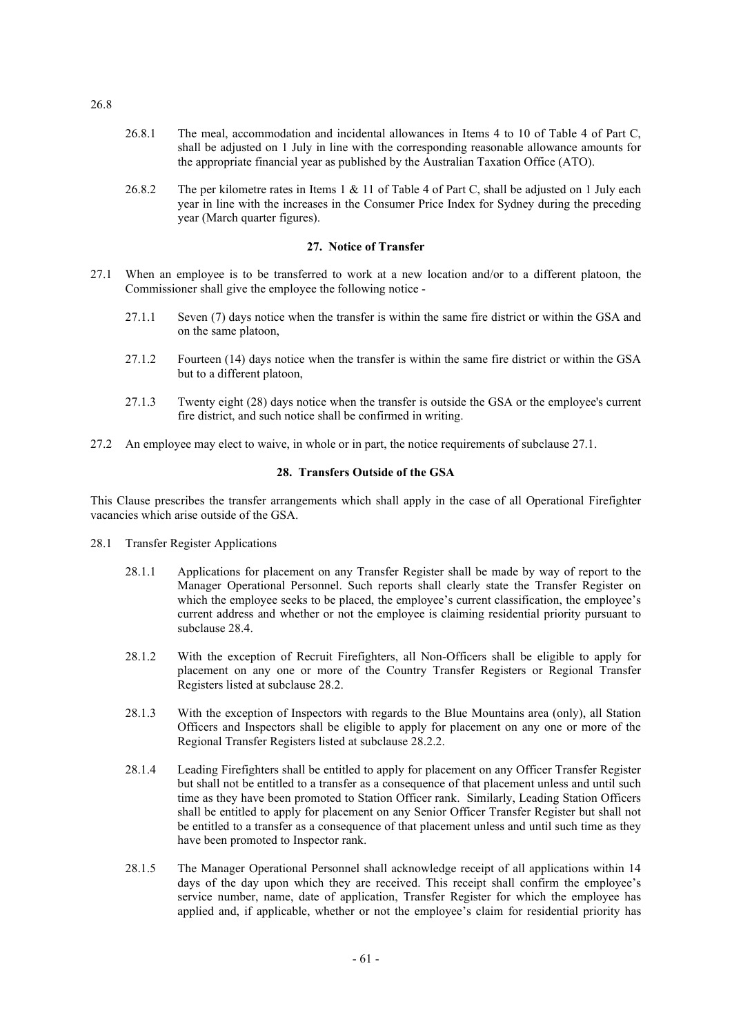- 26.8.1 The meal, accommodation and incidental allowances in Items 4 to 10 of Table 4 of Part C, shall be adjusted on 1 July in line with the corresponding reasonable allowance amounts for the appropriate financial year as published by the Australian Taxation Office (ATO).
- 26.8.2 The per kilometre rates in Items 1 & 11 of Table 4 of Part C, shall be adjusted on 1 July each year in line with the increases in the Consumer Price Index for Sydney during the preceding year (March quarter figures).

## **27. Notice of Transfer**

- 27.1 When an employee is to be transferred to work at a new location and/or to a different platoon, the Commissioner shall give the employee the following notice -
	- 27.1.1 Seven (7) days notice when the transfer is within the same fire district or within the GSA and on the same platoon,
	- 27.1.2 Fourteen (14) days notice when the transfer is within the same fire district or within the GSA but to a different platoon,
	- 27.1.3 Twenty eight (28) days notice when the transfer is outside the GSA or the employee's current fire district, and such notice shall be confirmed in writing.
- 27.2 An employee may elect to waive, in whole or in part, the notice requirements of subclause 27.1.

### **28. Transfers Outside of the GSA**

This Clause prescribes the transfer arrangements which shall apply in the case of all Operational Firefighter vacancies which arise outside of the GSA.

- 28.1 Transfer Register Applications
	- 28.1.1 Applications for placement on any Transfer Register shall be made by way of report to the Manager Operational Personnel. Such reports shall clearly state the Transfer Register on which the employee seeks to be placed, the employee's current classification, the employee's current address and whether or not the employee is claiming residential priority pursuant to subclause 28.4.
	- 28.1.2 With the exception of Recruit Firefighters, all Non-Officers shall be eligible to apply for placement on any one or more of the Country Transfer Registers or Regional Transfer Registers listed at subclause 28.2.
	- 28.1.3 With the exception of Inspectors with regards to the Blue Mountains area (only), all Station Officers and Inspectors shall be eligible to apply for placement on any one or more of the Regional Transfer Registers listed at subclause 28.2.2.
	- 28.1.4 Leading Firefighters shall be entitled to apply for placement on any Officer Transfer Register but shall not be entitled to a transfer as a consequence of that placement unless and until such time as they have been promoted to Station Officer rank. Similarly, Leading Station Officers shall be entitled to apply for placement on any Senior Officer Transfer Register but shall not be entitled to a transfer as a consequence of that placement unless and until such time as they have been promoted to Inspector rank.
	- 28.1.5 The Manager Operational Personnel shall acknowledge receipt of all applications within 14 days of the day upon which they are received. This receipt shall confirm the employee's service number, name, date of application, Transfer Register for which the employee has applied and, if applicable, whether or not the employee's claim for residential priority has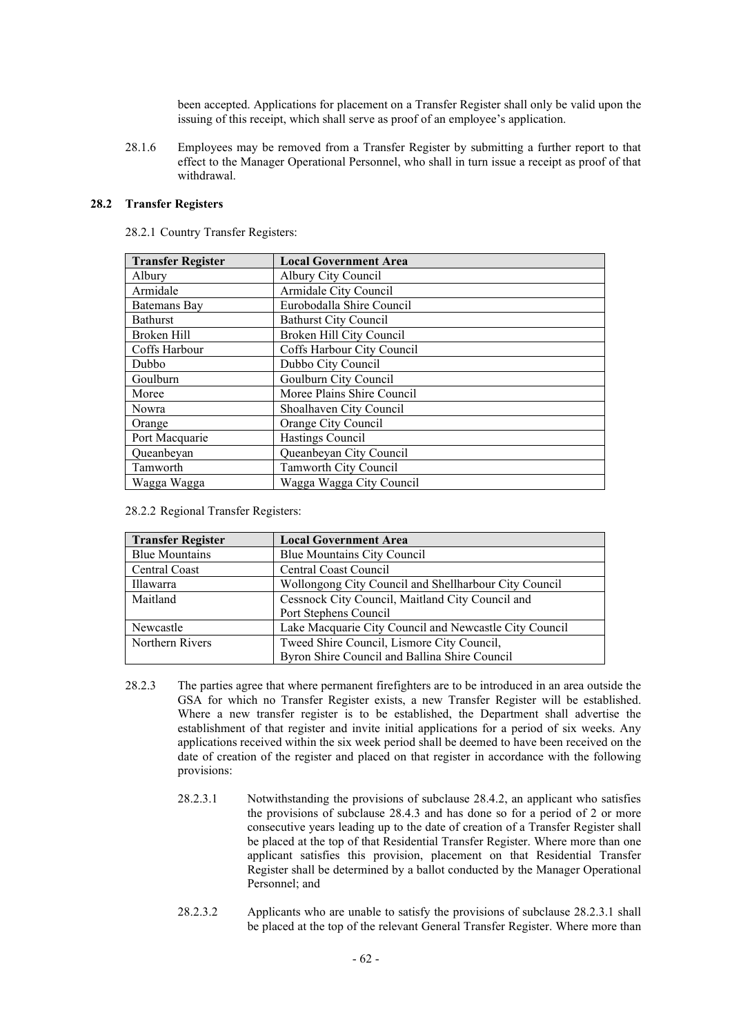been accepted. Applications for placement on a Transfer Register shall only be valid upon the issuing of this receipt, which shall serve as proof of an employee's application.

28.1.6 Employees may be removed from a Transfer Register by submitting a further report to that effect to the Manager Operational Personnel, who shall in turn issue a receipt as proof of that withdrawal.

# **28.2 Transfer Registers**

28.2.1 Country Transfer Registers:

| <b>Transfer Register</b> | <b>Local Government Area</b> |  |  |
|--------------------------|------------------------------|--|--|
| Albury                   | Albury City Council          |  |  |
| Armidale                 | Armidale City Council        |  |  |
| Batemans Bay             | Eurobodalla Shire Council    |  |  |
| Bathurst                 | <b>Bathurst City Council</b> |  |  |
| Broken Hill              | Broken Hill City Council     |  |  |
| Coffs Harbour            | Coffs Harbour City Council   |  |  |
| Dubbo                    | Dubbo City Council           |  |  |
| Goulburn                 | Goulburn City Council        |  |  |
| Moree                    | Moree Plains Shire Council   |  |  |
| Nowra                    | Shoalhaven City Council      |  |  |
| Orange                   | Orange City Council          |  |  |
| Port Macquarie           | Hastings Council             |  |  |
| Queanbeyan               | Queanbeyan City Council      |  |  |
| Tamworth                 | Tamworth City Council        |  |  |
| Wagga Wagga              | Wagga Wagga City Council     |  |  |

28.2.2 Regional Transfer Registers:

| <b>Transfer Register</b> | <b>Local Government Area</b>                           |  |  |
|--------------------------|--------------------------------------------------------|--|--|
| <b>Blue Mountains</b>    | <b>Blue Mountains City Council</b>                     |  |  |
| Central Coast            | Central Coast Council                                  |  |  |
| Illawarra                | Wollongong City Council and Shellharbour City Council  |  |  |
| Maitland                 | Cessnock City Council, Maitland City Council and       |  |  |
|                          | Port Stephens Council                                  |  |  |
| Newcastle                | Lake Macquarie City Council and Newcastle City Council |  |  |
| Northern Rivers          | Tweed Shire Council, Lismore City Council,             |  |  |
|                          | Byron Shire Council and Ballina Shire Council          |  |  |

- 28.2.3 The parties agree that where permanent firefighters are to be introduced in an area outside the GSA for which no Transfer Register exists, a new Transfer Register will be established. Where a new transfer register is to be established, the Department shall advertise the establishment of that register and invite initial applications for a period of six weeks. Any applications received within the six week period shall be deemed to have been received on the date of creation of the register and placed on that register in accordance with the following provisions:
	- 28.2.3.1 Notwithstanding the provisions of subclause 28.4.2, an applicant who satisfies the provisions of subclause 28.4.3 and has done so for a period of 2 or more consecutive years leading up to the date of creation of a Transfer Register shall be placed at the top of that Residential Transfer Register. Where more than one applicant satisfies this provision, placement on that Residential Transfer Register shall be determined by a ballot conducted by the Manager Operational Personnel; and
	- 28.2.3.2 Applicants who are unable to satisfy the provisions of subclause 28.2.3.1 shall be placed at the top of the relevant General Transfer Register. Where more than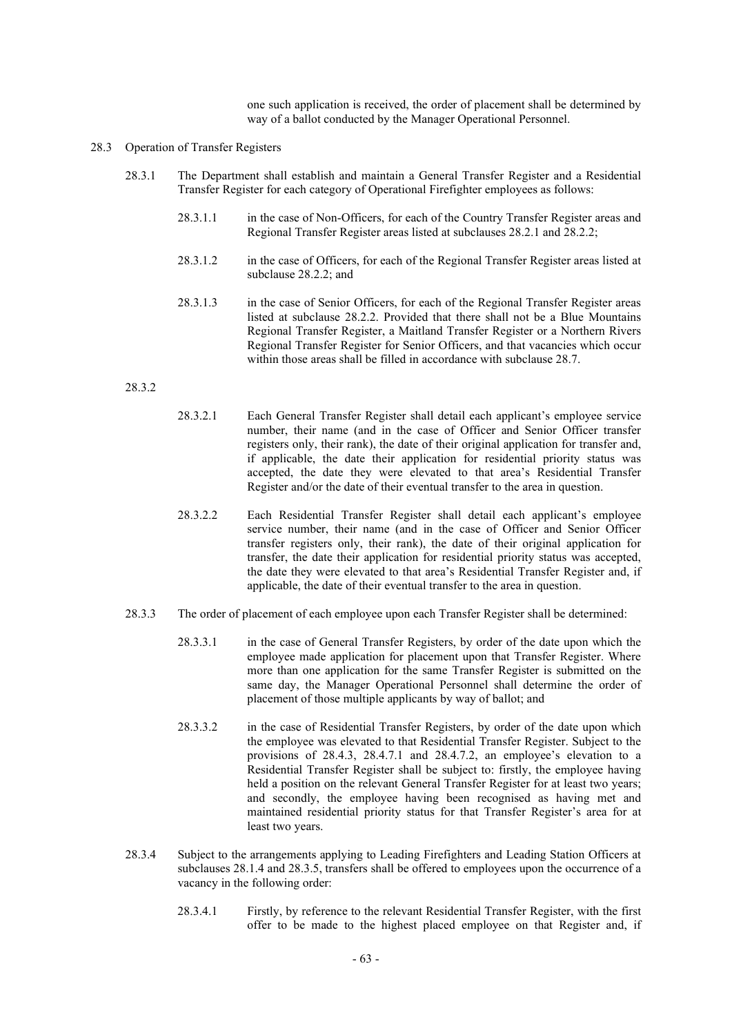one such application is received, the order of placement shall be determined by way of a ballot conducted by the Manager Operational Personnel.

#### 28.3 Operation of Transfer Registers

- 28.3.1 The Department shall establish and maintain a General Transfer Register and a Residential Transfer Register for each category of Operational Firefighter employees as follows:
	- 28.3.1.1 in the case of Non-Officers, for each of the Country Transfer Register areas and Regional Transfer Register areas listed at subclauses 28.2.1 and 28.2.2;
	- 28.3.1.2 in the case of Officers, for each of the Regional Transfer Register areas listed at subclause 28.2.2; and
	- 28.3.1.3 in the case of Senior Officers, for each of the Regional Transfer Register areas listed at subclause 28.2.2. Provided that there shall not be a Blue Mountains Regional Transfer Register, a Maitland Transfer Register or a Northern Rivers Regional Transfer Register for Senior Officers, and that vacancies which occur within those areas shall be filled in accordance with subclause 28.7.

## 28.3.2

- 28.3.2.1 Each General Transfer Register shall detail each applicant's employee service number, their name (and in the case of Officer and Senior Officer transfer registers only, their rank), the date of their original application for transfer and, if applicable, the date their application for residential priority status was accepted, the date they were elevated to that area's Residential Transfer Register and/or the date of their eventual transfer to the area in question.
- 28.3.2.2 Each Residential Transfer Register shall detail each applicant's employee service number, their name (and in the case of Officer and Senior Officer transfer registers only, their rank), the date of their original application for transfer, the date their application for residential priority status was accepted, the date they were elevated to that area's Residential Transfer Register and, if applicable, the date of their eventual transfer to the area in question.
- 28.3.3 The order of placement of each employee upon each Transfer Register shall be determined:
	- 28.3.3.1 in the case of General Transfer Registers, by order of the date upon which the employee made application for placement upon that Transfer Register. Where more than one application for the same Transfer Register is submitted on the same day, the Manager Operational Personnel shall determine the order of placement of those multiple applicants by way of ballot; and
	- 28.3.3.2 in the case of Residential Transfer Registers, by order of the date upon which the employee was elevated to that Residential Transfer Register. Subject to the provisions of 28.4.3, 28.4.7.1 and 28.4.7.2, an employee's elevation to a Residential Transfer Register shall be subject to: firstly, the employee having held a position on the relevant General Transfer Register for at least two years; and secondly, the employee having been recognised as having met and maintained residential priority status for that Transfer Register's area for at least two years.
- 28.3.4 Subject to the arrangements applying to Leading Firefighters and Leading Station Officers at subclauses 28.1.4 and 28.3.5, transfers shall be offered to employees upon the occurrence of a vacancy in the following order:
	- 28.3.4.1 Firstly, by reference to the relevant Residential Transfer Register, with the first offer to be made to the highest placed employee on that Register and, if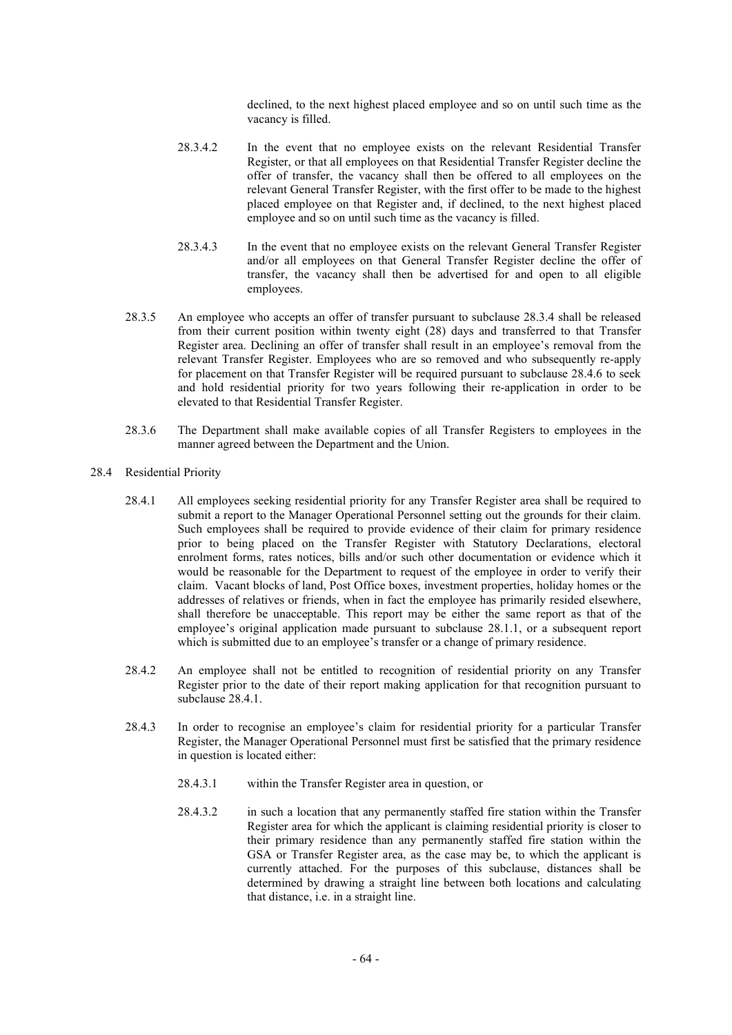declined, to the next highest placed employee and so on until such time as the vacancy is filled.

- 28.3.4.2 In the event that no employee exists on the relevant Residential Transfer Register, or that all employees on that Residential Transfer Register decline the offer of transfer, the vacancy shall then be offered to all employees on the relevant General Transfer Register, with the first offer to be made to the highest placed employee on that Register and, if declined, to the next highest placed employee and so on until such time as the vacancy is filled.
- 28.3.4.3 In the event that no employee exists on the relevant General Transfer Register and/or all employees on that General Transfer Register decline the offer of transfer, the vacancy shall then be advertised for and open to all eligible employees.
- 28.3.5 An employee who accepts an offer of transfer pursuant to subclause 28.3.4 shall be released from their current position within twenty eight (28) days and transferred to that Transfer Register area. Declining an offer of transfer shall result in an employee's removal from the relevant Transfer Register. Employees who are so removed and who subsequently re-apply for placement on that Transfer Register will be required pursuant to subclause 28.4.6 to seek and hold residential priority for two years following their re-application in order to be elevated to that Residential Transfer Register.
- 28.3.6 The Department shall make available copies of all Transfer Registers to employees in the manner agreed between the Department and the Union.
- 28.4 Residential Priority
	- 28.4.1 All employees seeking residential priority for any Transfer Register area shall be required to submit a report to the Manager Operational Personnel setting out the grounds for their claim. Such employees shall be required to provide evidence of their claim for primary residence prior to being placed on the Transfer Register with Statutory Declarations, electoral enrolment forms, rates notices, bills and/or such other documentation or evidence which it would be reasonable for the Department to request of the employee in order to verify their claim. Vacant blocks of land, Post Office boxes, investment properties, holiday homes or the addresses of relatives or friends, when in fact the employee has primarily resided elsewhere, shall therefore be unacceptable. This report may be either the same report as that of the employee's original application made pursuant to subclause 28.1.1, or a subsequent report which is submitted due to an employee's transfer or a change of primary residence.
	- 28.4.2 An employee shall not be entitled to recognition of residential priority on any Transfer Register prior to the date of their report making application for that recognition pursuant to subclause 28.4.1.
	- 28.4.3 In order to recognise an employee's claim for residential priority for a particular Transfer Register, the Manager Operational Personnel must first be satisfied that the primary residence in question is located either:
		- 28.4.3.1 within the Transfer Register area in question, or
		- 28.4.3.2 in such a location that any permanently staffed fire station within the Transfer Register area for which the applicant is claiming residential priority is closer to their primary residence than any permanently staffed fire station within the GSA or Transfer Register area, as the case may be, to which the applicant is currently attached. For the purposes of this subclause, distances shall be determined by drawing a straight line between both locations and calculating that distance, i.e. in a straight line.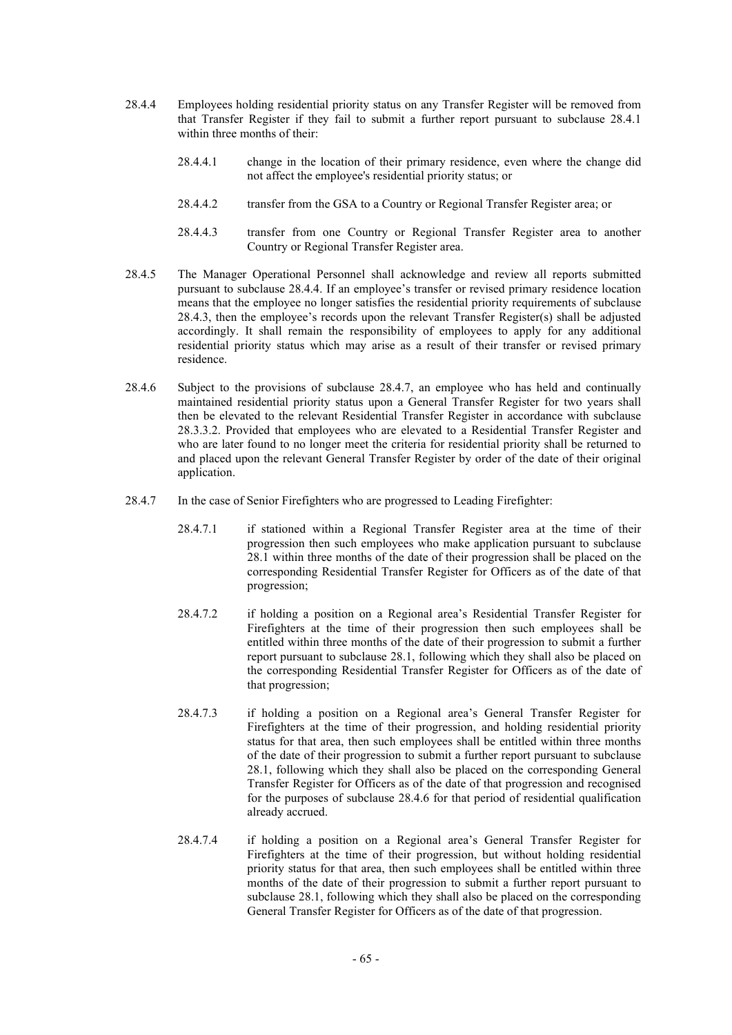- 28.4.4 Employees holding residential priority status on any Transfer Register will be removed from that Transfer Register if they fail to submit a further report pursuant to subclause 28.4.1 within three months of their:
	- 28.4.4.1 change in the location of their primary residence, even where the change did not affect the employee's residential priority status; or
	- 28.4.4.2 transfer from the GSA to a Country or Regional Transfer Register area; or
	- 28.4.4.3 transfer from one Country or Regional Transfer Register area to another Country or Regional Transfer Register area.
- 28.4.5 The Manager Operational Personnel shall acknowledge and review all reports submitted pursuant to subclause 28.4.4. If an employee's transfer or revised primary residence location means that the employee no longer satisfies the residential priority requirements of subclause 28.4.3, then the employee's records upon the relevant Transfer Register(s) shall be adjusted accordingly. It shall remain the responsibility of employees to apply for any additional residential priority status which may arise as a result of their transfer or revised primary residence.
- 28.4.6 Subject to the provisions of subclause 28.4.7, an employee who has held and continually maintained residential priority status upon a General Transfer Register for two years shall then be elevated to the relevant Residential Transfer Register in accordance with subclause 28.3.3.2. Provided that employees who are elevated to a Residential Transfer Register and who are later found to no longer meet the criteria for residential priority shall be returned to and placed upon the relevant General Transfer Register by order of the date of their original application.
- 28.4.7 In the case of Senior Firefighters who are progressed to Leading Firefighter:
	- 28.4.7.1 if stationed within a Regional Transfer Register area at the time of their progression then such employees who make application pursuant to subclause 28.1 within three months of the date of their progression shall be placed on the corresponding Residential Transfer Register for Officers as of the date of that progression;
	- 28.4.7.2 if holding a position on a Regional area's Residential Transfer Register for Firefighters at the time of their progression then such employees shall be entitled within three months of the date of their progression to submit a further report pursuant to subclause 28.1, following which they shall also be placed on the corresponding Residential Transfer Register for Officers as of the date of that progression;
	- 28.4.7.3 if holding a position on a Regional area's General Transfer Register for Firefighters at the time of their progression, and holding residential priority status for that area, then such employees shall be entitled within three months of the date of their progression to submit a further report pursuant to subclause 28.1, following which they shall also be placed on the corresponding General Transfer Register for Officers as of the date of that progression and recognised for the purposes of subclause 28.4.6 for that period of residential qualification already accrued.
	- 28.4.7.4 if holding a position on a Regional area's General Transfer Register for Firefighters at the time of their progression, but without holding residential priority status for that area, then such employees shall be entitled within three months of the date of their progression to submit a further report pursuant to subclause 28.1, following which they shall also be placed on the corresponding General Transfer Register for Officers as of the date of that progression.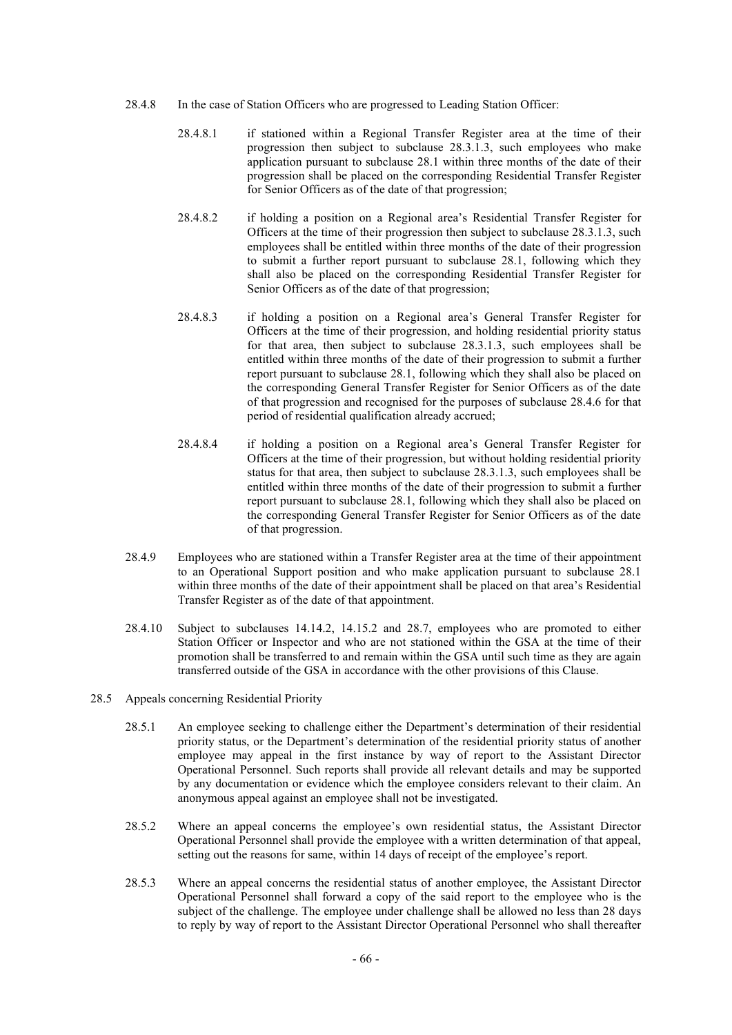- 28.4.8 In the case of Station Officers who are progressed to Leading Station Officer:
	- 28.4.8.1 if stationed within a Regional Transfer Register area at the time of their progression then subject to subclause 28.3.1.3, such employees who make application pursuant to subclause 28.1 within three months of the date of their progression shall be placed on the corresponding Residential Transfer Register for Senior Officers as of the date of that progression;
	- 28.4.8.2 if holding a position on a Regional area's Residential Transfer Register for Officers at the time of their progression then subject to subclause 28.3.1.3, such employees shall be entitled within three months of the date of their progression to submit a further report pursuant to subclause 28.1, following which they shall also be placed on the corresponding Residential Transfer Register for Senior Officers as of the date of that progression;
	- 28.4.8.3 if holding a position on a Regional area's General Transfer Register for Officers at the time of their progression, and holding residential priority status for that area, then subject to subclause 28.3.1.3, such employees shall be entitled within three months of the date of their progression to submit a further report pursuant to subclause 28.1, following which they shall also be placed on the corresponding General Transfer Register for Senior Officers as of the date of that progression and recognised for the purposes of subclause 28.4.6 for that period of residential qualification already accrued;
	- 28.4.8.4 if holding a position on a Regional area's General Transfer Register for Officers at the time of their progression, but without holding residential priority status for that area, then subject to subclause 28.3.1.3, such employees shall be entitled within three months of the date of their progression to submit a further report pursuant to subclause 28.1, following which they shall also be placed on the corresponding General Transfer Register for Senior Officers as of the date of that progression.
- 28.4.9 Employees who are stationed within a Transfer Register area at the time of their appointment to an Operational Support position and who make application pursuant to subclause 28.1 within three months of the date of their appointment shall be placed on that area's Residential Transfer Register as of the date of that appointment.
- 28.4.10 Subject to subclauses 14.14.2, 14.15.2 and 28.7, employees who are promoted to either Station Officer or Inspector and who are not stationed within the GSA at the time of their promotion shall be transferred to and remain within the GSA until such time as they are again transferred outside of the GSA in accordance with the other provisions of this Clause.
- 28.5 Appeals concerning Residential Priority
	- 28.5.1 An employee seeking to challenge either the Department's determination of their residential priority status, or the Department's determination of the residential priority status of another employee may appeal in the first instance by way of report to the Assistant Director Operational Personnel. Such reports shall provide all relevant details and may be supported by any documentation or evidence which the employee considers relevant to their claim. An anonymous appeal against an employee shall not be investigated.
	- 28.5.2 Where an appeal concerns the employee's own residential status, the Assistant Director Operational Personnel shall provide the employee with a written determination of that appeal, setting out the reasons for same, within 14 days of receipt of the employee's report.
	- 28.5.3 Where an appeal concerns the residential status of another employee, the Assistant Director Operational Personnel shall forward a copy of the said report to the employee who is the subject of the challenge. The employee under challenge shall be allowed no less than 28 days to reply by way of report to the Assistant Director Operational Personnel who shall thereafter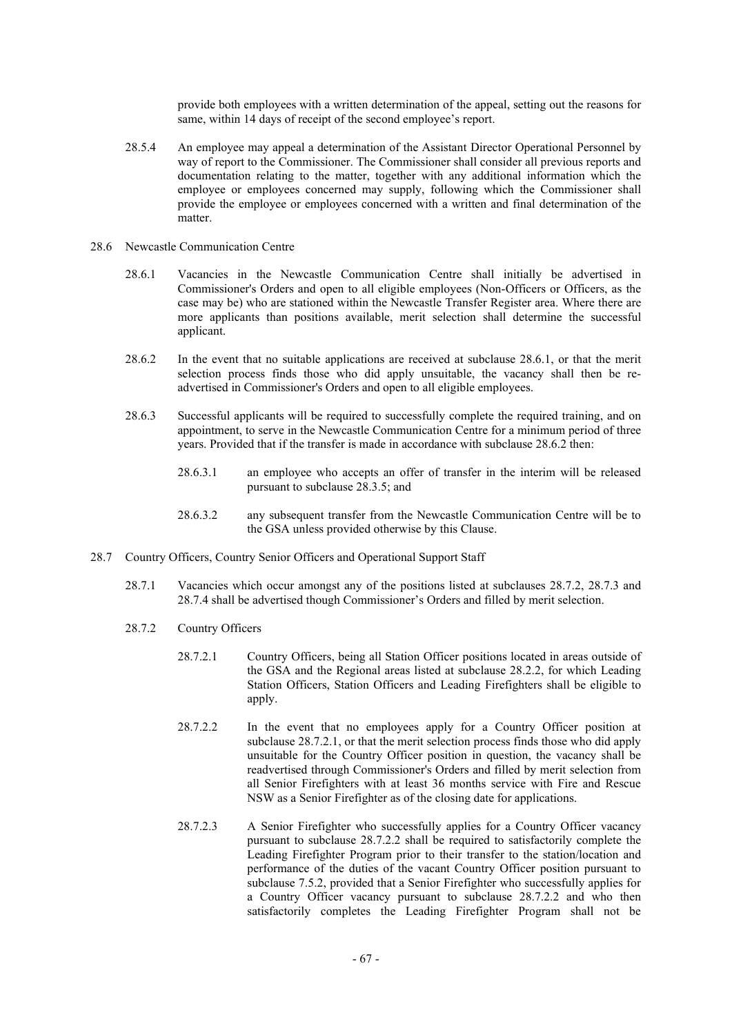provide both employees with a written determination of the appeal, setting out the reasons for same, within 14 days of receipt of the second employee's report.

- 28.5.4 An employee may appeal a determination of the Assistant Director Operational Personnel by way of report to the Commissioner. The Commissioner shall consider all previous reports and documentation relating to the matter, together with any additional information which the employee or employees concerned may supply, following which the Commissioner shall provide the employee or employees concerned with a written and final determination of the matter.
- 28.6 Newcastle Communication Centre
	- 28.6.1 Vacancies in the Newcastle Communication Centre shall initially be advertised in Commissioner's Orders and open to all eligible employees (Non-Officers or Officers, as the case may be) who are stationed within the Newcastle Transfer Register area. Where there are more applicants than positions available, merit selection shall determine the successful applicant.
	- 28.6.2 In the event that no suitable applications are received at subclause 28.6.1, or that the merit selection process finds those who did apply unsuitable, the vacancy shall then be readvertised in Commissioner's Orders and open to all eligible employees.
	- 28.6.3 Successful applicants will be required to successfully complete the required training, and on appointment, to serve in the Newcastle Communication Centre for a minimum period of three years. Provided that if the transfer is made in accordance with subclause 28.6.2 then:
		- 28.6.3.1 an employee who accepts an offer of transfer in the interim will be released pursuant to subclause 28.3.5; and
		- 28.6.3.2 any subsequent transfer from the Newcastle Communication Centre will be to the GSA unless provided otherwise by this Clause.
- 28.7 Country Officers, Country Senior Officers and Operational Support Staff
	- 28.7.1 Vacancies which occur amongst any of the positions listed at subclauses 28.7.2, 28.7.3 and 28.7.4 shall be advertised though Commissioner's Orders and filled by merit selection.
	- 28.7.2 Country Officers
		- 28.7.2.1 Country Officers, being all Station Officer positions located in areas outside of the GSA and the Regional areas listed at subclause 28.2.2, for which Leading Station Officers, Station Officers and Leading Firefighters shall be eligible to apply.
		- 28.7.2.2 In the event that no employees apply for a Country Officer position at subclause 28.7.2.1, or that the merit selection process finds those who did apply unsuitable for the Country Officer position in question, the vacancy shall be readvertised through Commissioner's Orders and filled by merit selection from all Senior Firefighters with at least 36 months service with Fire and Rescue NSW as a Senior Firefighter as of the closing date for applications.
		- 28.7.2.3 A Senior Firefighter who successfully applies for a Country Officer vacancy pursuant to subclause 28.7.2.2 shall be required to satisfactorily complete the Leading Firefighter Program prior to their transfer to the station/location and performance of the duties of the vacant Country Officer position pursuant to subclause 7.5.2, provided that a Senior Firefighter who successfully applies for a Country Officer vacancy pursuant to subclause 28.7.2.2 and who then satisfactorily completes the Leading Firefighter Program shall not be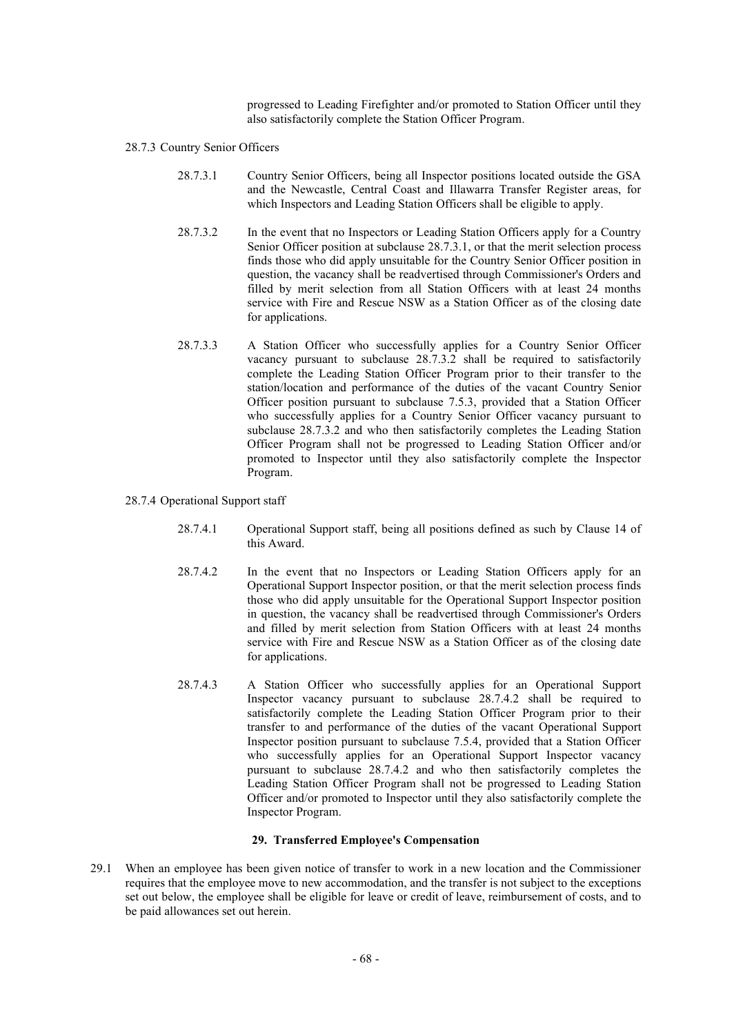progressed to Leading Firefighter and/or promoted to Station Officer until they also satisfactorily complete the Station Officer Program.

- 28.7.3 Country Senior Officers
	- 28.7.3.1 Country Senior Officers, being all Inspector positions located outside the GSA and the Newcastle, Central Coast and Illawarra Transfer Register areas, for which Inspectors and Leading Station Officers shall be eligible to apply.
	- 28.7.3.2 In the event that no Inspectors or Leading Station Officers apply for a Country Senior Officer position at subclause 28.7.3.1, or that the merit selection process finds those who did apply unsuitable for the Country Senior Officer position in question, the vacancy shall be readvertised through Commissioner's Orders and filled by merit selection from all Station Officers with at least 24 months service with Fire and Rescue NSW as a Station Officer as of the closing date for applications.
	- 28.7.3.3 A Station Officer who successfully applies for a Country Senior Officer vacancy pursuant to subclause 28.7.3.2 shall be required to satisfactorily complete the Leading Station Officer Program prior to their transfer to the station/location and performance of the duties of the vacant Country Senior Officer position pursuant to subclause 7.5.3, provided that a Station Officer who successfully applies for a Country Senior Officer vacancy pursuant to subclause 28.7.3.2 and who then satisfactorily completes the Leading Station Officer Program shall not be progressed to Leading Station Officer and/or promoted to Inspector until they also satisfactorily complete the Inspector Program.
- 28.7.4 Operational Support staff
	- 28.7.4.1 Operational Support staff, being all positions defined as such by Clause 14 of this Award.
	- 28.7.4.2 In the event that no Inspectors or Leading Station Officers apply for an Operational Support Inspector position, or that the merit selection process finds those who did apply unsuitable for the Operational Support Inspector position in question, the vacancy shall be readvertised through Commissioner's Orders and filled by merit selection from Station Officers with at least 24 months service with Fire and Rescue NSW as a Station Officer as of the closing date for applications.
	- 28.7.4.3 A Station Officer who successfully applies for an Operational Support Inspector vacancy pursuant to subclause 28.7.4.2 shall be required to satisfactorily complete the Leading Station Officer Program prior to their transfer to and performance of the duties of the vacant Operational Support Inspector position pursuant to subclause 7.5.4, provided that a Station Officer who successfully applies for an Operational Support Inspector vacancy pursuant to subclause 28.7.4.2 and who then satisfactorily completes the Leading Station Officer Program shall not be progressed to Leading Station Officer and/or promoted to Inspector until they also satisfactorily complete the Inspector Program.

#### **29. Transferred Employee's Compensation**

29.1 When an employee has been given notice of transfer to work in a new location and the Commissioner requires that the employee move to new accommodation, and the transfer is not subject to the exceptions set out below, the employee shall be eligible for leave or credit of leave, reimbursement of costs, and to be paid allowances set out herein.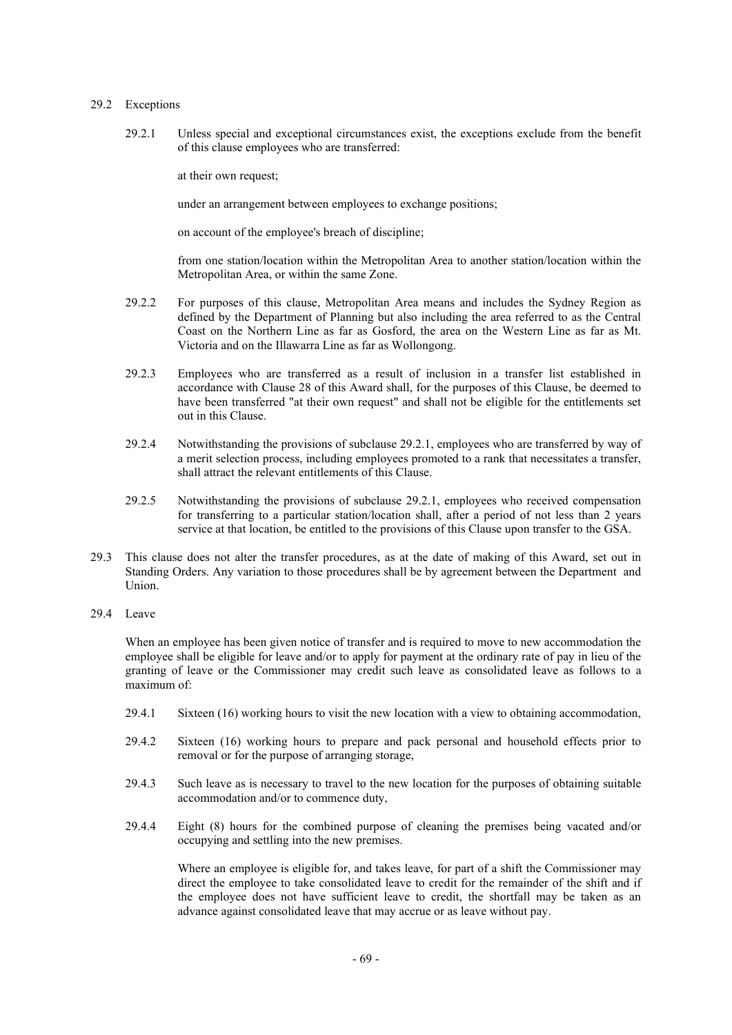## 29.2 Exceptions

29.2.1 Unless special and exceptional circumstances exist, the exceptions exclude from the benefit of this clause employees who are transferred:

at their own request;

under an arrangement between employees to exchange positions;

on account of the employee's breach of discipline;

from one station/location within the Metropolitan Area to another station/location within the Metropolitan Area, or within the same Zone.

- 29.2.2 For purposes of this clause, Metropolitan Area means and includes the Sydney Region as defined by the Department of Planning but also including the area referred to as the Central Coast on the Northern Line as far as Gosford, the area on the Western Line as far as Mt. Victoria and on the Illawarra Line as far as Wollongong.
- 29.2.3 Employees who are transferred as a result of inclusion in a transfer list established in accordance with Clause 28 of this Award shall, for the purposes of this Clause, be deemed to have been transferred "at their own request" and shall not be eligible for the entitlements set out in this Clause.
- 29.2.4 Notwithstanding the provisions of subclause 29.2.1, employees who are transferred by way of a merit selection process, including employees promoted to a rank that necessitates a transfer, shall attract the relevant entitlements of this Clause.
- 29.2.5 Notwithstanding the provisions of subclause 29.2.1, employees who received compensation for transferring to a particular station/location shall, after a period of not less than 2 years service at that location, be entitled to the provisions of this Clause upon transfer to the GSA.
- 29.3 This clause does not alter the transfer procedures, as at the date of making of this Award, set out in Standing Orders. Any variation to those procedures shall be by agreement between the Department and Union.
- 29.4 Leave

When an employee has been given notice of transfer and is required to move to new accommodation the employee shall be eligible for leave and/or to apply for payment at the ordinary rate of pay in lieu of the granting of leave or the Commissioner may credit such leave as consolidated leave as follows to a maximum of:

- 29.4.1 Sixteen (16) working hours to visit the new location with a view to obtaining accommodation,
- 29.4.2 Sixteen (16) working hours to prepare and pack personal and household effects prior to removal or for the purpose of arranging storage,
- 29.4.3 Such leave as is necessary to travel to the new location for the purposes of obtaining suitable accommodation and/or to commence duty,
- 29.4.4 Eight (8) hours for the combined purpose of cleaning the premises being vacated and/or occupying and settling into the new premises.

Where an employee is eligible for, and takes leave, for part of a shift the Commissioner may direct the employee to take consolidated leave to credit for the remainder of the shift and if the employee does not have sufficient leave to credit, the shortfall may be taken as an advance against consolidated leave that may accrue or as leave without pay.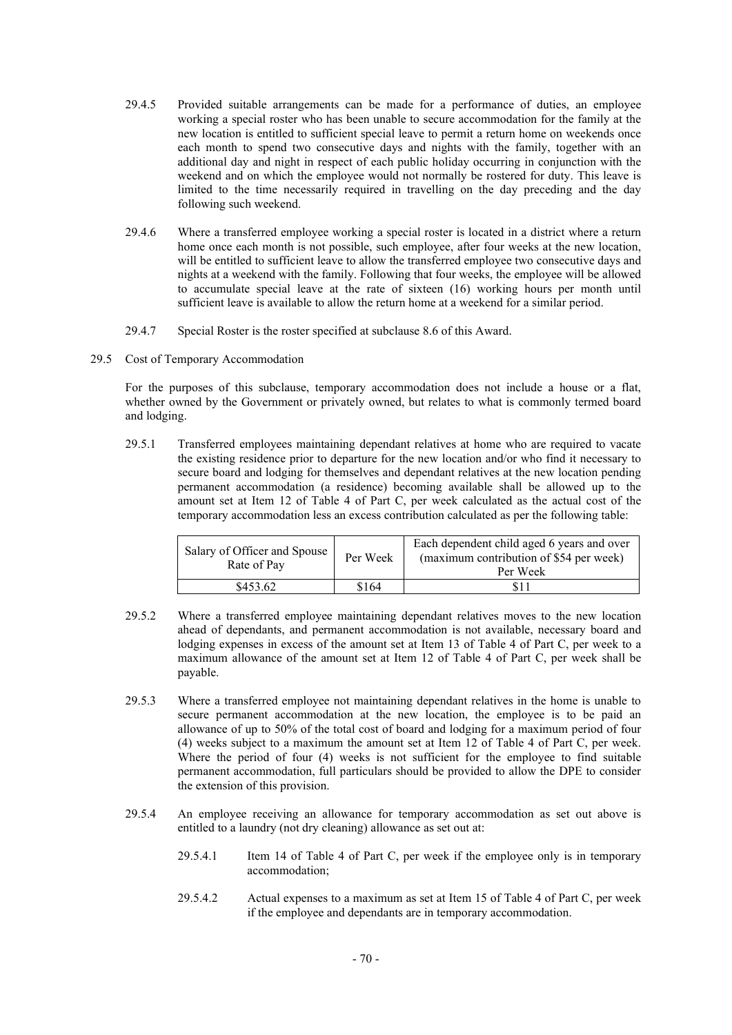- 29.4.5 Provided suitable arrangements can be made for a performance of duties, an employee working a special roster who has been unable to secure accommodation for the family at the new location is entitled to sufficient special leave to permit a return home on weekends once each month to spend two consecutive days and nights with the family, together with an additional day and night in respect of each public holiday occurring in conjunction with the weekend and on which the employee would not normally be rostered for duty. This leave is limited to the time necessarily required in travelling on the day preceding and the day following such weekend.
- 29.4.6 Where a transferred employee working a special roster is located in a district where a return home once each month is not possible, such employee, after four weeks at the new location, will be entitled to sufficient leave to allow the transferred employee two consecutive days and nights at a weekend with the family. Following that four weeks, the employee will be allowed to accumulate special leave at the rate of sixteen (16) working hours per month until sufficient leave is available to allow the return home at a weekend for a similar period.
- 29.4.7 Special Roster is the roster specified at subclause 8.6 of this Award.
- 29.5 Cost of Temporary Accommodation

For the purposes of this subclause, temporary accommodation does not include a house or a flat, whether owned by the Government or privately owned, but relates to what is commonly termed board and lodging.

29.5.1 Transferred employees maintaining dependant relatives at home who are required to vacate the existing residence prior to departure for the new location and/or who find it necessary to secure board and lodging for themselves and dependant relatives at the new location pending permanent accommodation (a residence) becoming available shall be allowed up to the amount set at Item 12 of Table 4 of Part C, per week calculated as the actual cost of the temporary accommodation less an excess contribution calculated as per the following table:

| Salary of Officer and Spouse  <br>Rate of Pay | Per Week | Each dependent child aged 6 years and over<br>(maximum contribution of \$54 per week)<br>Per Week |
|-----------------------------------------------|----------|---------------------------------------------------------------------------------------------------|
| \$453.62                                      | \$164    |                                                                                                   |

- 29.5.2 Where a transferred employee maintaining dependant relatives moves to the new location ahead of dependants, and permanent accommodation is not available, necessary board and lodging expenses in excess of the amount set at Item 13 of Table 4 of Part C, per week to a maximum allowance of the amount set at Item 12 of Table 4 of Part C, per week shall be payable.
- 29.5.3 Where a transferred employee not maintaining dependant relatives in the home is unable to secure permanent accommodation at the new location, the employee is to be paid an allowance of up to 50% of the total cost of board and lodging for a maximum period of four (4) weeks subject to a maximum the amount set at Item 12 of Table 4 of Part C, per week. Where the period of four (4) weeks is not sufficient for the employee to find suitable permanent accommodation, full particulars should be provided to allow the DPE to consider the extension of this provision.
- 29.5.4 An employee receiving an allowance for temporary accommodation as set out above is entitled to a laundry (not dry cleaning) allowance as set out at:
	- 29.5.4.1 Item 14 of Table 4 of Part C, per week if the employee only is in temporary accommodation;
	- 29.5.4.2 Actual expenses to a maximum as set at Item 15 of Table 4 of Part C, per week if the employee and dependants are in temporary accommodation.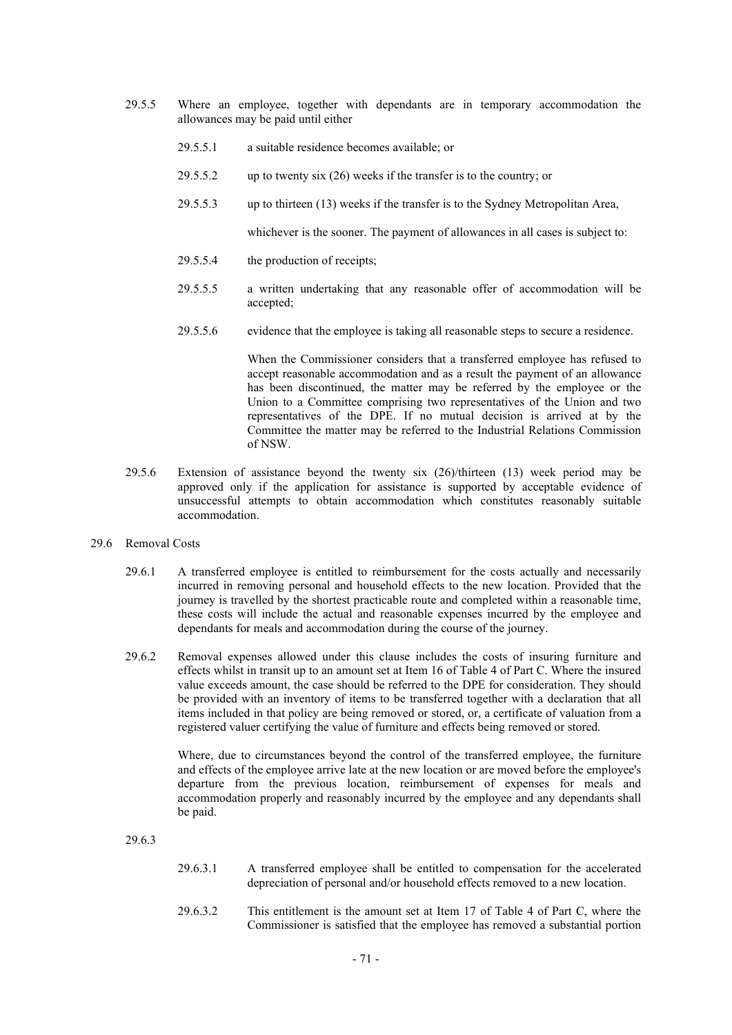- 29.5.5 Where an employee, together with dependants are in temporary accommodation the allowances may be paid until either
	- 29.5.5.1 a suitable residence becomes available; or
	- 29.5.5.2 up to twenty six (26) weeks if the transfer is to the country; or
	- 29.5.5.3 up to thirteen (13) weeks if the transfer is to the Sydney Metropolitan Area,

whichever is the sooner. The payment of allowances in all cases is subject to:

- 29.5.5.4 the production of receipts;
- 29.5.5.5 a written undertaking that any reasonable offer of accommodation will be accepted;
- 29.5.5.6 evidence that the employee is taking all reasonable steps to secure a residence.

When the Commissioner considers that a transferred employee has refused to accept reasonable accommodation and as a result the payment of an allowance has been discontinued, the matter may be referred by the employee or the Union to a Committee comprising two representatives of the Union and two representatives of the DPE. If no mutual decision is arrived at by the Committee the matter may be referred to the Industrial Relations Commission of NSW.

- 29.5.6 Extension of assistance beyond the twenty six (26)/thirteen (13) week period may be approved only if the application for assistance is supported by acceptable evidence of unsuccessful attempts to obtain accommodation which constitutes reasonably suitable accommodation.
- 29.6 Removal Costs
	- 29.6.1 A transferred employee is entitled to reimbursement for the costs actually and necessarily incurred in removing personal and household effects to the new location. Provided that the journey is travelled by the shortest practicable route and completed within a reasonable time, these costs will include the actual and reasonable expenses incurred by the employee and dependants for meals and accommodation during the course of the journey.
	- 29.6.2 Removal expenses allowed under this clause includes the costs of insuring furniture and effects whilst in transit up to an amount set at Item 16 of Table 4 of Part C. Where the insured value exceeds amount, the case should be referred to the DPE for consideration. They should be provided with an inventory of items to be transferred together with a declaration that all items included in that policy are being removed or stored, or, a certificate of valuation from a registered valuer certifying the value of furniture and effects being removed or stored.

Where, due to circumstances beyond the control of the transferred employee, the furniture and effects of the employee arrive late at the new location or are moved before the employee's departure from the previous location, reimbursement of expenses for meals and accommodation properly and reasonably incurred by the employee and any dependants shall be paid.

29.6.3

- 29.6.3.1 A transferred employee shall be entitled to compensation for the accelerated depreciation of personal and/or household effects removed to a new location.
- 29.6.3.2 This entitlement is the amount set at Item 17 of Table 4 of Part C, where the Commissioner is satisfied that the employee has removed a substantial portion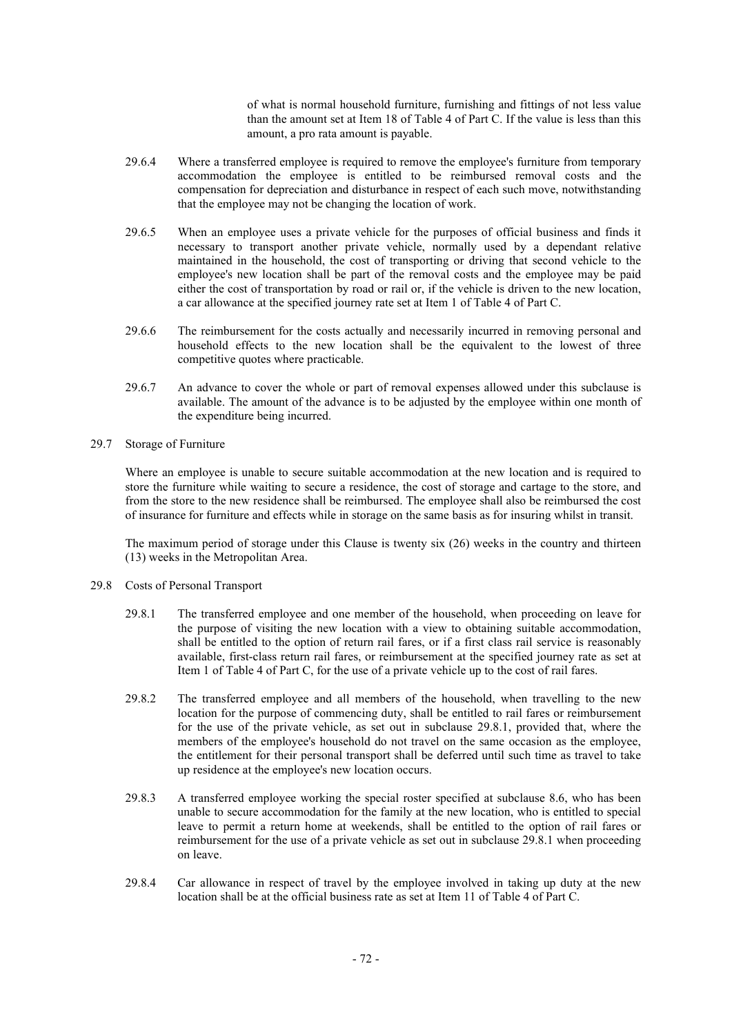of what is normal household furniture, furnishing and fittings of not less value than the amount set at Item 18 of Table 4 of Part C. If the value is less than this amount, a pro rata amount is payable.

- 29.6.4 Where a transferred employee is required to remove the employee's furniture from temporary accommodation the employee is entitled to be reimbursed removal costs and the compensation for depreciation and disturbance in respect of each such move, notwithstanding that the employee may not be changing the location of work.
- 29.6.5 When an employee uses a private vehicle for the purposes of official business and finds it necessary to transport another private vehicle, normally used by a dependant relative maintained in the household, the cost of transporting or driving that second vehicle to the employee's new location shall be part of the removal costs and the employee may be paid either the cost of transportation by road or rail or, if the vehicle is driven to the new location, a car allowance at the specified journey rate set at Item 1 of Table 4 of Part C.
- 29.6.6 The reimbursement for the costs actually and necessarily incurred in removing personal and household effects to the new location shall be the equivalent to the lowest of three competitive quotes where practicable.
- 29.6.7 An advance to cover the whole or part of removal expenses allowed under this subclause is available. The amount of the advance is to be adjusted by the employee within one month of the expenditure being incurred.
- 29.7 Storage of Furniture

Where an employee is unable to secure suitable accommodation at the new location and is required to store the furniture while waiting to secure a residence, the cost of storage and cartage to the store, and from the store to the new residence shall be reimbursed. The employee shall also be reimbursed the cost of insurance for furniture and effects while in storage on the same basis as for insuring whilst in transit.

The maximum period of storage under this Clause is twenty six (26) weeks in the country and thirteen (13) weeks in the Metropolitan Area.

- 29.8 Costs of Personal Transport
	- 29.8.1 The transferred employee and one member of the household, when proceeding on leave for the purpose of visiting the new location with a view to obtaining suitable accommodation, shall be entitled to the option of return rail fares, or if a first class rail service is reasonably available, first-class return rail fares, or reimbursement at the specified journey rate as set at Item 1 of Table 4 of Part C, for the use of a private vehicle up to the cost of rail fares.
	- 29.8.2 The transferred employee and all members of the household, when travelling to the new location for the purpose of commencing duty, shall be entitled to rail fares or reimbursement for the use of the private vehicle, as set out in subclause 29.8.1, provided that, where the members of the employee's household do not travel on the same occasion as the employee, the entitlement for their personal transport shall be deferred until such time as travel to take up residence at the employee's new location occurs.
	- 29.8.3 A transferred employee working the special roster specified at subclause 8.6, who has been unable to secure accommodation for the family at the new location, who is entitled to special leave to permit a return home at weekends, shall be entitled to the option of rail fares or reimbursement for the use of a private vehicle as set out in subclause 29.8.1 when proceeding on leave.
	- 29.8.4 Car allowance in respect of travel by the employee involved in taking up duty at the new location shall be at the official business rate as set at Item 11 of Table 4 of Part C.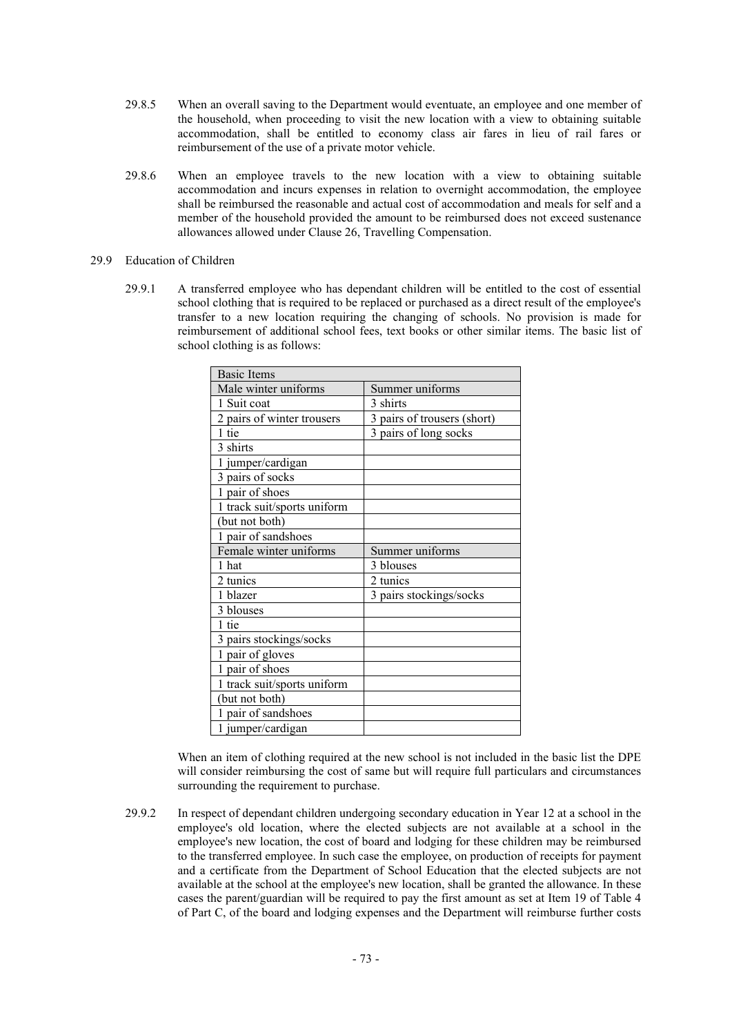- 29.8.5 When an overall saving to the Department would eventuate, an employee and one member of the household, when proceeding to visit the new location with a view to obtaining suitable accommodation, shall be entitled to economy class air fares in lieu of rail fares or reimbursement of the use of a private motor vehicle.
- 29.8.6 When an employee travels to the new location with a view to obtaining suitable accommodation and incurs expenses in relation to overnight accommodation, the employee shall be reimbursed the reasonable and actual cost of accommodation and meals for self and a member of the household provided the amount to be reimbursed does not exceed sustenance allowances allowed under Clause 26, Travelling Compensation.

# 29.9 Education of Children

29.9.1 A transferred employee who has dependant children will be entitled to the cost of essential school clothing that is required to be replaced or purchased as a direct result of the employee's transfer to a new location requiring the changing of schools. No provision is made for reimbursement of additional school fees, text books or other similar items. The basic list of school clothing is as follows:

| <b>Basic Items</b>          |                             |
|-----------------------------|-----------------------------|
| Male winter uniforms        | Summer uniforms             |
| 1 Suit coat                 | 3 shirts                    |
| 2 pairs of winter trousers  | 3 pairs of trousers (short) |
| 1 tie                       | 3 pairs of long socks       |
| 3 shirts                    |                             |
| 1 jumper/cardigan           |                             |
| 3 pairs of socks            |                             |
| 1 pair of shoes             |                             |
| 1 track suit/sports uniform |                             |
| (but not both)              |                             |
| 1 pair of sandshoes         |                             |
| Female winter uniforms      | Summer uniforms             |
| 1 hat                       | 3 blouses                   |
| 2 tunics                    | 2 tunics                    |
| 1 blazer                    | 3 pairs stockings/socks     |
| 3 blouses                   |                             |
| 1 tie                       |                             |
| 3 pairs stockings/socks     |                             |
| 1 pair of gloves            |                             |
| 1 pair of shoes             |                             |
| 1 track suit/sports uniform |                             |
| (but not both)              |                             |
| 1 pair of sandshoes         |                             |
| 1 jumper/cardigan           |                             |

When an item of clothing required at the new school is not included in the basic list the DPE will consider reimbursing the cost of same but will require full particulars and circumstances surrounding the requirement to purchase.

29.9.2 In respect of dependant children undergoing secondary education in Year 12 at a school in the employee's old location, where the elected subjects are not available at a school in the employee's new location, the cost of board and lodging for these children may be reimbursed to the transferred employee. In such case the employee, on production of receipts for payment and a certificate from the Department of School Education that the elected subjects are not available at the school at the employee's new location, shall be granted the allowance. In these cases the parent/guardian will be required to pay the first amount as set at Item 19 of Table 4 of Part C, of the board and lodging expenses and the Department will reimburse further costs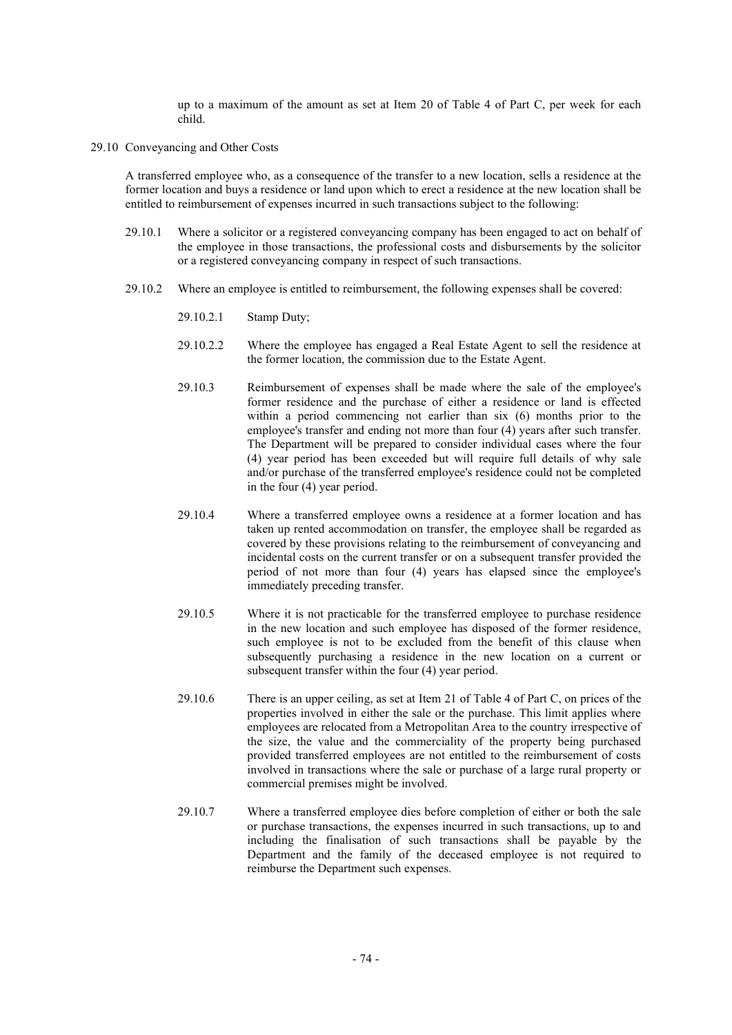up to a maximum of the amount as set at Item 20 of Table 4 of Part C, per week for each child.

29.10 Conveyancing and Other Costs

A transferred employee who, as a consequence of the transfer to a new location, sells a residence at the former location and buys a residence or land upon which to erect a residence at the new location shall be entitled to reimbursement of expenses incurred in such transactions subject to the following:

- 29.10.1 Where a solicitor or a registered conveyancing company has been engaged to act on behalf of the employee in those transactions, the professional costs and disbursements by the solicitor or a registered conveyancing company in respect of such transactions.
- 29.10.2 Where an employee is entitled to reimbursement, the following expenses shall be covered:
	- 29.10.2.1 Stamp Duty;
	- 29.10.2.2 Where the employee has engaged a Real Estate Agent to sell the residence at the former location, the commission due to the Estate Agent.
	- 29.10.3 Reimbursement of expenses shall be made where the sale of the employee's former residence and the purchase of either a residence or land is effected within a period commencing not earlier than six (6) months prior to the employee's transfer and ending not more than four (4) years after such transfer. The Department will be prepared to consider individual cases where the four (4) year period has been exceeded but will require full details of why sale and/or purchase of the transferred employee's residence could not be completed in the four (4) year period.
	- 29.10.4 Where a transferred employee owns a residence at a former location and has taken up rented accommodation on transfer, the employee shall be regarded as covered by these provisions relating to the reimbursement of conveyancing and incidental costs on the current transfer or on a subsequent transfer provided the period of not more than four (4) years has elapsed since the employee's immediately preceding transfer.
	- 29.10.5 Where it is not practicable for the transferred employee to purchase residence in the new location and such employee has disposed of the former residence, such employee is not to be excluded from the benefit of this clause when subsequently purchasing a residence in the new location on a current or subsequent transfer within the four (4) year period.
	- 29.10.6 There is an upper ceiling, as set at Item 21 of Table 4 of Part C, on prices of the properties involved in either the sale or the purchase. This limit applies where employees are relocated from a Metropolitan Area to the country irrespective of the size, the value and the commerciality of the property being purchased provided transferred employees are not entitled to the reimbursement of costs involved in transactions where the sale or purchase of a large rural property or commercial premises might be involved.
	- 29.10.7 Where a transferred employee dies before completion of either or both the sale or purchase transactions, the expenses incurred in such transactions, up to and including the finalisation of such transactions shall be payable by the Department and the family of the deceased employee is not required to reimburse the Department such expenses.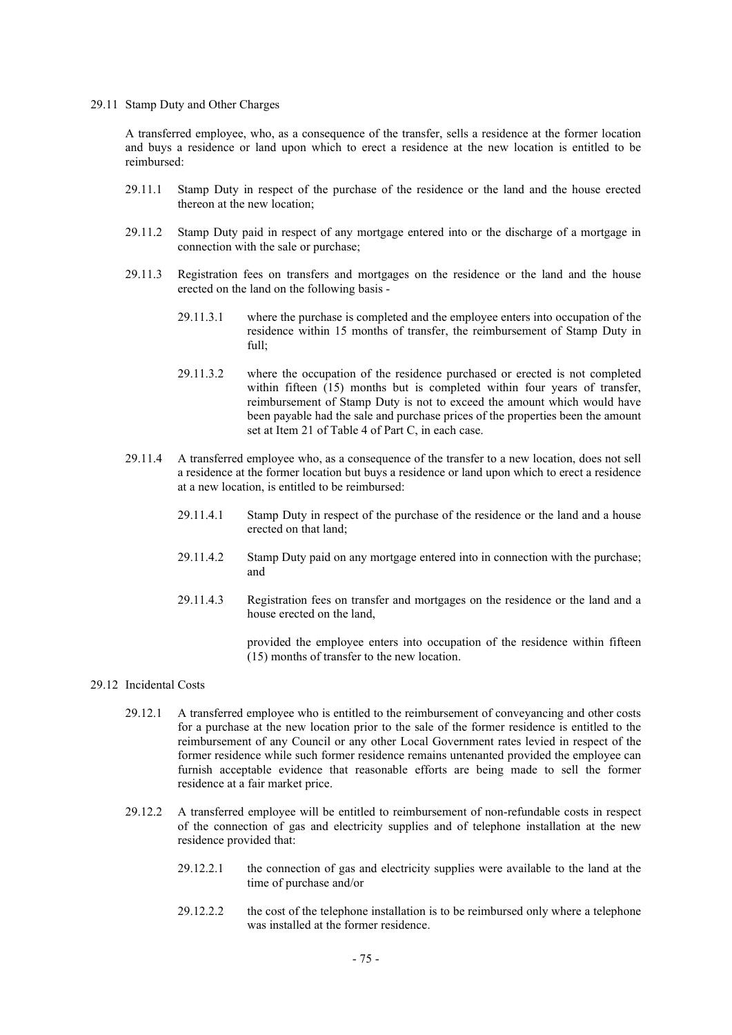29.11 Stamp Duty and Other Charges

A transferred employee, who, as a consequence of the transfer, sells a residence at the former location and buys a residence or land upon which to erect a residence at the new location is entitled to be reimbursed:

- 29.11.1 Stamp Duty in respect of the purchase of the residence or the land and the house erected thereon at the new location;
- 29.11.2 Stamp Duty paid in respect of any mortgage entered into or the discharge of a mortgage in connection with the sale or purchase;
- 29.11.3 Registration fees on transfers and mortgages on the residence or the land and the house erected on the land on the following basis -
	- 29.11.3.1 where the purchase is completed and the employee enters into occupation of the residence within 15 months of transfer, the reimbursement of Stamp Duty in full;
	- 29.11.3.2 where the occupation of the residence purchased or erected is not completed within fifteen (15) months but is completed within four years of transfer, reimbursement of Stamp Duty is not to exceed the amount which would have been payable had the sale and purchase prices of the properties been the amount set at Item 21 of Table 4 of Part C, in each case.
- 29.11.4 A transferred employee who, as a consequence of the transfer to a new location, does not sell a residence at the former location but buys a residence or land upon which to erect a residence at a new location, is entitled to be reimbursed:
	- 29.11.4.1 Stamp Duty in respect of the purchase of the residence or the land and a house erected on that land;
	- 29.11.4.2 Stamp Duty paid on any mortgage entered into in connection with the purchase; and
	- 29.11.4.3 Registration fees on transfer and mortgages on the residence or the land and a house erected on the land,

provided the employee enters into occupation of the residence within fifteen (15) months of transfer to the new location.

### 29.12 Incidental Costs

- 29.12.1 A transferred employee who is entitled to the reimbursement of conveyancing and other costs for a purchase at the new location prior to the sale of the former residence is entitled to the reimbursement of any Council or any other Local Government rates levied in respect of the former residence while such former residence remains untenanted provided the employee can furnish acceptable evidence that reasonable efforts are being made to sell the former residence at a fair market price.
- 29.12.2 A transferred employee will be entitled to reimbursement of non-refundable costs in respect of the connection of gas and electricity supplies and of telephone installation at the new residence provided that:
	- 29.12.2.1 the connection of gas and electricity supplies were available to the land at the time of purchase and/or
	- 29.12.2.2 the cost of the telephone installation is to be reimbursed only where a telephone was installed at the former residence.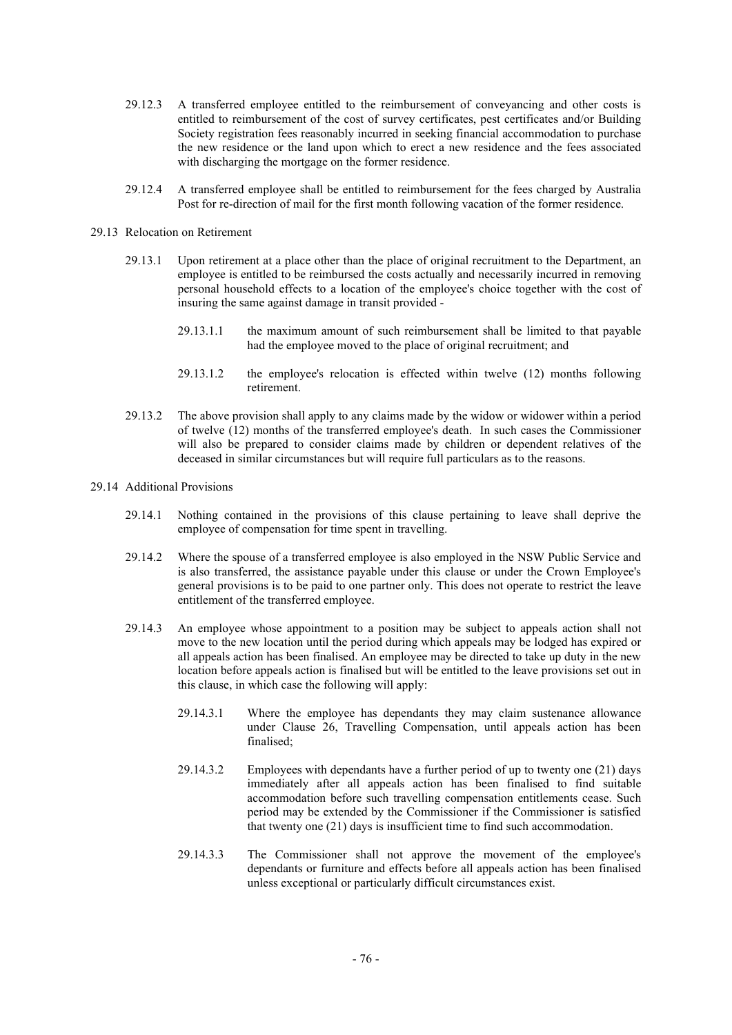- 29.12.3 A transferred employee entitled to the reimbursement of conveyancing and other costs is entitled to reimbursement of the cost of survey certificates, pest certificates and/or Building Society registration fees reasonably incurred in seeking financial accommodation to purchase the new residence or the land upon which to erect a new residence and the fees associated with discharging the mortgage on the former residence.
- 29.12.4 A transferred employee shall be entitled to reimbursement for the fees charged by Australia Post for re-direction of mail for the first month following vacation of the former residence.

#### 29.13 Relocation on Retirement

- 29.13.1 Upon retirement at a place other than the place of original recruitment to the Department, an employee is entitled to be reimbursed the costs actually and necessarily incurred in removing personal household effects to a location of the employee's choice together with the cost of insuring the same against damage in transit provided -
	- 29.13.1.1 the maximum amount of such reimbursement shall be limited to that payable had the employee moved to the place of original recruitment; and
	- 29.13.1.2 the employee's relocation is effected within twelve (12) months following retirement.
- 29.13.2 The above provision shall apply to any claims made by the widow or widower within a period of twelve (12) months of the transferred employee's death. In such cases the Commissioner will also be prepared to consider claims made by children or dependent relatives of the deceased in similar circumstances but will require full particulars as to the reasons.
- 29.14 Additional Provisions
	- 29.14.1 Nothing contained in the provisions of this clause pertaining to leave shall deprive the employee of compensation for time spent in travelling.
	- 29.14.2 Where the spouse of a transferred employee is also employed in the NSW Public Service and is also transferred, the assistance payable under this clause or under the Crown Employee's general provisions is to be paid to one partner only. This does not operate to restrict the leave entitlement of the transferred employee.
	- 29.14.3 An employee whose appointment to a position may be subject to appeals action shall not move to the new location until the period during which appeals may be lodged has expired or all appeals action has been finalised. An employee may be directed to take up duty in the new location before appeals action is finalised but will be entitled to the leave provisions set out in this clause, in which case the following will apply:
		- 29.14.3.1 Where the employee has dependants they may claim sustenance allowance under Clause 26, Travelling Compensation, until appeals action has been finalised;
		- 29.14.3.2 Employees with dependants have a further period of up to twenty one (21) days immediately after all appeals action has been finalised to find suitable accommodation before such travelling compensation entitlements cease. Such period may be extended by the Commissioner if the Commissioner is satisfied that twenty one (21) days is insufficient time to find such accommodation.
		- 29.14.3.3 The Commissioner shall not approve the movement of the employee's dependants or furniture and effects before all appeals action has been finalised unless exceptional or particularly difficult circumstances exist.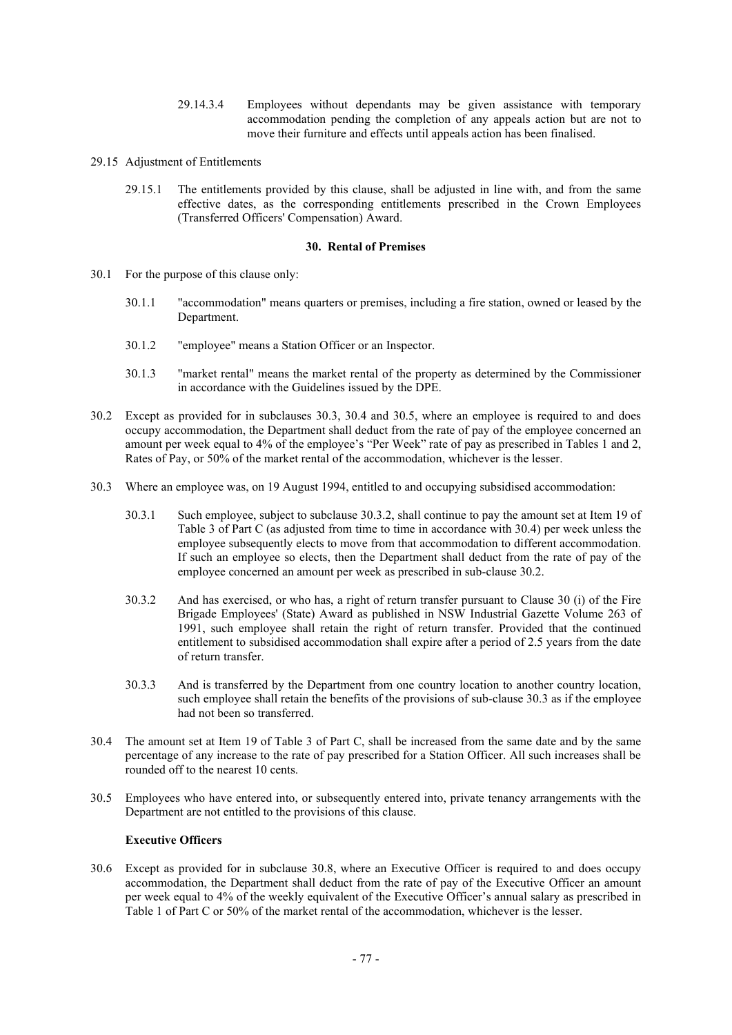- 29.14.3.4 Employees without dependants may be given assistance with temporary accommodation pending the completion of any appeals action but are not to move their furniture and effects until appeals action has been finalised.
- 29.15 Adjustment of Entitlements
	- 29.15.1 The entitlements provided by this clause, shall be adjusted in line with, and from the same effective dates, as the corresponding entitlements prescribed in the Crown Employees (Transferred Officers' Compensation) Award.

### **30. Rental of Premises**

- 30.1 For the purpose of this clause only:
	- 30.1.1 "accommodation" means quarters or premises, including a fire station, owned or leased by the Department.
	- 30.1.2 "employee" means a Station Officer or an Inspector.
	- 30.1.3 "market rental" means the market rental of the property as determined by the Commissioner in accordance with the Guidelines issued by the DPE.
- 30.2 Except as provided for in subclauses 30.3, 30.4 and 30.5, where an employee is required to and does occupy accommodation, the Department shall deduct from the rate of pay of the employee concerned an amount per week equal to 4% of the employee's "Per Week" rate of pay as prescribed in Tables 1 and 2, Rates of Pay, or 50% of the market rental of the accommodation, whichever is the lesser.
- 30.3 Where an employee was, on 19 August 1994, entitled to and occupying subsidised accommodation:
	- 30.3.1 Such employee, subject to subclause 30.3.2, shall continue to pay the amount set at Item 19 of Table 3 of Part C (as adjusted from time to time in accordance with 30.4) per week unless the employee subsequently elects to move from that accommodation to different accommodation. If such an employee so elects, then the Department shall deduct from the rate of pay of the employee concerned an amount per week as prescribed in sub-clause 30.2.
	- 30.3.2 And has exercised, or who has, a right of return transfer pursuant to Clause 30 (i) of the Fire Brigade Employees' (State) Award as published in NSW Industrial Gazette Volume 263 of 1991, such employee shall retain the right of return transfer. Provided that the continued entitlement to subsidised accommodation shall expire after a period of 2.5 years from the date of return transfer.
	- 30.3.3 And is transferred by the Department from one country location to another country location, such employee shall retain the benefits of the provisions of sub-clause 30.3 as if the employee had not been so transferred.
- 30.4 The amount set at Item 19 of Table 3 of Part C, shall be increased from the same date and by the same percentage of any increase to the rate of pay prescribed for a Station Officer. All such increases shall be rounded off to the nearest 10 cents.
- 30.5 Employees who have entered into, or subsequently entered into, private tenancy arrangements with the Department are not entitled to the provisions of this clause.

# **Executive Officers**

30.6 Except as provided for in subclause 30.8, where an Executive Officer is required to and does occupy accommodation, the Department shall deduct from the rate of pay of the Executive Officer an amount per week equal to 4% of the weekly equivalent of the Executive Officer's annual salary as prescribed in Table 1 of Part C or 50% of the market rental of the accommodation, whichever is the lesser.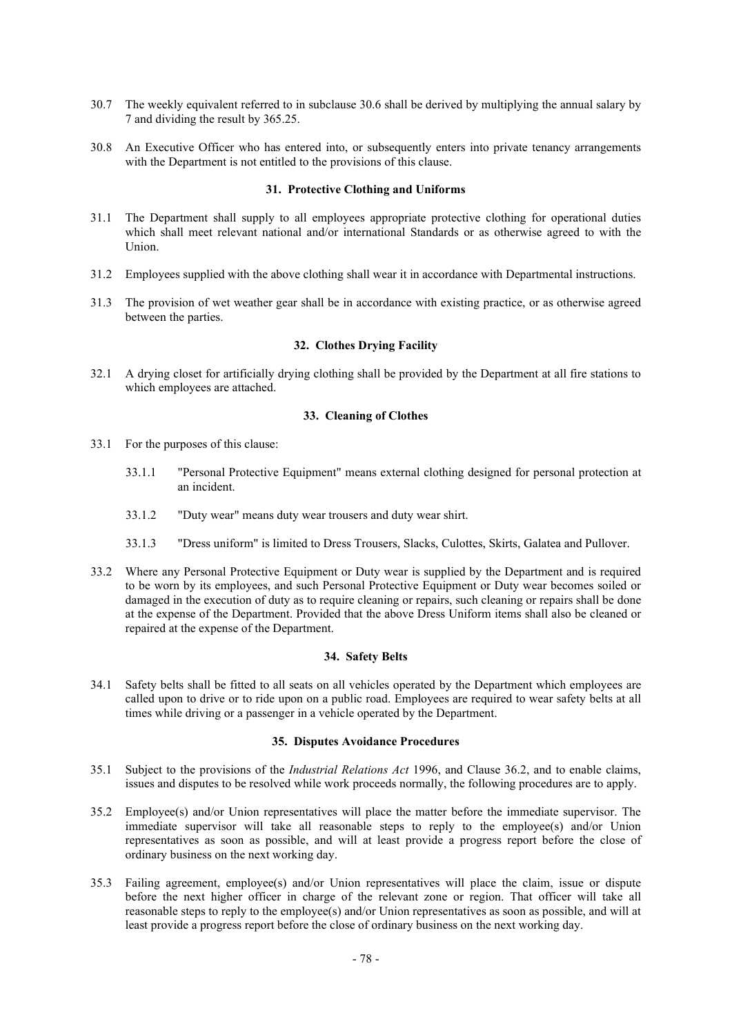- 30.7 The weekly equivalent referred to in subclause 30.6 shall be derived by multiplying the annual salary by 7 and dividing the result by 365.25.
- 30.8 An Executive Officer who has entered into, or subsequently enters into private tenancy arrangements with the Department is not entitled to the provisions of this clause.

#### **31. Protective Clothing and Uniforms**

- 31.1 The Department shall supply to all employees appropriate protective clothing for operational duties which shall meet relevant national and/or international Standards or as otherwise agreed to with the Union.
- 31.2 Employees supplied with the above clothing shall wear it in accordance with Departmental instructions.
- 31.3 The provision of wet weather gear shall be in accordance with existing practice, or as otherwise agreed between the parties.

# **32. Clothes Drying Facility**

32.1 A drying closet for artificially drying clothing shall be provided by the Department at all fire stations to which employees are attached.

# **33. Cleaning of Clothes**

- 33.1 For the purposes of this clause:
	- 33.1.1 "Personal Protective Equipment" means external clothing designed for personal protection at an incident.
	- 33.1.2 "Duty wear" means duty wear trousers and duty wear shirt.
	- 33.1.3 "Dress uniform" is limited to Dress Trousers, Slacks, Culottes, Skirts, Galatea and Pullover.
- 33.2 Where any Personal Protective Equipment or Duty wear is supplied by the Department and is required to be worn by its employees, and such Personal Protective Equipment or Duty wear becomes soiled or damaged in the execution of duty as to require cleaning or repairs, such cleaning or repairs shall be done at the expense of the Department. Provided that the above Dress Uniform items shall also be cleaned or repaired at the expense of the Department.

# **34. Safety Belts**

34.1 Safety belts shall be fitted to all seats on all vehicles operated by the Department which employees are called upon to drive or to ride upon on a public road. Employees are required to wear safety belts at all times while driving or a passenger in a vehicle operated by the Department.

#### **35. Disputes Avoidance Procedures**

- 35.1 Subject to the provisions of the *Industrial Relations Act* 1996, and Clause 36.2, and to enable claims, issues and disputes to be resolved while work proceeds normally, the following procedures are to apply.
- 35.2 Employee(s) and/or Union representatives will place the matter before the immediate supervisor. The immediate supervisor will take all reasonable steps to reply to the employee(s) and/or Union representatives as soon as possible, and will at least provide a progress report before the close of ordinary business on the next working day.
- 35.3 Failing agreement, employee(s) and/or Union representatives will place the claim, issue or dispute before the next higher officer in charge of the relevant zone or region. That officer will take all reasonable steps to reply to the employee(s) and/or Union representatives as soon as possible, and will at least provide a progress report before the close of ordinary business on the next working day.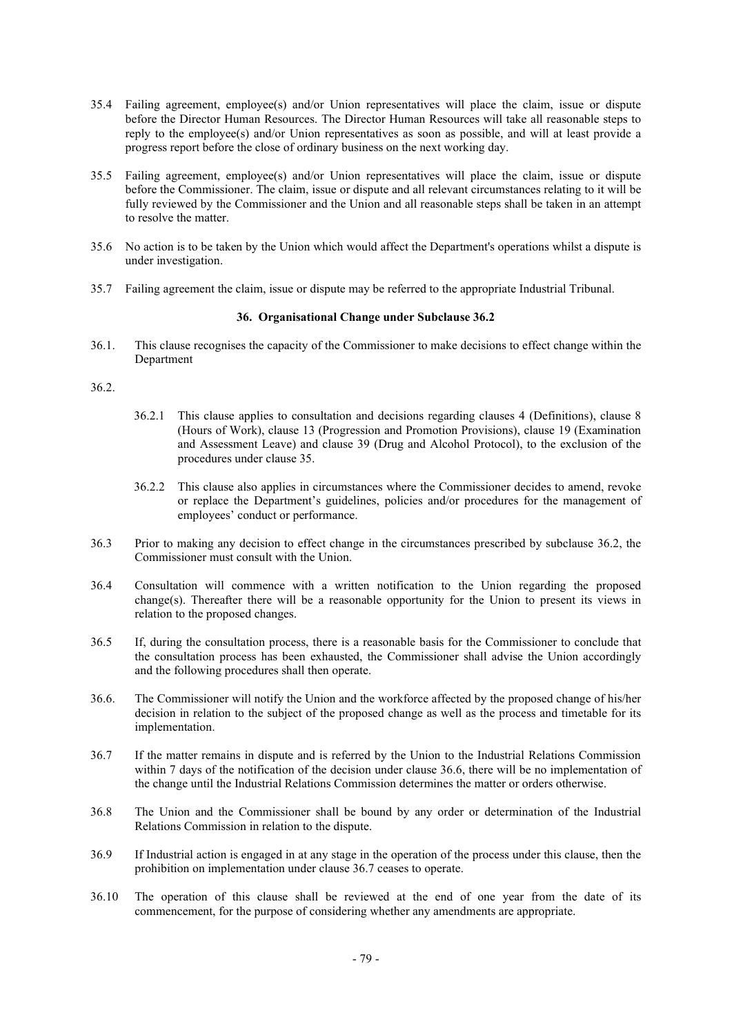- 35.4 Failing agreement, employee(s) and/or Union representatives will place the claim, issue or dispute before the Director Human Resources. The Director Human Resources will take all reasonable steps to reply to the employee(s) and/or Union representatives as soon as possible, and will at least provide a progress report before the close of ordinary business on the next working day.
- 35.5 Failing agreement, employee(s) and/or Union representatives will place the claim, issue or dispute before the Commissioner. The claim, issue or dispute and all relevant circumstances relating to it will be fully reviewed by the Commissioner and the Union and all reasonable steps shall be taken in an attempt to resolve the matter.
- 35.6 No action is to be taken by the Union which would affect the Department's operations whilst a dispute is under investigation.
- 35.7 Failing agreement the claim, issue or dispute may be referred to the appropriate Industrial Tribunal.

# **36. Organisational Change under Subclause 36.2**

36.1. This clause recognises the capacity of the Commissioner to make decisions to effect change within the Department

### 36.2.

- 36.2.1 This clause applies to consultation and decisions regarding clauses 4 (Definitions), clause 8 (Hours of Work), clause 13 (Progression and Promotion Provisions), clause 19 (Examination and Assessment Leave) and clause 39 (Drug and Alcohol Protocol), to the exclusion of the procedures under clause 35.
- 36.2.2 This clause also applies in circumstances where the Commissioner decides to amend, revoke or replace the Department's guidelines, policies and/or procedures for the management of employees' conduct or performance.
- 36.3 Prior to making any decision to effect change in the circumstances prescribed by subclause 36.2, the Commissioner must consult with the Union.
- 36.4 Consultation will commence with a written notification to the Union regarding the proposed change(s). Thereafter there will be a reasonable opportunity for the Union to present its views in relation to the proposed changes.
- 36.5 If, during the consultation process, there is a reasonable basis for the Commissioner to conclude that the consultation process has been exhausted, the Commissioner shall advise the Union accordingly and the following procedures shall then operate.
- 36.6. The Commissioner will notify the Union and the workforce affected by the proposed change of his/her decision in relation to the subject of the proposed change as well as the process and timetable for its implementation.
- 36.7 If the matter remains in dispute and is referred by the Union to the Industrial Relations Commission within 7 days of the notification of the decision under clause 36.6, there will be no implementation of the change until the Industrial Relations Commission determines the matter or orders otherwise.
- 36.8 The Union and the Commissioner shall be bound by any order or determination of the Industrial Relations Commission in relation to the dispute.
- 36.9 If Industrial action is engaged in at any stage in the operation of the process under this clause, then the prohibition on implementation under clause 36.7 ceases to operate.
- 36.10 The operation of this clause shall be reviewed at the end of one year from the date of its commencement, for the purpose of considering whether any amendments are appropriate.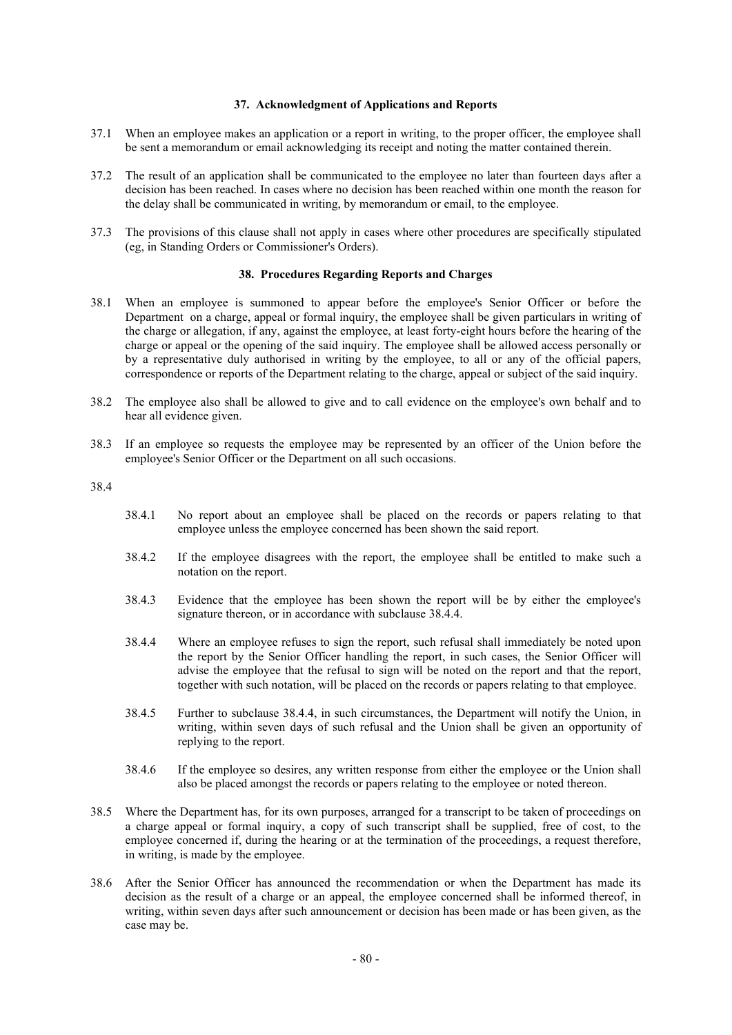# **37. Acknowledgment of Applications and Reports**

- 37.1 When an employee makes an application or a report in writing, to the proper officer, the employee shall be sent a memorandum or email acknowledging its receipt and noting the matter contained therein.
- 37.2 The result of an application shall be communicated to the employee no later than fourteen days after a decision has been reached. In cases where no decision has been reached within one month the reason for the delay shall be communicated in writing, by memorandum or email, to the employee.
- 37.3 The provisions of this clause shall not apply in cases where other procedures are specifically stipulated (eg, in Standing Orders or Commissioner's Orders).

# **38. Procedures Regarding Reports and Charges**

- 38.1 When an employee is summoned to appear before the employee's Senior Officer or before the Department on a charge, appeal or formal inquiry, the employee shall be given particulars in writing of the charge or allegation, if any, against the employee, at least forty-eight hours before the hearing of the charge or appeal or the opening of the said inquiry. The employee shall be allowed access personally or by a representative duly authorised in writing by the employee, to all or any of the official papers, correspondence or reports of the Department relating to the charge, appeal or subject of the said inquiry.
- 38.2 The employee also shall be allowed to give and to call evidence on the employee's own behalf and to hear all evidence given.
- 38.3 If an employee so requests the employee may be represented by an officer of the Union before the employee's Senior Officer or the Department on all such occasions.

38.4

- 38.4.1 No report about an employee shall be placed on the records or papers relating to that employee unless the employee concerned has been shown the said report.
- 38.4.2 If the employee disagrees with the report, the employee shall be entitled to make such a notation on the report.
- 38.4.3 Evidence that the employee has been shown the report will be by either the employee's signature thereon, or in accordance with subclause 38.4.4.
- 38.4.4 Where an employee refuses to sign the report, such refusal shall immediately be noted upon the report by the Senior Officer handling the report, in such cases, the Senior Officer will advise the employee that the refusal to sign will be noted on the report and that the report, together with such notation, will be placed on the records or papers relating to that employee.
- 38.4.5 Further to subclause 38.4.4, in such circumstances, the Department will notify the Union, in writing, within seven days of such refusal and the Union shall be given an opportunity of replying to the report.
- 38.4.6 If the employee so desires, any written response from either the employee or the Union shall also be placed amongst the records or papers relating to the employee or noted thereon.
- 38.5 Where the Department has, for its own purposes, arranged for a transcript to be taken of proceedings on a charge appeal or formal inquiry, a copy of such transcript shall be supplied, free of cost, to the employee concerned if, during the hearing or at the termination of the proceedings, a request therefore, in writing, is made by the employee.
- 38.6 After the Senior Officer has announced the recommendation or when the Department has made its decision as the result of a charge or an appeal, the employee concerned shall be informed thereof, in writing, within seven days after such announcement or decision has been made or has been given, as the case may be.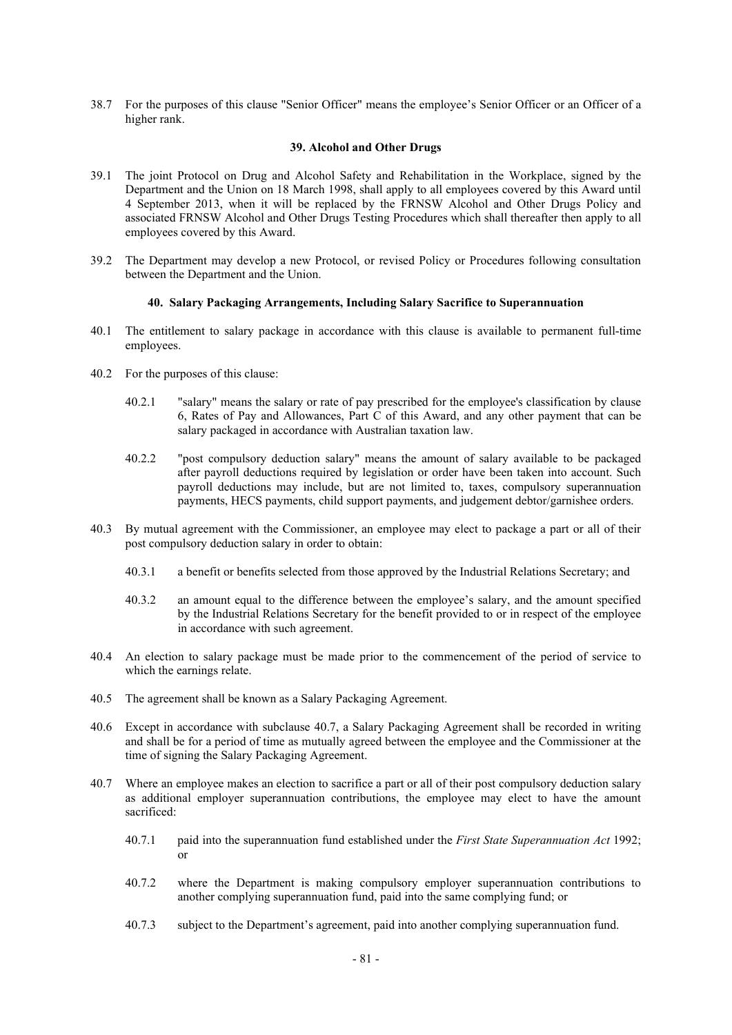38.7 For the purposes of this clause "Senior Officer" means the employee's Senior Officer or an Officer of a higher rank.

#### **39. Alcohol and Other Drugs**

- 39.1 The joint Protocol on Drug and Alcohol Safety and Rehabilitation in the Workplace, signed by the Department and the Union on 18 March 1998, shall apply to all employees covered by this Award until 4 September 2013, when it will be replaced by the FRNSW Alcohol and Other Drugs Policy and associated FRNSW Alcohol and Other Drugs Testing Procedures which shall thereafter then apply to all employees covered by this Award.
- 39.2 The Department may develop a new Protocol, or revised Policy or Procedures following consultation between the Department and the Union.

# **40. Salary Packaging Arrangements, Including Salary Sacrifice to Superannuation**

- 40.1 The entitlement to salary package in accordance with this clause is available to permanent full-time employees.
- 40.2 For the purposes of this clause:
	- 40.2.1 "salary" means the salary or rate of pay prescribed for the employee's classification by clause 6, Rates of Pay and Allowances, Part C of this Award, and any other payment that can be salary packaged in accordance with Australian taxation law.
	- 40.2.2 "post compulsory deduction salary" means the amount of salary available to be packaged after payroll deductions required by legislation or order have been taken into account. Such payroll deductions may include, but are not limited to, taxes, compulsory superannuation payments, HECS payments, child support payments, and judgement debtor/garnishee orders.
- 40.3 By mutual agreement with the Commissioner, an employee may elect to package a part or all of their post compulsory deduction salary in order to obtain:
	- 40.3.1 a benefit or benefits selected from those approved by the Industrial Relations Secretary; and
	- 40.3.2 an amount equal to the difference between the employee's salary, and the amount specified by the Industrial Relations Secretary for the benefit provided to or in respect of the employee in accordance with such agreement.
- 40.4 An election to salary package must be made prior to the commencement of the period of service to which the earnings relate.
- 40.5 The agreement shall be known as a Salary Packaging Agreement.
- 40.6 Except in accordance with subclause 40.7, a Salary Packaging Agreement shall be recorded in writing and shall be for a period of time as mutually agreed between the employee and the Commissioner at the time of signing the Salary Packaging Agreement.
- 40.7 Where an employee makes an election to sacrifice a part or all of their post compulsory deduction salary as additional employer superannuation contributions, the employee may elect to have the amount sacrificed:
	- 40.7.1 paid into the superannuation fund established under the *First State Superannuation Act* 1992; or
	- 40.7.2 where the Department is making compulsory employer superannuation contributions to another complying superannuation fund, paid into the same complying fund; or
	- 40.7.3 subject to the Department's agreement, paid into another complying superannuation fund.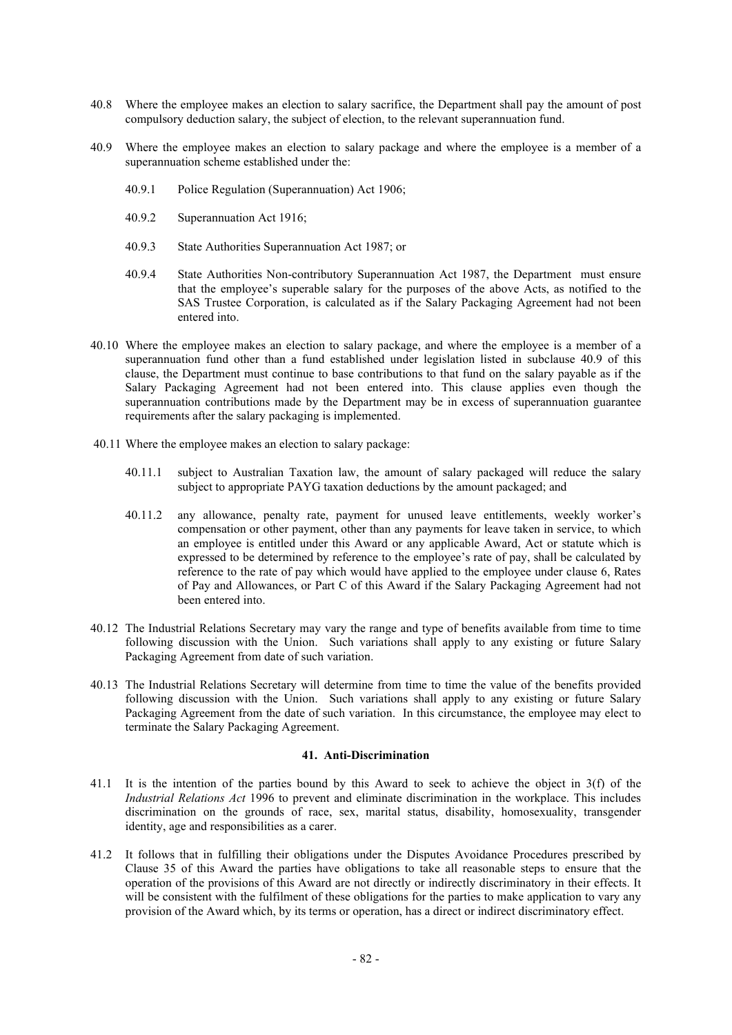- 40.8 Where the employee makes an election to salary sacrifice, the Department shall pay the amount of post compulsory deduction salary, the subject of election, to the relevant superannuation fund.
- 40.9 Where the employee makes an election to salary package and where the employee is a member of a superannuation scheme established under the:
	- 40.9.1 Police Regulation (Superannuation) Act 1906;
	- 40.9.2 Superannuation Act 1916;
	- 40.9.3 State Authorities Superannuation Act 1987; or
	- 40.9.4 State Authorities Non-contributory Superannuation Act 1987, the Department must ensure that the employee's superable salary for the purposes of the above Acts, as notified to the SAS Trustee Corporation, is calculated as if the Salary Packaging Agreement had not been entered into.
- 40.10 Where the employee makes an election to salary package, and where the employee is a member of a superannuation fund other than a fund established under legislation listed in subclause 40.9 of this clause, the Department must continue to base contributions to that fund on the salary payable as if the Salary Packaging Agreement had not been entered into. This clause applies even though the superannuation contributions made by the Department may be in excess of superannuation guarantee requirements after the salary packaging is implemented.
- 40.11 Where the employee makes an election to salary package:
	- 40.11.1 subject to Australian Taxation law, the amount of salary packaged will reduce the salary subject to appropriate PAYG taxation deductions by the amount packaged; and
	- 40.11.2 any allowance, penalty rate, payment for unused leave entitlements, weekly worker's compensation or other payment, other than any payments for leave taken in service, to which an employee is entitled under this Award or any applicable Award, Act or statute which is expressed to be determined by reference to the employee's rate of pay, shall be calculated by reference to the rate of pay which would have applied to the employee under clause 6, Rates of Pay and Allowances, or Part C of this Award if the Salary Packaging Agreement had not been entered into.
- 40.12 The Industrial Relations Secretary may vary the range and type of benefits available from time to time following discussion with the Union. Such variations shall apply to any existing or future Salary Packaging Agreement from date of such variation.
- 40.13 The Industrial Relations Secretary will determine from time to time the value of the benefits provided following discussion with the Union. Such variations shall apply to any existing or future Salary Packaging Agreement from the date of such variation. In this circumstance, the employee may elect to terminate the Salary Packaging Agreement.

#### **41. Anti-Discrimination**

- 41.1 It is the intention of the parties bound by this Award to seek to achieve the object in 3(f) of the *Industrial Relations Act* 1996 to prevent and eliminate discrimination in the workplace. This includes discrimination on the grounds of race, sex, marital status, disability, homosexuality, transgender identity, age and responsibilities as a carer.
- 41.2 It follows that in fulfilling their obligations under the Disputes Avoidance Procedures prescribed by Clause 35 of this Award the parties have obligations to take all reasonable steps to ensure that the operation of the provisions of this Award are not directly or indirectly discriminatory in their effects. It will be consistent with the fulfilment of these obligations for the parties to make application to vary any provision of the Award which, by its terms or operation, has a direct or indirect discriminatory effect.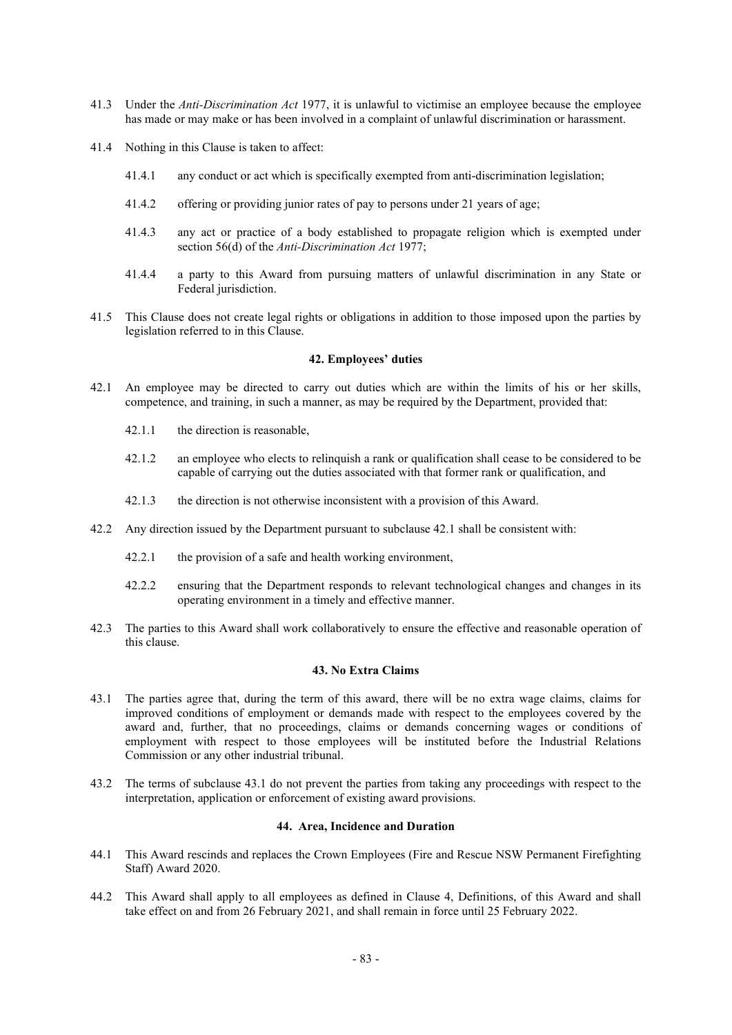- 41.3 Under the *Anti-Discrimination Act* 1977, it is unlawful to victimise an employee because the employee has made or may make or has been involved in a complaint of unlawful discrimination or harassment.
- 41.4 Nothing in this Clause is taken to affect:
	- 41.4.1 any conduct or act which is specifically exempted from anti-discrimination legislation;
	- 41.4.2 offering or providing junior rates of pay to persons under 21 years of age;
	- 41.4.3 any act or practice of a body established to propagate religion which is exempted under section 56(d) of the *Anti-Discrimination Act* 1977;
	- 41.4.4 a party to this Award from pursuing matters of unlawful discrimination in any State or Federal jurisdiction.
- 41.5 This Clause does not create legal rights or obligations in addition to those imposed upon the parties by legislation referred to in this Clause.

# **42. Employees' duties**

- 42.1 An employee may be directed to carry out duties which are within the limits of his or her skills, competence, and training, in such a manner, as may be required by the Department, provided that:
	- 42.1.1 the direction is reasonable,
	- 42.1.2 an employee who elects to relinquish a rank or qualification shall cease to be considered to be capable of carrying out the duties associated with that former rank or qualification, and
	- 42.1.3 the direction is not otherwise inconsistent with a provision of this Award.
- 42.2 Any direction issued by the Department pursuant to subclause 42.1 shall be consistent with:
	- 42.2.1 the provision of a safe and health working environment,
	- 42.2.2 ensuring that the Department responds to relevant technological changes and changes in its operating environment in a timely and effective manner.
- 42.3 The parties to this Award shall work collaboratively to ensure the effective and reasonable operation of this clause.

# **43. No Extra Claims**

- 43.1 The parties agree that, during the term of this award, there will be no extra wage claims, claims for improved conditions of employment or demands made with respect to the employees covered by the award and, further, that no proceedings, claims or demands concerning wages or conditions of employment with respect to those employees will be instituted before the Industrial Relations Commission or any other industrial tribunal.
- 43.2 The terms of subclause 43.1 do not prevent the parties from taking any proceedings with respect to the interpretation, application or enforcement of existing award provisions.

# **44. Area, Incidence and Duration**

- 44.1 This Award rescinds and replaces the Crown Employees (Fire and Rescue NSW Permanent Firefighting Staff) Award 2020.
- 44.2 This Award shall apply to all employees as defined in Clause 4, Definitions, of this Award and shall take effect on and from 26 February 2021, and shall remain in force until 25 February 2022.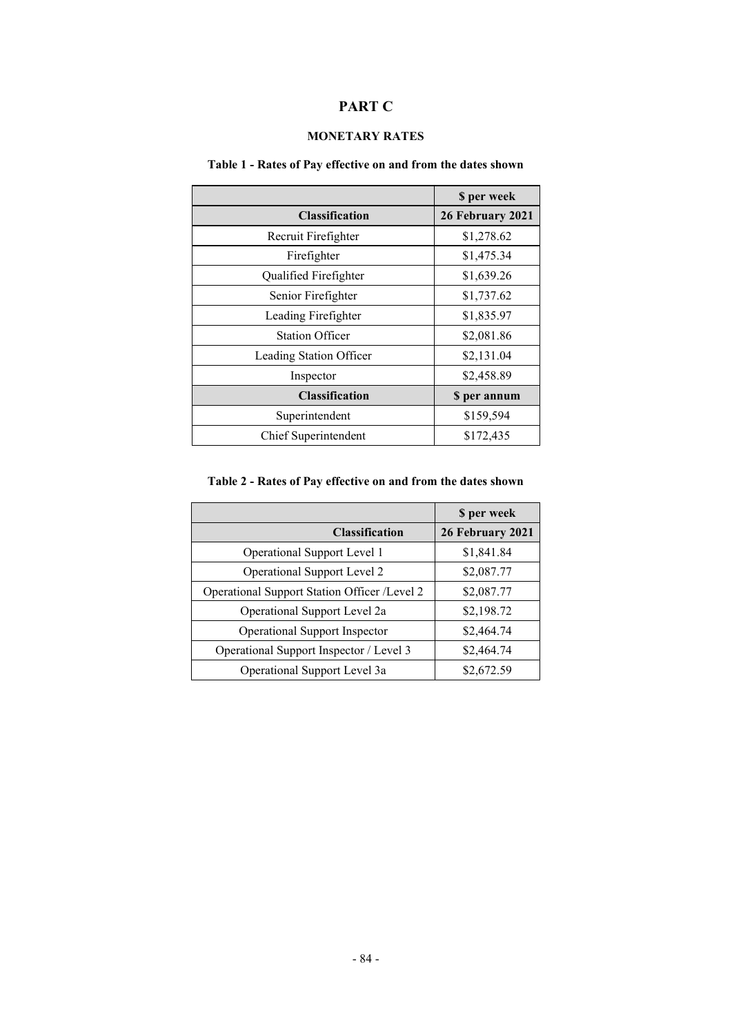# **PART C**

# **MONETARY RATES**

# **Table 1 - Rates of Pay effective on and from the dates shown**

|                         | \$ per week      |
|-------------------------|------------------|
| <b>Classification</b>   | 26 February 2021 |
| Recruit Firefighter     | \$1,278.62       |
| Firefighter             | \$1,475.34       |
| Qualified Firefighter   | \$1,639.26       |
| Senior Firefighter      | \$1,737.62       |
| Leading Firefighter     | \$1,835.97       |
| <b>Station Officer</b>  | \$2,081.86       |
| Leading Station Officer | \$2,131.04       |
| Inspector               | \$2,458.89       |
| <b>Classification</b>   | \$ per annum     |
| Superintendent          | \$159,594        |
| Chief Superintendent    | \$172,435        |

# **Table 2 - Rates of Pay effective on and from the dates shown**

|                                              | \$ per week      |
|----------------------------------------------|------------------|
| <b>Classification</b>                        | 26 February 2021 |
| Operational Support Level 1                  | \$1,841.84       |
| Operational Support Level 2                  | \$2,087.77       |
| Operational Support Station Officer /Level 2 | \$2,087.77       |
| Operational Support Level 2a                 | \$2,198.72       |
| <b>Operational Support Inspector</b>         | \$2,464.74       |
| Operational Support Inspector / Level 3      | \$2,464.74       |
| Operational Support Level 3a                 | \$2,672.59       |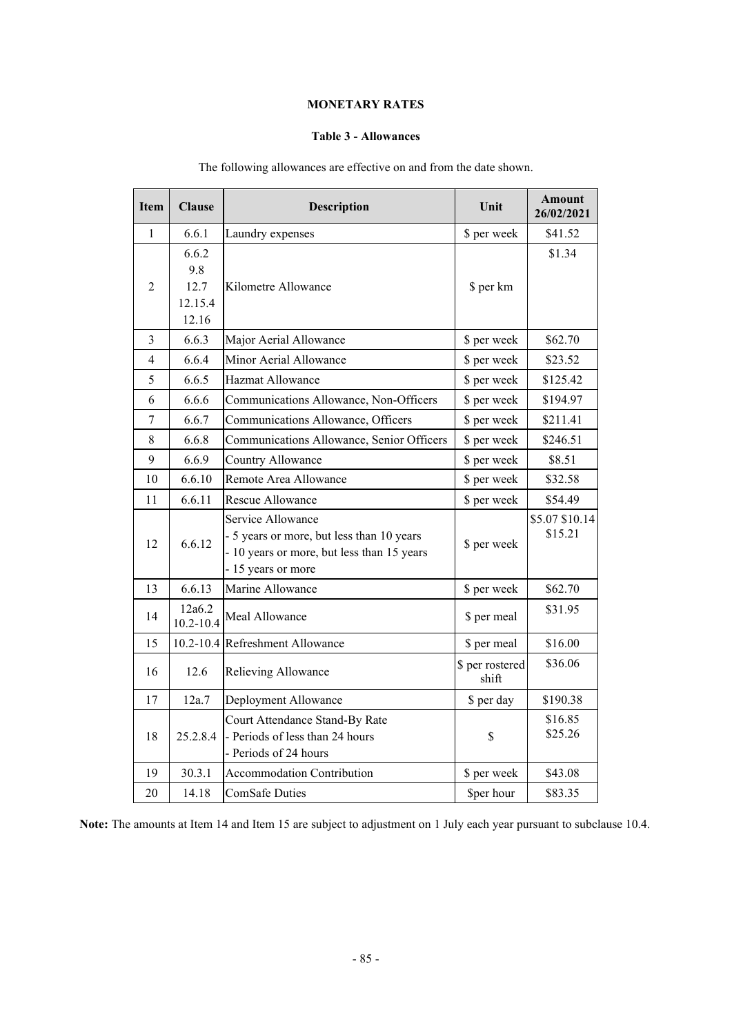# **MONETARY RATES**

# **Table 3 - Allowances**

| <b>Item</b>    | <b>Clause</b>           | <b>Description</b>                                                                                                               | Unit                     | <b>Amount</b><br>26/02/2021 |
|----------------|-------------------------|----------------------------------------------------------------------------------------------------------------------------------|--------------------------|-----------------------------|
| 1              | 6.6.1                   | Laundry expenses                                                                                                                 | \$ per week              | \$41.52                     |
|                | 6.6.2                   |                                                                                                                                  |                          | \$1.34                      |
|                | 9.8                     |                                                                                                                                  |                          |                             |
| $\overline{2}$ | 12.7                    | Kilometre Allowance                                                                                                              | \$ per km                |                             |
|                | 12.15.4<br>12.16        |                                                                                                                                  |                          |                             |
| $\overline{3}$ | 6.6.3                   |                                                                                                                                  |                          | \$62.70                     |
|                |                         | Major Aerial Allowance                                                                                                           | \$ per week              |                             |
| 4              | 6.6.4                   | Minor Aerial Allowance                                                                                                           | \$ per week              | \$23.52                     |
| 5              | 6.6.5                   | Hazmat Allowance                                                                                                                 | \$ per week              | \$125.42                    |
| 6              | 6.6.6                   | Communications Allowance, Non-Officers                                                                                           | \$ per week              | \$194.97                    |
| $\overline{7}$ | 6.6.7                   | Communications Allowance, Officers                                                                                               | \$ per week              | \$211.41                    |
| 8              | 6.6.8                   | Communications Allowance, Senior Officers                                                                                        | \$ per week              | \$246.51                    |
| 9              | 6.6.9                   | Country Allowance                                                                                                                | \$ per week              | \$8.51                      |
| 10             | 6.6.10                  | Remote Area Allowance                                                                                                            | \$ per week              | \$32.58                     |
| 11             | 6.6.11                  | Rescue Allowance                                                                                                                 | \$ per week              | \$54.49                     |
| 12             | 6.6.12                  | Service Allowance<br>- 5 years or more, but less than 10 years<br>- 10 years or more, but less than 15 years<br>15 years or more | \$ per week              | \$5.07 \$10.14<br>\$15.21   |
| 13             | 6.6.13                  | Marine Allowance                                                                                                                 | \$ per week              | \$62.70                     |
| 14             | 12a6.2<br>$10.2 - 10.4$ | Meal Allowance                                                                                                                   | \$ per meal              | \$31.95                     |
| 15             | $10.2 - 10.4$           | Refreshment Allowance                                                                                                            | \$ per meal              | \$16.00                     |
| 16             | 12.6                    | Relieving Allowance                                                                                                              | \$ per rostered<br>shift | \$36.06                     |
| 17             | 12a.7                   | Deployment Allowance                                                                                                             | \$ per day               | \$190.38                    |
| 18             | 25.2.8.4                | Court Attendance Stand-By Rate<br>- Periods of less than 24 hours<br>- Periods of 24 hours                                       | $\mathbb{S}$             | \$16.85<br>\$25.26          |
| 19             | 30.3.1                  | Accommodation Contribution                                                                                                       | \$ per week              | \$43.08                     |
| 20             | 14.18                   | <b>ComSafe Duties</b>                                                                                                            | \$per hour               | \$83.35                     |

# The following allowances are effective on and from the date shown.

**Note:** The amounts at Item 14 and Item 15 are subject to adjustment on 1 July each year pursuant to subclause 10.4.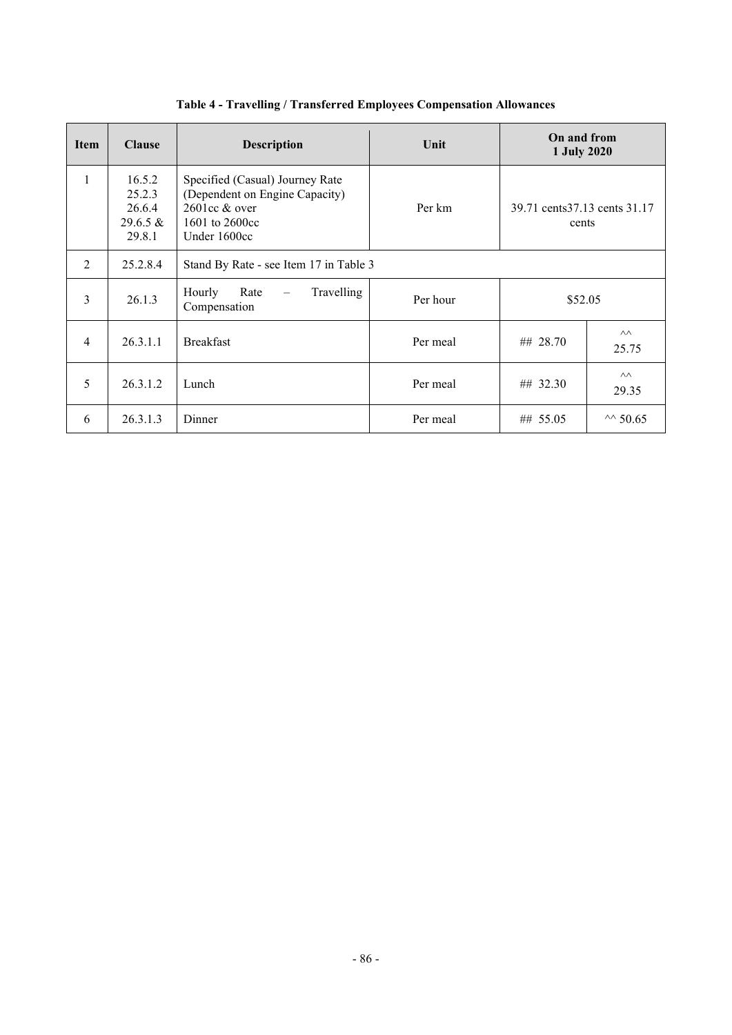| <b>Item</b>    | <b>Clause</b>                                       | <b>Description</b>                                                                                                       | Unit     | On and from<br>1 July 2020             |                         |
|----------------|-----------------------------------------------------|--------------------------------------------------------------------------------------------------------------------------|----------|----------------------------------------|-------------------------|
| 1              | 16.5.2<br>25.2.3<br>26.6.4<br>$29.6.5 \&$<br>29.8.1 | Specified (Casual) Journey Rate<br>(Dependent on Engine Capacity)<br>$2601cc &$ over<br>1601 to $2600cc$<br>Under 1600cc | Per km   | 39.71 cents 37.13 cents 31.17<br>cents |                         |
| 2              | 25.2.8.4                                            | Stand By Rate - see Item 17 in Table 3                                                                                   |          |                                        |                         |
| 3              | 26.1.3                                              | Travelling<br>Hourly<br>Rate<br>$\overline{\phantom{m}}$<br>Compensation                                                 | Per hour | \$52.05                                |                         |
| $\overline{4}$ | 26.3.1.1                                            | <b>Breakfast</b>                                                                                                         | Per meal | ## 28.70                               | $\wedge\wedge$<br>25.75 |
| 5              | 26.3.1.2                                            | Lunch                                                                                                                    | Per meal | ## 32.30                               | $\wedge\wedge$<br>29.35 |
| 6              | 26.3.1.3                                            | Dinner                                                                                                                   | Per meal | ## 55.05                               | $\sim$ 50.65            |

**Table 4 - Travelling / Transferred Employees Compensation Allowances**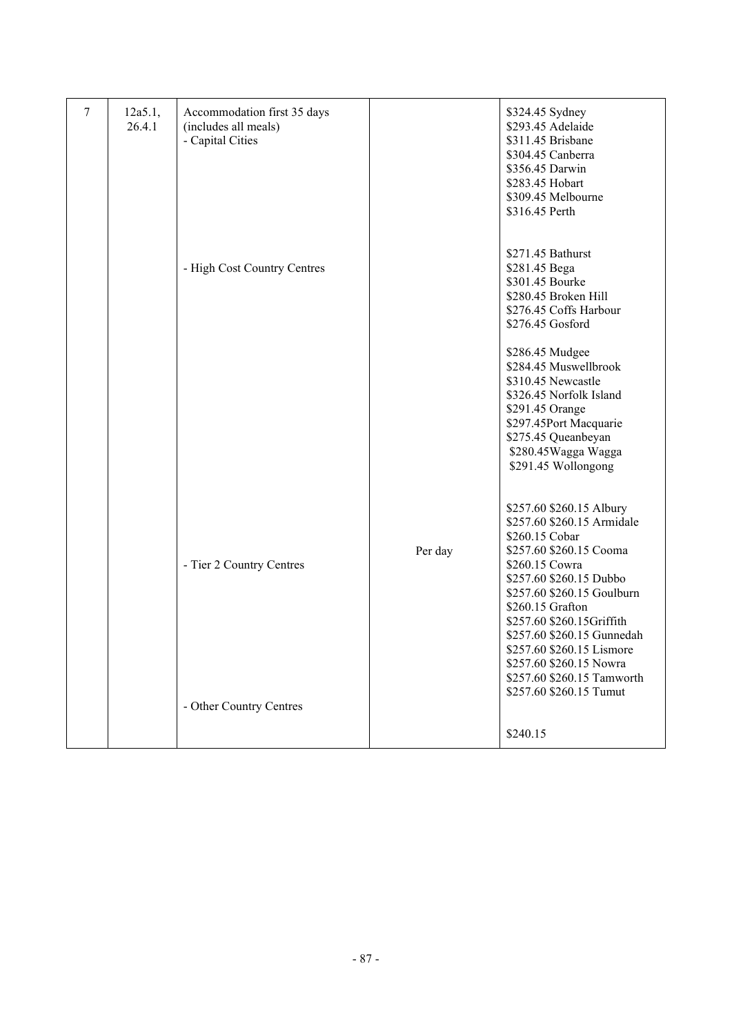| $\tau$ | 12a5.1,<br>26.4.1 | Accommodation first 35 days<br>(includes all meals)<br>- Capital Cities |         | \$324.45 Sydney<br>\$293.45 Adelaide<br>\$311.45 Brisbane<br>\$304.45 Canberra<br>\$356.45 Darwin<br>\$283.45 Hobart<br>\$309.45 Melbourne<br>\$316.45 Perth                                                                                                                                                                                        |
|--------|-------------------|-------------------------------------------------------------------------|---------|-----------------------------------------------------------------------------------------------------------------------------------------------------------------------------------------------------------------------------------------------------------------------------------------------------------------------------------------------------|
|        |                   | - High Cost Country Centres                                             |         | \$271.45 Bathurst<br>\$281.45 Bega<br>\$301.45 Bourke<br>\$280.45 Broken Hill<br>\$276.45 Coffs Harbour<br>\$276.45 Gosford                                                                                                                                                                                                                         |
|        |                   |                                                                         |         | \$286.45 Mudgee<br>\$284.45 Muswellbrook<br>\$310.45 Newcastle<br>\$326.45 Norfolk Island<br>\$291.45 Orange<br>\$297.45Port Macquarie<br>\$275.45 Queanbeyan<br>\$280.45Wagga Wagga<br>\$291.45 Wollongong                                                                                                                                         |
|        |                   | - Tier 2 Country Centres                                                | Per day | \$257.60 \$260.15 Albury<br>\$257.60 \$260.15 Armidale<br>\$260.15 Cobar<br>\$257.60 \$260.15 Cooma<br>\$260.15 Cowra<br>\$257.60 \$260.15 Dubbo<br>\$257.60 \$260.15 Goulburn<br>\$260.15 Grafton<br>\$257.60 \$260.15Griffith<br>\$257.60 \$260.15 Gunnedah<br>\$257.60 \$260.15 Lismore<br>\$257.60 \$260.15 Nowra<br>\$257.60 \$260.15 Tamworth |
|        |                   | - Other Country Centres                                                 |         | \$257.60 \$260.15 Tumut<br>\$240.15                                                                                                                                                                                                                                                                                                                 |